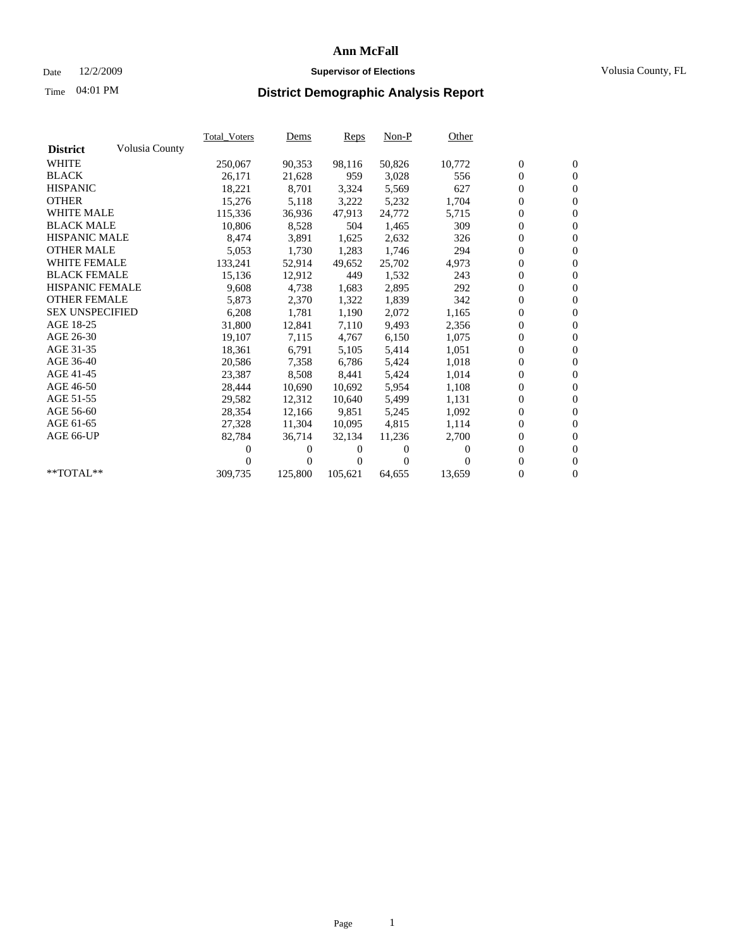## Date 12/2/2009 **Supervisor of Elections** Volusia County, FL

# Time **District Demographic Analysis Report** 04:01 PM

|                        |                | Total Voters | <u>Dems</u>      | Reps     | $Non-P$  | Other    |                  |                  |  |
|------------------------|----------------|--------------|------------------|----------|----------|----------|------------------|------------------|--|
| <b>District</b>        | Volusia County |              |                  |          |          |          |                  |                  |  |
| <b>WHITE</b>           |                | 250,067      | 90,353           | 98,116   | 50,826   | 10,772   | $\boldsymbol{0}$ | $\boldsymbol{0}$ |  |
| <b>BLACK</b>           |                | 26,171       | 21,628           | 959      | 3,028    | 556      | $\boldsymbol{0}$ | $\mathbf{0}$     |  |
| <b>HISPANIC</b>        |                | 18,221       | 8,701            | 3,324    | 5,569    | 627      | $\overline{0}$   | $\mathbf{0}$     |  |
| <b>OTHER</b>           |                | 15,276       | 5,118            | 3,222    | 5,232    | 1,704    | $\boldsymbol{0}$ | $\mathbf{0}$     |  |
| <b>WHITE MALE</b>      |                | 115,336      | 36,936           | 47,913   | 24,772   | 5,715    | $\boldsymbol{0}$ | $\mathbf{0}$     |  |
| <b>BLACK MALE</b>      |                | 10,806       | 8,528            | 504      | 1,465    | 309      | $\overline{0}$   | $\mathbf{0}$     |  |
| <b>HISPANIC MALE</b>   |                | 8,474        | 3,891            | 1,625    | 2,632    | 326      | $\overline{0}$   | $\overline{0}$   |  |
| <b>OTHER MALE</b>      |                | 5,053        | 1,730            | 1,283    | 1,746    | 294      | $\boldsymbol{0}$ | $\mathbf{0}$     |  |
| <b>WHITE FEMALE</b>    |                | 133,241      | 52,914           | 49,652   | 25,702   | 4,973    | 0                | $\mathbf{0}$     |  |
| <b>BLACK FEMALE</b>    |                | 15,136       | 12,912           | 449      | 1,532    | 243      | $\boldsymbol{0}$ | $\overline{0}$   |  |
| <b>HISPANIC FEMALE</b> |                | 9,608        | 4,738            | 1,683    | 2,895    | 292      | $\boldsymbol{0}$ | $\boldsymbol{0}$ |  |
| <b>OTHER FEMALE</b>    |                | 5,873        | 2,370            | 1,322    | 1,839    | 342      | 0                | $\Omega$         |  |
| <b>SEX UNSPECIFIED</b> |                | 6,208        | 1,781            | 1,190    | 2,072    | 1,165    | $\boldsymbol{0}$ | $\overline{0}$   |  |
| AGE 18-25              |                | 31,800       | 12,841           | 7,110    | 9,493    | 2,356    | 0                | $\boldsymbol{0}$ |  |
| AGE 26-30              |                | 19,107       | 7,115            | 4,767    | 6,150    | 1,075    | 0                | $\mathbf{0}$     |  |
| AGE 31-35              |                | 18,361       | 6,791            | 5,105    | 5,414    | 1,051    | $\mathbf{0}$     | $\mathbf{0}$     |  |
| AGE 36-40              |                | 20,586       | 7,358            | 6,786    | 5,424    | 1,018    | $\boldsymbol{0}$ | $\boldsymbol{0}$ |  |
| AGE 41-45              |                | 23,387       | 8,508            | 8,441    | 5,424    | 1,014    | 0                | $\mathbf{0}$     |  |
| AGE 46-50              |                | 28,444       | 10,690           | 10,692   | 5,954    | 1,108    | $\boldsymbol{0}$ | $\mathbf{0}$     |  |
| AGE 51-55              |                | 29,582       | 12,312           | 10,640   | 5,499    | 1,131    | $\boldsymbol{0}$ | $\boldsymbol{0}$ |  |
| AGE 56-60              |                | 28,354       | 12,166           | 9.851    | 5,245    | 1,092    | 0                | $\mathbf{0}$     |  |
| AGE 61-65              |                | 27,328       | 11,304           | 10,095   | 4,815    | 1,114    | $\boldsymbol{0}$ | $\mathbf{0}$     |  |
| AGE 66-UP              |                | 82,784       | 36,714           | 32,134   | 11,236   | 2,700    | $\overline{0}$   | $\mathbf{0}$     |  |
|                        |                | 0            | $\overline{0}$   | $^{(1)}$ | 0        | $\Omega$ | 0                | $\mathbf{0}$     |  |
|                        |                | 0            | $\boldsymbol{0}$ | 0        | $\Omega$ |          | $\overline{0}$   | $\mathbf{0}$     |  |
| **TOTAL**              |                | 309,735      | 125,800          | 105,621  | 64,655   | 13,659   | 0                | $\mathbf{0}$     |  |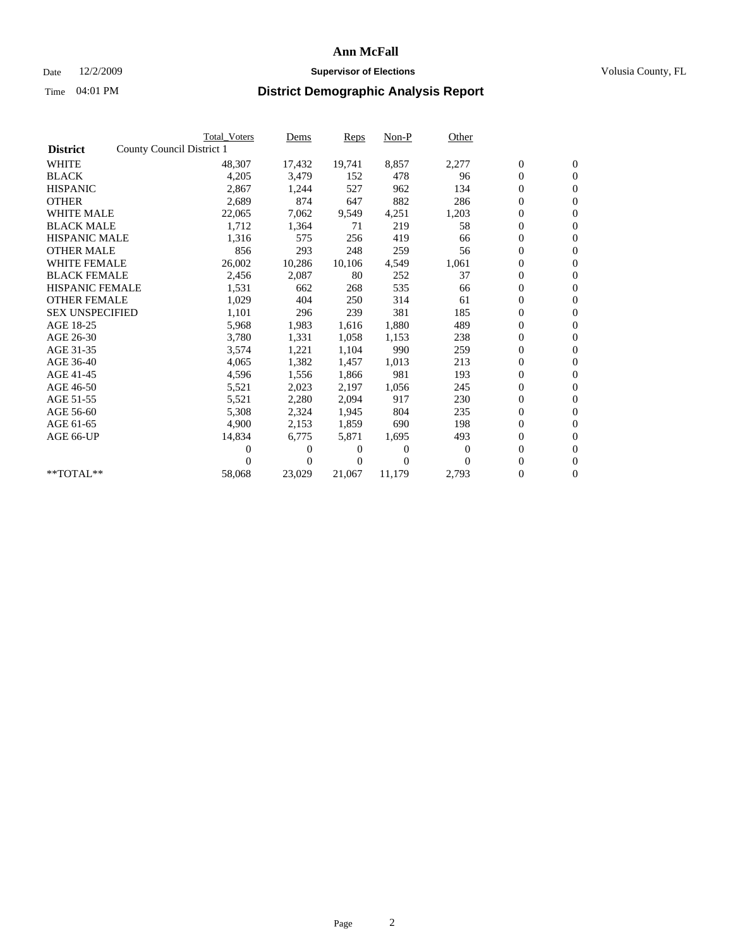## Date 12/2/2009 **Supervisor of Elections Supervisor of Elections** Volusia County, FL

|                        |                           | <b>Total Voters</b> | Dems         | <b>Reps</b> | $Non-P$  | Other    |                  |                  |  |
|------------------------|---------------------------|---------------------|--------------|-------------|----------|----------|------------------|------------------|--|
| <b>District</b>        | County Council District 1 |                     |              |             |          |          |                  |                  |  |
| <b>WHITE</b>           |                           | 48,307              | 17,432       | 19,741      | 8,857    | 2,277    | $\boldsymbol{0}$ | $\boldsymbol{0}$ |  |
| <b>BLACK</b>           |                           | 4,205               | 3,479        | 152         | 478      | 96       | $\overline{0}$   | $\mathbf{0}$     |  |
| <b>HISPANIC</b>        |                           | 2,867               | 1,244        | 527         | 962      | 134      | $\overline{0}$   | $\mathbf{0}$     |  |
| <b>OTHER</b>           |                           | 2,689               | 874          | 647         | 882      | 286      | 0                | $\mathbf{0}$     |  |
| <b>WHITE MALE</b>      |                           | 22,065              | 7,062        | 9,549       | 4,251    | 1,203    | $\boldsymbol{0}$ | $\mathbf{0}$     |  |
| <b>BLACK MALE</b>      |                           | 1,712               | 1,364        | 71          | 219      | 58       | $\boldsymbol{0}$ | $\mathbf{0}$     |  |
| <b>HISPANIC MALE</b>   |                           | 1,316               | 575          | 256         | 419      | 66       | 0                | $\mathbf{0}$     |  |
| <b>OTHER MALE</b>      |                           | 856                 | 293          | 248         | 259      | 56       | $\boldsymbol{0}$ | $\mathbf{0}$     |  |
| <b>WHITE FEMALE</b>    |                           | 26,002              | 10,286       | 10,106      | 4,549    | 1,061    | 0                | $\mathbf{0}$     |  |
| <b>BLACK FEMALE</b>    |                           | 2,456               | 2,087        | 80          | 252      | 37       | 0                | $\mathbf{0}$     |  |
| <b>HISPANIC FEMALE</b> |                           | 1,531               | 662          | 268         | 535      | 66       | $\boldsymbol{0}$ | $\mathbf{0}$     |  |
| <b>OTHER FEMALE</b>    |                           | 1,029               | 404          | 250         | 314      | 61       | $\boldsymbol{0}$ | $\mathbf{0}$     |  |
| <b>SEX UNSPECIFIED</b> |                           | 1,101               | 296          | 239         | 381      | 185      | 0                | $\mathbf{0}$     |  |
| AGE 18-25              |                           | 5,968               | 1,983        | 1,616       | 1,880    | 489      | $\overline{0}$   | $\mathbf{0}$     |  |
| AGE 26-30              |                           | 3,780               | 1,331        | 1,058       | 1,153    | 238      | 0                | $\mathbf{0}$     |  |
| AGE 31-35              |                           | 3,574               | 1,221        | 1,104       | 990      | 259      | 0                | $\mathbf{0}$     |  |
| AGE 36-40              |                           | 4,065               | 1,382        | 1,457       | 1,013    | 213      | $\boldsymbol{0}$ | $\mathbf{0}$     |  |
| AGE 41-45              |                           | 4,596               | 1,556        | 1,866       | 981      | 193      | $\boldsymbol{0}$ | $\mathbf{0}$     |  |
| AGE 46-50              |                           | 5,521               | 2,023        | 2,197       | 1,056    | 245      | 0                | $\Omega$         |  |
| AGE 51-55              |                           | 5,521               | 2,280        | 2,094       | 917      | 230      | $\boldsymbol{0}$ | $\mathbf{0}$     |  |
| AGE 56-60              |                           | 5,308               | 2,324        | 1.945       | 804      | 235      | 0                | $\mathbf{0}$     |  |
| AGE 61-65              |                           | 4,900               | 2,153        | 1,859       | 690      | 198      | 0                | $\mathbf{0}$     |  |
| AGE 66-UP              |                           | 14,834              | 6,775        | 5,871       | 1,695    | 493      | $\overline{0}$   | $\mathbf{0}$     |  |
|                        |                           | 0                   | 0            | 0           | $\theta$ | $\bf{0}$ | $\boldsymbol{0}$ | $\mathbf{0}$     |  |
|                        |                           | 0                   | $\mathbf{0}$ | 0           | $\Omega$ | $\Omega$ | 0                | $\boldsymbol{0}$ |  |
| $*$ TOTAL $**$         |                           | 58,068              | 23,029       | 21,067      | 11,179   | 2,793    | $\overline{0}$   | $\boldsymbol{0}$ |  |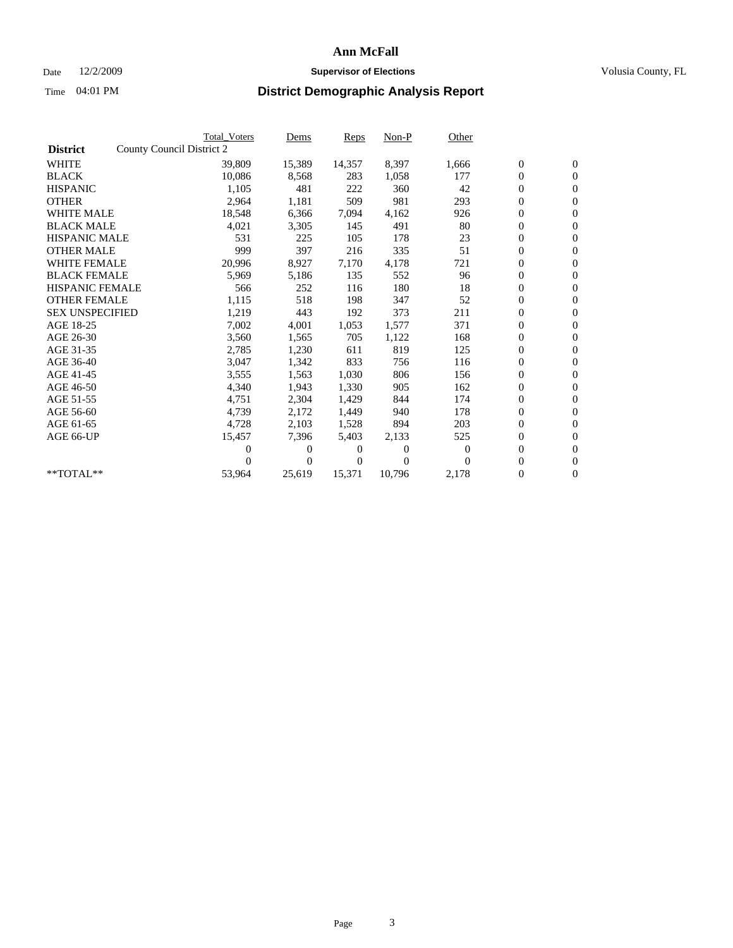## Date 12/2/2009 **Supervisor of Elections Supervisor of Elections** Volusia County, FL

|                        | <b>Total Voters</b>       | Dems           | <b>Reps</b> | $Non-P$  | Other            |                  |                  |  |
|------------------------|---------------------------|----------------|-------------|----------|------------------|------------------|------------------|--|
| <b>District</b>        | County Council District 2 |                |             |          |                  |                  |                  |  |
| <b>WHITE</b>           | 39,809                    | 15,389         | 14,357      | 8,397    | 1,666            | $\boldsymbol{0}$ | $\boldsymbol{0}$ |  |
| <b>BLACK</b>           | 10,086                    | 8,568          | 283         | 1,058    | 177              | $\overline{0}$   | $\mathbf{0}$     |  |
| <b>HISPANIC</b>        | 1,105                     | 481            | 222         | 360      | 42               | $\overline{0}$   | $\mathbf{0}$     |  |
| <b>OTHER</b>           | 2,964                     | 1,181          | 509         | 981      | 293              | 0                | $\mathbf{0}$     |  |
| <b>WHITE MALE</b>      | 18,548                    | 6,366          | 7,094       | 4,162    | 926              | $\boldsymbol{0}$ | $\mathbf{0}$     |  |
| <b>BLACK MALE</b>      | 4,021                     | 3,305          | 145         | 491      | 80               | $\boldsymbol{0}$ | $\mathbf{0}$     |  |
| <b>HISPANIC MALE</b>   | 531                       | 225            | 105         | 178      | 23               | 0                | $\mathbf{0}$     |  |
| <b>OTHER MALE</b>      | 999                       | 397            | 216         | 335      | 51               | $\boldsymbol{0}$ | $\mathbf{0}$     |  |
| <b>WHITE FEMALE</b>    | 20,996                    | 8,927          | 7,170       | 4,178    | 721              | 0                | $\mathbf{0}$     |  |
| <b>BLACK FEMALE</b>    | 5,969                     | 5,186          | 135         | 552      | 96               | 0                | $\Omega$         |  |
| <b>HISPANIC FEMALE</b> | 566                       | 252            | 116         | 180      | 18               | $\boldsymbol{0}$ | $\mathbf{0}$     |  |
| <b>OTHER FEMALE</b>    | 1,115                     | 518            | 198         | 347      | 52               | 0                | $\mathbf{0}$     |  |
| <b>SEX UNSPECIFIED</b> | 1,219                     | 443            | 192         | 373      | 211              | 0                | $\mathbf{0}$     |  |
| AGE 18-25              | 7,002                     | 4,001          | 1,053       | 1,577    | 371              | $\boldsymbol{0}$ | $\mathbf{0}$     |  |
| AGE 26-30              | 3,560                     | 1,565          | 705         | 1,122    | 168              | 0                | $\mathbf{0}$     |  |
| AGE 31-35              | 2,785                     | 1,230          | 611         | 819      | 125              | 0                | $\mathbf{0}$     |  |
| AGE 36-40              | 3,047                     | 1,342          | 833         | 756      | 116              | $\boldsymbol{0}$ | $\mathbf{0}$     |  |
| AGE 41-45              | 3,555                     | 1,563          | 1,030       | 806      | 156              | $\boldsymbol{0}$ | $\mathbf{0}$     |  |
| AGE 46-50              | 4,340                     | 1,943          | 1,330       | 905      | 162              | 0                | $\Omega$         |  |
| AGE 51-55              | 4,751                     | 2,304          | 1,429       | 844      | 174              | $\boldsymbol{0}$ | $\mathbf{0}$     |  |
| AGE 56-60              | 4,739                     | 2,172          | 1.449       | 940      | 178              | 0                | $\mathbf{0}$     |  |
| AGE 61-65              | 4,728                     | 2,103          | 1,528       | 894      | 203              | 0                | $\mathbf{0}$     |  |
| AGE 66-UP              | 15,457                    | 7,396          | 5,403       | 2,133    | 525              | $\overline{0}$   | $\mathbf{0}$     |  |
|                        | 0                         | 0              | 0           | $\theta$ | $\boldsymbol{0}$ | $\boldsymbol{0}$ | $\mathbf{0}$     |  |
|                        | 0                         | $\overline{0}$ | 0           | $\Omega$ | $\Omega$         | 0                | $\mathbf{0}$     |  |
| $*$ TOTAL $**$         | 53,964                    | 25,619         | 15,371      | 10,796   | 2,178            | $\overline{0}$   | $\boldsymbol{0}$ |  |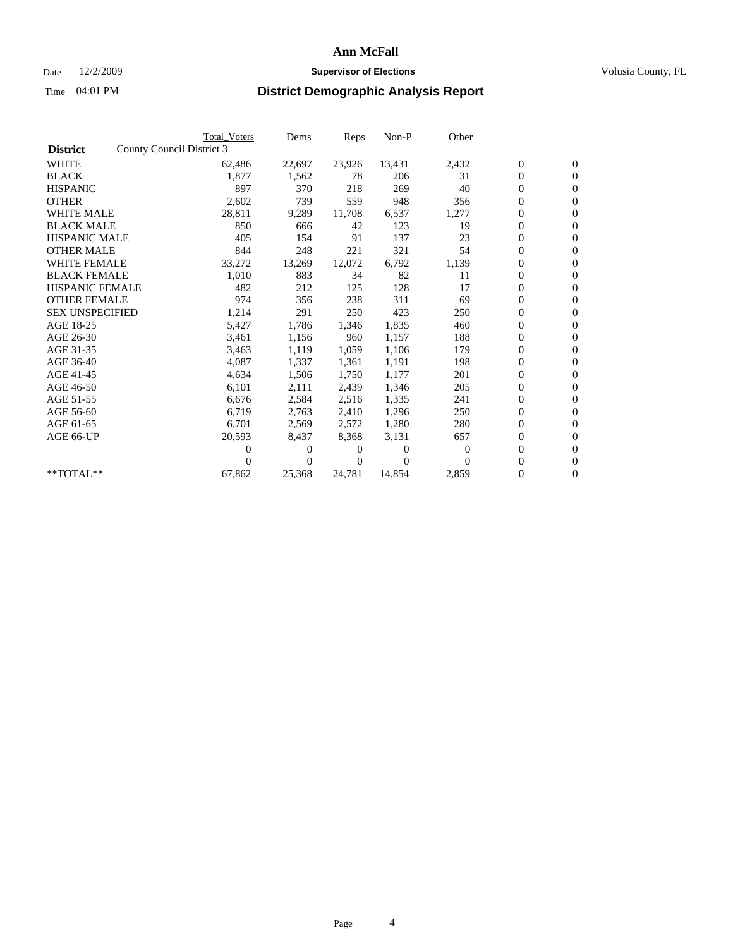## Date 12/2/2009 **Supervisor of Elections Supervisor of Elections** Volusia County, FL

|                        |                           | <b>Total Voters</b> | Dems     | <b>Reps</b> | Non-P    | Other    |                  |                  |  |
|------------------------|---------------------------|---------------------|----------|-------------|----------|----------|------------------|------------------|--|
| <b>District</b>        | County Council District 3 |                     |          |             |          |          |                  |                  |  |
| <b>WHITE</b>           |                           | 62,486              | 22,697   | 23,926      | 13,431   | 2,432    | $\boldsymbol{0}$ | $\boldsymbol{0}$ |  |
| <b>BLACK</b>           |                           | 1,877               | 1,562    | 78          | 206      | 31       | $\boldsymbol{0}$ | $\mathbf{0}$     |  |
| <b>HISPANIC</b>        |                           | 897                 | 370      | 218         | 269      | 40       | $\overline{0}$   | $\mathbf{0}$     |  |
| <b>OTHER</b>           |                           | 2,602               | 739      | 559         | 948      | 356      | 0                | $\mathbf{0}$     |  |
| <b>WHITE MALE</b>      |                           | 28,811              | 9,289    | 11,708      | 6,537    | 1,277    | 0                | $\mathbf{0}$     |  |
| <b>BLACK MALE</b>      |                           | 850                 | 666      | 42          | 123      | 19       | $\boldsymbol{0}$ | $\mathbf{0}$     |  |
| <b>HISPANIC MALE</b>   |                           | 405                 | 154      | 91          | 137      | 23       | 0                | $\mathbf{0}$     |  |
| <b>OTHER MALE</b>      |                           | 844                 | 248      | 221         | 321      | 54       | 0                | $\mathbf{0}$     |  |
| <b>WHITE FEMALE</b>    |                           | 33,272              | 13,269   | 12,072      | 6,792    | 1,139    | 0                | $\mathbf{0}$     |  |
| <b>BLACK FEMALE</b>    |                           | 1,010               | 883      | 34          | 82       | 11       | $\boldsymbol{0}$ | $\mathbf{0}$     |  |
| <b>HISPANIC FEMALE</b> |                           | 482                 | 212      | 125         | 128      | 17       | 0                | $\mathbf{0}$     |  |
| <b>OTHER FEMALE</b>    |                           | 974                 | 356      | 238         | 311      | 69       | 0                | $\mathbf{0}$     |  |
| <b>SEX UNSPECIFIED</b> |                           | 1,214               | 291      | 250         | 423      | 250      | 0                | $\mathbf{0}$     |  |
| AGE 18-25              |                           | 5,427               | 1,786    | 1,346       | 1,835    | 460      | 0                | $\mathbf{0}$     |  |
| AGE 26-30              |                           | 3,461               | 1,156    | 960         | 1,157    | 188      | 0                | $\mathbf{0}$     |  |
| AGE 31-35              |                           | 3,463               | 1,119    | 1,059       | 1,106    | 179      | 0                | $\mathbf{0}$     |  |
| AGE 36-40              |                           | 4,087               | 1,337    | 1,361       | 1,191    | 198      | 0                | $\mathbf{0}$     |  |
| AGE 41-45              |                           | 4,634               | 1,506    | 1,750       | 1,177    | 201      | 0                | $\mathbf{0}$     |  |
| AGE 46-50              |                           | 6,101               | 2,111    | 2,439       | 1,346    | 205      | $\boldsymbol{0}$ | $\mathbf{0}$     |  |
| AGE 51-55              |                           | 6,676               | 2,584    | 2,516       | 1,335    | 241      | 0                | $\mathbf{0}$     |  |
| AGE 56-60              |                           | 6,719               | 2,763    | 2,410       | 1,296    | 250      | 0                | $\Omega$         |  |
| AGE 61-65              |                           | 6,701               | 2,569    | 2,572       | 1,280    | 280      | $\overline{0}$   | $\mathbf{0}$     |  |
| AGE 66-UP              |                           | 20,593              | 8,437    | 8,368       | 3,131    | 657      | 0                | $\mathbf{0}$     |  |
|                        |                           | 0                   | 0        | 0           | $\theta$ | $\bf{0}$ | 0                | $\mathbf{0}$     |  |
|                        |                           | 0                   | $\Omega$ | 0           | $\Omega$ | $\Omega$ | $\overline{0}$   | $\boldsymbol{0}$ |  |
| **TOTAL**              |                           | 67,862              | 25,368   | 24,781      | 14,854   | 2,859    | 0                | $\overline{0}$   |  |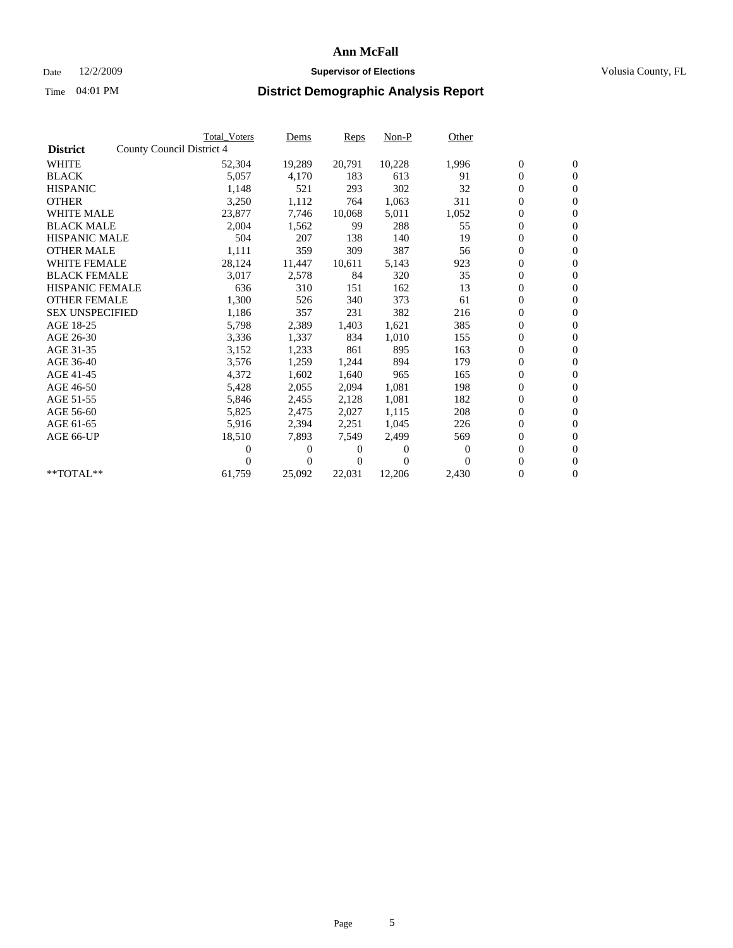## Date 12/2/2009 **Supervisor of Elections Supervisor of Elections** Volusia County, FL

|                        | <b>Total Voters</b>       | Dems   | <b>Reps</b> | $Non-P$  | Other    |                  |                  |  |
|------------------------|---------------------------|--------|-------------|----------|----------|------------------|------------------|--|
| <b>District</b>        | County Council District 4 |        |             |          |          |                  |                  |  |
| <b>WHITE</b>           | 52,304                    | 19,289 | 20,791      | 10,228   | 1,996    | $\boldsymbol{0}$ | $\boldsymbol{0}$ |  |
| <b>BLACK</b>           | 5,057                     | 4,170  | 183         | 613      | 91       | $\overline{0}$   | $\mathbf{0}$     |  |
| <b>HISPANIC</b>        | 1,148                     | 521    | 293         | 302      | 32       | $\overline{0}$   | $\mathbf{0}$     |  |
| <b>OTHER</b>           | 3,250                     | 1,112  | 764         | 1,063    | 311      | $\boldsymbol{0}$ | $\overline{0}$   |  |
| <b>WHITE MALE</b>      | 23,877                    | 7,746  | 10,068      | 5,011    | 1,052    | $\boldsymbol{0}$ | $\mathbf{0}$     |  |
| <b>BLACK MALE</b>      | 2,004                     | 1,562  | 99          | 288      | 55       | $\boldsymbol{0}$ | $\mathbf{0}$     |  |
| <b>HISPANIC MALE</b>   | 504                       | 207    | 138         | 140      | 19       | $\boldsymbol{0}$ | $\overline{0}$   |  |
| <b>OTHER MALE</b>      | 1,111                     | 359    | 309         | 387      | 56       | $\boldsymbol{0}$ | $\mathbf{0}$     |  |
| <b>WHITE FEMALE</b>    | 28,124                    | 11,447 | 10,611      | 5,143    | 923      | $\boldsymbol{0}$ | $\overline{0}$   |  |
| <b>BLACK FEMALE</b>    | 3,017                     | 2,578  | 84          | 320      | 35       | $\boldsymbol{0}$ | $\Omega$         |  |
| <b>HISPANIC FEMALE</b> | 636                       | 310    | 151         | 162      | 13       | $\boldsymbol{0}$ | $\mathbf{0}$     |  |
| <b>OTHER FEMALE</b>    | 1,300                     | 526    | 340         | 373      | 61       | $\boldsymbol{0}$ | $\overline{0}$   |  |
| <b>SEX UNSPECIFIED</b> | 1,186                     | 357    | 231         | 382      | 216      | $\boldsymbol{0}$ | $\overline{0}$   |  |
| AGE 18-25              | 5,798                     | 2,389  | 1,403       | 1,621    | 385      | $\boldsymbol{0}$ | $\mathbf{0}$     |  |
| AGE 26-30              | 3,336                     | 1,337  | 834         | 1,010    | 155      | $\boldsymbol{0}$ | $\overline{0}$   |  |
| AGE 31-35              | 3,152                     | 1,233  | 861         | 895      | 163      | $\boldsymbol{0}$ | $\mathbf{0}$     |  |
| AGE 36-40              | 3,576                     | 1,259  | 1,244       | 894      | 179      | $\boldsymbol{0}$ | $\mathbf{0}$     |  |
| AGE 41-45              | 4,372                     | 1,602  | 1,640       | 965      | 165      | $\boldsymbol{0}$ | $\overline{0}$   |  |
| AGE 46-50              | 5,428                     | 2,055  | 2,094       | 1,081    | 198      | $\boldsymbol{0}$ | $\Omega$         |  |
| AGE 51-55              | 5,846                     | 2,455  | 2,128       | 1,081    | 182      | $\boldsymbol{0}$ | $\mathbf{0}$     |  |
| AGE 56-60              | 5,825                     | 2,475  | 2.027       | 1.115    | 208      | $\overline{0}$   | $\overline{0}$   |  |
| AGE 61-65              | 5,916                     | 2,394  | 2,251       | 1,045    | 226      | $\boldsymbol{0}$ | $\overline{0}$   |  |
| AGE 66-UP              | 18,510                    | 7,893  | 7,549       | 2,499    | 569      | $\overline{0}$   | $\mathbf{0}$     |  |
|                        |                           | 0<br>0 | 0           | $\theta$ | $\Omega$ | $\boldsymbol{0}$ | $\overline{0}$   |  |
|                        |                           | 0<br>0 | 0           | $\theta$ | $\Omega$ | 0                | $\overline{0}$   |  |
| $*$ TOTAL $**$         | 61,759                    | 25,092 | 22,031      | 12,206   | 2,430    | $\overline{0}$   | $\boldsymbol{0}$ |  |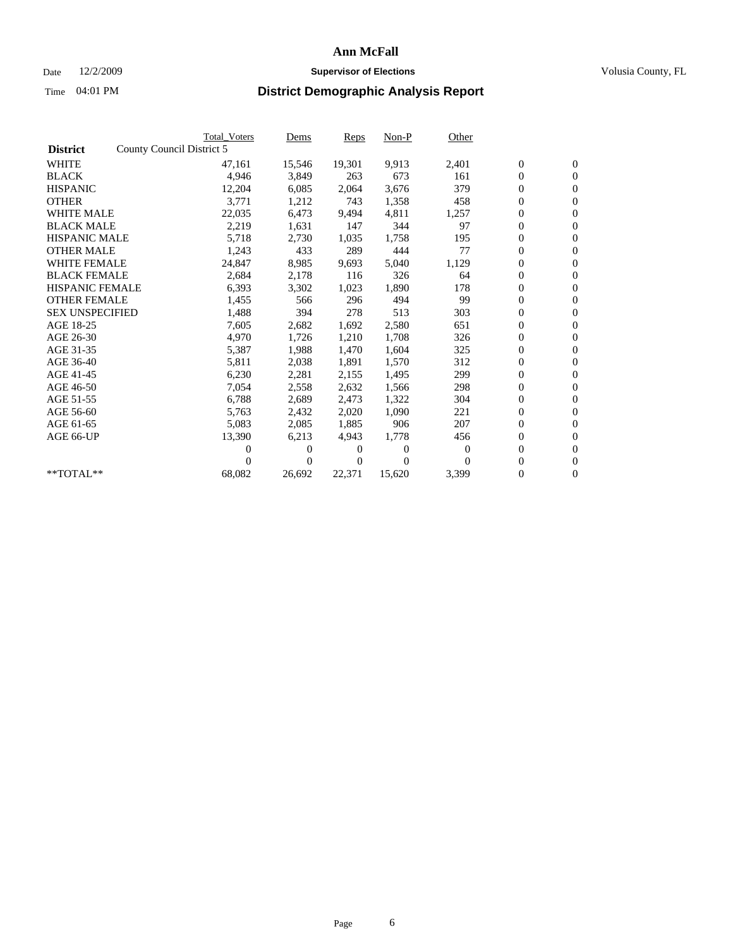## Date 12/2/2009 **Supervisor of Elections Supervisor of Elections** Volusia County, FL

|                        |                           | <b>Total Voters</b> | Dems           | <b>Reps</b> | Non-P    | Other    |                  |                  |  |
|------------------------|---------------------------|---------------------|----------------|-------------|----------|----------|------------------|------------------|--|
| <b>District</b>        | County Council District 5 |                     |                |             |          |          |                  |                  |  |
| <b>WHITE</b>           |                           | 47,161              | 15,546         | 19,301      | 9,913    | 2,401    | $\boldsymbol{0}$ | $\boldsymbol{0}$ |  |
| <b>BLACK</b>           |                           | 4,946               | 3,849          | 263         | 673      | 161      | $\boldsymbol{0}$ | $\mathbf{0}$     |  |
| <b>HISPANIC</b>        |                           | 12,204              | 6,085          | 2,064       | 3,676    | 379      | $\boldsymbol{0}$ | $\mathbf{0}$     |  |
| <b>OTHER</b>           |                           | 3,771               | 1,212          | 743         | 1,358    | 458      | 0                | $\mathbf{0}$     |  |
| <b>WHITE MALE</b>      |                           | 22,035              | 6,473          | 9,494       | 4,811    | 1,257    | 0                | $\mathbf{0}$     |  |
| <b>BLACK MALE</b>      |                           | 2,219               | 1,631          | 147         | 344      | 97       | $\overline{0}$   | $\mathbf{0}$     |  |
| <b>HISPANIC MALE</b>   |                           | 5,718               | 2,730          | 1,035       | 1,758    | 195      | 0                | $\mathbf{0}$     |  |
| <b>OTHER MALE</b>      |                           | 1,243               | 433            | 289         | 444      | 77       | $\overline{0}$   | $\mathbf{0}$     |  |
| <b>WHITE FEMALE</b>    |                           | 24,847              | 8,985          | 9,693       | 5,040    | 1,129    | $\boldsymbol{0}$ | $\mathbf{0}$     |  |
| <b>BLACK FEMALE</b>    |                           | 2,684               | 2,178          | 116         | 326      | 64       | 0                | $\mathbf{0}$     |  |
| <b>HISPANIC FEMALE</b> |                           | 6,393               | 3,302          | 1,023       | 1,890    | 178      | $\boldsymbol{0}$ | $\mathbf{0}$     |  |
| <b>OTHER FEMALE</b>    |                           | 1,455               | 566            | 296         | 494      | 99       | $\overline{0}$   | $\mathbf{0}$     |  |
| <b>SEX UNSPECIFIED</b> |                           | 1,488               | 394            | 278         | 513      | 303      | 0                | $\mathbf{0}$     |  |
| AGE 18-25              |                           | 7,605               | 2,682          | 1,692       | 2,580    | 651      | 0                | $\mathbf{0}$     |  |
| AGE 26-30              |                           | 4,970               | 1,726          | 1,210       | 1,708    | 326      | $\boldsymbol{0}$ | $\mathbf{0}$     |  |
| AGE 31-35              |                           | 5,387               | 1,988          | 1,470       | 1,604    | 325      | $\boldsymbol{0}$ | $\mathbf{0}$     |  |
| AGE 36-40              |                           | 5,811               | 2,038          | 1,891       | 1,570    | 312      | 0                | $\mathbf{0}$     |  |
| AGE 41-45              |                           | 6,230               | 2,281          | 2,155       | 1,495    | 299      | 0                | $\mathbf{0}$     |  |
| AGE 46-50              |                           | 7,054               | 2,558          | 2,632       | 1,566    | 298      | 0                | $\mathbf{0}$     |  |
| AGE 51-55              |                           | 6,788               | 2,689          | 2,473       | 1,322    | 304      | $\boldsymbol{0}$ | $\mathbf{0}$     |  |
| AGE 56-60              |                           | 5,763               | 2,432          | 2.020       | 1.090    | 221      | 0                | $\mathbf{0}$     |  |
| AGE 61-65              |                           | 5,083               | 2,085          | 1,885       | 906      | 207      | 0                | $\mathbf{0}$     |  |
| AGE 66-UP              |                           | 13,390              | 6,213          | 4,943       | 1,778    | 456      | $\boldsymbol{0}$ | $\mathbf{0}$     |  |
|                        |                           | 0                   | $\theta$       | 0           | $\theta$ | $\theta$ | $\overline{0}$   | $\mathbf{0}$     |  |
|                        |                           | 0                   | $\overline{0}$ | 0           | $\Omega$ | $\Omega$ | 0                | $\mathbf{0}$     |  |
| **TOTAL**              |                           | 68,082              | 26,692         | 22,371      | 15,620   | 3,399    | 0                | $\boldsymbol{0}$ |  |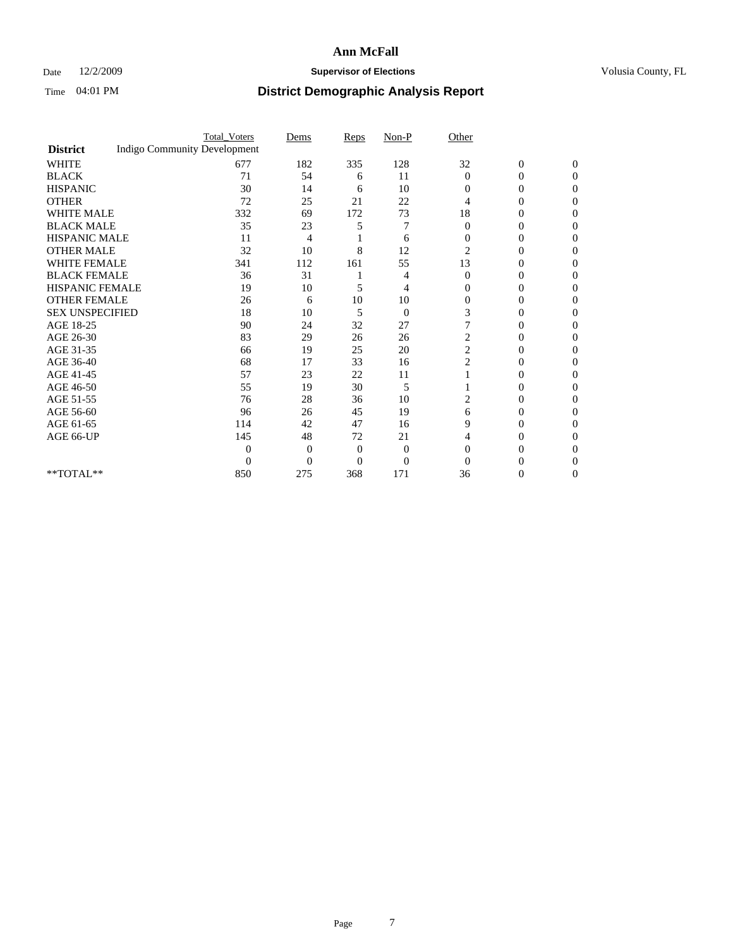## Date 12/2/2009 **Supervisor of Elections Supervisor of Elections** Volusia County, FL

|                        |                                     | <b>Total_Voters</b> | Dems     | Reps           | $Non-P$        | Other          |                  |              |  |
|------------------------|-------------------------------------|---------------------|----------|----------------|----------------|----------------|------------------|--------------|--|
| <b>District</b>        | <b>Indigo Community Development</b> |                     |          |                |                |                |                  |              |  |
| <b>WHITE</b>           |                                     | 677                 | 182      | 335            | 128            | 32             | $\boldsymbol{0}$ | $\mathbf{0}$ |  |
| <b>BLACK</b>           |                                     | 71                  | 54       | 6              | 11             | $\Omega$       | 0                | $\Omega$     |  |
| <b>HISPANIC</b>        |                                     | 30                  | 14       | 6              | 10             | $\Omega$       | 0                | $\Omega$     |  |
| <b>OTHER</b>           |                                     | 72                  | 25       | 21             | 22             | 4              | 0                | 0            |  |
| <b>WHITE MALE</b>      |                                     | 332                 | 69       | 172            | 73             | 18             | 0                | 0            |  |
| <b>BLACK MALE</b>      |                                     | 35                  | 23       | 5              | 7              | $\Omega$       | 0                | $\Omega$     |  |
| HISPANIC MALE          |                                     | 11                  | 4        |                | 6              | $\overline{0}$ | 0                | $\Omega$     |  |
| <b>OTHER MALE</b>      |                                     | 32                  | 10       | 8              | 12             | $\overline{2}$ | 0                | 0            |  |
| <b>WHITE FEMALE</b>    |                                     | 341                 | 112      | 161            | 55             | 13             | 0                | $\Omega$     |  |
| <b>BLACK FEMALE</b>    |                                     | 36                  | 31       |                | 4              | $\overline{0}$ | $\overline{0}$   | 0            |  |
| <b>HISPANIC FEMALE</b> |                                     | 19                  | 10       | 5              | 4              | $\Omega$       | 0                | 0            |  |
| <b>OTHER FEMALE</b>    |                                     | 26                  | 6        | 10             | 10             | $\Omega$       | 0                | 0            |  |
| <b>SEX UNSPECIFIED</b> |                                     | 18                  | 10       | 5              | $\overline{0}$ | 3              | 0                | 0            |  |
| AGE 18-25              |                                     | 90                  | 24       | 32             | 27             |                | 0                | $\Omega$     |  |
| AGE 26-30              |                                     | 83                  | 29       | 26             | 26             | $\overline{c}$ | 0                | 0            |  |
| AGE 31-35              |                                     | 66                  | 19       | 25             | 20             | $\overline{c}$ | 0                | 0            |  |
| AGE 36-40              |                                     | 68                  | 17       | 33             | 16             | $\overline{c}$ | 0                | 0            |  |
| AGE 41-45              |                                     | 57                  | 23       | 22             | 11             |                | 0                | $\Omega$     |  |
| AGE 46-50              |                                     | 55                  | 19       | 30             | 5              |                | 0                | $\Omega$     |  |
| AGE 51-55              |                                     | 76                  | 28       | 36             | 10             | 2              | 0                | 0            |  |
| AGE 56-60              |                                     | 96                  | 26       | 45             | 19             | 6              | 0                | 0            |  |
| AGE 61-65              |                                     | 114                 | 42       | 47             | 16             | 9              | 0                | 0            |  |
| AGE 66-UP              |                                     | 145                 | 48       | 72             | 21             | 4              | 0                | 0            |  |
|                        |                                     | $\Omega$            | $\Omega$ | $\overline{0}$ | $\theta$       | $\Omega$       | 0                | 0            |  |
|                        |                                     | $\overline{0}$      | $\Omega$ | $\theta$       | $\overline{0}$ | $\Omega$       |                  | 0            |  |
| **TOTAL**              |                                     | 850                 | 275      | 368            | 171            | 36             | 0                | 0            |  |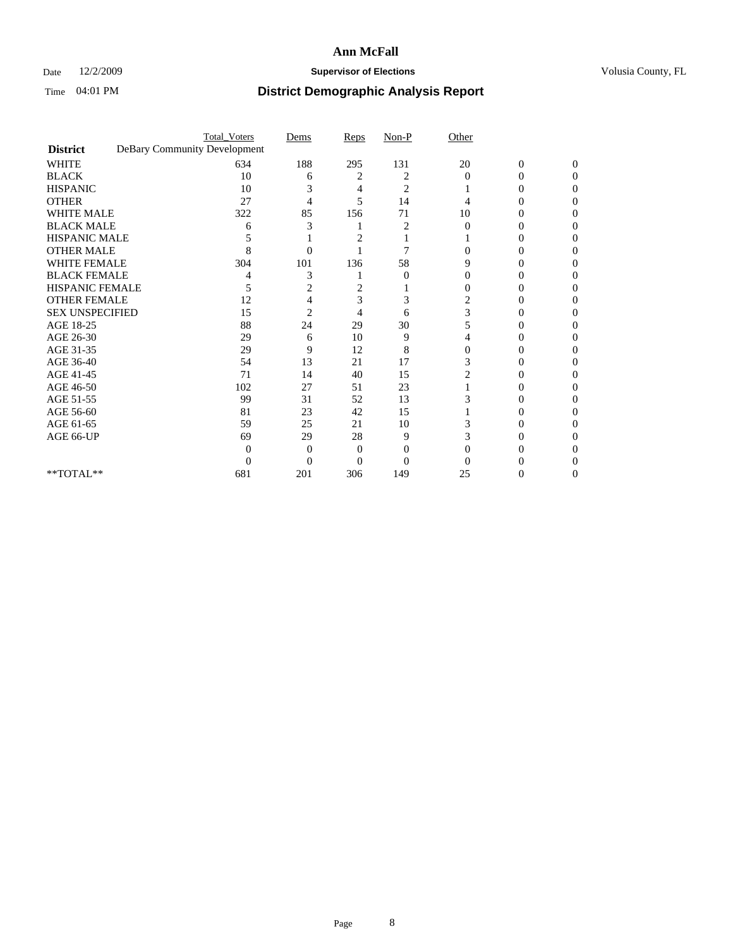## Date 12/2/2009 **Supervisor of Elections Supervisor of Elections** Volusia County, FL

|                                     | <b>Total_Voters</b>          | Dems           | Reps           | $Non-P$  | Other    |                  |              |  |
|-------------------------------------|------------------------------|----------------|----------------|----------|----------|------------------|--------------|--|
| <b>District</b>                     | DeBary Community Development |                |                |          |          |                  |              |  |
| <b>WHITE</b>                        | 634                          | 188            | 295            | 131      | 20       | $\boldsymbol{0}$ | $\mathbf{0}$ |  |
| <b>BLACK</b>                        | 10                           | 6              | 2              | 2        | $\Omega$ | 0                | 0            |  |
| <b>HISPANIC</b>                     | 10                           | 3              | 4              | 2        |          | $\theta$         | 0            |  |
| <b>OTHER</b>                        | 27                           | 4              | 5              | 14       |          |                  | 0            |  |
| <b>WHITE MALE</b>                   | 322                          | 85             | 156            | 71       | 10       | 0                | 0            |  |
| <b>BLACK MALE</b>                   | 6                            | 3              |                |          | $\Omega$ | 0                | 0            |  |
| HISPANIC MALE                       |                              |                | 2              |          |          | 0                | 0            |  |
| <b>OTHER MALE</b>                   | 8                            | 0              |                | 7        |          | $\theta$         | 0            |  |
| <b>WHITE FEMALE</b>                 | 304                          | 101            | 136            | 58       | 9        |                  | 0            |  |
| <b>BLACK FEMALE</b>                 |                              | 3              |                | $\theta$ | 0        | 0                | 0            |  |
| <b>HISPANIC FEMALE</b>              | 5                            | 2              | 2              |          |          | 0                | 0            |  |
| <b>OTHER FEMALE</b>                 | 12                           |                | 3              | 3        | 2        |                  | 0            |  |
| <b>SEX UNSPECIFIED</b>              | 15                           | $\overline{2}$ | $\overline{4}$ | 6        | 3        |                  | 0            |  |
| AGE 18-25                           | 88                           | 24             | 29             | 30       | 5        | 0                | 0            |  |
| AGE 26-30                           | 29                           | 6              | 10             | 9        |          |                  | 0            |  |
| AGE 31-35                           | 29                           | 9              | 12             | 8        |          |                  |              |  |
| AGE 36-40                           | 54                           | 13             | 21             | 17       |          | 0                | 0            |  |
| AGE 41-45                           | 71                           | 14             | 40             | 15       |          |                  | 0            |  |
| AGE 46-50                           | 102                          | 27             | 51             | 23       |          | 0                | 0            |  |
| AGE 51-55                           | 99                           | 31             | 52             | 13       |          | 0                | 0            |  |
| AGE 56-60                           | 81                           | 23             | 42             | 15       |          |                  | 0            |  |
| AGE 61-65                           | 59                           | 25             | 21             | 10       |          |                  | 0            |  |
| AGE 66-UP                           | 69                           | 29             | 28             | 9        |          | $\theta$         | 0            |  |
|                                     | 0                            | 0              | 0              | 0        |          |                  |              |  |
|                                     | 0                            | $\theta$       | 0              | $\Omega$ |          |                  |              |  |
| $\rm ^{\ast \ast}TOTAL^{\ast \ast}$ | 681                          | 201            | 306            | 149      | 25       | 0                | 0            |  |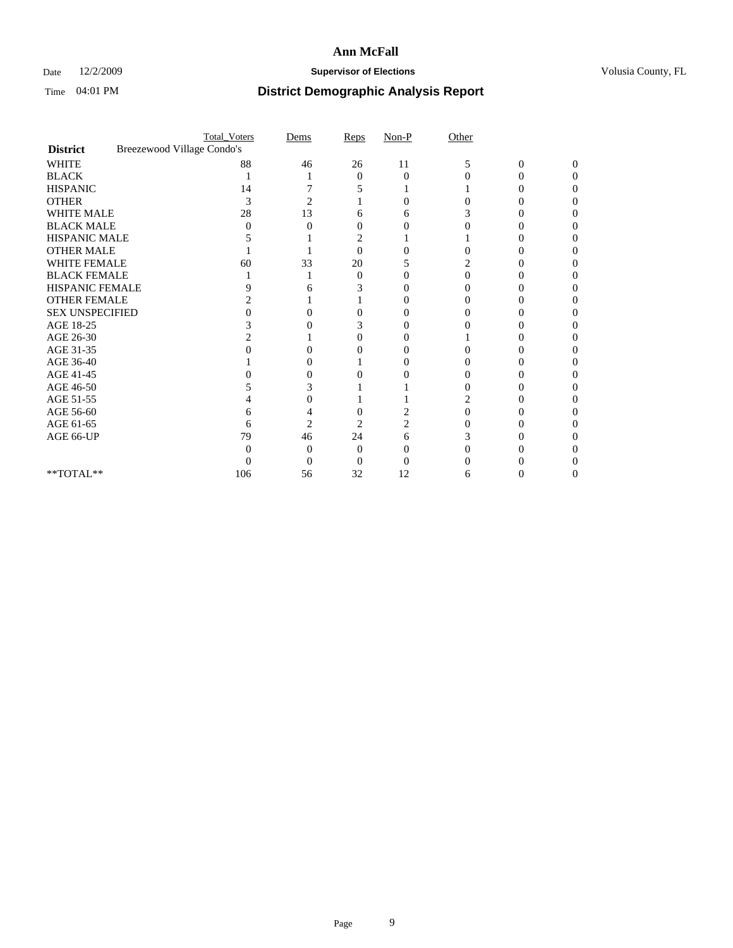### Date  $12/2/2009$  **Supervisor of Elections Supervisor of Elections** Volusia County, FL

|                        |                            | <b>Total_Voters</b> | Dems           | Reps | $Non-P$  | Other |                  |                   |  |
|------------------------|----------------------------|---------------------|----------------|------|----------|-------|------------------|-------------------|--|
| <b>District</b>        | Breezewood Village Condo's |                     |                |      |          |       |                  |                   |  |
| <b>WHITE</b>           |                            | 88                  | 46             | 26   | 11       | 5     | $\boldsymbol{0}$ | $\Omega$          |  |
| <b>BLACK</b>           |                            |                     |                | 0    | $\theta$ |       | 0                | $\mathbf{\Omega}$ |  |
| <b>HISPANIC</b>        |                            | 14                  |                |      |          |       |                  |                   |  |
| <b>OTHER</b>           |                            | 3                   | 2              |      |          |       |                  |                   |  |
| WHITE MALE             |                            | 28                  | 13             | 6    |          |       |                  |                   |  |
| <b>BLACK MALE</b>      |                            | $\mathbf{\Omega}$   |                | 0    |          |       |                  |                   |  |
| HISPANIC MALE          |                            |                     |                |      |          |       |                  |                   |  |
| <b>OTHER MALE</b>      |                            |                     |                | 0    |          |       |                  |                   |  |
| <b>WHITE FEMALE</b>    |                            | 60                  | 33             | 20   |          |       |                  |                   |  |
| <b>BLACK FEMALE</b>    |                            |                     |                | 0    |          | 0     |                  |                   |  |
| HISPANIC FEMALE        |                            | Q                   |                | 3    |          |       |                  |                   |  |
| <b>OTHER FEMALE</b>    |                            |                     |                |      |          |       |                  |                   |  |
| <b>SEX UNSPECIFIED</b> |                            |                     |                |      |          |       |                  |                   |  |
| AGE 18-25              |                            |                     |                | 3    |          |       |                  |                   |  |
| AGE 26-30              |                            |                     |                | 0    |          |       |                  |                   |  |
| AGE 31-35              |                            |                     |                |      |          |       |                  |                   |  |
| AGE 36-40              |                            |                     |                |      |          |       |                  |                   |  |
| AGE 41-45              |                            |                     |                |      |          |       |                  |                   |  |
| AGE 46-50              |                            |                     |                |      |          |       |                  |                   |  |
| AGE 51-55              |                            |                     |                |      |          |       |                  |                   |  |
| AGE 56-60              |                            | n                   |                |      |          |       |                  |                   |  |
| AGE 61-65              |                            | 6                   | $\overline{2}$ | 2    |          |       |                  |                   |  |
| AGE 66-UP              |                            | 79                  | 46             | 24   | h        |       |                  |                   |  |
|                        |                            |                     |                | 0    |          |       |                  |                   |  |
|                        |                            |                     |                |      |          |       |                  |                   |  |
| **TOTAL**              |                            | 106                 | 56             | 32   | 12       | 6     |                  |                   |  |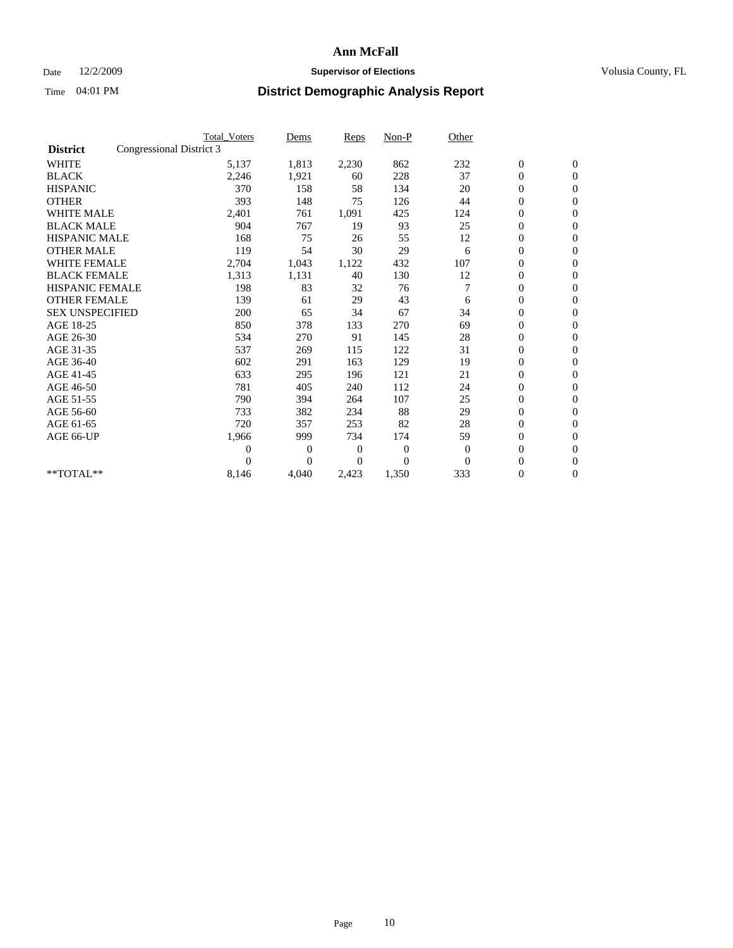## Date 12/2/2009 **Supervisor of Elections Supervisor of Elections** Volusia County, FL

|                        | <b>Total Voters</b>      | Dems           | <b>Reps</b> | $Non-P$      | Other        |                  |                  |  |
|------------------------|--------------------------|----------------|-------------|--------------|--------------|------------------|------------------|--|
| <b>District</b>        | Congressional District 3 |                |             |              |              |                  |                  |  |
| <b>WHITE</b>           | 5,137                    | 1,813          | 2,230       | 862          | 232          | $\boldsymbol{0}$ | $\boldsymbol{0}$ |  |
| <b>BLACK</b>           | 2,246                    | 1,921          | 60          | 228          | 37           | $\boldsymbol{0}$ | $\mathbf{0}$     |  |
| <b>HISPANIC</b>        | 370                      | 158            | 58          | 134          | 20           | $\overline{0}$   | $\mathbf{0}$     |  |
| <b>OTHER</b>           | 393                      | 148            | 75          | 126          | 44           | $\boldsymbol{0}$ | $\mathbf{0}$     |  |
| <b>WHITE MALE</b>      | 2,401                    | 761            | 1,091       | 425          | 124          | $\boldsymbol{0}$ | $\mathbf{0}$     |  |
| <b>BLACK MALE</b>      | 904                      | 767            | 19          | 93           | 25           | $\boldsymbol{0}$ | $\mathbf{0}$     |  |
| <b>HISPANIC MALE</b>   | 168                      | 75             | 26          | 55           | 12           | $\boldsymbol{0}$ | $\mathbf{0}$     |  |
| <b>OTHER MALE</b>      | 119                      | 54             | 30          | 29           | 6            | $\boldsymbol{0}$ | $\mathbf{0}$     |  |
| <b>WHITE FEMALE</b>    | 2,704                    | 1,043          | 1,122       | 432          | 107          | $\overline{0}$   | $\mathbf{0}$     |  |
| <b>BLACK FEMALE</b>    | 1,313                    | 1,131          | 40          | 130          | 12           | $\boldsymbol{0}$ | $\mathbf{0}$     |  |
| <b>HISPANIC FEMALE</b> | 198                      | 83             | 32          | 76           | 7            | $\boldsymbol{0}$ | $\mathbf{0}$     |  |
| <b>OTHER FEMALE</b>    | 139                      | 61             | 29          | 43           | 6            | $\mathbf{0}$     | $\mathbf{0}$     |  |
| <b>SEX UNSPECIFIED</b> | 200                      | 65             | 34          | 67           | 34           | $\boldsymbol{0}$ | $\mathbf{0}$     |  |
| AGE 18-25              | 850                      | 378            | 133         | 270          | 69           | $\overline{0}$   | $\mathbf{0}$     |  |
| AGE 26-30              | 534                      | 270            | 91          | 145          | 28           | $\overline{0}$   | $\mathbf{0}$     |  |
| AGE 31-35              | 537                      | 269            | 115         | 122          | 31           | $\boldsymbol{0}$ | $\mathbf{0}$     |  |
| AGE 36-40              | 602                      | 291            | 163         | 129          | 19           | $\boldsymbol{0}$ | $\mathbf{0}$     |  |
| AGE 41-45              | 633                      | 295            | 196         | 121          | 21           | $\overline{0}$   | $\mathbf{0}$     |  |
| AGE 46-50              | 781                      | 405            | 240         | 112          | 24           | $\boldsymbol{0}$ | $\mathbf{0}$     |  |
| AGE 51-55              | 790                      | 394            | 264         | 107          | 25           | $\boldsymbol{0}$ | $\mathbf{0}$     |  |
| AGE 56-60              | 733                      | 382            | 234         | 88           | 29           | $\overline{0}$   | $\Omega$         |  |
| AGE 61-65              | 720                      | 357            | 253         | 82           | 28           | $\mathbf{0}$     | $\mathbf{0}$     |  |
| AGE 66-UP              | 1,966                    | 999            | 734         | 174          | 59           | $\boldsymbol{0}$ | $\mathbf{0}$     |  |
|                        | $\overline{0}$           | $\overline{0}$ | 0           | $\mathbf{0}$ | $\mathbf{0}$ | $\overline{0}$   | $\mathbf{0}$     |  |
|                        | $\theta$                 | $\theta$       | 0           | $\theta$     | $\Omega$     | $\boldsymbol{0}$ | $\mathbf{0}$     |  |
| **TOTAL**              | 8,146                    | 4,040          | 2,423       | 1,350        | 333          | 0                | $\mathbf{0}$     |  |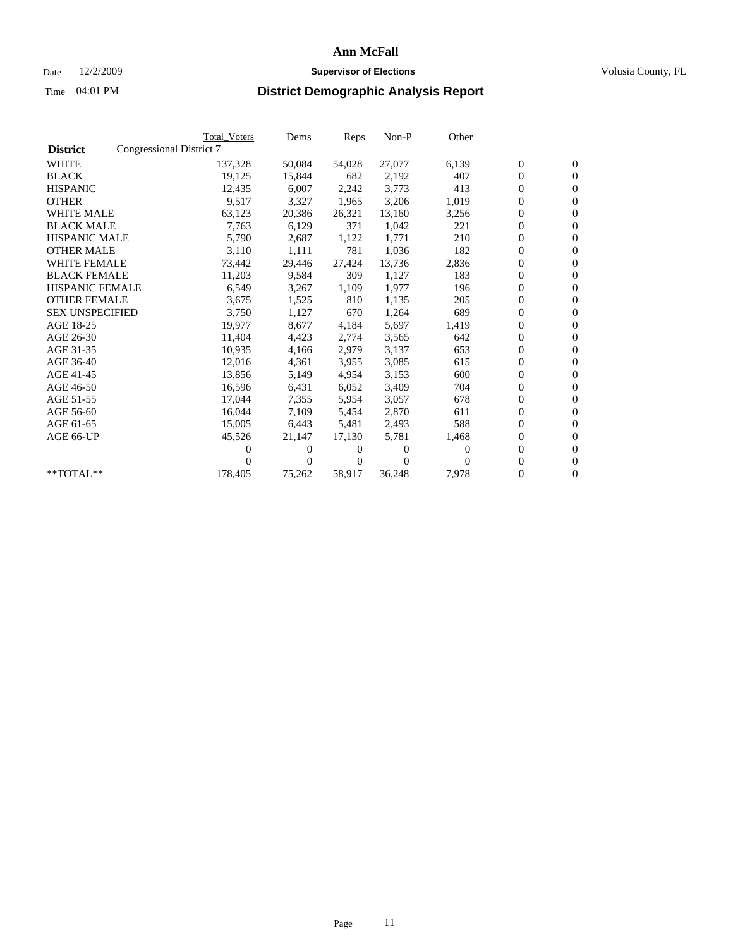## Date 12/2/2009 **Supervisor of Elections Supervisor of Elections** Volusia County, FL

|                        | <b>Total Voters</b>      | Dems           | <b>Reps</b>  | $Non-P$      | Other    |                  |                  |  |
|------------------------|--------------------------|----------------|--------------|--------------|----------|------------------|------------------|--|
| <b>District</b>        | Congressional District 7 |                |              |              |          |                  |                  |  |
| <b>WHITE</b>           | 137,328                  | 50,084         | 54,028       | 27,077       | 6,139    | $\boldsymbol{0}$ | $\boldsymbol{0}$ |  |
| <b>BLACK</b>           | 19,125                   | 15,844         | 682          | 2,192        | 407      | $\boldsymbol{0}$ | $\mathbf{0}$     |  |
| <b>HISPANIC</b>        | 12,435                   | 6,007          | 2,242        | 3,773        | 413      | $\boldsymbol{0}$ | $\mathbf{0}$     |  |
| <b>OTHER</b>           | 9,517                    | 3,327          | 1,965        | 3,206        | 1,019    | 0                | $\mathbf{0}$     |  |
| <b>WHITE MALE</b>      | 63,123                   | 20,386         | 26,321       | 13,160       | 3,256    | $\boldsymbol{0}$ | $\mathbf{0}$     |  |
| <b>BLACK MALE</b>      | 7,763                    | 6,129          | 371          | 1,042        | 221      | $\overline{0}$   | $\mathbf{0}$     |  |
| <b>HISPANIC MALE</b>   | 5,790                    | 2,687          | 1,122        | 1,771        | 210      | $\boldsymbol{0}$ | $\mathbf{0}$     |  |
| <b>OTHER MALE</b>      | 3,110                    | 1,111          | 781          | 1,036        | 182      | $\overline{0}$   | $\mathbf{0}$     |  |
| <b>WHITE FEMALE</b>    | 73,442                   | 29,446         | 27,424       | 13,736       | 2,836    | $\boldsymbol{0}$ | $\mathbf{0}$     |  |
| <b>BLACK FEMALE</b>    | 11,203                   | 9,584          | 309          | 1,127        | 183      | $\boldsymbol{0}$ | $\mathbf{0}$     |  |
| <b>HISPANIC FEMALE</b> | 6,549                    | 3,267          | 1,109        | 1,977        | 196      | 0                | $\mathbf{0}$     |  |
| <b>OTHER FEMALE</b>    | 3,675                    | 1,525          | 810          | 1,135        | 205      | $\mathbf{0}$     | $\mathbf{0}$     |  |
| <b>SEX UNSPECIFIED</b> | 3,750                    | 1,127          | 670          | 1,264        | 689      | $\boldsymbol{0}$ | $\mathbf{0}$     |  |
| AGE 18-25              | 19,977                   | 8,677          | 4,184        | 5,697        | 1,419    | $\boldsymbol{0}$ | $\mathbf{0}$     |  |
| AGE 26-30              | 11,404                   | 4,423          | 2,774        | 3,565        | 642      | $\mathbf{0}$     | $\mathbf{0}$     |  |
| AGE 31-35              | 10,935                   | 4,166          | 2,979        | 3,137        | 653      | $\boldsymbol{0}$ | $\mathbf{0}$     |  |
| AGE 36-40              | 12,016                   | 4,361          | 3,955        | 3,085        | 615      | $\boldsymbol{0}$ | $\mathbf{0}$     |  |
| AGE 41-45              | 13,856                   | 5,149          | 4,954        | 3,153        | 600      | $\boldsymbol{0}$ | $\mathbf{0}$     |  |
| AGE 46-50              | 16,596                   | 6,431          | 6,052        | 3,409        | 704      | 0                | $\Omega$         |  |
| AGE 51-55              | 17,044                   | 7,355          | 5,954        | 3,057        | 678      | $\boldsymbol{0}$ | $\mathbf{0}$     |  |
| AGE 56-60              | 16.044                   | 7.109          | 5,454        | 2,870        | 611      | $\overline{0}$   | $\mathbf{0}$     |  |
| AGE 61-65              | 15,005                   | 6,443          | 5,481        | 2,493        | 588      | $\overline{0}$   | $\mathbf{0}$     |  |
| AGE 66-UP              | 45,526                   | 21,147         | 17,130       | 5,781        | 1,468    | 0                | $\mathbf{0}$     |  |
|                        | 0                        | 0              | $^{(1)}$     | $\mathbf{0}$ | $\Omega$ | $\mathbf{0}$     | $\mathbf{0}$     |  |
|                        | 0                        | $\overline{0}$ | $\mathbf{0}$ | $\mathbf{0}$ | 0        | 0                | $\mathbf{0}$     |  |
| **TOTAL**              | 178,405                  | 75,262         | 58,917       | 36,248       | 7,978    | 0                | $\boldsymbol{0}$ |  |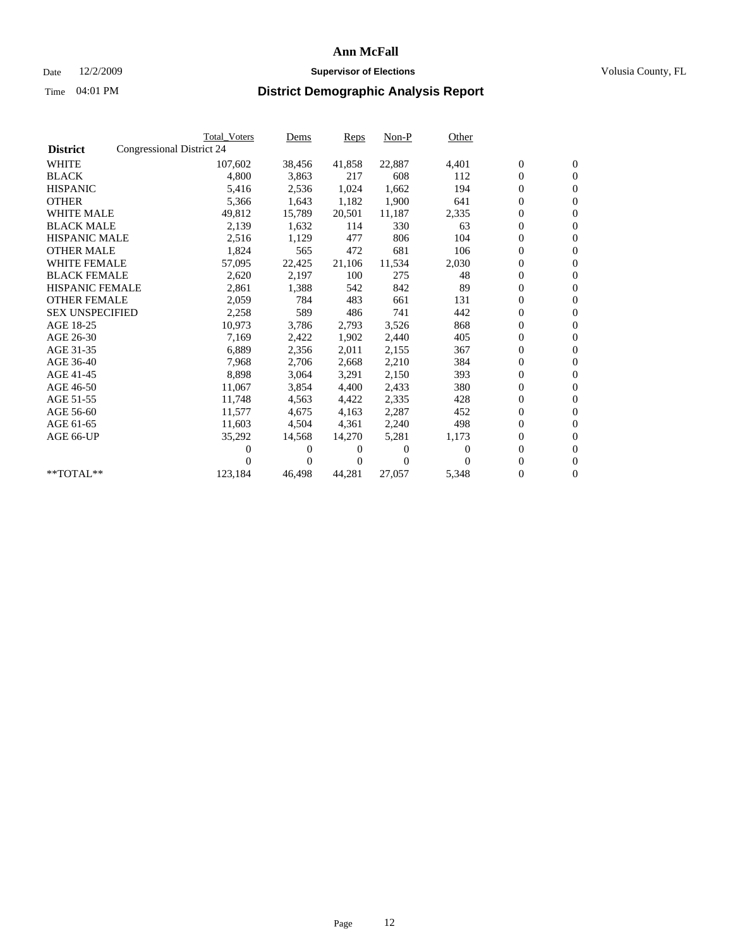## Date 12/2/2009 **Supervisor of Elections Supervisor of Elections** Volusia County, FL

|                        |                           | <b>Total Voters</b> | Dems   | <b>Reps</b> | $Non-P$  | Other    |                  |                  |  |
|------------------------|---------------------------|---------------------|--------|-------------|----------|----------|------------------|------------------|--|
| <b>District</b>        | Congressional District 24 |                     |        |             |          |          |                  |                  |  |
| <b>WHITE</b>           |                           | 107,602             | 38,456 | 41,858      | 22,887   | 4,401    | $\boldsymbol{0}$ | $\boldsymbol{0}$ |  |
| <b>BLACK</b>           |                           | 4,800               | 3,863  | 217         | 608      | 112      | $\overline{0}$   | $\mathbf{0}$     |  |
| <b>HISPANIC</b>        |                           | 5,416               | 2,536  | 1,024       | 1,662    | 194      | $\overline{0}$   | $\mathbf{0}$     |  |
| <b>OTHER</b>           |                           | 5,366               | 1,643  | 1,182       | 1,900    | 641      | 0                | $\mathbf{0}$     |  |
| <b>WHITE MALE</b>      |                           | 49,812              | 15,789 | 20,501      | 11,187   | 2,335    | $\boldsymbol{0}$ | $\mathbf{0}$     |  |
| <b>BLACK MALE</b>      |                           | 2,139               | 1,632  | 114         | 330      | 63       | $\boldsymbol{0}$ | $\mathbf{0}$     |  |
| <b>HISPANIC MALE</b>   |                           | 2,516               | 1,129  | 477         | 806      | 104      | 0                | $\mathbf{0}$     |  |
| <b>OTHER MALE</b>      |                           | 1,824               | 565    | 472         | 681      | 106      | $\boldsymbol{0}$ | $\mathbf{0}$     |  |
| <b>WHITE FEMALE</b>    |                           | 57,095              | 22,425 | 21,106      | 11,534   | 2,030    | 0                | $\mathbf{0}$     |  |
| <b>BLACK FEMALE</b>    |                           | 2,620               | 2,197  | 100         | 275      | 48       | 0                | $\Omega$         |  |
| <b>HISPANIC FEMALE</b> |                           | 2,861               | 1,388  | 542         | 842      | 89       | $\boldsymbol{0}$ | $\mathbf{0}$     |  |
| <b>OTHER FEMALE</b>    |                           | 2,059               | 784    | 483         | 661      | 131      | 0                | $\mathbf{0}$     |  |
| <b>SEX UNSPECIFIED</b> |                           | 2,258               | 589    | 486         | 741      | 442      | 0                | $\mathbf{0}$     |  |
| AGE 18-25              |                           | 10,973              | 3,786  | 2,793       | 3,526    | 868      | $\overline{0}$   | $\mathbf{0}$     |  |
| AGE 26-30              |                           | 7,169               | 2,422  | 1,902       | 2,440    | 405      | 0                | $\mathbf{0}$     |  |
| AGE 31-35              |                           | 6,889               | 2,356  | 2,011       | 2,155    | 367      | 0                | $\mathbf{0}$     |  |
| AGE 36-40              |                           | 7,968               | 2,706  | 2,668       | 2,210    | 384      | $\overline{0}$   | $\mathbf{0}$     |  |
| AGE 41-45              |                           | 8,898               | 3,064  | 3,291       | 2,150    | 393      | $\boldsymbol{0}$ | $\mathbf{0}$     |  |
| AGE 46-50              |                           | 11,067              | 3,854  | 4,400       | 2,433    | 380      | 0                | $\Omega$         |  |
| AGE 51-55              |                           | 11,748              | 4,563  | 4,422       | 2,335    | 428      | $\boldsymbol{0}$ | $\mathbf{0}$     |  |
| AGE 56-60              |                           | 11.577              | 4.675  | 4.163       | 2,287    | 452      | 0                | $\mathbf{0}$     |  |
| AGE 61-65              |                           | 11,603              | 4,504  | 4,361       | 2,240    | 498      | 0                | $\mathbf{0}$     |  |
| AGE 66-UP              |                           | 35,292              | 14,568 | 14,270      | 5,281    | 1,173    | $\overline{0}$   | $\mathbf{0}$     |  |
|                        |                           | 0                   | 0      | 0           | $\theta$ | $\Omega$ | 0                | $\mathbf{0}$     |  |
|                        |                           | 0                   | 0      | 0           | $\Omega$ | $\Omega$ | 0                | $\mathbf{0}$     |  |
| $*$ TOTAL $**$         |                           | 123,184             | 46,498 | 44,281      | 27,057   | 5,348    | 0                | $\boldsymbol{0}$ |  |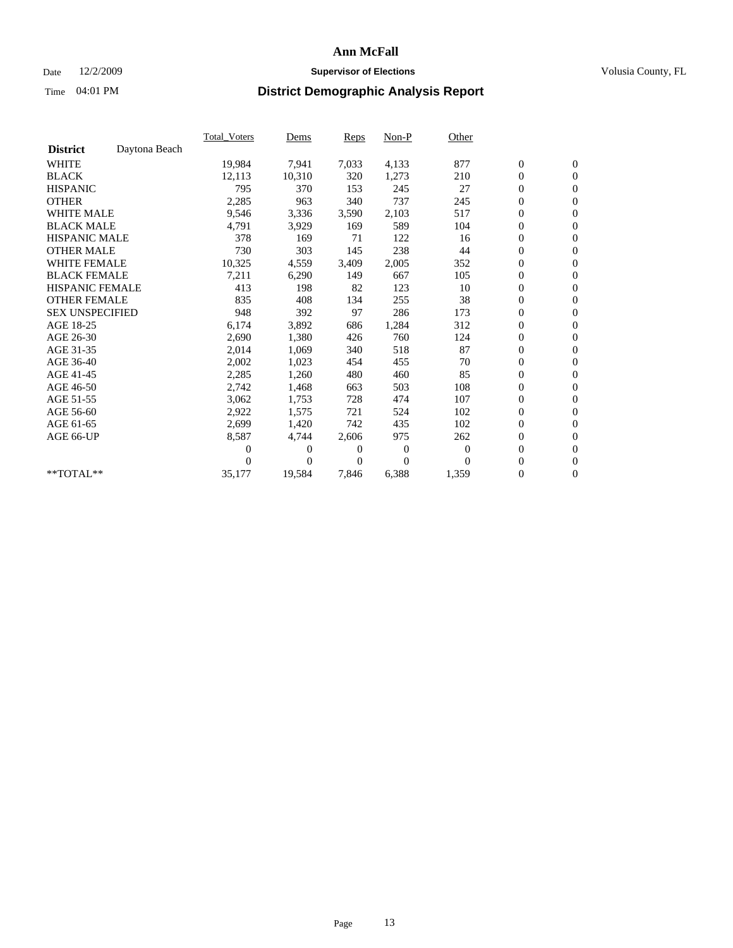## Date 12/2/2009 **Supervisor of Elections Supervisor of Elections** Volusia County, FL

|                        |               | <b>Total Voters</b> | Dems     | <b>Reps</b> | Non-P          | Other    |                  |                  |  |
|------------------------|---------------|---------------------|----------|-------------|----------------|----------|------------------|------------------|--|
| <b>District</b>        | Daytona Beach |                     |          |             |                |          |                  |                  |  |
| <b>WHITE</b>           |               | 19,984              | 7,941    | 7,033       | 4,133          | 877      | $\boldsymbol{0}$ | $\boldsymbol{0}$ |  |
| <b>BLACK</b>           |               | 12,113              | 10,310   | 320         | 1,273          | 210      | 0                | $\mathbf{0}$     |  |
| <b>HISPANIC</b>        |               | 795                 | 370      | 153         | 245            | 27       | $\overline{0}$   | $\mathbf{0}$     |  |
| <b>OTHER</b>           |               | 2,285               | 963      | 340         | 737            | 245      | 0                | $\mathbf{0}$     |  |
| <b>WHITE MALE</b>      |               | 9,546               | 3,336    | 3,590       | 2,103          | 517      | $\boldsymbol{0}$ | $\mathbf{0}$     |  |
| <b>BLACK MALE</b>      |               | 4,791               | 3,929    | 169         | 589            | 104      | $\boldsymbol{0}$ | $\mathbf{0}$     |  |
| <b>HISPANIC MALE</b>   |               | 378                 | 169      | 71          | 122            | 16       | $\boldsymbol{0}$ | $\mathbf{0}$     |  |
| <b>OTHER MALE</b>      |               | 730                 | 303      | 145         | 238            | 44       | 0                | $\mathbf{0}$     |  |
| <b>WHITE FEMALE</b>    |               | 10,325              | 4,559    | 3,409       | 2,005          | 352      | $\overline{0}$   | $\mathbf{0}$     |  |
| <b>BLACK FEMALE</b>    |               | 7,211               | 6,290    | 149         | 667            | 105      | $\boldsymbol{0}$ | $\mathbf{0}$     |  |
| <b>HISPANIC FEMALE</b> |               | 413                 | 198      | 82          | 123            | 10       | 0                | $\mathbf{0}$     |  |
| <b>OTHER FEMALE</b>    |               | 835                 | 408      | 134         | 255            | 38       | 0                | $\mathbf{0}$     |  |
| <b>SEX UNSPECIFIED</b> |               | 948                 | 392      | 97          | 286            | 173      | 0                | $\mathbf{0}$     |  |
| AGE 18-25              |               | 6,174               | 3,892    | 686         | 1,284          | 312      | 0                | $\mathbf{0}$     |  |
| AGE 26-30              |               | 2,690               | 1,380    | 426         | 760            | 124      | 0                | $\mathbf{0}$     |  |
| AGE 31-35              |               | 2,014               | 1,069    | 340         | 518            | 87       | $\boldsymbol{0}$ | $\mathbf{0}$     |  |
| AGE 36-40              |               | 2,002               | 1,023    | 454         | 455            | 70       | 0                | $\mathbf{0}$     |  |
| AGE 41-45              |               | 2,285               | 1,260    | 480         | 460            | 85       | $\overline{0}$   | $\mathbf{0}$     |  |
| AGE 46-50              |               | 2,742               | 1,468    | 663         | 503            | 108      | $\boldsymbol{0}$ | $\mathbf{0}$     |  |
| AGE 51-55              |               | 3,062               | 1,753    | 728         | 474            | 107      | 0                | $\mathbf{0}$     |  |
| AGE 56-60              |               | 2,922               | 1,575    | 721         | 524            | 102      | $\boldsymbol{0}$ | $\Omega$         |  |
| AGE 61-65              |               | 2,699               | 1,420    | 742         | 435            | 102      | $\boldsymbol{0}$ | $\mathbf{0}$     |  |
| AGE 66-UP              |               | 8,587               | 4,744    | 2,606       | 975            | 262      | 0                | $\mathbf{0}$     |  |
|                        |               | 0                   | 0        | 0           | $\overline{0}$ | $\bf{0}$ | $\overline{0}$   | $\mathbf{0}$     |  |
|                        |               | 0                   | $\Omega$ | 0           | $\Omega$       | $\Omega$ | 0                | $\mathbf{0}$     |  |
| **TOTAL**              |               | 35,177              | 19,584   | 7,846       | 6,388          | 1,359    | 0                | $\overline{0}$   |  |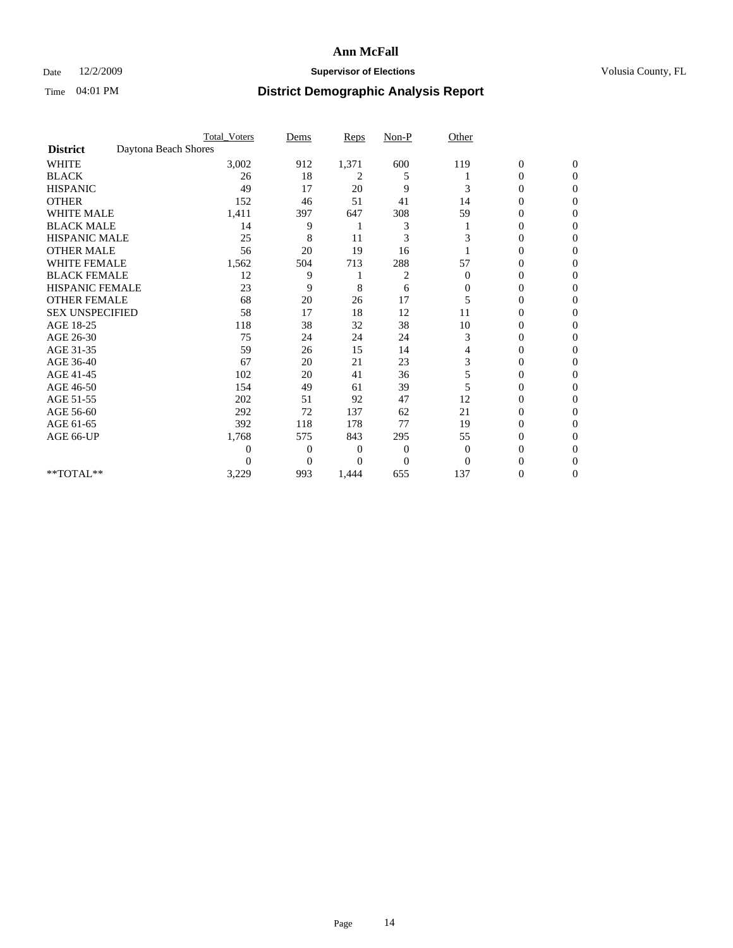### Date  $12/2/2009$  **Supervisor of Elections Supervisor of Elections** Volusia County, FL

|                        |                      | <b>Total_Voters</b> | Dems           | <b>Reps</b>  | $Non-P$        | Other        |                  |              |  |
|------------------------|----------------------|---------------------|----------------|--------------|----------------|--------------|------------------|--------------|--|
| <b>District</b>        | Daytona Beach Shores |                     |                |              |                |              |                  |              |  |
| <b>WHITE</b>           |                      | 3,002               | 912            | 1,371        | 600            | 119          | $\boldsymbol{0}$ | $\mathbf{0}$ |  |
| <b>BLACK</b>           |                      | 26                  | 18             | 2            | 5              |              | 0                | $\Omega$     |  |
| <b>HISPANIC</b>        |                      | 49                  | 17             | 20           | 9              | 3            | 0                | $\Omega$     |  |
| <b>OTHER</b>           |                      | 152                 | 46             | 51           | 41             | 14           | 0                | $\Omega$     |  |
| <b>WHITE MALE</b>      |                      | 1,411               | 397            | 647          | 308            | 59           | 0                | 0            |  |
| <b>BLACK MALE</b>      |                      | 14                  | 9              |              | 3              |              | $\mathbf{0}$     | $\Omega$     |  |
| HISPANIC MALE          |                      | 25                  | 8              | 11           | 3              | 3            | 0                | $\Omega$     |  |
| <b>OTHER MALE</b>      |                      | 56                  | 20             | 19           | 16             |              | 0                | 0            |  |
| <b>WHITE FEMALE</b>    |                      | 1,562               | 504            | 713          | 288            | 57           | 0                | $\Omega$     |  |
| <b>BLACK FEMALE</b>    |                      | 12                  | 9              |              | 2              | $\mathbf{0}$ | $\overline{0}$   | $\Omega$     |  |
| <b>HISPANIC FEMALE</b> |                      | 23                  | 9              | 8            | 6              | 0            | 0                | 0            |  |
| <b>OTHER FEMALE</b>    |                      | 68                  | 20             | 26           | 17             | 5            | 0                | 0            |  |
| <b>SEX UNSPECIFIED</b> |                      | 58                  | 17             | 18           | 12             | 11           | 0                | $\Omega$     |  |
| AGE 18-25              |                      | 118                 | 38             | 32           | 38             | 10           | 0                | $\mathbf{0}$ |  |
| AGE 26-30              |                      | 75                  | 24             | 24           | 24             | 3            | 0                | 0            |  |
| AGE 31-35              |                      | 59                  | 26             | 15           | 14             | 4            | 0                | $\Omega$     |  |
| AGE 36-40              |                      | 67                  | 20             | 21           | 23             | 3            | 0                | 0            |  |
| AGE 41-45              |                      | 102                 | 20             | 41           | 36             | 5            | 0                | $\Omega$     |  |
| AGE 46-50              |                      | 154                 | 49             | 61           | 39             | 5            | $\overline{0}$   | $\Omega$     |  |
| AGE 51-55              |                      | 202                 | 51             | 92           | 47             | 12           | 0                | 0            |  |
| AGE 56-60              |                      | 292                 | 72             | 137          | 62             | 21           | 0                | $\Omega$     |  |
| AGE 61-65              |                      | 392                 | 118            | 178          | 77             | 19           | $\overline{0}$   | 0            |  |
| AGE 66-UP              |                      | 1,768               | 575            | 843          | 295            | 55           | 0                | 0            |  |
|                        |                      | $\theta$            | $\overline{0}$ | $\mathbf{0}$ | $\mathbf{0}$   | $\Omega$     | 0                | $\Omega$     |  |
|                        |                      | $\theta$            | $\overline{0}$ | 0            | $\overline{0}$ | $\Omega$     | 0                | 0            |  |
| **TOTAL**              |                      | 3,229               | 993            | 1,444        | 655            | 137          | 0                | 0            |  |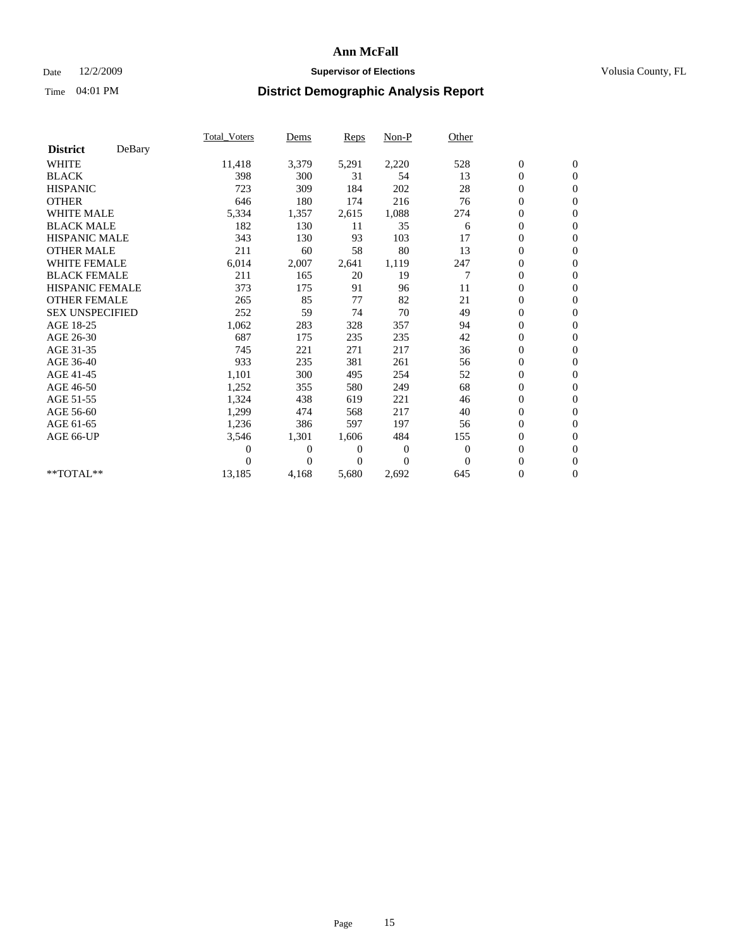## Date 12/2/2009 **Supervisor of Elections Supervisor of Elections** Volusia County, FL

|                        |        | Total Voters   | Dems           | <b>Reps</b> | Non-P    | Other        |                  |                  |  |
|------------------------|--------|----------------|----------------|-------------|----------|--------------|------------------|------------------|--|
| <b>District</b>        | DeBary |                |                |             |          |              |                  |                  |  |
| <b>WHITE</b>           |        | 11,418         | 3,379          | 5,291       | 2,220    | 528          | $\boldsymbol{0}$ | $\boldsymbol{0}$ |  |
| <b>BLACK</b>           |        | 398            | 300            | 31          | 54       | 13           | $\boldsymbol{0}$ | $\mathbf{0}$     |  |
| <b>HISPANIC</b>        |        | 723            | 309            | 184         | 202      | 28           | $\overline{0}$   | $\mathbf{0}$     |  |
| <b>OTHER</b>           |        | 646            | 180            | 174         | 216      | 76           | $\boldsymbol{0}$ | $\mathbf{0}$     |  |
| <b>WHITE MALE</b>      |        | 5,334          | 1,357          | 2,615       | 1,088    | 274          | $\boldsymbol{0}$ | $\mathbf{0}$     |  |
| <b>BLACK MALE</b>      |        | 182            | 130            | 11          | 35       | 6            | $\boldsymbol{0}$ | $\mathbf{0}$     |  |
| <b>HISPANIC MALE</b>   |        | 343            | 130            | 93          | 103      | 17           | $\boldsymbol{0}$ | $\mathbf{0}$     |  |
| <b>OTHER MALE</b>      |        | 211            | 60             | 58          | 80       | 13           | $\boldsymbol{0}$ | $\mathbf{0}$     |  |
| <b>WHITE FEMALE</b>    |        | 6,014          | 2,007          | 2,641       | 1,119    | 247          | $\overline{0}$   | $\mathbf{0}$     |  |
| <b>BLACK FEMALE</b>    |        | 211            | 165            | 20          | 19       | 7            | $\boldsymbol{0}$ | $\mathbf{0}$     |  |
| <b>HISPANIC FEMALE</b> |        | 373            | 175            | 91          | 96       | 11           | $\boldsymbol{0}$ | $\mathbf{0}$     |  |
| <b>OTHER FEMALE</b>    |        | 265            | 85             | 77          | 82       | 21           | $\mathbf{0}$     | $\mathbf{0}$     |  |
| <b>SEX UNSPECIFIED</b> |        | 252            | 59             | 74          | 70       | 49           | $\boldsymbol{0}$ | $\mathbf{0}$     |  |
| AGE 18-25              |        | 1,062          | 283            | 328         | 357      | 94           | $\overline{0}$   | $\mathbf{0}$     |  |
| AGE 26-30              |        | 687            | 175            | 235         | 235      | 42           | $\overline{0}$   | $\mathbf{0}$     |  |
| AGE 31-35              |        | 745            | 221            | 271         | 217      | 36           | $\boldsymbol{0}$ | $\mathbf{0}$     |  |
| AGE 36-40              |        | 933            | 235            | 381         | 261      | 56           | $\boldsymbol{0}$ | $\mathbf{0}$     |  |
| AGE 41-45              |        | 1,101          | 300            | 495         | 254      | 52           | $\overline{0}$   | $\mathbf{0}$     |  |
| AGE 46-50              |        | 1,252          | 355            | 580         | 249      | 68           | $\boldsymbol{0}$ | $\mathbf{0}$     |  |
| AGE 51-55              |        | 1,324          | 438            | 619         | 221      | 46           | $\boldsymbol{0}$ | $\mathbf{0}$     |  |
| AGE 56-60              |        | 1,299          | 474            | 568         | 217      | 40           | $\overline{0}$   | $\Omega$         |  |
| AGE 61-65              |        | 1,236          | 386            | 597         | 197      | 56           | $\mathbf{0}$     | $\mathbf{0}$     |  |
| AGE 66-UP              |        | 3,546          | 1,301          | 1,606       | 484      | 155          | $\boldsymbol{0}$ | $\mathbf{0}$     |  |
|                        |        | $\overline{0}$ | $\overline{0}$ | 0           | 0        | $\mathbf{0}$ | $\overline{0}$   | $\mathbf{0}$     |  |
|                        |        | $\theta$       | $\theta$       | $\Omega$    | $\Omega$ | $\Omega$     | $\boldsymbol{0}$ | $\mathbf{0}$     |  |
| **TOTAL**              |        | 13,185         | 4,168          | 5,680       | 2,692    | 645          | 0                | $\mathbf{0}$     |  |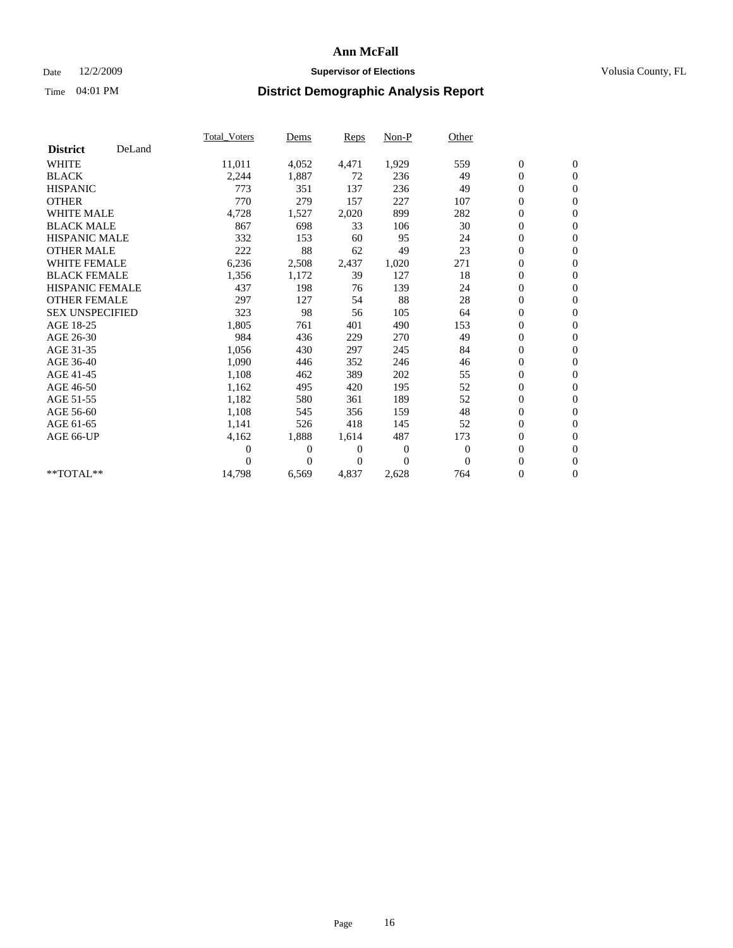## Date 12/2/2009 **Supervisor of Elections Supervisor of Elections** Volusia County, FL

|                        |        | Total Voters   | Dems           | <b>Reps</b> | Non-P          | Other        |                  |                  |  |
|------------------------|--------|----------------|----------------|-------------|----------------|--------------|------------------|------------------|--|
| <b>District</b>        | DeLand |                |                |             |                |              |                  |                  |  |
| <b>WHITE</b>           |        | 11,011         | 4,052          | 4,471       | 1,929          | 559          | $\boldsymbol{0}$ | $\boldsymbol{0}$ |  |
| <b>BLACK</b>           |        | 2,244          | 1,887          | 72          | 236            | 49           | $\boldsymbol{0}$ | $\mathbf{0}$     |  |
| <b>HISPANIC</b>        |        | 773            | 351            | 137         | 236            | 49           | $\overline{0}$   | $\mathbf{0}$     |  |
| <b>OTHER</b>           |        | 770            | 279            | 157         | 227            | 107          | $\boldsymbol{0}$ | $\mathbf{0}$     |  |
| <b>WHITE MALE</b>      |        | 4,728          | 1,527          | 2,020       | 899            | 282          | $\boldsymbol{0}$ | $\mathbf{0}$     |  |
| <b>BLACK MALE</b>      |        | 867            | 698            | 33          | 106            | 30           | $\boldsymbol{0}$ | $\mathbf{0}$     |  |
| <b>HISPANIC MALE</b>   |        | 332            | 153            | 60          | 95             | 24           | $\boldsymbol{0}$ | $\mathbf{0}$     |  |
| <b>OTHER MALE</b>      |        | 222            | 88             | 62          | 49             | 23           | $\boldsymbol{0}$ | $\mathbf{0}$     |  |
| <b>WHITE FEMALE</b>    |        | 6,236          | 2,508          | 2,437       | 1,020          | 271          | $\mathbf{0}$     | $\mathbf{0}$     |  |
| <b>BLACK FEMALE</b>    |        | 1,356          | 1,172          | 39          | 127            | 18           | $\boldsymbol{0}$ | $\mathbf{0}$     |  |
| HISPANIC FEMALE        |        | 437            | 198            | 76          | 139            | 24           | $\boldsymbol{0}$ | $\mathbf{0}$     |  |
| <b>OTHER FEMALE</b>    |        | 297            | 127            | 54          | 88             | 28           | $\mathbf{0}$     | $\mathbf{0}$     |  |
| <b>SEX UNSPECIFIED</b> |        | 323            | 98             | 56          | 105            | 64           | $\boldsymbol{0}$ | $\mathbf{0}$     |  |
| AGE 18-25              |        | 1,805          | 761            | 401         | 490            | 153          | $\boldsymbol{0}$ | $\mathbf{0}$     |  |
| AGE 26-30              |        | 984            | 436            | 229         | 270            | 49           | $\overline{0}$   | $\mathbf{0}$     |  |
| AGE 31-35              |        | 1,056          | 430            | 297         | 245            | 84           | $\boldsymbol{0}$ | $\mathbf{0}$     |  |
| AGE 36-40              |        | 1,090          | 446            | 352         | 246            | 46           | $\boldsymbol{0}$ | $\mathbf{0}$     |  |
| AGE 41-45              |        | 1,108          | 462            | 389         | 202            | 55           | $\overline{0}$   | $\mathbf{0}$     |  |
| AGE 46-50              |        | 1,162          | 495            | 420         | 195            | 52           | $\boldsymbol{0}$ | $\mathbf{0}$     |  |
| AGE 51-55              |        | 1,182          | 580            | 361         | 189            | 52           | $\boldsymbol{0}$ | $\mathbf{0}$     |  |
| AGE 56-60              |        | 1,108          | 545            | 356         | 159            | 48           | $\boldsymbol{0}$ | $\mathbf{0}$     |  |
| AGE 61-65              |        | 1,141          | 526            | 418         | 145            | 52           | $\mathbf{0}$     | $\mathbf{0}$     |  |
| AGE 66-UP              |        | 4,162          | 1,888          | 1,614       | 487            | 173          | $\boldsymbol{0}$ | $\boldsymbol{0}$ |  |
|                        |        | $\overline{0}$ | $\overline{0}$ | 0           | $\overline{0}$ | $\mathbf{0}$ | $\overline{0}$   | $\mathbf{0}$     |  |
|                        |        | $\theta$       | $\theta$       | $\Omega$    | $\theta$       | $\Omega$     | $\boldsymbol{0}$ | $\boldsymbol{0}$ |  |
| $**TOTAL**$            |        | 14,798         | 6,569          | 4,837       | 2,628          | 764          | 0                | $\mathbf{0}$     |  |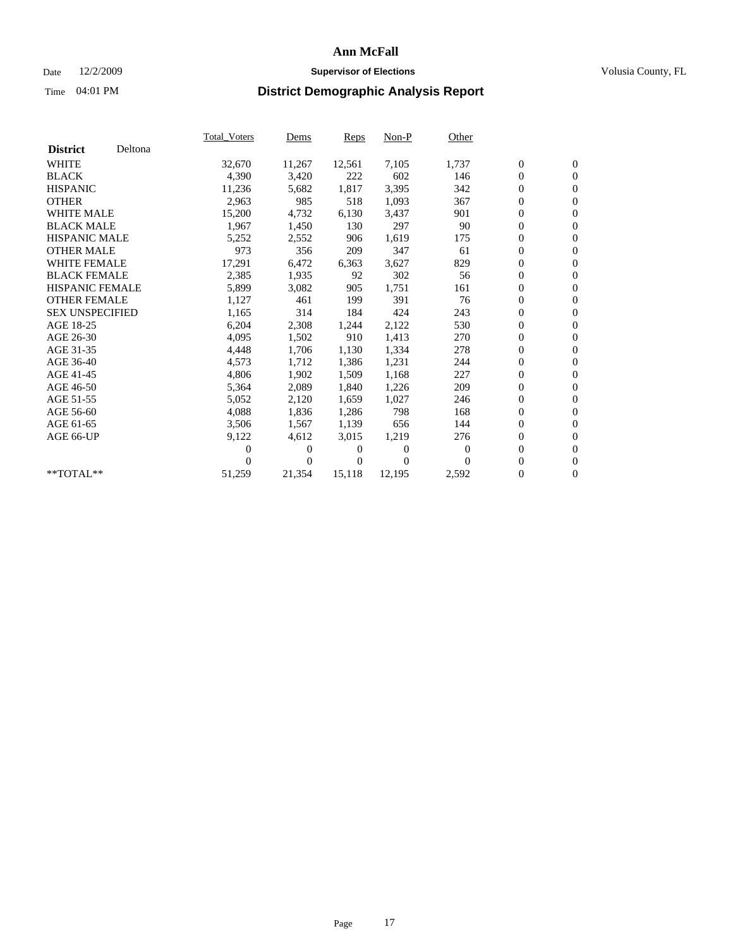## Date 12/2/2009 **Supervisor of Elections Supervisor of Elections** Volusia County, FL

|                        |         | <b>Total Voters</b> | Dems           | <b>Reps</b> | $Non-P$  | Other    |                  |                  |  |
|------------------------|---------|---------------------|----------------|-------------|----------|----------|------------------|------------------|--|
| <b>District</b>        | Deltona |                     |                |             |          |          |                  |                  |  |
| <b>WHITE</b>           |         | 32,670              | 11,267         | 12,561      | 7,105    | 1,737    | $\boldsymbol{0}$ | $\boldsymbol{0}$ |  |
| <b>BLACK</b>           |         | 4,390               | 3,420          | 222         | 602      | 146      | $\overline{0}$   | $\mathbf{0}$     |  |
| <b>HISPANIC</b>        |         | 11,236              | 5,682          | 1,817       | 3,395    | 342      | $\overline{0}$   | $\mathbf{0}$     |  |
| <b>OTHER</b>           |         | 2,963               | 985            | 518         | 1,093    | 367      | 0                | $\mathbf{0}$     |  |
| <b>WHITE MALE</b>      |         | 15,200              | 4,732          | 6,130       | 3,437    | 901      | 0                | $\mathbf{0}$     |  |
| <b>BLACK MALE</b>      |         | 1,967               | 1,450          | 130         | 297      | 90       | $\boldsymbol{0}$ | $\mathbf{0}$     |  |
| <b>HISPANIC MALE</b>   |         | 5,252               | 2,552          | 906         | 1,619    | 175      | 0                | $\mathbf{0}$     |  |
| <b>OTHER MALE</b>      |         | 973                 | 356            | 209         | 347      | 61       | 0                | $\mathbf{0}$     |  |
| <b>WHITE FEMALE</b>    |         | 17,291              | 6,472          | 6,363       | 3,627    | 829      | 0                | $\mathbf{0}$     |  |
| <b>BLACK FEMALE</b>    |         | 2,385               | 1,935          | 92          | 302      | 56       | 0                | $\Omega$         |  |
| <b>HISPANIC FEMALE</b> |         | 5,899               | 3,082          | 905         | 1,751    | 161      | $\boldsymbol{0}$ | $\mathbf{0}$     |  |
| <b>OTHER FEMALE</b>    |         | 1,127               | 461            | 199         | 391      | 76       | 0                | $\mathbf{0}$     |  |
| <b>SEX UNSPECIFIED</b> |         | 1,165               | 314            | 184         | 424      | 243      | 0                | $\mathbf{0}$     |  |
| AGE 18-25              |         | 6,204               | 2,308          | 1,244       | 2,122    | 530      | $\boldsymbol{0}$ | $\mathbf{0}$     |  |
| AGE 26-30              |         | 4,095               | 1,502          | 910         | 1,413    | 270      | 0                | $\mathbf{0}$     |  |
| AGE 31-35              |         | 4,448               | 1,706          | 1,130       | 1,334    | 278      | 0                | $\mathbf{0}$     |  |
| AGE 36-40              |         | 4,573               | 1,712          | 1,386       | 1,231    | 244      | $\boldsymbol{0}$ | $\mathbf{0}$     |  |
| AGE 41-45              |         | 4,806               | 1,902          | 1,509       | 1,168    | 227      | $\boldsymbol{0}$ | $\mathbf{0}$     |  |
| AGE 46-50              |         | 5,364               | 2,089          | 1,840       | 1,226    | 209      | 0                | $\Omega$         |  |
| AGE 51-55              |         | 5,052               | 2,120          | 1,659       | 1,027    | 246      | $\boldsymbol{0}$ | $\boldsymbol{0}$ |  |
| AGE 56-60              |         | 4,088               | 1,836          | 1,286       | 798      | 168      | 0                | $\mathbf{0}$     |  |
| AGE 61-65              |         | 3,506               | 1,567          | 1,139       | 656      | 144      | 0                | $\mathbf{0}$     |  |
| AGE 66-UP              |         | 9,122               | 4,612          | 3,015       | 1,219    | 276      | $\overline{0}$   | $\mathbf{0}$     |  |
|                        |         | 0                   | 0              | 0           | $\theta$ | $\theta$ | 0                | $\mathbf{0}$     |  |
|                        |         | 0                   | $\overline{0}$ | 0           | $\Omega$ | $\Omega$ | 0                | $\mathbf{0}$     |  |
| $*$ TOTAL $**$         |         | 51,259              | 21,354         | 15,118      | 12,195   | 2,592    | $\overline{0}$   | $\boldsymbol{0}$ |  |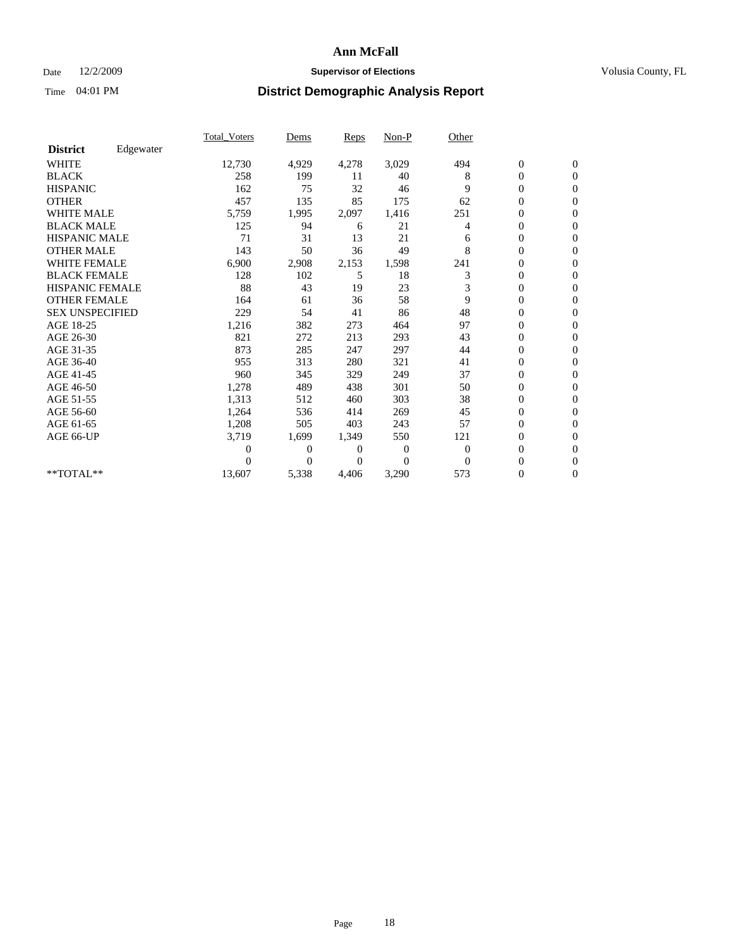## Date 12/2/2009 **Supervisor of Elections Supervisor of Elections** Volusia County, FL

|                        |           | <b>Total_Voters</b> | Dems           | Reps  | $Non-P$        | Other          |                  |                  |  |
|------------------------|-----------|---------------------|----------------|-------|----------------|----------------|------------------|------------------|--|
| <b>District</b>        | Edgewater |                     |                |       |                |                |                  |                  |  |
| <b>WHITE</b>           |           | 12,730              | 4,929          | 4,278 | 3,029          | 494            | $\boldsymbol{0}$ | $\boldsymbol{0}$ |  |
| <b>BLACK</b>           |           | 258                 | 199            | 11    | 40             | 8              | 0                | $\mathbf{0}$     |  |
| <b>HISPANIC</b>        |           | 162                 | 75             | 32    | 46             | 9              | $\overline{0}$   | $\Omega$         |  |
| <b>OTHER</b>           |           | 457                 | 135            | 85    | 175            | 62             | 0                | $\mathbf{0}$     |  |
| <b>WHITE MALE</b>      |           | 5,759               | 1,995          | 2,097 | 1,416          | 251            | 0                | $\mathbf{0}$     |  |
| <b>BLACK MALE</b>      |           | 125                 | 94             | 6     | 21             | $\overline{4}$ | $\overline{0}$   | $\mathbf{0}$     |  |
| <b>HISPANIC MALE</b>   |           | 71                  | 31             | 13    | 21             | 6              | 0                | $\Omega$         |  |
| <b>OTHER MALE</b>      |           | 143                 | 50             | 36    | 49             | 8              | 0                | $\mathbf{0}$     |  |
| <b>WHITE FEMALE</b>    |           | 6,900               | 2,908          | 2,153 | 1,598          | 241            | 0                | $\mathbf{0}$     |  |
| <b>BLACK FEMALE</b>    |           | 128                 | 102            | 5     | 18             | 3              | 0                | $\mathbf{0}$     |  |
| HISPANIC FEMALE        |           | 88                  | 43             | 19    | 23             | 3              | $\boldsymbol{0}$ | $\mathbf{0}$     |  |
| <b>OTHER FEMALE</b>    |           | 164                 | 61             | 36    | 58             | 9              | 0                | $\mathbf{0}$     |  |
| <b>SEX UNSPECIFIED</b> |           | 229                 | 54             | 41    | 86             | 48             | 0                | $\Omega$         |  |
| AGE 18-25              |           | 1,216               | 382            | 273   | 464            | 97             | $\overline{0}$   | $\mathbf{0}$     |  |
| AGE 26-30              |           | 821                 | 272            | 213   | 293            | 43             | $\overline{0}$   | $\Omega$         |  |
| AGE 31-35              |           | 873                 | 285            | 247   | 297            | 44             | 0                | $\mathbf{0}$     |  |
| AGE 36-40              |           | 955                 | 313            | 280   | 321            | 41             | 0                | $\mathbf{0}$     |  |
| AGE 41-45              |           | 960                 | 345            | 329   | 249            | 37             | $\boldsymbol{0}$ | $\Omega$         |  |
| AGE 46-50              |           | 1,278               | 489            | 438   | 301            | 50             | 0                | $\Omega$         |  |
| AGE 51-55              |           | 1,313               | 512            | 460   | 303            | 38             | $\overline{0}$   | $\mathbf{0}$     |  |
| AGE 56-60              |           | 1,264               | 536            | 414   | 269            | 45             | 0                | $\mathbf{0}$     |  |
| AGE 61-65              |           | 1,208               | 505            | 403   | 243            | 57             | 0                | $\Omega$         |  |
| AGE 66-UP              |           | 3,719               | 1,699          | 1,349 | 550            | 121            | $\boldsymbol{0}$ | $\mathbf{0}$     |  |
|                        |           | 0                   | 0              | 0     | $\overline{0}$ | $\theta$       | $\overline{0}$   | $\mathbf{0}$     |  |
|                        |           | 0                   | $\overline{0}$ | 0     | $\Omega$       | $\theta$       | 0                | $\mathbf{0}$     |  |
| **TOTAL**              |           | 13,607              | 5,338          | 4,406 | 3,290          | 573            | 0                | $\boldsymbol{0}$ |  |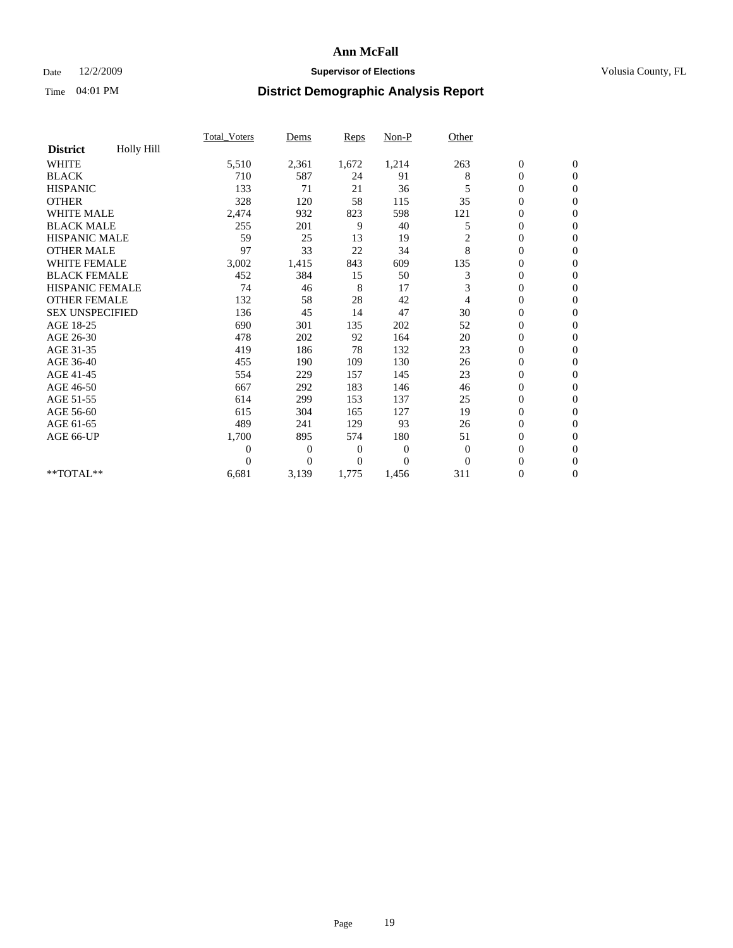## Date 12/2/2009 **Supervisor of Elections Supervisor of Elections** Volusia County, FL

|                        |            | Total Voters   | Dems           | <b>Reps</b> | Non-P        | Other        |                  |                  |  |
|------------------------|------------|----------------|----------------|-------------|--------------|--------------|------------------|------------------|--|
| <b>District</b>        | Holly Hill |                |                |             |              |              |                  |                  |  |
| <b>WHITE</b>           |            | 5,510          | 2,361          | 1,672       | 1,214        | 263          | $\boldsymbol{0}$ | $\boldsymbol{0}$ |  |
| <b>BLACK</b>           |            | 710            | 587            | 24          | 91           | 8            | $\boldsymbol{0}$ | $\mathbf{0}$     |  |
| <b>HISPANIC</b>        |            | 133            | 71             | 21          | 36           | 5            | $\overline{0}$   | $\mathbf{0}$     |  |
| <b>OTHER</b>           |            | 328            | 120            | 58          | 115          | 35           | $\boldsymbol{0}$ | $\Omega$         |  |
| <b>WHITE MALE</b>      |            | 2,474          | 932            | 823         | 598          | 121          | $\boldsymbol{0}$ | $\mathbf{0}$     |  |
| <b>BLACK MALE</b>      |            | 255            | 201            | 9           | 40           | 5            | $\boldsymbol{0}$ | $\mathbf{0}$     |  |
| <b>HISPANIC MALE</b>   |            | 59             | 25             | 13          | 19           | 2            | $\overline{0}$   | $\overline{0}$   |  |
| <b>OTHER MALE</b>      |            | 97             | 33             | 22          | 34           | 8            | $\boldsymbol{0}$ | $\mathbf{0}$     |  |
| <b>WHITE FEMALE</b>    |            | 3,002          | 1,415          | 843         | 609          | 135          | $\overline{0}$   | $\mathbf{0}$     |  |
| <b>BLACK FEMALE</b>    |            | 452            | 384            | 15          | 50           | 3            | $\boldsymbol{0}$ | $\mathbf{0}$     |  |
| <b>HISPANIC FEMALE</b> |            | 74             | 46             | 8           | 17           | 3            | $\boldsymbol{0}$ | $\mathbf{0}$     |  |
| <b>OTHER FEMALE</b>    |            | 132            | 58             | 28          | 42           | 4            | $\mathbf{0}$     | $\mathbf{0}$     |  |
| <b>SEX UNSPECIFIED</b> |            | 136            | 45             | 14          | 47           | 30           | $\overline{0}$   | $\mathbf{0}$     |  |
| AGE 18-25              |            | 690            | 301            | 135         | 202          | 52           | $\overline{0}$   | $\mathbf{0}$     |  |
| AGE 26-30              |            | 478            | 202            | 92          | 164          | 20           | $\overline{0}$   | $\mathbf{0}$     |  |
| AGE 31-35              |            | 419            | 186            | 78          | 132          | 23           | $\boldsymbol{0}$ | $\mathbf{0}$     |  |
| AGE 36-40              |            | 455            | 190            | 109         | 130          | 26           | $\boldsymbol{0}$ | $\mathbf{0}$     |  |
| AGE 41-45              |            | 554            | 229            | 157         | 145          | 23           | $\overline{0}$   | $\mathbf{0}$     |  |
| AGE 46-50              |            | 667            | 292            | 183         | 146          | 46           | $\boldsymbol{0}$ | $\mathbf{0}$     |  |
| AGE 51-55              |            | 614            | 299            | 153         | 137          | 25           | $\boldsymbol{0}$ | $\mathbf{0}$     |  |
| AGE 56-60              |            | 615            | 304            | 165         | 127          | 19           | $\overline{0}$   | $\Omega$         |  |
| AGE 61-65              |            | 489            | 241            | 129         | 93           | 26           | $\mathbf{0}$     | $\mathbf{0}$     |  |
| AGE 66-UP              |            | 1,700          | 895            | 574         | 180          | 51           | $\boldsymbol{0}$ | $\mathbf{0}$     |  |
|                        |            | $\overline{0}$ | $\overline{0}$ | 0           | $\mathbf{0}$ | $\mathbf{0}$ | $\overline{0}$   | $\mathbf{0}$     |  |
|                        |            | $\theta$       | $\overline{0}$ | $\Omega$    | $\theta$     | $\Omega$     | $\boldsymbol{0}$ | $\mathbf{0}$     |  |
| **TOTAL**              |            | 6,681          | 3,139          | 1,775       | 1,456        | 311          | 0                | $\mathbf{0}$     |  |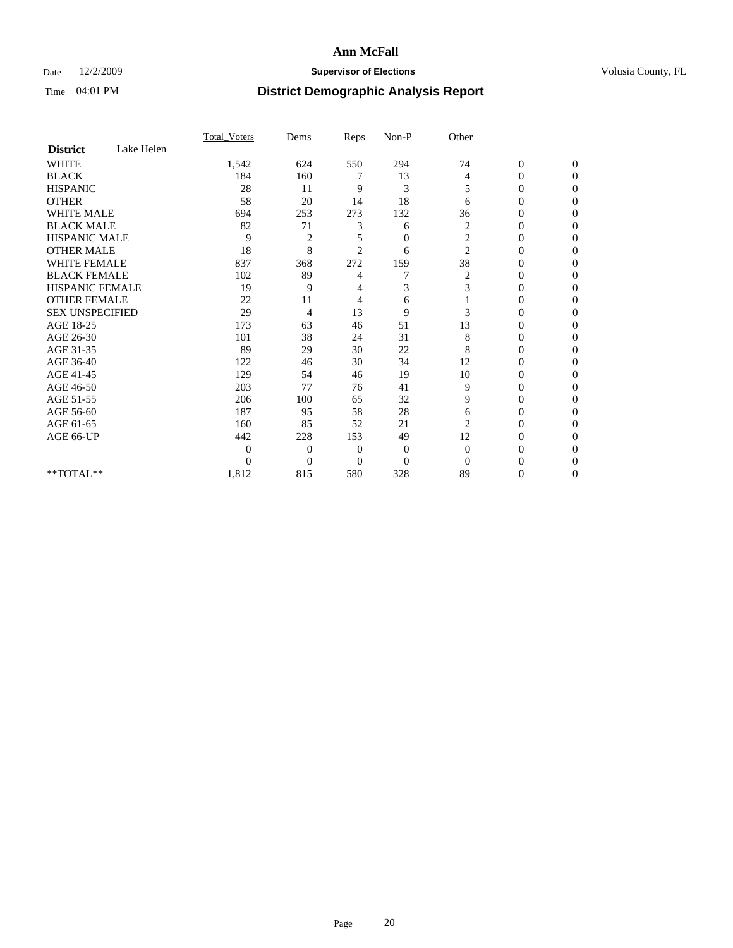## Date 12/2/2009 **Supervisor of Elections Supervisor of Elections** Volusia County, FL

|                        |            | Total Voters   | Dems           | <b>Reps</b>    | $Non-P$          | Other            |                  |              |  |
|------------------------|------------|----------------|----------------|----------------|------------------|------------------|------------------|--------------|--|
| <b>District</b>        | Lake Helen |                |                |                |                  |                  |                  |              |  |
| <b>WHITE</b>           |            | 1,542          | 624            | 550            | 294              | 74               | $\boldsymbol{0}$ | $\mathbf{0}$ |  |
| <b>BLACK</b>           |            | 184            | 160            | 7              | 13               | 4                | $\overline{0}$   | $\Omega$     |  |
| <b>HISPANIC</b>        |            | 28             | 11             | 9              | 3                | 5                | $\mathbf{0}$     | $\Omega$     |  |
| <b>OTHER</b>           |            | 58             | 20             | 14             | 18               | 6                | 0                | $\Omega$     |  |
| <b>WHITE MALE</b>      |            | 694            | 253            | 273            | 132              | 36               | 0                | 0            |  |
| <b>BLACK MALE</b>      |            | 82             | 71             | 3              | 6                | 2                | $\mathbf{0}$     | $\Omega$     |  |
| HISPANIC MALE          |            | 9              | $\overline{c}$ | 5              | $\overline{0}$   | $\boldsymbol{2}$ | $\overline{0}$   | $\Omega$     |  |
| <b>OTHER MALE</b>      |            | 18             | 8              | $\overline{2}$ | 6                | $\overline{2}$   | 0                | 0            |  |
| <b>WHITE FEMALE</b>    |            | 837            | 368            | 272            | 159              | 38               | 0                | $\Omega$     |  |
| <b>BLACK FEMALE</b>    |            | 102            | 89             | 4              | 7                | $\overline{c}$   | $\overline{0}$   | $\Omega$     |  |
| <b>HISPANIC FEMALE</b> |            | 19             | 9              | 4              | 3                | 3                | 0                | $\Omega$     |  |
| <b>OTHER FEMALE</b>    |            | 22             | 11             | 4              | 6                |                  | 0                | 0            |  |
| <b>SEX UNSPECIFIED</b> |            | 29             | 4              | 13             | 9                | 3                | 0                | $\Omega$     |  |
| AGE 18-25              |            | 173            | 63             | 46             | 51               | 13               | 0                | $\Omega$     |  |
| AGE 26-30              |            | 101            | 38             | 24             | 31               | 8                | 0                | $\Omega$     |  |
| AGE 31-35              |            | 89             | 29             | 30             | 22               | 8                | 0                | $\Omega$     |  |
| AGE 36-40              |            | 122            | 46             | 30             | 34               | 12               | 0                | 0            |  |
| AGE 41-45              |            | 129            | 54             | 46             | 19               | 10               | 0                | $\Omega$     |  |
| AGE 46-50              |            | 203            | 77             | 76             | 41               | 9                | $\overline{0}$   | $\Omega$     |  |
| AGE 51-55              |            | 206            | 100            | 65             | 32               | 9                | 0                | 0            |  |
| AGE 56-60              |            | 187            | 95             | 58             | 28               | 6                | 0                | $\Omega$     |  |
| AGE 61-65              |            | 160            | 85             | 52             | 21               | $\overline{2}$   | 0                | $\Omega$     |  |
| AGE 66-UP              |            | 442            | 228            | 153            | 49               | 12               | 0                | 0            |  |
|                        |            | $\overline{0}$ | $\overline{0}$ | $\mathbf{0}$   | $\boldsymbol{0}$ | $\Omega$         | 0                | $\Omega$     |  |
|                        |            | $\theta$       | $\overline{0}$ | $\overline{0}$ | $\overline{0}$   | $\Omega$         | 0                | 0            |  |
| **TOTAL**              |            | 1,812          | 815            | 580            | 328              | 89               | 0                | 0            |  |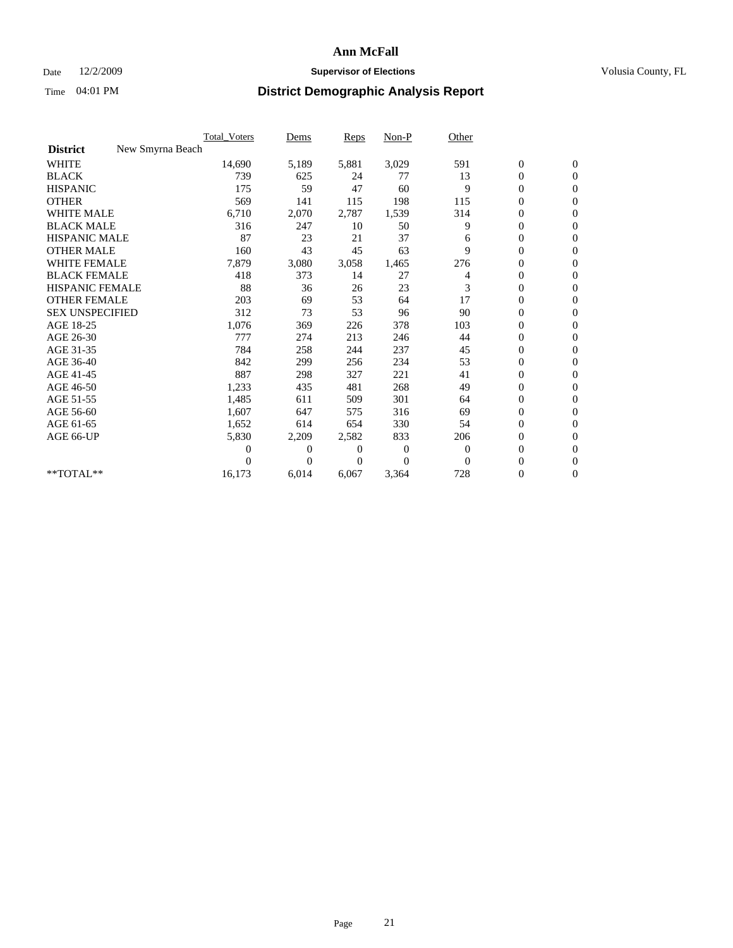## Date 12/2/2009 **Supervisor of Elections Supervisor of Elections** Volusia County, FL

|                        |                  | Total Voters | Dems     | <b>Reps</b> | Non-P    | Other    |                  |                  |  |
|------------------------|------------------|--------------|----------|-------------|----------|----------|------------------|------------------|--|
| <b>District</b>        | New Smyrna Beach |              |          |             |          |          |                  |                  |  |
| <b>WHITE</b>           |                  | 14,690       | 5,189    | 5,881       | 3,029    | 591      | $\boldsymbol{0}$ | $\boldsymbol{0}$ |  |
| <b>BLACK</b>           |                  | 739          | 625      | 24          | 77       | 13       | $\boldsymbol{0}$ | $\mathbf{0}$     |  |
| <b>HISPANIC</b>        |                  | 175          | 59       | 47          | 60       | 9        | $\overline{0}$   | $\mathbf{0}$     |  |
| <b>OTHER</b>           |                  | 569          | 141      | 115         | 198      | 115      | $\boldsymbol{0}$ | $\Omega$         |  |
| <b>WHITE MALE</b>      |                  | 6,710        | 2,070    | 2,787       | 1,539    | 314      | $\overline{0}$   | $\mathbf{0}$     |  |
| <b>BLACK MALE</b>      |                  | 316          | 247      | 10          | 50       | 9        | $\overline{0}$   | $\mathbf{0}$     |  |
| <b>HISPANIC MALE</b>   |                  | 87           | 23       | 21          | 37       | 6        | $\overline{0}$   | $\mathbf{0}$     |  |
| <b>OTHER MALE</b>      |                  | 160          | 43       | 45          | 63       | 9        | 0                | $\mathbf{0}$     |  |
| WHITE FEMALE           |                  | 7,879        | 3,080    | 3,058       | 1,465    | 276      | $\overline{0}$   | $\mathbf{0}$     |  |
| <b>BLACK FEMALE</b>    |                  | 418          | 373      | 14          | 27       | 4        | $\boldsymbol{0}$ | $\mathbf{0}$     |  |
| <b>HISPANIC FEMALE</b> |                  | 88           | 36       | 26          | 23       | 3        | $\overline{0}$   | $\mathbf{0}$     |  |
| <b>OTHER FEMALE</b>    |                  | 203          | 69       | 53          | 64       | 17       | $\overline{0}$   | $\mathbf{0}$     |  |
| <b>SEX UNSPECIFIED</b> |                  | 312          | 73       | 53          | 96       | 90       | $\overline{0}$   | $\mathbf{0}$     |  |
| AGE 18-25              |                  | 1,076        | 369      | 226         | 378      | 103      | $\overline{0}$   | $\mathbf{0}$     |  |
| AGE 26-30              |                  | 777          | 274      | 213         | 246      | 44       | $\overline{0}$   | $\mathbf{0}$     |  |
| AGE 31-35              |                  | 784          | 258      | 244         | 237      | 45       | $\boldsymbol{0}$ | $\mathbf{0}$     |  |
| AGE 36-40              |                  | 842          | 299      | 256         | 234      | 53       | 0                | $\mathbf{0}$     |  |
| AGE 41-45              |                  | 887          | 298      | 327         | 221      | 41       | $\overline{0}$   | $\mathbf{0}$     |  |
| AGE 46-50              |                  | 1,233        | 435      | 481         | 268      | 49       | $\boldsymbol{0}$ | $\mathbf{0}$     |  |
| AGE 51-55              |                  | 1,485        | 611      | 509         | 301      | 64       | $\boldsymbol{0}$ | $\mathbf{0}$     |  |
| AGE 56-60              |                  | 1,607        | 647      | 575         | 316      | 69       | $\overline{0}$   | $\Omega$         |  |
| AGE 61-65              |                  | 1,652        | 614      | 654         | 330      | 54       | $\overline{0}$   | $\mathbf{0}$     |  |
| AGE 66-UP              |                  | 5,830        | 2,209    | 2,582       | 833      | 206      | $\boldsymbol{0}$ | $\mathbf{0}$     |  |
|                        |                  | 0            | 0        | 0           | 0        | $\bf{0}$ | $\overline{0}$   | $\mathbf{0}$     |  |
|                        |                  | 0            | $\Omega$ | 0           | $\Omega$ | $\Omega$ | $\boldsymbol{0}$ | $\mathbf{0}$     |  |
| **TOTAL**              |                  | 16,173       | 6,014    | 6,067       | 3,364    | 728      | 0                | $\mathbf{0}$     |  |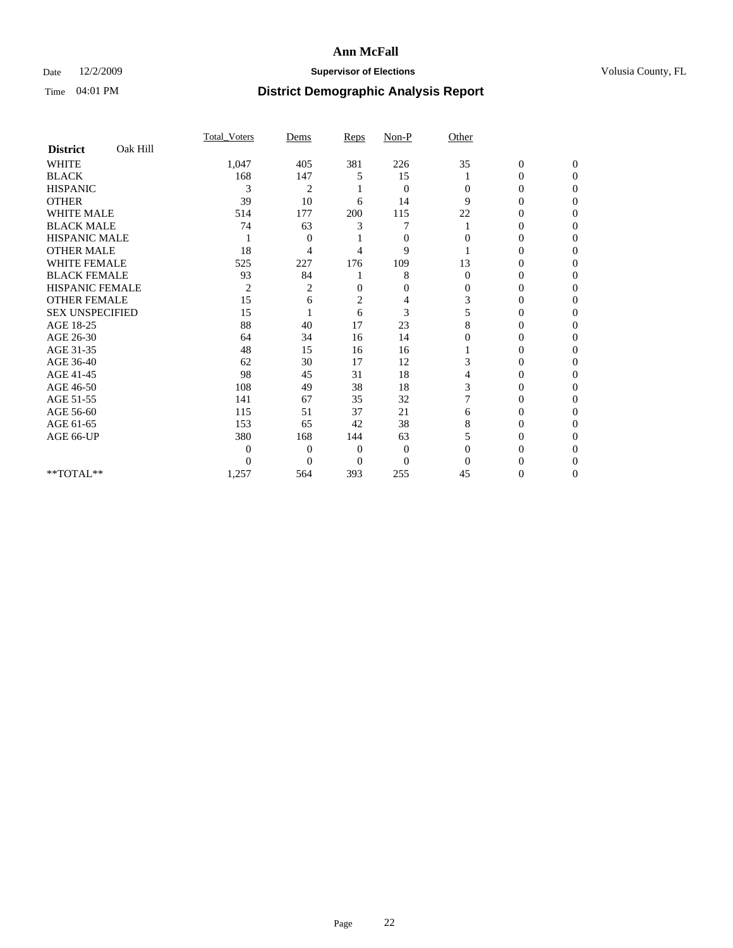## Date 12/2/2009 **Supervisor of Elections Supervisor of Elections** Volusia County, FL

|                        |          | <b>Total Voters</b> | Dems           | Reps           | Non-P          | Other    |                  |                  |
|------------------------|----------|---------------------|----------------|----------------|----------------|----------|------------------|------------------|
| <b>District</b>        | Oak Hill |                     |                |                |                |          |                  |                  |
| <b>WHITE</b>           |          | 1,047               | 405            | 381            | 226            | 35       | $\boldsymbol{0}$ | $\boldsymbol{0}$ |
| <b>BLACK</b>           |          | 168                 | 147            | 5              | 15             |          | 0                | $\Omega$         |
| <b>HISPANIC</b>        |          | 3                   | $\overline{c}$ |                | $\mathbf{0}$   | $\Omega$ | $\Omega$         | $\Omega$         |
| <b>OTHER</b>           |          | 39                  | 10             | 6              | 14             | 9        | 0                | $\Omega$         |
| <b>WHITE MALE</b>      |          | 514                 | 177            | 200            | 115            | 22       | 0                | $\Omega$         |
| <b>BLACK MALE</b>      |          | 74                  | 63             | 3              | 7              |          | $\overline{0}$   | $\Omega$         |
| <b>HISPANIC MALE</b>   |          |                     | 0              |                | $\mathbf{0}$   | $\Omega$ | 0                | 0                |
| <b>OTHER MALE</b>      |          | 18                  | 4              | 4              | 9              |          | 0                | 0                |
| <b>WHITE FEMALE</b>    |          | 525                 | 227            | 176            | 109            | 13       | 0                | 0                |
| <b>BLACK FEMALE</b>    |          | 93                  | 84             |                | 8              | $\Omega$ | 0                | 0                |
| <b>HISPANIC FEMALE</b> |          | $\overline{2}$      | 2              | $\Omega$       | $\mathbf{0}$   | $\Omega$ | 0                | $\Omega$         |
| <b>OTHER FEMALE</b>    |          | 15                  | 6              | $\overline{2}$ | 4              | 3        | 0                | $\Omega$         |
| <b>SEX UNSPECIFIED</b> |          | 15                  |                | 6              | 3              | 5        | 0                | $\Omega$         |
| AGE 18-25              |          | 88                  | 40             | 17             | 23             | 8        | 0                | $\Omega$         |
| AGE 26-30              |          | 64                  | 34             | 16             | 14             | 0        | 0                | 0                |
| AGE 31-35              |          | 48                  | 15             | 16             | 16             |          | 0                | 0                |
| AGE 36-40              |          | 62                  | 30             | 17             | 12             | 3        | 0                | 0                |
| AGE 41-45              |          | 98                  | 45             | 31             | 18             | 4        | 0                | 0                |
| AGE 46-50              |          | 108                 | 49             | 38             | 18             | 3        | $\overline{0}$   | $\Omega$         |
| AGE 51-55              |          | 141                 | 67             | 35             | 32             |          | 0                | $\Omega$         |
| AGE 56-60              |          | 115                 | 51             | 37             | 21             | 6        | 0                | 0                |
| AGE 61-65              |          | 153                 | 65             | 42             | 38             | 8        | 0                | $\Omega$         |
| AGE 66-UP              |          | 380                 | 168            | 144            | 63             |          | 0                | $\Omega$         |
|                        |          | $\overline{0}$      | $\overline{0}$ | $\Omega$       | $\mathbf{0}$   | $\Omega$ | 0                | 0                |
|                        |          | $\theta$            | $\theta$       | $\Omega$       | $\overline{0}$ | $\Omega$ | 0                | $\Omega$         |
| **TOTAL**              |          | 1,257               | 564            | 393            | 255            | 45       | 0                | $\overline{0}$   |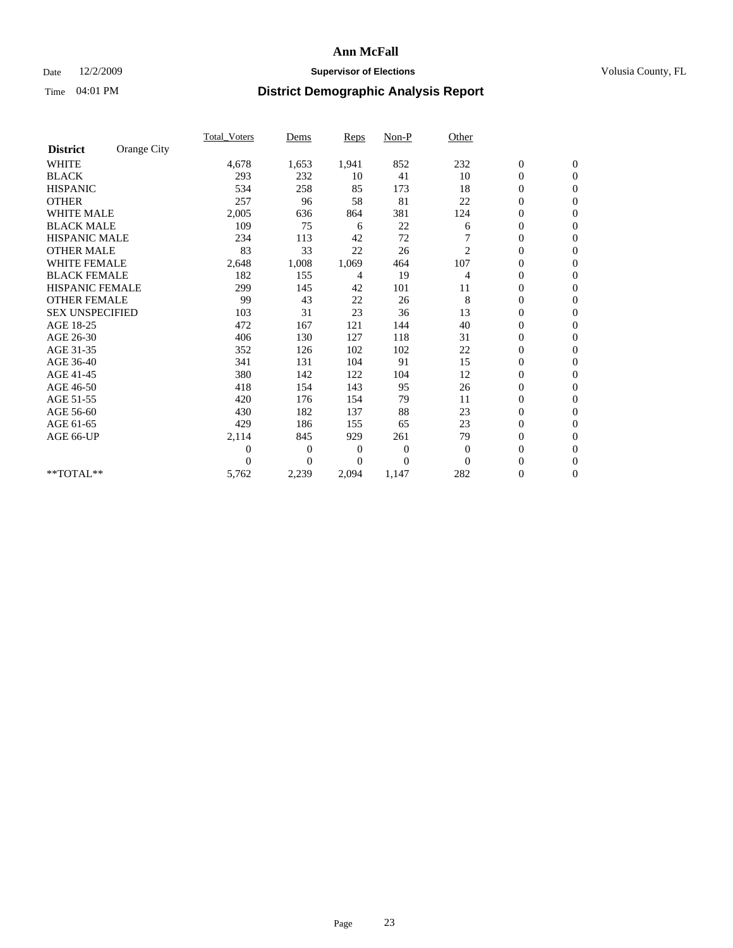## Date 12/2/2009 **Supervisor of Elections Supervisor of Elections** Volusia County, FL

|                        |             | <b>Total_Voters</b> | Dems     | <b>Reps</b>  | $Non-P$        | Other          |                  |              |  |
|------------------------|-------------|---------------------|----------|--------------|----------------|----------------|------------------|--------------|--|
| <b>District</b>        | Orange City |                     |          |              |                |                |                  |              |  |
| <b>WHITE</b>           |             | 4,678               | 1,653    | 1,941        | 852            | 232            | $\boldsymbol{0}$ | $\mathbf{0}$ |  |
| <b>BLACK</b>           |             | 293                 | 232      | 10           | 41             | 10             | $\boldsymbol{0}$ | $\mathbf{0}$ |  |
| <b>HISPANIC</b>        |             | 534                 | 258      | 85           | 173            | 18             | $\overline{0}$   | $\mathbf{0}$ |  |
| <b>OTHER</b>           |             | 257                 | 96       | 58           | 81             | 22             | $\overline{0}$   | $\mathbf{0}$ |  |
| <b>WHITE MALE</b>      |             | 2,005               | 636      | 864          | 381            | 124            | $\boldsymbol{0}$ | $\mathbf{0}$ |  |
| <b>BLACK MALE</b>      |             | 109                 | 75       | 6            | 22             | 6              | $\boldsymbol{0}$ | $\mathbf{0}$ |  |
| <b>HISPANIC MALE</b>   |             | 234                 | 113      | 42           | 72             | 7              | $\boldsymbol{0}$ | $\mathbf{0}$ |  |
| <b>OTHER MALE</b>      |             | 83                  | 33       | 22           | 26             | $\overline{c}$ | 0                | $\mathbf{0}$ |  |
| <b>WHITE FEMALE</b>    |             | 2,648               | 1,008    | 1,069        | 464            | 107            | $\mathbf{0}$     | $\mathbf{0}$ |  |
| <b>BLACK FEMALE</b>    |             | 182                 | 155      | 4            | 19             | 4              | $\boldsymbol{0}$ | $\mathbf{0}$ |  |
| HISPANIC FEMALE        |             | 299                 | 145      | 42           | 101            | 11             | $\boldsymbol{0}$ | $\mathbf{0}$ |  |
| <b>OTHER FEMALE</b>    |             | 99                  | 43       | 22           | 26             | 8              | $\overline{0}$   | $\Omega$     |  |
| <b>SEX UNSPECIFIED</b> |             | 103                 | 31       | 23           | 36             | 13             | $\mathbf{0}$     | $\mathbf{0}$ |  |
| AGE 18-25              |             | 472                 | 167      | 121          | 144            | 40             | $\boldsymbol{0}$ | $\mathbf{0}$ |  |
| AGE 26-30              |             | 406                 | 130      | 127          | 118            | 31             | $\overline{0}$   | $\mathbf{0}$ |  |
| AGE 31-35              |             | 352                 | 126      | 102          | 102            | 22             | $\boldsymbol{0}$ | $\mathbf{0}$ |  |
| AGE 36-40              |             | 341                 | 131      | 104          | 91             | 15             | $\boldsymbol{0}$ | $\mathbf{0}$ |  |
| AGE 41-45              |             | 380                 | 142      | 122          | 104            | 12             | $\overline{0}$   | $\mathbf{0}$ |  |
| AGE 46-50              |             | 418                 | 154      | 143          | 95             | 26             | $\mathbf{0}$     | $\mathbf{0}$ |  |
| AGE 51-55              |             | 420                 | 176      | 154          | 79             | 11             | $\boldsymbol{0}$ | $\mathbf{0}$ |  |
| AGE 56-60              |             | 430                 | 182      | 137          | 88             | 23             | $\boldsymbol{0}$ | $\mathbf{0}$ |  |
| AGE 61-65              |             | 429                 | 186      | 155          | 65             | 23             | $\boldsymbol{0}$ | $\mathbf{0}$ |  |
| AGE 66-UP              |             | 2,114               | 845      | 929          | 261            | 79             | $\overline{0}$   | $\mathbf{0}$ |  |
|                        |             | $\theta$            | 0        | $\mathbf{0}$ | 0              | $\mathbf{0}$   | $\boldsymbol{0}$ | $\Omega$     |  |
|                        |             | $\theta$            | $\theta$ | 0            | $\overline{0}$ | $\Omega$       | $\overline{0}$   | $\mathbf{0}$ |  |
| **TOTAL**              |             | 5,762               | 2,239    | 2,094        | 1,147          | 282            | $\boldsymbol{0}$ | $\mathbf{0}$ |  |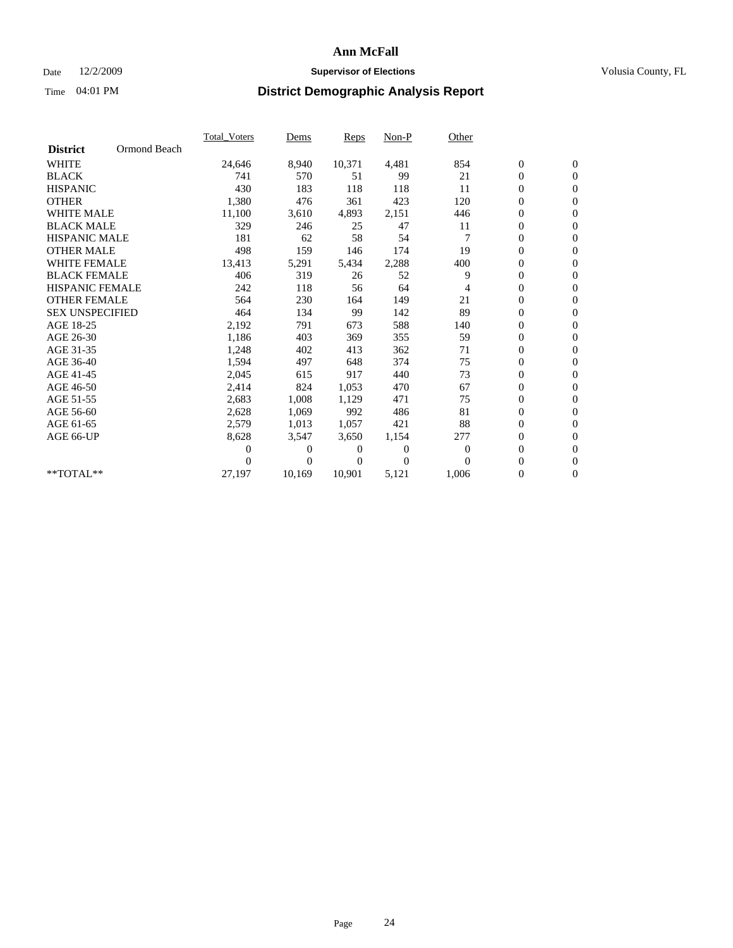### Date  $12/2/2009$  **Supervisor of Elections Supervisor of Elections** Volusia County, FL

|                        |              | <b>Total Voters</b> | Dems           | <b>Reps</b> | $Non-P$          | Other            |                  |                  |  |
|------------------------|--------------|---------------------|----------------|-------------|------------------|------------------|------------------|------------------|--|
| <b>District</b>        | Ormond Beach |                     |                |             |                  |                  |                  |                  |  |
| <b>WHITE</b>           |              | 24,646              | 8,940          | 10,371      | 4,481            | 854              | $\boldsymbol{0}$ | $\boldsymbol{0}$ |  |
| <b>BLACK</b>           |              | 741                 | 570            | 51          | 99               | 21               | $\overline{0}$   | $\mathbf{0}$     |  |
| <b>HISPANIC</b>        |              | 430                 | 183            | 118         | 118              | 11               | $\overline{0}$   | $\mathbf{0}$     |  |
| <b>OTHER</b>           |              | 1,380               | 476            | 361         | 423              | 120              | 0                | $\mathbf{0}$     |  |
| <b>WHITE MALE</b>      |              | 11,100              | 3,610          | 4,893       | 2,151            | 446              | 0                | $\mathbf{0}$     |  |
| <b>BLACK MALE</b>      |              | 329                 | 246            | 25          | 47               | 11               | $\boldsymbol{0}$ | $\mathbf{0}$     |  |
| <b>HISPANIC MALE</b>   |              | 181                 | 62             | 58          | 54               | 7                | 0                | $\mathbf{0}$     |  |
| <b>OTHER MALE</b>      |              | 498                 | 159            | 146         | 174              | 19               | 0                | $\mathbf{0}$     |  |
| <b>WHITE FEMALE</b>    |              | 13,413              | 5,291          | 5,434       | 2,288            | 400              | 0                | $\mathbf{0}$     |  |
| <b>BLACK FEMALE</b>    |              | 406                 | 319            | 26          | 52               | 9                | 0                | $\Omega$         |  |
| <b>HISPANIC FEMALE</b> |              | 242                 | 118            | 56          | 64               | 4                | $\boldsymbol{0}$ | $\mathbf{0}$     |  |
| <b>OTHER FEMALE</b>    |              | 564                 | 230            | 164         | 149              | 21               | 0                | $\mathbf{0}$     |  |
| <b>SEX UNSPECIFIED</b> |              | 464                 | 134            | 99          | 142              | 89               | 0                | $\Omega$         |  |
| AGE 18-25              |              | 2,192               | 791            | 673         | 588              | 140              | $\boldsymbol{0}$ | $\mathbf{0}$     |  |
| AGE 26-30              |              | 1,186               | 403            | 369         | 355              | 59               | 0                | $\mathbf{0}$     |  |
| AGE 31-35              |              | 1,248               | 402            | 413         | 362              | 71               | 0                | $\mathbf{0}$     |  |
| AGE 36-40              |              | 1,594               | 497            | 648         | 374              | 75               | $\boldsymbol{0}$ | $\mathbf{0}$     |  |
| AGE 41-45              |              | 2,045               | 615            | 917         | 440              | 73               | $\boldsymbol{0}$ | $\mathbf{0}$     |  |
| AGE 46-50              |              | 2,414               | 824            | 1,053       | 470              | 67               | 0                | $\Omega$         |  |
| AGE 51-55              |              | 2,683               | 1,008          | 1,129       | 471              | 75               | $\boldsymbol{0}$ | $\mathbf{0}$     |  |
| AGE 56-60              |              | 2,628               | 1,069          | 992         | 486              | 81               | 0                | $\mathbf{0}$     |  |
| AGE 61-65              |              | 2,579               | 1,013          | 1,057       | 421              | 88               | 0                | $\Omega$         |  |
| AGE 66-UP              |              | 8,628               | 3,547          | 3,650       | 1,154            | 277              | $\overline{0}$   | $\mathbf{0}$     |  |
|                        |              | 0                   | 0              | 0           | $\boldsymbol{0}$ | $\boldsymbol{0}$ | $\boldsymbol{0}$ | $\mathbf{0}$     |  |
|                        |              | 0                   | $\overline{0}$ | 0           | $\Omega$         | $\Omega$         | 0                | $\mathbf{0}$     |  |
| $*$ TOTAL $**$         |              | 27,197              | 10,169         | 10,901      | 5,121            | 1,006            | $\boldsymbol{0}$ | $\boldsymbol{0}$ |  |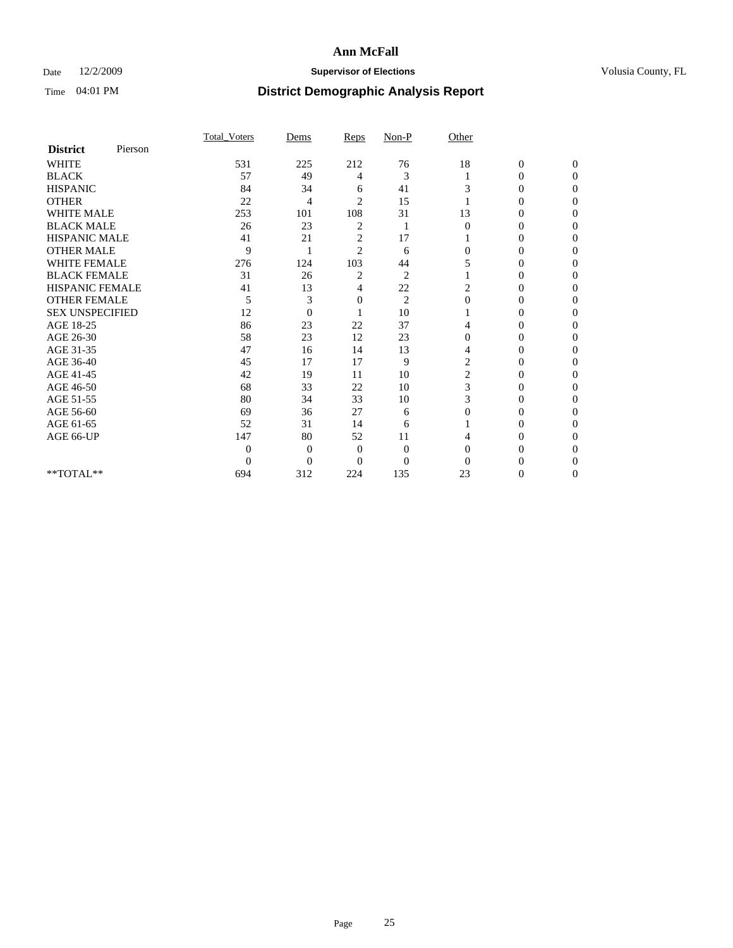## Date 12/2/2009 **Supervisor of Elections Supervisor of Elections** Volusia County, FL

|                        |         | Total Voters | Dems           | Reps           | $Non-P$        | Other    |                  |              |  |
|------------------------|---------|--------------|----------------|----------------|----------------|----------|------------------|--------------|--|
| <b>District</b>        | Pierson |              |                |                |                |          |                  |              |  |
| <b>WHITE</b>           |         | 531          | 225            | 212            | 76             | 18       | $\boldsymbol{0}$ | $\mathbf{0}$ |  |
| <b>BLACK</b>           |         | 57           | 49             | 4              | 3              |          | $\mathbf{0}$     | $\Omega$     |  |
| <b>HISPANIC</b>        |         | 84           | 34             | 6              | 41             | 3        | 0                | $\Omega$     |  |
| <b>OTHER</b>           |         | 22           | 4              | $\overline{2}$ | 15             |          | 0                | 0            |  |
| <b>WHITE MALE</b>      |         | 253          | 101            | 108            | 31             | 13       | $\theta$         | 0            |  |
| <b>BLACK MALE</b>      |         | 26           | 23             | 2              |                | $\Omega$ | 0                | $\Omega$     |  |
| HISPANIC MALE          |         | 41           | 21             | $\overline{c}$ | 17             |          | 0                | $\Omega$     |  |
| <b>OTHER MALE</b>      |         | 9            |                | $\overline{2}$ | 6              | 0        | 0                | 0            |  |
| <b>WHITE FEMALE</b>    |         | 276          | 124            | 103            | 44             | 5        | 0                | $\Omega$     |  |
| <b>BLACK FEMALE</b>    |         | 31           | 26             | 2              | $\overline{c}$ |          | $\overline{0}$   | 0            |  |
| <b>HISPANIC FEMALE</b> |         | 41           | 13             | 4              | 22             | 2        | 0                | 0            |  |
| <b>OTHER FEMALE</b>    |         | 5            | 3              | 0              | $\overline{2}$ | $\Omega$ | 0                | 0            |  |
| <b>SEX UNSPECIFIED</b> |         | 12           | $\overline{0}$ |                | 10             |          | 0                | 0            |  |
| AGE 18-25              |         | 86           | 23             | 22             | 37             | 4        | 0                | $\Omega$     |  |
| AGE 26-30              |         | 58           | 23             | 12             | 23             | $\Omega$ | 0                | 0            |  |
| AGE 31-35              |         | 47           | 16             | 14             | 13             | 4        | 0                | 0            |  |
| AGE 36-40              |         | 45           | 17             | 17             | 9              | 2        | 0                | 0            |  |
| AGE 41-45              |         | 42           | 19             | 11             | 10             | 2        | 0                | $\Omega$     |  |
| AGE 46-50              |         | 68           | 33             | 22             | 10             | 3        | 0                | $\Omega$     |  |
| AGE 51-55              |         | 80           | 34             | 33             | 10             | 3        | 0                | 0            |  |
| AGE 56-60              |         | 69           | 36             | 27             | 6              | $\Omega$ | 0                | 0            |  |
| AGE 61-65              |         | 52           | 31             | 14             | 6              |          | 0                | 0            |  |
| AGE 66-UP              |         | 147          | 80             | 52             | 11             |          | 0                | 0            |  |
|                        |         | $\theta$     | $\overline{0}$ | $\mathbf{0}$   | $\mathbf{0}$   | $\Omega$ | 0                | 0            |  |
|                        |         | $\theta$     | $\overline{0}$ | $\overline{0}$ | $\theta$       | $\Omega$ |                  | 0            |  |
| **TOTAL**              |         | 694          | 312            | 224            | 135            | 23       | 0                | 0            |  |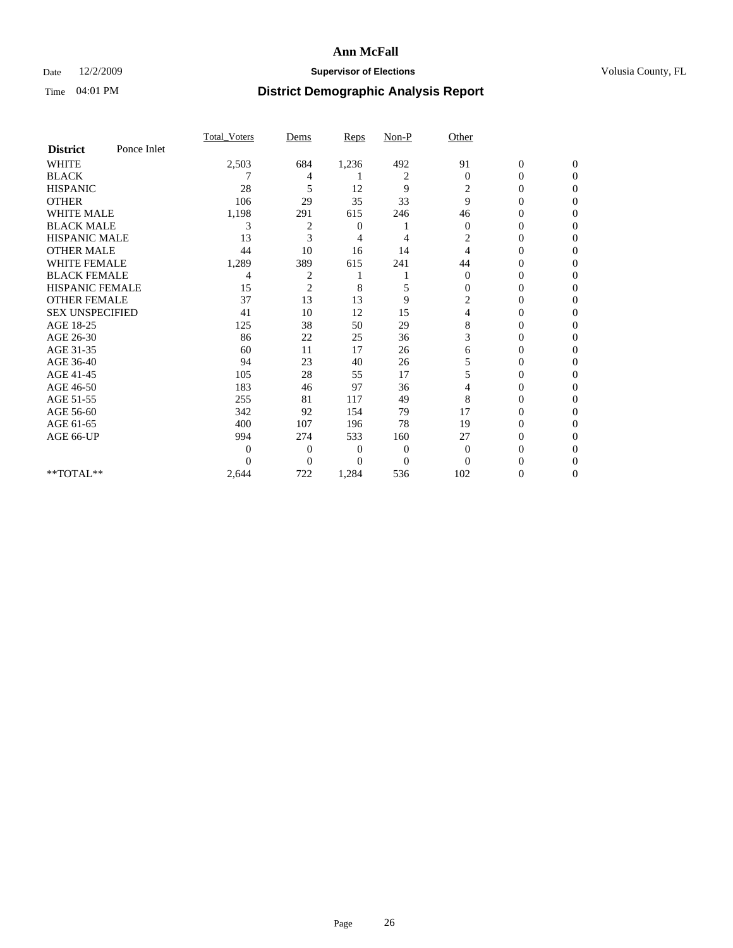## Date 12/2/2009 **Supervisor of Elections Supervisor of Elections** Volusia County, FL

|                        |             | Total Voters | Dems           | <b>Reps</b>  | $Non-P$        | Other        |                  |              |  |
|------------------------|-------------|--------------|----------------|--------------|----------------|--------------|------------------|--------------|--|
| <b>District</b>        | Ponce Inlet |              |                |              |                |              |                  |              |  |
| <b>WHITE</b>           |             | 2,503        | 684            | 1,236        | 492            | 91           | $\boldsymbol{0}$ | $\mathbf{0}$ |  |
| <b>BLACK</b>           |             |              | 4              |              | 2              | $\Omega$     | $\mathbf{0}$     | $\Omega$     |  |
| <b>HISPANIC</b>        |             | 28           | 5              | 12           | 9              | 2            | 0                | $\Omega$     |  |
| <b>OTHER</b>           |             | 106          | 29             | 35           | 33             | 9            | 0                | $\Omega$     |  |
| <b>WHITE MALE</b>      |             | 1,198        | 291            | 615          | 246            | 46           | 0                | 0            |  |
| <b>BLACK MALE</b>      |             | 3            | 2              | 0            |                | $\mathbf{0}$ | 0                | $\Omega$     |  |
| HISPANIC MALE          |             | 13           | 3              | 4            | 4              | 2            | 0                | $\Omega$     |  |
| <b>OTHER MALE</b>      |             | 44           | 10             | 16           | 14             | 4            | 0                | 0            |  |
| <b>WHITE FEMALE</b>    |             | 1,289        | 389            | 615          | 241            | 44           | 0                | $\Omega$     |  |
| <b>BLACK FEMALE</b>    |             | 4            | $\overline{c}$ |              |                | $\mathbf{0}$ | 0                | 0            |  |
| <b>HISPANIC FEMALE</b> |             | 15           | $\overline{2}$ | 8            | 5              | 0            | 0                | 0            |  |
| <b>OTHER FEMALE</b>    |             | 37           | 13             | 13           | 9              | 2            | 0                | 0            |  |
| <b>SEX UNSPECIFIED</b> |             | 41           | 10             | 12           | 15             | 4            | 0                | 0            |  |
| AGE 18-25              |             | 125          | 38             | 50           | 29             | 8            | 0                | $\Omega$     |  |
| AGE 26-30              |             | 86           | 22             | 25           | 36             | 3            | 0                | 0            |  |
| AGE 31-35              |             | 60           | 11             | 17           | 26             | 6            | 0                | 0            |  |
| AGE 36-40              |             | 94           | 23             | 40           | 26             | 5            | 0                | 0            |  |
| AGE 41-45              |             | 105          | 28             | 55           | 17             | 5            | 0                | $\Omega$     |  |
| AGE 46-50              |             | 183          | 46             | 97           | 36             | 4            | 0                | $\Omega$     |  |
| AGE 51-55              |             | 255          | 81             | 117          | 49             | 8            | 0                | 0            |  |
| AGE 56-60              |             | 342          | 92             | 154          | 79             | 17           | 0                | 0            |  |
| AGE 61-65              |             | 400          | 107            | 196          | 78             | 19           | $\overline{0}$   | 0            |  |
| AGE 66-UP              |             | 994          | 274            | 533          | 160            | 27           | 0                | 0            |  |
|                        |             | 0            | $\overline{0}$ | $\mathbf{0}$ | $\mathbf{0}$   | $\Omega$     | 0                | 0            |  |
|                        |             | 0            | $\overline{0}$ | $\Omega$     | $\overline{0}$ | $\Omega$     |                  | 0            |  |
| **TOTAL**              |             | 2,644        | 722            | 1,284        | 536            | 102          | 0                | 0            |  |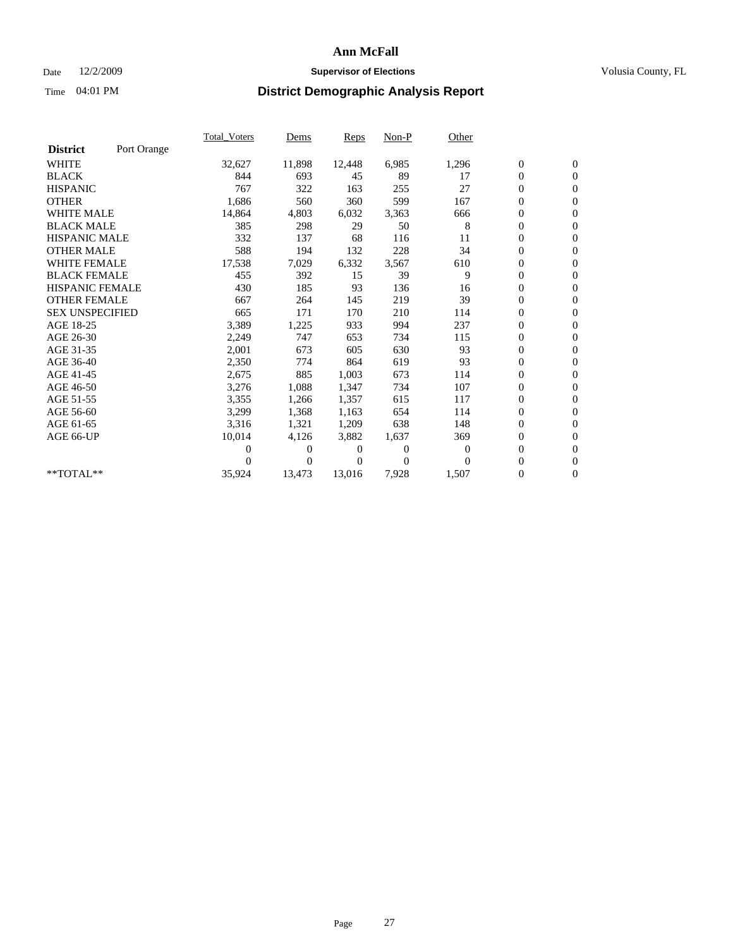## Date 12/2/2009 **Supervisor of Elections Supervisor of Elections** Volusia County, FL

|                        |             | <b>Total Voters</b> | Dems     | <b>Reps</b> | Non-P    | Other            |                  |                  |  |
|------------------------|-------------|---------------------|----------|-------------|----------|------------------|------------------|------------------|--|
| <b>District</b>        | Port Orange |                     |          |             |          |                  |                  |                  |  |
| <b>WHITE</b>           |             | 32,627              | 11,898   | 12,448      | 6,985    | 1,296            | $\boldsymbol{0}$ | $\boldsymbol{0}$ |  |
| <b>BLACK</b>           |             | 844                 | 693      | 45          | 89       | 17               | $\boldsymbol{0}$ | $\mathbf{0}$     |  |
| <b>HISPANIC</b>        |             | 767                 | 322      | 163         | 255      | 27               | $\overline{0}$   | $\mathbf{0}$     |  |
| <b>OTHER</b>           |             | 1,686               | 560      | 360         | 599      | 167              | 0                | $\mathbf{0}$     |  |
| <b>WHITE MALE</b>      |             | 14,864              | 4,803    | 6,032       | 3,363    | 666              | 0                | $\mathbf{0}$     |  |
| <b>BLACK MALE</b>      |             | 385                 | 298      | 29          | 50       | 8                | $\boldsymbol{0}$ | $\mathbf{0}$     |  |
| <b>HISPANIC MALE</b>   |             | 332                 | 137      | 68          | 116      | 11               | 0                | $\mathbf{0}$     |  |
| <b>OTHER MALE</b>      |             | 588                 | 194      | 132         | 228      | 34               | 0                | $\mathbf{0}$     |  |
| <b>WHITE FEMALE</b>    |             | 17,538              | 7,029    | 6,332       | 3,567    | 610              | 0                | $\mathbf{0}$     |  |
| <b>BLACK FEMALE</b>    |             | 455                 | 392      | 15          | 39       | 9                | $\boldsymbol{0}$ | $\mathbf{0}$     |  |
| <b>HISPANIC FEMALE</b> |             | 430                 | 185      | 93          | 136      | 16               | 0                | $\mathbf{0}$     |  |
| <b>OTHER FEMALE</b>    |             | 667                 | 264      | 145         | 219      | 39               | 0                | $\mathbf{0}$     |  |
| <b>SEX UNSPECIFIED</b> |             | 665                 | 171      | 170         | 210      | 114              | 0                | $\mathbf{0}$     |  |
| AGE 18-25              |             | 3,389               | 1,225    | 933         | 994      | 237              | 0                | $\mathbf{0}$     |  |
| AGE 26-30              |             | 2,249               | 747      | 653         | 734      | 115              | $\boldsymbol{0}$ | $\mathbf{0}$     |  |
| AGE 31-35              |             | 2,001               | 673      | 605         | 630      | 93               | 0                | $\mathbf{0}$     |  |
| AGE 36-40              |             | 2,350               | 774      | 864         | 619      | 93               | 0                | $\mathbf{0}$     |  |
| AGE 41-45              |             | 2,675               | 885      | 1,003       | 673      | 114              | 0                | $\mathbf{0}$     |  |
| AGE 46-50              |             | 3,276               | 1,088    | 1,347       | 734      | 107              | 0                | $\mathbf{0}$     |  |
| AGE 51-55              |             | 3,355               | 1,266    | 1,357       | 615      | 117              | 0                | $\mathbf{0}$     |  |
| AGE 56-60              |             | 3,299               | 1,368    | 1,163       | 654      | 114              | $\boldsymbol{0}$ | $\Omega$         |  |
| AGE 61-65              |             | 3,316               | 1,321    | 1,209       | 638      | 148              | 0                | $\mathbf{0}$     |  |
| AGE 66-UP              |             | 10,014              | 4,126    | 3,882       | 1,637    | 369              | 0                | $\mathbf{0}$     |  |
|                        |             | 0                   | 0        | 0           | $\theta$ | $\boldsymbol{0}$ | 0                | $\mathbf{0}$     |  |
|                        |             | 0                   | $\Omega$ | 0           | $\Omega$ | $\Omega$         | $\overline{0}$   | $\mathbf{0}$     |  |
| **TOTAL**              |             | 35,924              | 13,473   | 13,016      | 7,928    | 1,507            | 0                | $\overline{0}$   |  |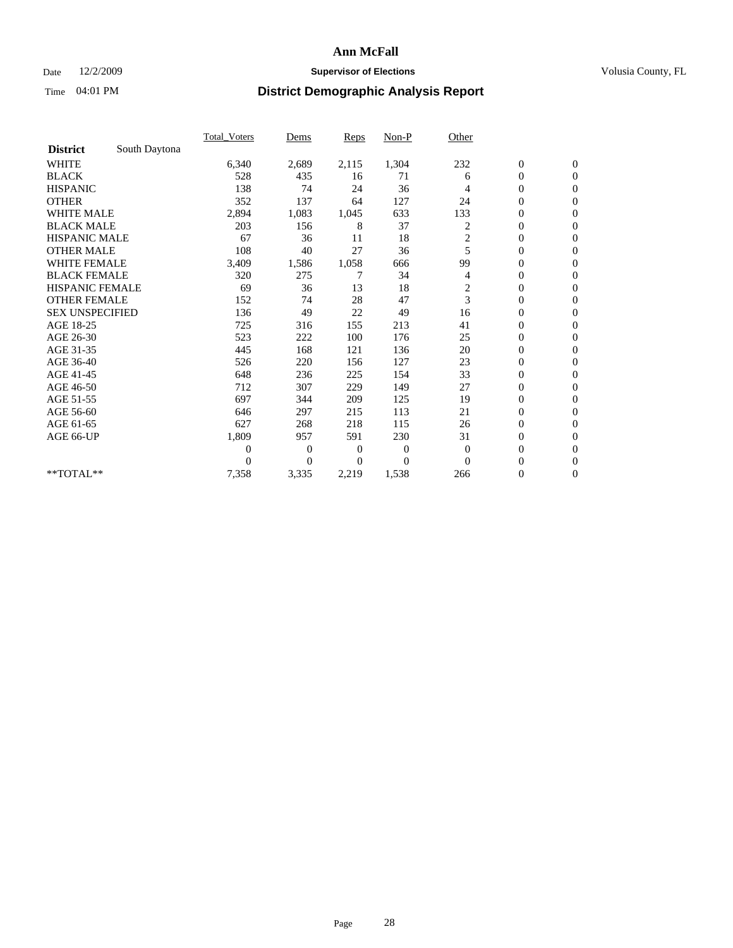## Date 12/2/2009 **Supervisor of Elections Supervisor of Elections** Volusia County, FL

|                        |               | Total Voters   | Dems           | <b>Reps</b> | $Non-P$      | Other                   |                  |                  |  |
|------------------------|---------------|----------------|----------------|-------------|--------------|-------------------------|------------------|------------------|--|
| <b>District</b>        | South Daytona |                |                |             |              |                         |                  |                  |  |
| <b>WHITE</b>           |               | 6,340          | 2,689          | 2,115       | 1,304        | 232                     | $\boldsymbol{0}$ | $\boldsymbol{0}$ |  |
| <b>BLACK</b>           |               | 528            | 435            | 16          | 71           | 6                       | $\boldsymbol{0}$ | $\mathbf{0}$     |  |
| <b>HISPANIC</b>        |               | 138            | 74             | 24          | 36           | 4                       | $\overline{0}$   | $\mathbf{0}$     |  |
| <b>OTHER</b>           |               | 352            | 137            | 64          | 127          | 24                      | $\boldsymbol{0}$ | $\Omega$         |  |
| <b>WHITE MALE</b>      |               | 2,894          | 1,083          | 1,045       | 633          | 133                     | $\overline{0}$   | $\mathbf{0}$     |  |
| <b>BLACK MALE</b>      |               | 203            | 156            | 8           | 37           | 2                       | $\boldsymbol{0}$ | $\mathbf{0}$     |  |
| <b>HISPANIC MALE</b>   |               | 67             | 36             | 11          | 18           | $\overline{c}$          | $\boldsymbol{0}$ | $\overline{0}$   |  |
| <b>OTHER MALE</b>      |               | 108            | 40             | 27          | 36           | 5                       | $\boldsymbol{0}$ | $\mathbf{0}$     |  |
| WHITE FEMALE           |               | 3,409          | 1,586          | 1,058       | 666          | 99                      | $\overline{0}$   | $\mathbf{0}$     |  |
| <b>BLACK FEMALE</b>    |               | 320            | 275            | 7           | 34           | 4                       | $\boldsymbol{0}$ | $\mathbf{0}$     |  |
| <b>HISPANIC FEMALE</b> |               | 69             | 36             | 13          | 18           | $\overline{\mathbf{c}}$ | $\boldsymbol{0}$ | $\mathbf{0}$     |  |
| <b>OTHER FEMALE</b>    |               | 152            | 74             | 28          | 47           | 3                       | $\mathbf{0}$     | $\mathbf{0}$     |  |
| <b>SEX UNSPECIFIED</b> |               | 136            | 49             | 22          | 49           | 16                      | $\overline{0}$   | $\mathbf{0}$     |  |
| AGE 18-25              |               | 725            | 316            | 155         | 213          | 41                      | $\overline{0}$   | $\mathbf{0}$     |  |
| AGE 26-30              |               | 523            | 222            | 100         | 176          | 25                      | $\overline{0}$   | $\mathbf{0}$     |  |
| AGE 31-35              |               | 445            | 168            | 121         | 136          | 20                      | $\boldsymbol{0}$ | $\mathbf{0}$     |  |
| AGE 36-40              |               | 526            | 220            | 156         | 127          | 23                      | $\boldsymbol{0}$ | $\mathbf{0}$     |  |
| AGE 41-45              |               | 648            | 236            | 225         | 154          | 33                      | $\overline{0}$   | $\mathbf{0}$     |  |
| AGE 46-50              |               | 712            | 307            | 229         | 149          | 27                      | $\boldsymbol{0}$ | $\mathbf{0}$     |  |
| AGE 51-55              |               | 697            | 344            | 209         | 125          | 19                      | $\boldsymbol{0}$ | $\mathbf{0}$     |  |
| AGE 56-60              |               | 646            | 297            | 215         | 113          | 21                      | $\overline{0}$   | $\Omega$         |  |
| AGE 61-65              |               | 627            | 268            | 218         | 115          | 26                      | $\mathbf{0}$     | $\mathbf{0}$     |  |
| AGE 66-UP              |               | 1,809          | 957            | 591         | 230          | 31                      | $\boldsymbol{0}$ | $\mathbf{0}$     |  |
|                        |               | $\overline{0}$ | $\overline{0}$ | 0           | $\mathbf{0}$ | $\mathbf{0}$            | $\overline{0}$   | $\mathbf{0}$     |  |
|                        |               | $\theta$       | $\theta$       | $\Omega$    | $\theta$     | $\Omega$                | $\boldsymbol{0}$ | $\mathbf{0}$     |  |
| **TOTAL**              |               | 7,358          | 3,335          | 2,219       | 1,538        | 266                     | 0                | $\mathbf{0}$     |  |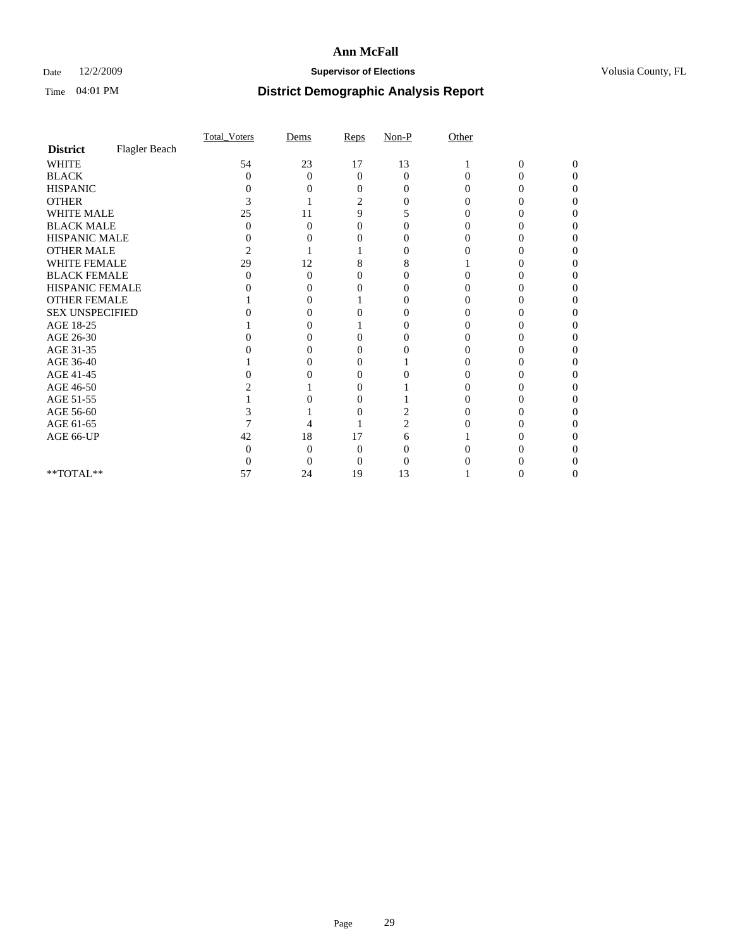## Date 12/2/2009 **Supervisor of Elections Supervisor of Elections** Volusia County, FL

|                        |               | Total Voters   | Dems              | Reps              | $Non-P$  | Other    |                |              |  |
|------------------------|---------------|----------------|-------------------|-------------------|----------|----------|----------------|--------------|--|
| <b>District</b>        | Flagler Beach |                |                   |                   |          |          |                |              |  |
| <b>WHITE</b>           |               | 54             | 23                | 17                | 13       |          | $\overline{0}$ | $\mathbf{0}$ |  |
| <b>BLACK</b>           |               | $\theta$       | $\theta$          | $\Omega$          | $\Omega$ | $\Omega$ | 0              | 0            |  |
| <b>HISPANIC</b>        |               |                |                   | $\mathbf{\Omega}$ | 0        |          |                |              |  |
| <b>OTHER</b>           |               |                |                   | $\overline{c}$    |          |          |                |              |  |
| WHITE MALE             |               | 25             | 11                | 9                 | 5        |          |                |              |  |
| <b>BLACK MALE</b>      |               | 0              | 0                 | 0                 | 0        |          |                |              |  |
| HISPANIC MALE          |               | 0              |                   |                   |          |          |                |              |  |
| <b>OTHER MALE</b>      |               | $\overline{c}$ |                   |                   | $\theta$ |          |                |              |  |
| WHITE FEMALE           |               | 29             | 12                | 8                 | 8        |          |                |              |  |
| <b>BLACK FEMALE</b>    |               | 0              | $\theta$          | 0                 |          |          |                |              |  |
| HISPANIC FEMALE        |               |                |                   |                   | 0        |          |                |              |  |
| <b>OTHER FEMALE</b>    |               |                |                   |                   |          |          |                |              |  |
| <b>SEX UNSPECIFIED</b> |               |                |                   |                   |          |          |                |              |  |
| AGE 18-25              |               |                | $\mathbf{\Omega}$ |                   | 0        |          |                |              |  |
| AGE 26-30              |               |                | $\mathbf{\Omega}$ | 0                 |          |          |                |              |  |
| AGE 31-35              |               |                |                   |                   |          |          |                |              |  |
| AGE 36-40              |               |                |                   | 0                 |          |          |                |              |  |
| AGE 41-45              |               |                |                   | 0                 |          |          |                |              |  |
| AGE 46-50              |               |                |                   | 0                 |          |          |                |              |  |
| AGE 51-55              |               |                |                   | 0                 |          |          |                |              |  |
| AGE 56-60              |               |                |                   |                   |          |          |                |              |  |
| AGE 61-65              |               |                |                   |                   | 2        |          |                |              |  |
| AGE 66-UP              |               | 42             | 18                | 17                | 6        |          |                |              |  |
|                        |               |                | 0                 | 0                 |          |          |                |              |  |
|                        |               |                | 0                 | 0                 |          |          |                |              |  |
| **TOTAL**              |               | 57             | 24                | 19                | 13       |          |                |              |  |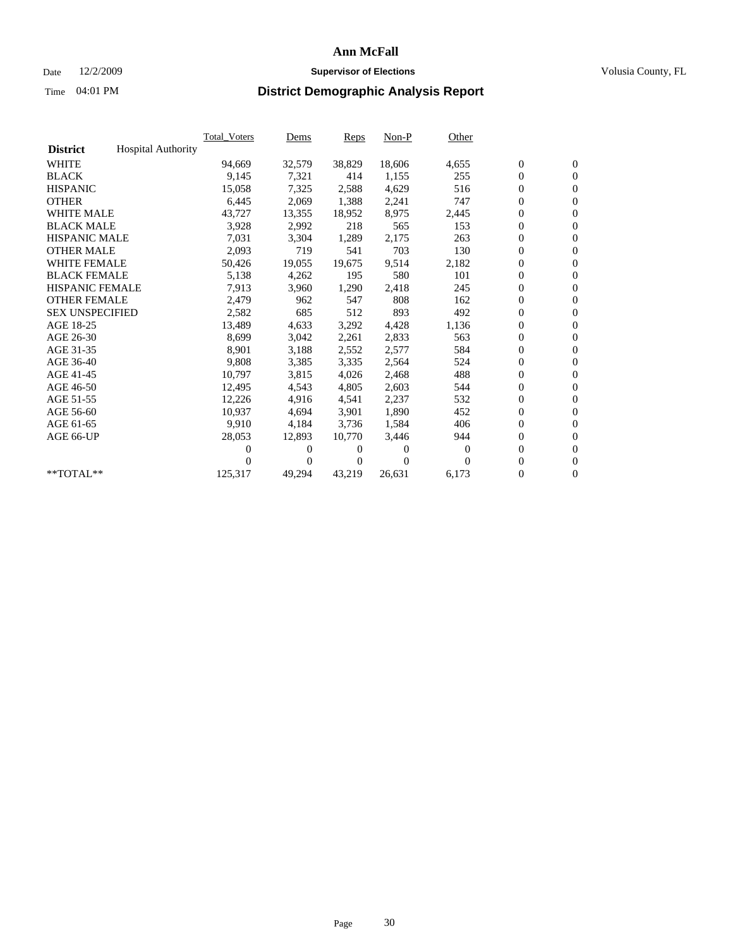## Date 12/2/2009 **Supervisor of Elections Supervisor of Elections** Volusia County, FL

|                        |                           | <b>Total Voters</b> | Dems           | <b>Reps</b>  | $Non-P$      | Other |                  |                  |  |
|------------------------|---------------------------|---------------------|----------------|--------------|--------------|-------|------------------|------------------|--|
| <b>District</b>        | <b>Hospital Authority</b> |                     |                |              |              |       |                  |                  |  |
| <b>WHITE</b>           |                           | 94,669              | 32,579         | 38,829       | 18,606       | 4,655 | $\boldsymbol{0}$ | $\boldsymbol{0}$ |  |
| <b>BLACK</b>           |                           | 9,145               | 7,321          | 414          | 1,155        | 255   | $\boldsymbol{0}$ | $\mathbf{0}$     |  |
| <b>HISPANIC</b>        |                           | 15,058              | 7,325          | 2,588        | 4,629        | 516   | $\boldsymbol{0}$ | $\mathbf{0}$     |  |
| <b>OTHER</b>           |                           | 6,445               | 2,069          | 1,388        | 2,241        | 747   | $\boldsymbol{0}$ | $\mathbf{0}$     |  |
| <b>WHITE MALE</b>      |                           | 43,727              | 13,355         | 18,952       | 8,975        | 2,445 | $\boldsymbol{0}$ | $\mathbf{0}$     |  |
| <b>BLACK MALE</b>      |                           | 3,928               | 2,992          | 218          | 565          | 153   | $\mathbf{0}$     | $\mathbf{0}$     |  |
| <b>HISPANIC MALE</b>   |                           | 7,031               | 3,304          | 1,289        | 2,175        | 263   | $\boldsymbol{0}$ | $\mathbf{0}$     |  |
| <b>OTHER MALE</b>      |                           | 2,093               | 719            | 541          | 703          | 130   | $\boldsymbol{0}$ | $\mathbf{0}$     |  |
| <b>WHITE FEMALE</b>    |                           | 50,426              | 19,055         | 19,675       | 9,514        | 2,182 | $\boldsymbol{0}$ | $\mathbf{0}$     |  |
| <b>BLACK FEMALE</b>    |                           | 5,138               | 4,262          | 195          | 580          | 101   | $\boldsymbol{0}$ | $\mathbf{0}$     |  |
| <b>HISPANIC FEMALE</b> |                           | 7,913               | 3,960          | 1,290        | 2,418        | 245   | $\boldsymbol{0}$ | $\mathbf{0}$     |  |
| <b>OTHER FEMALE</b>    |                           | 2,479               | 962            | 547          | 808          | 162   | $\mathbf{0}$     | $\mathbf{0}$     |  |
| <b>SEX UNSPECIFIED</b> |                           | 2,582               | 685            | 512          | 893          | 492   | $\boldsymbol{0}$ | $\mathbf{0}$     |  |
| AGE 18-25              |                           | 13,489              | 4,633          | 3,292        | 4,428        | 1,136 | $\boldsymbol{0}$ | $\mathbf{0}$     |  |
| AGE 26-30              |                           | 8,699               | 3,042          | 2,261        | 2,833        | 563   | $\boldsymbol{0}$ | $\mathbf{0}$     |  |
| AGE 31-35              |                           | 8,901               | 3,188          | 2,552        | 2,577        | 584   | $\boldsymbol{0}$ | $\mathbf{0}$     |  |
| AGE 36-40              |                           | 9,808               | 3,385          | 3,335        | 2,564        | 524   | $\boldsymbol{0}$ | $\mathbf{0}$     |  |
| AGE 41-45              |                           | 10,797              | 3,815          | 4,026        | 2,468        | 488   | $\boldsymbol{0}$ | $\mathbf{0}$     |  |
| AGE 46-50              |                           | 12,495              | 4,543          | 4,805        | 2,603        | 544   | $\boldsymbol{0}$ | $\mathbf{0}$     |  |
| AGE 51-55              |                           | 12,226              | 4,916          | 4,541        | 2,237        | 532   | $\boldsymbol{0}$ | $\mathbf{0}$     |  |
| AGE 56-60              |                           | 10,937              | 4,694          | 3.901        | 1,890        | 452   | $\boldsymbol{0}$ | $\mathbf{0}$     |  |
| AGE 61-65              |                           | 9,910               | 4,184          | 3,736        | 1,584        | 406   | $\boldsymbol{0}$ | $\mathbf{0}$     |  |
| AGE 66-UP              |                           | 28,053              | 12,893         | 10,770       | 3,446        | 944   | $\boldsymbol{0}$ | $\mathbf{0}$     |  |
|                        |                           | 0                   | 0              | $\theta$     | $\mathbf{0}$ | 0     | $\mathbf{0}$     | $\mathbf{0}$     |  |
|                        |                           | 0                   | $\overline{0}$ | $\mathbf{0}$ | $\Omega$     | 0     | $\boldsymbol{0}$ | $\mathbf{0}$     |  |
| **TOTAL**              |                           | 125,317             | 49,294         | 43,219       | 26,631       | 6,173 | 0                | $\boldsymbol{0}$ |  |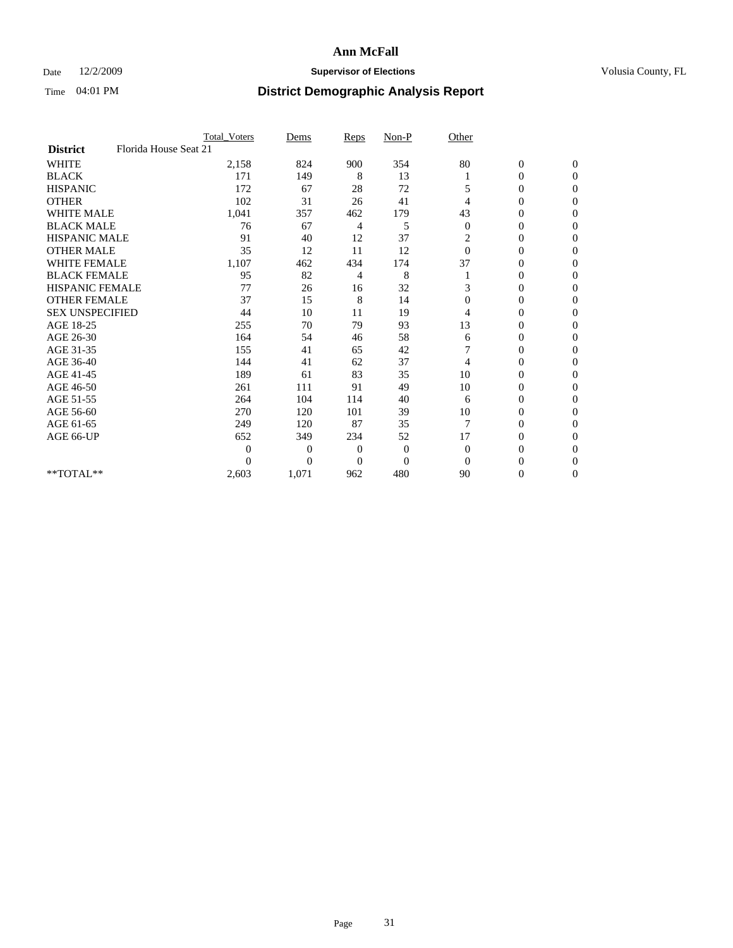### Date  $12/2/2009$  **Supervisor of Elections Supervisor of Elections** Volusia County, FL

|                        | Total Voters          | Dems           | <b>Reps</b>  | $Non-P$        | Other          |                  |                |  |
|------------------------|-----------------------|----------------|--------------|----------------|----------------|------------------|----------------|--|
| <b>District</b>        | Florida House Seat 21 |                |              |                |                |                  |                |  |
| <b>WHITE</b>           | 2,158                 | 824            | 900          | 354            | 80             | $\boldsymbol{0}$ | $\mathbf{0}$   |  |
| <b>BLACK</b>           | 171                   | 149            | 8            | 13             |                | $\boldsymbol{0}$ | $\mathbf{0}$   |  |
| <b>HISPANIC</b>        | 172                   | 67             | 28           | 72             | 5              | $\overline{0}$   | $\Omega$       |  |
| <b>OTHER</b>           | 102                   | 31             | 26           | 41             | 4              | 0                | $\Omega$       |  |
| <b>WHITE MALE</b>      | 1,041                 | 357            | 462          | 179            | 43             | 0                | $\Omega$       |  |
| <b>BLACK MALE</b>      | 76                    | 67             | 4            | 5              | $\theta$       | $\overline{0}$   | $\Omega$       |  |
| <b>HISPANIC MALE</b>   | 91                    | 40             | 12           | 37             | 2              | $\boldsymbol{0}$ | $\Omega$       |  |
| <b>OTHER MALE</b>      | 35                    | 12             | 11           | 12             | $\Omega$       | 0                | $\Omega$       |  |
| <b>WHITE FEMALE</b>    | 1,107                 | 462            | 434          | 174            | 37             | 0                | $\Omega$       |  |
| <b>BLACK FEMALE</b>    | 95                    | 82             | 4            | 8              |                | $\overline{0}$   | $\overline{0}$ |  |
| <b>HISPANIC FEMALE</b> | 77                    | 26             | 16           | 32             | 3              | 0                | $\Omega$       |  |
| <b>OTHER FEMALE</b>    | 37                    | 15             | 8            | 14             | $\Omega$       | 0                | 0              |  |
| <b>SEX UNSPECIFIED</b> | 44                    | 10             | 11           | 19             | 4              | 0                | $\Omega$       |  |
| AGE 18-25              | 255                   | 70             | 79           | 93             | 13             | 0                | $\mathbf{0}$   |  |
| AGE 26-30              | 164                   | 54             | 46           | 58             | 6              | 0                | $\Omega$       |  |
| AGE 31-35              | 155                   | 41             | 65           | 42             |                | 0                | $\Omega$       |  |
| AGE 36-40              | 144                   | 41             | 62           | 37             | 4              | 0                | $\mathbf{0}$   |  |
| AGE 41-45              | 189                   | 61             | 83           | 35             | 10             | 0                | $\Omega$       |  |
| AGE 46-50              | 261                   | 111            | 91           | 49             | 10             | $\overline{0}$   | $\Omega$       |  |
| AGE 51-55              | 264                   | 104            | 114          | 40             | 6              | 0                | 0              |  |
| AGE 56-60              | 270                   | 120            | 101          | 39             | 10             | 0                | $\Omega$       |  |
| AGE 61-65              | 249                   | 120            | 87           | 35             | $\overline{7}$ | $\overline{0}$   | $\Omega$       |  |
| AGE 66-UP              | 652                   | 349            | 234          | 52             | 17             | 0                | 0              |  |
|                        | $\theta$              | $\overline{0}$ | $\mathbf{0}$ | $\mathbf{0}$   | $\Omega$       | 0                | $\Omega$       |  |
|                        | $\Omega$              | $\overline{0}$ | $\Omega$     | $\overline{0}$ | $\Omega$       | $\theta$         | $\Omega$       |  |
| **TOTAL**              | 2,603                 | 1,071          | 962          | 480            | 90             | 0                | $\overline{0}$ |  |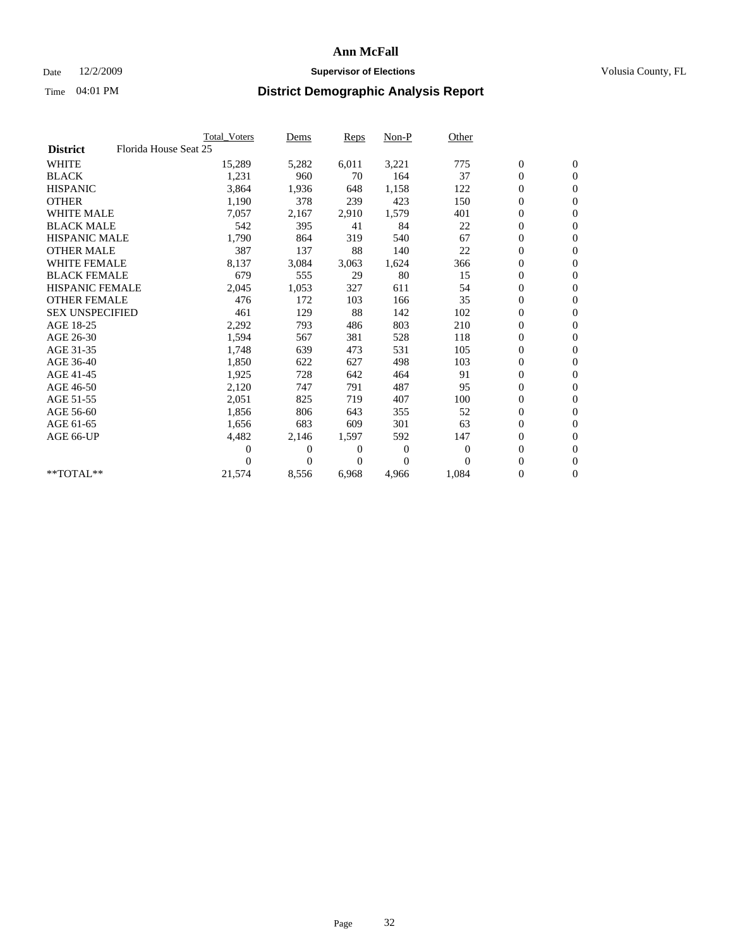## Date 12/2/2009 **Supervisor of Elections Supervisor of Elections** Volusia County, FL

|                        |                       | Total Voters | Dems           | <b>Reps</b> | $Non-P$      | Other        |                  |                  |  |
|------------------------|-----------------------|--------------|----------------|-------------|--------------|--------------|------------------|------------------|--|
| <b>District</b>        | Florida House Seat 25 |              |                |             |              |              |                  |                  |  |
| <b>WHITE</b>           |                       | 15,289       | 5,282          | 6,011       | 3,221        | 775          | $\boldsymbol{0}$ | $\boldsymbol{0}$ |  |
| <b>BLACK</b>           |                       | 1,231        | 960            | 70          | 164          | 37           | $\boldsymbol{0}$ | $\mathbf{0}$     |  |
| <b>HISPANIC</b>        |                       | 3,864        | 1,936          | 648         | 1,158        | 122          | $\overline{0}$   | $\mathbf{0}$     |  |
| <b>OTHER</b>           |                       | 1,190        | 378            | 239         | 423          | 150          | $\boldsymbol{0}$ | $\mathbf{0}$     |  |
| <b>WHITE MALE</b>      |                       | 7,057        | 2,167          | 2,910       | 1,579        | 401          | $\boldsymbol{0}$ | $\mathbf{0}$     |  |
| <b>BLACK MALE</b>      |                       | 542          | 395            | 41          | 84           | 22           | $\boldsymbol{0}$ | $\mathbf{0}$     |  |
| <b>HISPANIC MALE</b>   |                       | 1,790        | 864            | 319         | 540          | 67           | $\boldsymbol{0}$ | $\mathbf{0}$     |  |
| <b>OTHER MALE</b>      |                       | 387          | 137            | 88          | 140          | 22           | $\boldsymbol{0}$ | $\mathbf{0}$     |  |
| <b>WHITE FEMALE</b>    |                       | 8,137        | 3,084          | 3,063       | 1,624        | 366          | $\boldsymbol{0}$ | $\mathbf{0}$     |  |
| <b>BLACK FEMALE</b>    |                       | 679          | 555            | 29          | 80           | 15           | $\boldsymbol{0}$ | $\mathbf{0}$     |  |
| <b>HISPANIC FEMALE</b> |                       | 2,045        | 1,053          | 327         | 611          | 54           | $\boldsymbol{0}$ | $\mathbf{0}$     |  |
| <b>OTHER FEMALE</b>    |                       | 476          | 172            | 103         | 166          | 35           | $\mathbf{0}$     | $\mathbf{0}$     |  |
| <b>SEX UNSPECIFIED</b> |                       | 461          | 129            | 88          | 142          | 102          | $\boldsymbol{0}$ | $\mathbf{0}$     |  |
| AGE 18-25              |                       | 2,292        | 793            | 486         | 803          | 210          | $\overline{0}$   | $\mathbf{0}$     |  |
| AGE 26-30              |                       | 1,594        | 567            | 381         | 528          | 118          | $\overline{0}$   | $\mathbf{0}$     |  |
| AGE 31-35              |                       | 1,748        | 639            | 473         | 531          | 105          | $\boldsymbol{0}$ | $\mathbf{0}$     |  |
| AGE 36-40              |                       | 1,850        | 622            | 627         | 498          | 103          | 0                | $\mathbf{0}$     |  |
| AGE 41-45              |                       | 1,925        | 728            | 642         | 464          | 91           | $\overline{0}$   | $\mathbf{0}$     |  |
| AGE 46-50              |                       | 2,120        | 747            | 791         | 487          | 95           | $\boldsymbol{0}$ | $\mathbf{0}$     |  |
| AGE 51-55              |                       | 2,051        | 825            | 719         | 407          | 100          | $\boldsymbol{0}$ | $\mathbf{0}$     |  |
| AGE 56-60              |                       | 1,856        | 806            | 643         | 355          | 52           | $\boldsymbol{0}$ | $\Omega$         |  |
| AGE 61-65              |                       | 1,656        | 683            | 609         | 301          | 63           | $\overline{0}$   | $\mathbf{0}$     |  |
| AGE 66-UP              |                       | 4,482        | 2,146          | 1,597       | 592          | 147          | $\boldsymbol{0}$ | $\mathbf{0}$     |  |
|                        |                       | 0            | $\overline{0}$ | 0           | $\mathbf{0}$ | $\mathbf{0}$ | $\overline{0}$   | $\mathbf{0}$     |  |
|                        |                       | 0            | $\theta$       | $\Omega$    | $\Omega$     | $\Omega$     | $\boldsymbol{0}$ | $\mathbf{0}$     |  |
| **TOTAL**              |                       | 21,574       | 8,556          | 6,968       | 4,966        | 1,084        | 0                | $\mathbf{0}$     |  |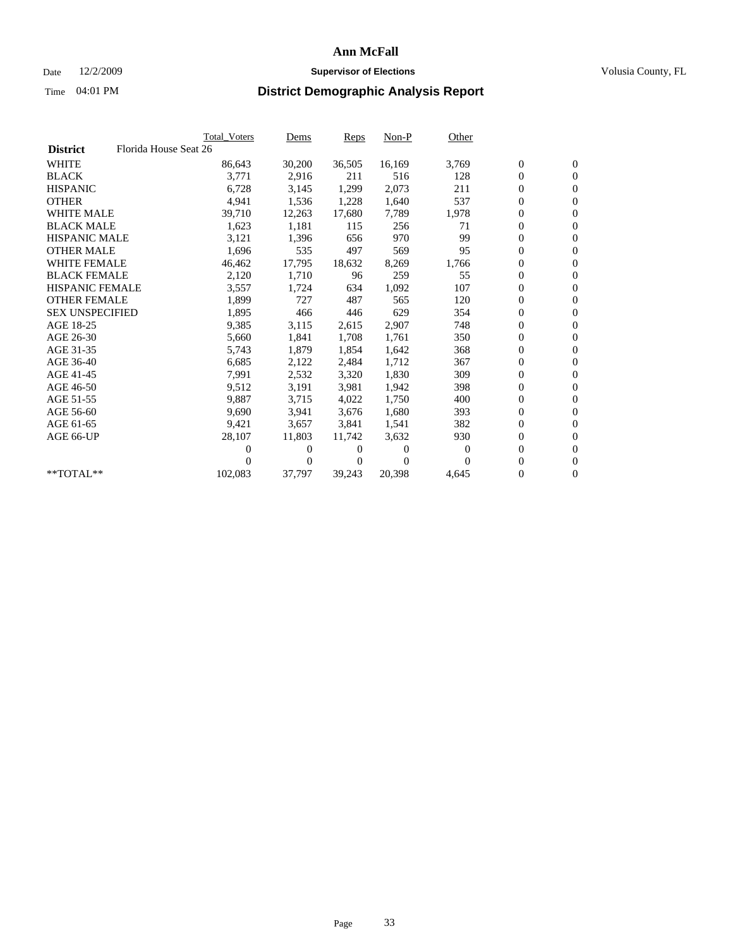## Date 12/2/2009 **Supervisor of Elections Supervisor of Elections** Volusia County, FL

|                        |                       | <b>Total Voters</b> | Dems   | <b>Reps</b> | $Non-P$  | Other            |                  |                  |  |
|------------------------|-----------------------|---------------------|--------|-------------|----------|------------------|------------------|------------------|--|
| <b>District</b>        | Florida House Seat 26 |                     |        |             |          |                  |                  |                  |  |
| <b>WHITE</b>           |                       | 86,643              | 30,200 | 36,505      | 16,169   | 3,769            | $\boldsymbol{0}$ | $\boldsymbol{0}$ |  |
| <b>BLACK</b>           |                       | 3,771               | 2,916  | 211         | 516      | 128              | 0                | $\mathbf{0}$     |  |
| <b>HISPANIC</b>        |                       | 6,728               | 3,145  | 1,299       | 2,073    | 211              | 0                | $\mathbf{0}$     |  |
| <b>OTHER</b>           |                       | 4,941               | 1,536  | 1,228       | 1,640    | 537              | 0                | $\mathbf{0}$     |  |
| <b>WHITE MALE</b>      |                       | 39,710              | 12,263 | 17,680      | 7,789    | 1,978            | 0                | $\mathbf{0}$     |  |
| <b>BLACK MALE</b>      |                       | 1,623               | 1,181  | 115         | 256      | 71               | 0                | $\mathbf{0}$     |  |
| <b>HISPANIC MALE</b>   |                       | 3,121               | 1,396  | 656         | 970      | 99               | 0                | $\mathbf{0}$     |  |
| <b>OTHER MALE</b>      |                       | 1,696               | 535    | 497         | 569      | 95               | 0                | $\mathbf{0}$     |  |
| <b>WHITE FEMALE</b>    |                       | 46,462              | 17,795 | 18,632      | 8,269    | 1,766            | $\boldsymbol{0}$ | $\mathbf{0}$     |  |
| <b>BLACK FEMALE</b>    |                       | 2,120               | 1,710  | 96          | 259      | 55               | 0                | $\mathbf{0}$     |  |
| <b>HISPANIC FEMALE</b> |                       | 3,557               | 1,724  | 634         | 1,092    | 107              | 0                | $\mathbf{0}$     |  |
| <b>OTHER FEMALE</b>    |                       | 1,899               | 727    | 487         | 565      | 120              | 0                | $\mathbf{0}$     |  |
| <b>SEX UNSPECIFIED</b> |                       | 1,895               | 466    | 446         | 629      | 354              | 0                | $\mathbf{0}$     |  |
| AGE 18-25              |                       | 9,385               | 3,115  | 2,615       | 2,907    | 748              | 0                | $\mathbf{0}$     |  |
| AGE 26-30              |                       | 5,660               | 1,841  | 1,708       | 1,761    | 350              | 0                | $\mathbf{0}$     |  |
| AGE 31-35              |                       | 5,743               | 1,879  | 1,854       | 1,642    | 368              | 0                | $\mathbf{0}$     |  |
| AGE 36-40              |                       | 6,685               | 2,122  | 2,484       | 1,712    | 367              | 0                | $\mathbf{0}$     |  |
| AGE 41-45              |                       | 7,991               | 2,532  | 3,320       | 1,830    | 309              | 0                | $\mathbf{0}$     |  |
| AGE 46-50              |                       | 9,512               | 3,191  | 3,981       | 1,942    | 398              | 0                | $\mathbf{0}$     |  |
| AGE 51-55              |                       | 9,887               | 3,715  | 4,022       | 1,750    | 400              | 0                | $\mathbf{0}$     |  |
| AGE 56-60              |                       | 9.690               | 3.941  | 3.676       | 1.680    | 393              | 0                | $\mathbf{0}$     |  |
| AGE 61-65              |                       | 9,421               | 3,657  | 3,841       | 1,541    | 382              | 0                | $\mathbf{0}$     |  |
| AGE 66-UP              |                       | 28,107              | 11,803 | 11,742      | 3,632    | 930              | 0                | $\mathbf{0}$     |  |
|                        |                       | 0                   | 0      | 0           | $\theta$ | $\boldsymbol{0}$ | 0                | $\mathbf{0}$     |  |
|                        |                       | 0                   | 0      | 0           | $\Omega$ | $\Omega$         | 0                | $\mathbf{0}$     |  |
| **TOTAL**              |                       | 102,083             | 37,797 | 39,243      | 20,398   | 4,645            | 0                | $\boldsymbol{0}$ |  |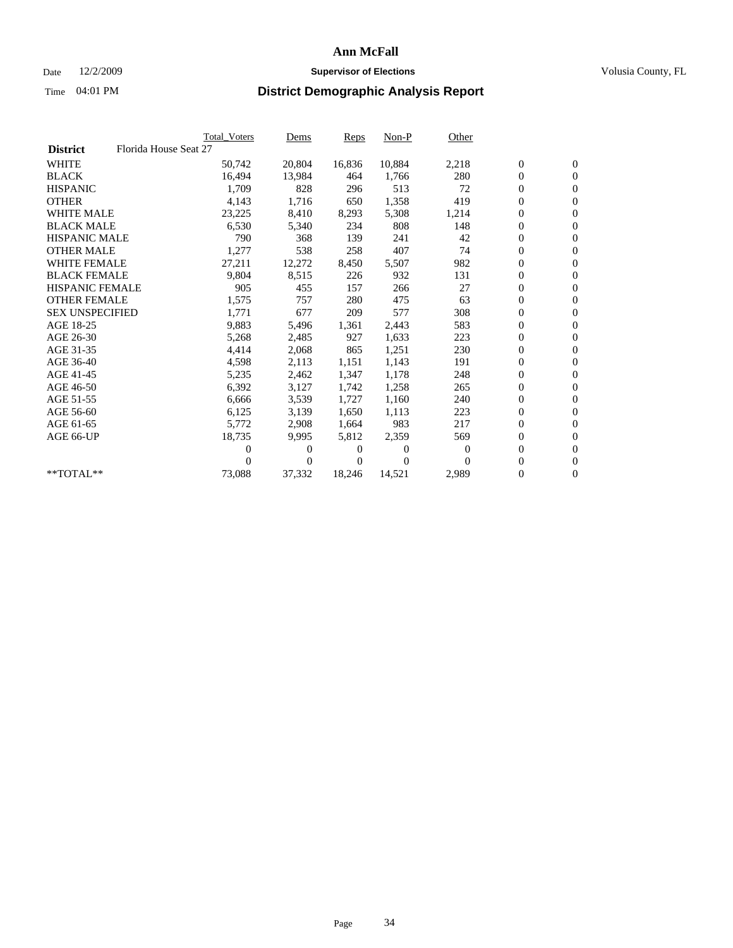## Date 12/2/2009 **Supervisor of Elections Supervisor of Elections** Volusia County, FL

|                        |                       | <b>Total Voters</b> | Dems   | <b>Reps</b> | $Non-P$  | Other            |                  |                  |  |
|------------------------|-----------------------|---------------------|--------|-------------|----------|------------------|------------------|------------------|--|
| <b>District</b>        | Florida House Seat 27 |                     |        |             |          |                  |                  |                  |  |
| <b>WHITE</b>           |                       | 50,742              | 20,804 | 16,836      | 10,884   | 2,218            | $\boldsymbol{0}$ | $\boldsymbol{0}$ |  |
| <b>BLACK</b>           |                       | 16,494              | 13,984 | 464         | 1,766    | 280              | 0                | $\mathbf{0}$     |  |
| <b>HISPANIC</b>        |                       | 1,709               | 828    | 296         | 513      | 72               | 0                | $\mathbf{0}$     |  |
| <b>OTHER</b>           |                       | 4,143               | 1,716  | 650         | 1,358    | 419              | 0                | $\mathbf{0}$     |  |
| <b>WHITE MALE</b>      |                       | 23,225              | 8,410  | 8,293       | 5,308    | 1,214            | 0                | $\mathbf{0}$     |  |
| <b>BLACK MALE</b>      |                       | 6,530               | 5,340  | 234         | 808      | 148              | 0                | $\mathbf{0}$     |  |
| <b>HISPANIC MALE</b>   |                       | 790                 | 368    | 139         | 241      | 42               | 0                | $\mathbf{0}$     |  |
| <b>OTHER MALE</b>      |                       | 1,277               | 538    | 258         | 407      | 74               | 0                | $\mathbf{0}$     |  |
| <b>WHITE FEMALE</b>    |                       | 27,211              | 12,272 | 8,450       | 5,507    | 982              | $\overline{0}$   | $\mathbf{0}$     |  |
| <b>BLACK FEMALE</b>    |                       | 9,804               | 8,515  | 226         | 932      | 131              | 0                | $\mathbf{0}$     |  |
| <b>HISPANIC FEMALE</b> |                       | 905                 | 455    | 157         | 266      | 27               | $\boldsymbol{0}$ | $\mathbf{0}$     |  |
| <b>OTHER FEMALE</b>    |                       | 1,575               | 757    | 280         | 475      | 63               | 0                | $\mathbf{0}$     |  |
| <b>SEX UNSPECIFIED</b> |                       | 1,771               | 677    | 209         | 577      | 308              | 0                | $\mathbf{0}$     |  |
| AGE 18-25              |                       | 9,883               | 5,496  | 1,361       | 2,443    | 583              | 0                | $\mathbf{0}$     |  |
| AGE 26-30              |                       | 5,268               | 2,485  | 927         | 1,633    | 223              | 0                | $\mathbf{0}$     |  |
| AGE 31-35              |                       | 4,414               | 2,068  | 865         | 1,251    | 230              | 0                | $\mathbf{0}$     |  |
| AGE 36-40              |                       | 4,598               | 2,113  | 1,151       | 1,143    | 191              | 0                | $\mathbf{0}$     |  |
| AGE 41-45              |                       | 5,235               | 2,462  | 1,347       | 1,178    | 248              | 0                | $\mathbf{0}$     |  |
| AGE 46-50              |                       | 6,392               | 3,127  | 1,742       | 1,258    | 265              | 0                | $\mathbf{0}$     |  |
| AGE 51-55              |                       | 6,666               | 3,539  | 1,727       | 1,160    | 240              | 0                | $\mathbf{0}$     |  |
| AGE 56-60              |                       | 6,125               | 3,139  | 1.650       | 1,113    | 223              | 0                | $\mathbf{0}$     |  |
| AGE 61-65              |                       | 5,772               | 2,908  | 1,664       | 983      | 217              | 0                | $\mathbf{0}$     |  |
| AGE 66-UP              |                       | 18,735              | 9,995  | 5,812       | 2,359    | 569              | 0                | $\mathbf{0}$     |  |
|                        |                       | 0                   | 0      | 0           | $\theta$ | $\boldsymbol{0}$ | 0                | $\mathbf{0}$     |  |
|                        |                       | 0                   | 0      | 0           | $\Omega$ | $\Omega$         | 0                | $\mathbf{0}$     |  |
| **TOTAL**              |                       | 73,088              | 37,332 | 18,246      | 14,521   | 2,989            | 0                | $\boldsymbol{0}$ |  |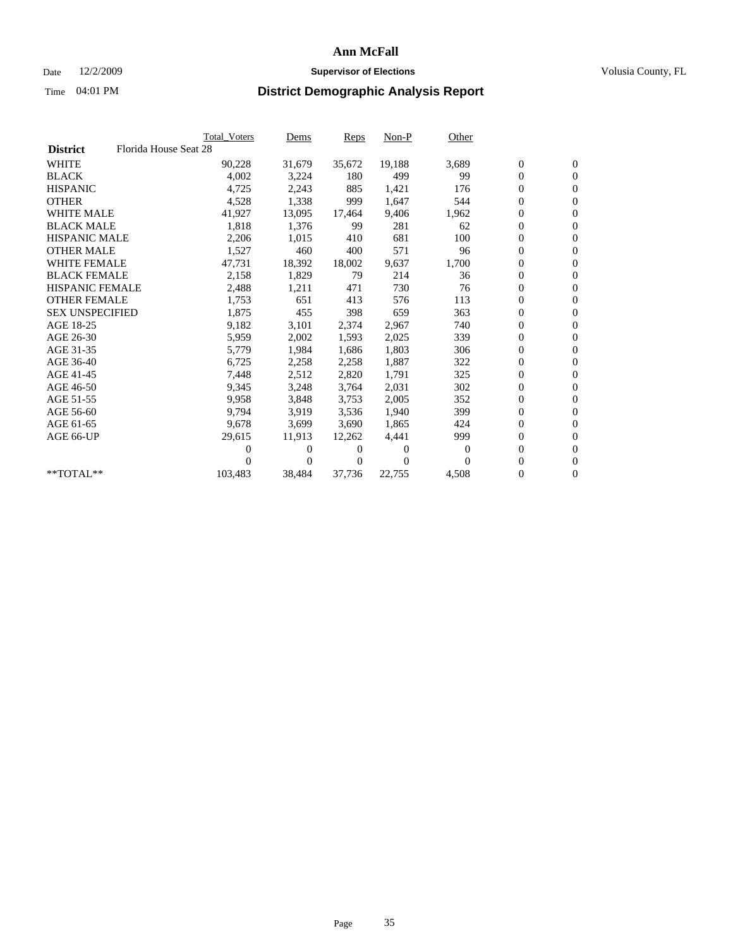## Date 12/2/2009 **Supervisor of Elections Supervisor of Elections** Volusia County, FL

|                        |                       | <b>Total Voters</b> | Dems   | <b>Reps</b> | $Non-P$  | Other    |                  |                  |
|------------------------|-----------------------|---------------------|--------|-------------|----------|----------|------------------|------------------|
| <b>District</b>        | Florida House Seat 28 |                     |        |             |          |          |                  |                  |
| <b>WHITE</b>           |                       | 90,228              | 31,679 | 35,672      | 19,188   | 3,689    | $\boldsymbol{0}$ | $\boldsymbol{0}$ |
| <b>BLACK</b>           |                       | 4,002               | 3,224  | 180         | 499      | 99       | $\overline{0}$   | $\mathbf{0}$     |
| <b>HISPANIC</b>        |                       | 4,725               | 2,243  | 885         | 1,421    | 176      | 0                | $\mathbf{0}$     |
| <b>OTHER</b>           |                       | 4,528               | 1,338  | 999         | 1.647    | 544      | 0                | $\mathbf{0}$     |
| <b>WHITE MALE</b>      |                       | 41,927              | 13,095 | 17,464      | 9,406    | 1,962    | 0                | $\mathbf{0}$     |
| <b>BLACK MALE</b>      |                       | 1,818               | 1,376  | 99          | 281      | 62       | $\boldsymbol{0}$ | $\mathbf{0}$     |
| <b>HISPANIC MALE</b>   |                       | 2,206               | 1,015  | 410         | 681      | 100      | 0                | $\mathbf{0}$     |
| <b>OTHER MALE</b>      |                       | 1,527               | 460    | 400         | 571      | 96       | 0                | $\mathbf{0}$     |
| <b>WHITE FEMALE</b>    |                       | 47,731              | 18,392 | 18,002      | 9,637    | 1,700    | 0                | $\mathbf{0}$     |
| <b>BLACK FEMALE</b>    |                       | 2,158               | 1,829  | 79          | 214      | 36       | 0                | $\Omega$         |
| HISPANIC FEMALE        |                       | 2,488               | 1,211  | 471         | 730      | 76       | $\boldsymbol{0}$ | $\mathbf{0}$     |
| <b>OTHER FEMALE</b>    |                       | 1,753               | 651    | 413         | 576      | 113      | 0                | $\mathbf{0}$     |
| <b>SEX UNSPECIFIED</b> |                       | 1,875               | 455    | 398         | 659      | 363      | 0                | $\mathbf{0}$     |
| AGE 18-25              |                       | 9,182               | 3,101  | 2,374       | 2,967    | 740      | $\overline{0}$   | $\mathbf{0}$     |
| AGE 26-30              |                       | 5,959               | 2,002  | 1,593       | 2,025    | 339      | 0                | $\mathbf{0}$     |
| AGE 31-35              |                       | 5,779               | 1,984  | 1,686       | 1,803    | 306      | 0                | $\mathbf{0}$     |
| AGE 36-40              |                       | 6,725               | 2,258  | 2,258       | 1,887    | 322      | 0                | $\mathbf{0}$     |
| AGE 41-45              |                       | 7,448               | 2,512  | 2,820       | 1,791    | 325      | 0                | $\mathbf{0}$     |
| AGE 46-50              |                       | 9,345               | 3,248  | 3,764       | 2,031    | 302      | 0                | $\Omega$         |
| AGE 51-55              |                       | 9,958               | 3,848  | 3,753       | 2,005    | 352      | $\boldsymbol{0}$ | $\mathbf{0}$     |
| AGE 56-60              |                       | 9.794               | 3.919  | 3,536       | 1,940    | 399      | 0                | $\mathbf{0}$     |
| AGE 61-65              |                       | 9,678               | 3,699  | 3,690       | 1,865    | 424      | 0                | $\Omega$         |
| AGE 66-UP              |                       | 29,615              | 11,913 | 12,262      | 4,441    | 999      | $\overline{0}$   | $\mathbf{0}$     |
|                        |                       | 0                   | 0      | 0           | $\theta$ | $\Omega$ | 0                | $\mathbf{0}$     |
|                        |                       | 0                   | 0      | 0           | $\Omega$ | $\Omega$ | 0                | $\mathbf{0}$     |
| $*$ TOTAL $**$         |                       | 103,483             | 38,484 | 37,736      | 22,755   | 4,508    | 0                | $\boldsymbol{0}$ |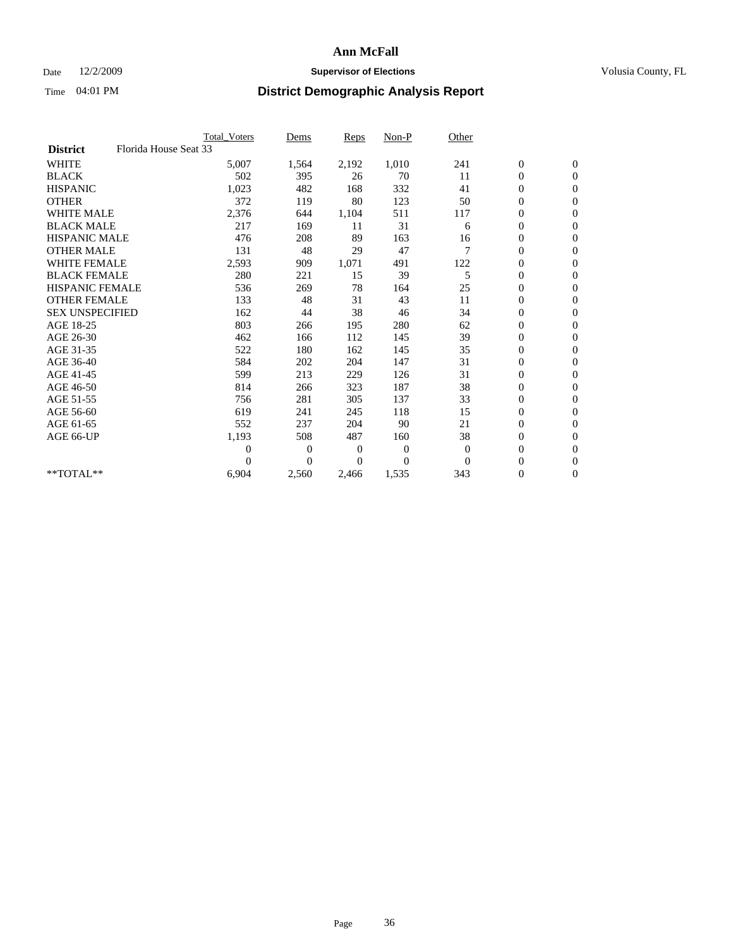### Date  $12/2/2009$  **Supervisor of Elections Supervisor of Elections** Volusia County, FL

|                        |                       | Total Voters   | Dems           | <b>Reps</b> | Non-P        | Other    |                  |                  |
|------------------------|-----------------------|----------------|----------------|-------------|--------------|----------|------------------|------------------|
| <b>District</b>        | Florida House Seat 33 |                |                |             |              |          |                  |                  |
| <b>WHITE</b>           |                       | 5,007          | 1,564          | 2,192       | 1,010        | 241      | $\boldsymbol{0}$ | $\boldsymbol{0}$ |
| <b>BLACK</b>           |                       | 502            | 395            | 26          | 70           | 11       | $\boldsymbol{0}$ | $\mathbf{0}$     |
| <b>HISPANIC</b>        |                       | 1,023          | 482            | 168         | 332          | 41       | $\overline{0}$   | $\mathbf{0}$     |
| <b>OTHER</b>           |                       | 372            | 119            | 80          | 123          | 50       | $\boldsymbol{0}$ | $\mathbf{0}$     |
| <b>WHITE MALE</b>      |                       | 2,376          | 644            | 1,104       | 511          | 117      | $\boldsymbol{0}$ | $\mathbf{0}$     |
| <b>BLACK MALE</b>      |                       | 217            | 169            | 11          | 31           | 6        | $\boldsymbol{0}$ | $\mathbf{0}$     |
| <b>HISPANIC MALE</b>   |                       | 476            | 208            | 89          | 163          | 16       | $\boldsymbol{0}$ | $\mathbf{0}$     |
| <b>OTHER MALE</b>      |                       | 131            | 48             | 29          | 47           | 7        | $\boldsymbol{0}$ | $\mathbf{0}$     |
| <b>WHITE FEMALE</b>    |                       | 2,593          | 909            | 1,071       | 491          | 122      | $\overline{0}$   | $\mathbf{0}$     |
| <b>BLACK FEMALE</b>    |                       | 280            | 221            | 15          | 39           | 5        | $\boldsymbol{0}$ | $\mathbf{0}$     |
| <b>HISPANIC FEMALE</b> |                       | 536            | 269            | 78          | 164          | 25       | $\boldsymbol{0}$ | $\mathbf{0}$     |
| <b>OTHER FEMALE</b>    |                       | 133            | 48             | 31          | 43           | 11       | $\mathbf{0}$     | $\mathbf{0}$     |
| <b>SEX UNSPECIFIED</b> |                       | 162            | 44             | 38          | 46           | 34       | $\boldsymbol{0}$ | $\mathbf{0}$     |
| AGE 18-25              |                       | 803            | 266            | 195         | 280          | 62       | $\boldsymbol{0}$ | $\mathbf{0}$     |
| AGE 26-30              |                       | 462            | 166            | 112         | 145          | 39       | $\overline{0}$   | $\mathbf{0}$     |
| AGE 31-35              |                       | 522            | 180            | 162         | 145          | 35       | $\boldsymbol{0}$ | $\mathbf{0}$     |
| AGE 36-40              |                       | 584            | 202            | 204         | 147          | 31       | $\boldsymbol{0}$ | $\mathbf{0}$     |
| AGE 41-45              |                       | 599            | 213            | 229         | 126          | 31       | $\overline{0}$   | $\mathbf{0}$     |
| AGE 46-50              |                       | 814            | 266            | 323         | 187          | 38       | $\boldsymbol{0}$ | $\mathbf{0}$     |
| AGE 51-55              |                       | 756            | 281            | 305         | 137          | 33       | $\boldsymbol{0}$ | $\mathbf{0}$     |
| AGE 56-60              |                       | 619            | 241            | 245         | 118          | 15       | $\boldsymbol{0}$ | $\Omega$         |
| AGE 61-65              |                       | 552            | 237            | 204         | 90           | 21       | $\overline{0}$   | $\mathbf{0}$     |
| AGE 66-UP              |                       | 1,193          | 508            | 487         | 160          | 38       | $\boldsymbol{0}$ | $\mathbf{0}$     |
|                        |                       | $\overline{0}$ | $\overline{0}$ | 0           | $\mathbf{0}$ | $\theta$ | $\overline{0}$   | $\mathbf{0}$     |
|                        |                       | $\theta$       | $\theta$       | $\Omega$    | $\theta$     | $\Omega$ | $\boldsymbol{0}$ | $\mathbf{0}$     |
| **TOTAL**              |                       | 6,904          | 2,560          | 2,466       | 1,535        | 343      | 0                | $\mathbf{0}$     |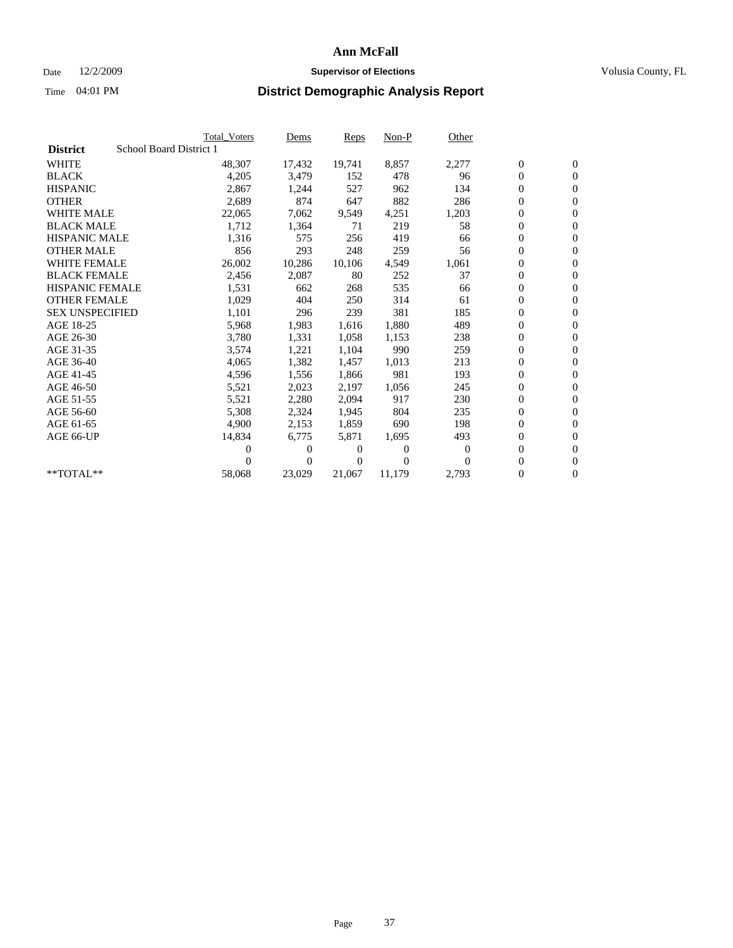## Date 12/2/2009 **Supervisor of Elections Supervisor of Elections** Volusia County, FL

|                        |                         | <b>Total Voters</b> | Dems           | <b>Reps</b> | $Non-P$  | Other            |                  |                  |  |
|------------------------|-------------------------|---------------------|----------------|-------------|----------|------------------|------------------|------------------|--|
| <b>District</b>        | School Board District 1 |                     |                |             |          |                  |                  |                  |  |
| <b>WHITE</b>           |                         | 48,307              | 17,432         | 19,741      | 8,857    | 2,277            | $\boldsymbol{0}$ | $\boldsymbol{0}$ |  |
| <b>BLACK</b>           |                         | 4,205               | 3,479          | 152         | 478      | 96               | $\boldsymbol{0}$ | $\mathbf{0}$     |  |
| <b>HISPANIC</b>        |                         | 2,867               | 1,244          | 527         | 962      | 134              | 0                | $\mathbf{0}$     |  |
| <b>OTHER</b>           |                         | 2,689               | 874            | 647         | 882      | 286              | 0                | $\mathbf{0}$     |  |
| <b>WHITE MALE</b>      |                         | 22,065              | 7,062          | 9,549       | 4,251    | 1,203            | 0                | $\mathbf{0}$     |  |
| <b>BLACK MALE</b>      |                         | 1,712               | 1,364          | 71          | 219      | 58               | $\overline{0}$   | $\mathbf{0}$     |  |
| <b>HISPANIC MALE</b>   |                         | 1,316               | 575            | 256         | 419      | 66               | 0                | $\mathbf{0}$     |  |
| <b>OTHER MALE</b>      |                         | 856                 | 293            | 248         | 259      | 56               | 0                | $\mathbf{0}$     |  |
| <b>WHITE FEMALE</b>    |                         | 26,002              | 10,286         | 10,106      | 4,549    | 1,061            | $\boldsymbol{0}$ | $\mathbf{0}$     |  |
| <b>BLACK FEMALE</b>    |                         | 2,456               | 2,087          | 80          | 252      | 37               | 0                | $\mathbf{0}$     |  |
| <b>HISPANIC FEMALE</b> |                         | 1,531               | 662            | 268         | 535      | 66               | 0                | $\mathbf{0}$     |  |
| <b>OTHER FEMALE</b>    |                         | 1,029               | 404            | 250         | 314      | 61               | 0                | $\mathbf{0}$     |  |
| <b>SEX UNSPECIFIED</b> |                         | 1,101               | 296            | 239         | 381      | 185              | 0                | $\mathbf{0}$     |  |
| AGE 18-25              |                         | 5,968               | 1,983          | 1,616       | 1,880    | 489              | 0                | $\mathbf{0}$     |  |
| AGE 26-30              |                         | 3,780               | 1,331          | 1,058       | 1,153    | 238              | 0                | $\mathbf{0}$     |  |
| AGE 31-35              |                         | 3,574               | 1,221          | 1,104       | 990      | 259              | 0                | $\mathbf{0}$     |  |
| AGE 36-40              |                         | 4,065               | 1,382          | 1,457       | 1,013    | 213              | 0                | $\mathbf{0}$     |  |
| AGE 41-45              |                         | 4,596               | 1,556          | 1,866       | 981      | 193              | 0                | $\mathbf{0}$     |  |
| AGE 46-50              |                         | 5,521               | 2,023          | 2,197       | 1,056    | 245              | 0                | $\mathbf{0}$     |  |
| AGE 51-55              |                         | 5,521               | 2,280          | 2,094       | 917      | 230              | $\boldsymbol{0}$ | $\mathbf{0}$     |  |
| AGE 56-60              |                         | 5,308               | 2,324          | 1.945       | 804      | 235              | 0                | $\mathbf{0}$     |  |
| AGE 61-65              |                         | 4,900               | 2,153          | 1,859       | 690      | 198              | 0                | $\mathbf{0}$     |  |
| AGE 66-UP              |                         | 14,834              | 6,775          | 5,871       | 1,695    | 493              | 0                | $\mathbf{0}$     |  |
|                        |                         | 0                   | 0              | 0           | $\theta$ | $\boldsymbol{0}$ | 0                | $\mathbf{0}$     |  |
|                        |                         | 0                   | $\overline{0}$ | 0           | $\Omega$ | $\Omega$         | 0                | $\mathbf{0}$     |  |
| **TOTAL**              |                         | 58,068              | 23,029         | 21,067      | 11,179   | 2,793            | 0                | $\boldsymbol{0}$ |  |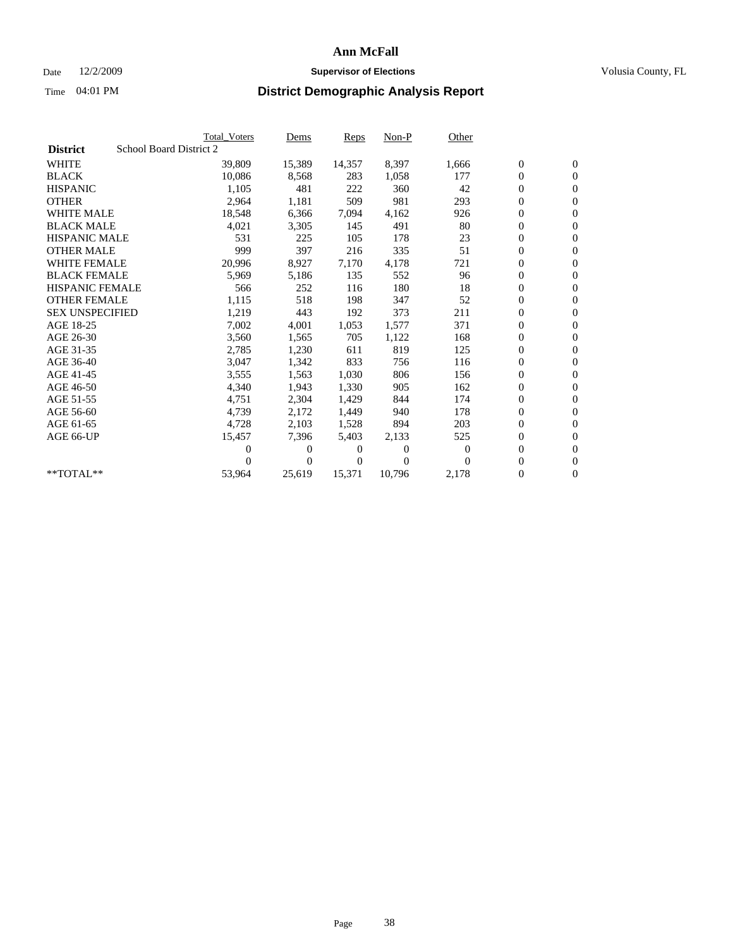## Date 12/2/2009 **Supervisor of Elections Supervisor of Elections** Volusia County, FL

|                        |                         | <b>Total Voters</b> | Dems           | <b>Reps</b> | $Non-P$  | Other    |                  |                  |  |
|------------------------|-------------------------|---------------------|----------------|-------------|----------|----------|------------------|------------------|--|
| <b>District</b>        | School Board District 2 |                     |                |             |          |          |                  |                  |  |
| <b>WHITE</b>           |                         | 39,809              | 15,389         | 14,357      | 8,397    | 1,666    | $\boldsymbol{0}$ | $\boldsymbol{0}$ |  |
| <b>BLACK</b>           |                         | 10,086              | 8,568          | 283         | 1,058    | 177      | $\overline{0}$   | $\mathbf{0}$     |  |
| <b>HISPANIC</b>        |                         | 1,105               | 481            | 222         | 360      | 42       | $\overline{0}$   | $\mathbf{0}$     |  |
| <b>OTHER</b>           |                         | 2,964               | 1,181          | 509         | 981      | 293      | 0                | $\mathbf{0}$     |  |
| <b>WHITE MALE</b>      |                         | 18,548              | 6,366          | 7,094       | 4,162    | 926      | 0                | $\mathbf{0}$     |  |
| <b>BLACK MALE</b>      |                         | 4,021               | 3,305          | 145         | 491      | 80       | $\boldsymbol{0}$ | $\mathbf{0}$     |  |
| <b>HISPANIC MALE</b>   |                         | 531                 | 225            | 105         | 178      | 23       | 0                | $\mathbf{0}$     |  |
| <b>OTHER MALE</b>      |                         | 999                 | 397            | 216         | 335      | 51       | 0                | $\mathbf{0}$     |  |
| <b>WHITE FEMALE</b>    |                         | 20,996              | 8,927          | 7,170       | 4,178    | 721      | 0                | $\mathbf{0}$     |  |
| <b>BLACK FEMALE</b>    |                         | 5,969               | 5,186          | 135         | 552      | 96       | 0                | $\Omega$         |  |
| <b>HISPANIC FEMALE</b> |                         | 566                 | 252            | 116         | 180      | 18       | $\boldsymbol{0}$ | $\mathbf{0}$     |  |
| <b>OTHER FEMALE</b>    |                         | 1,115               | 518            | 198         | 347      | 52       | 0                | $\mathbf{0}$     |  |
| <b>SEX UNSPECIFIED</b> |                         | 1,219               | 443            | 192         | 373      | 211      | 0                | $\mathbf{0}$     |  |
| AGE 18-25              |                         | 7,002               | 4,001          | 1,053       | 1,577    | 371      | $\overline{0}$   | $\mathbf{0}$     |  |
| AGE 26-30              |                         | 3,560               | 1,565          | 705         | 1,122    | 168      | 0                | $\mathbf{0}$     |  |
| AGE 31-35              |                         | 2,785               | 1,230          | 611         | 819      | 125      | 0                | $\mathbf{0}$     |  |
| AGE 36-40              |                         | 3,047               | 1,342          | 833         | 756      | 116      | $\overline{0}$   | $\mathbf{0}$     |  |
| AGE 41-45              |                         | 3,555               | 1,563          | 1,030       | 806      | 156      | 0                | $\mathbf{0}$     |  |
| AGE 46-50              |                         | 4,340               | 1,943          | 1,330       | 905      | 162      | 0                | $\Omega$         |  |
| AGE 51-55              |                         | 4,751               | 2,304          | 1,429       | 844      | 174      | $\boldsymbol{0}$ | $\mathbf{0}$     |  |
| AGE 56-60              |                         | 4,739               | 2,172          | 1.449       | 940      | 178      | 0                | $\mathbf{0}$     |  |
| AGE 61-65              |                         | 4,728               | 2,103          | 1,528       | 894      | 203      | 0                | $\Omega$         |  |
| AGE 66-UP              |                         | 15,457              | 7,396          | 5,403       | 2,133    | 525      | $\overline{0}$   | $\mathbf{0}$     |  |
|                        |                         | 0                   | 0              | 0           | $\theta$ | $\bf{0}$ | 0                | $\mathbf{0}$     |  |
|                        |                         | 0                   | $\overline{0}$ | 0           | $\Omega$ | $\Omega$ | 0                | $\mathbf{0}$     |  |
| $*$ TOTAL $**$         |                         | 53,964              | 25,619         | 15,371      | 10,796   | 2,178    | 0                | $\boldsymbol{0}$ |  |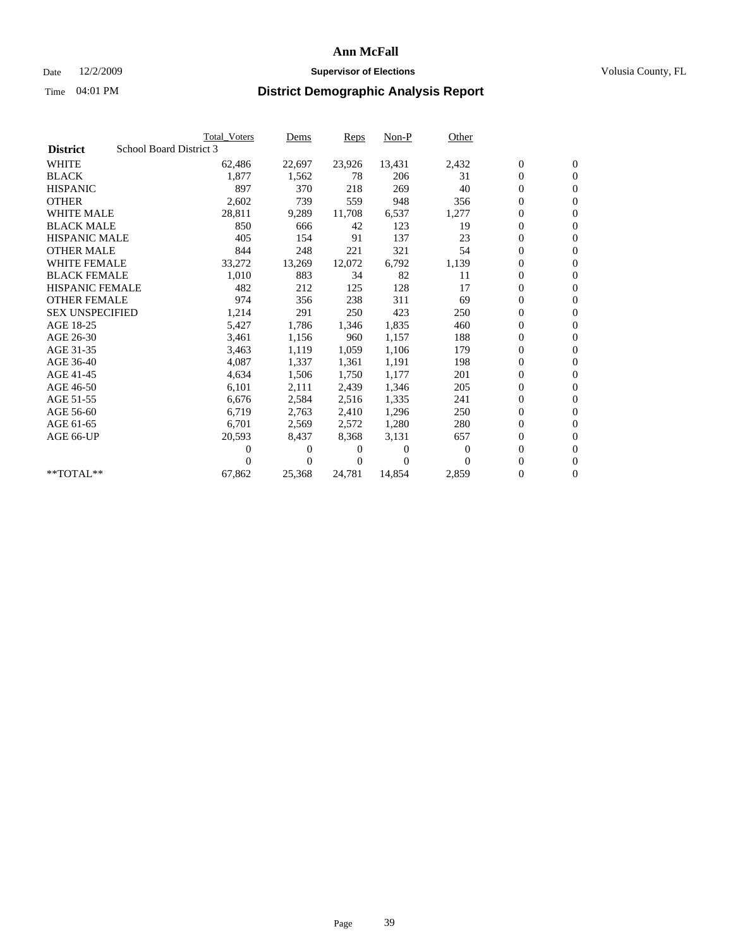## Date 12/2/2009 **Supervisor of Elections Supervisor of Elections** Volusia County, FL

|                        |                         | <b>Total Voters</b> | Dems     | <b>Reps</b> | Non-P    | Other            |                  |                  |  |
|------------------------|-------------------------|---------------------|----------|-------------|----------|------------------|------------------|------------------|--|
| <b>District</b>        | School Board District 3 |                     |          |             |          |                  |                  |                  |  |
| <b>WHITE</b>           |                         | 62,486              | 22,697   | 23,926      | 13,431   | 2,432            | $\boldsymbol{0}$ | $\boldsymbol{0}$ |  |
| <b>BLACK</b>           |                         | 1,877               | 1,562    | 78          | 206      | 31               | $\boldsymbol{0}$ | $\mathbf{0}$     |  |
| <b>HISPANIC</b>        |                         | 897                 | 370      | 218         | 269      | 40               | 0                | $\mathbf{0}$     |  |
| <b>OTHER</b>           |                         | 2,602               | 739      | 559         | 948      | 356              | 0                | $\mathbf{0}$     |  |
| <b>WHITE MALE</b>      |                         | 28,811              | 9,289    | 11,708      | 6,537    | 1,277            | 0                | $\mathbf{0}$     |  |
| <b>BLACK MALE</b>      |                         | 850                 | 666      | 42          | 123      | 19               | 0                | $\mathbf{0}$     |  |
| <b>HISPANIC MALE</b>   |                         | 405                 | 154      | 91          | 137      | 23               | 0                | $\mathbf{0}$     |  |
| <b>OTHER MALE</b>      |                         | 844                 | 248      | 221         | 321      | 54               | 0                | $\mathbf{0}$     |  |
| <b>WHITE FEMALE</b>    |                         | 33,272              | 13,269   | 12,072      | 6,792    | 1,139            | 0                | $\mathbf{0}$     |  |
| <b>BLACK FEMALE</b>    |                         | 1,010               | 883      | 34          | 82       | 11               | 0                | $\mathbf{0}$     |  |
| <b>HISPANIC FEMALE</b> |                         | 482                 | 212      | 125         | 128      | 17               | 0                | $\mathbf{0}$     |  |
| <b>OTHER FEMALE</b>    |                         | 974                 | 356      | 238         | 311      | 69               | 0                | $\mathbf{0}$     |  |
| <b>SEX UNSPECIFIED</b> |                         | 1,214               | 291      | 250         | 423      | 250              | 0                | $\mathbf{0}$     |  |
| AGE 18-25              |                         | 5,427               | 1,786    | 1,346       | 1,835    | 460              | 0                | $\mathbf{0}$     |  |
| AGE 26-30              |                         | 3,461               | 1,156    | 960         | 1,157    | 188              | 0                | $\mathbf{0}$     |  |
| AGE 31-35              |                         | 3,463               | 1,119    | 1,059       | 1,106    | 179              | 0                | $\mathbf{0}$     |  |
| AGE 36-40              |                         | 4,087               | 1,337    | 1,361       | 1,191    | 198              | 0                | $\mathbf{0}$     |  |
| AGE 41-45              |                         | 4,634               | 1,506    | 1,750       | 1,177    | 201              | 0                | $\mathbf{0}$     |  |
| AGE 46-50              |                         | 6,101               | 2,111    | 2,439       | 1,346    | 205              | 0                | $\mathbf{0}$     |  |
| AGE 51-55              |                         | 6,676               | 2,584    | 2,516       | 1,335    | 241              | 0                | $\mathbf{0}$     |  |
| AGE 56-60              |                         | 6,719               | 2,763    | 2,410       | 1,296    | 250              | 0                | $\Omega$         |  |
| AGE 61-65              |                         | 6,701               | 2,569    | 2,572       | 1,280    | 280              | 0                | $\mathbf{0}$     |  |
| AGE 66-UP              |                         | 20,593              | 8,437    | 8,368       | 3,131    | 657              | 0                | $\mathbf{0}$     |  |
|                        |                         | 0                   | 0        | 0           | $\theta$ | $\boldsymbol{0}$ | 0                | $\mathbf{0}$     |  |
|                        |                         | 0                   | $\Omega$ | 0           | $\Omega$ | $\Omega$         | 0                | $\boldsymbol{0}$ |  |
| $*$ TOTAL $**$         |                         | 67,862              | 25,368   | 24,781      | 14,854   | 2,859            | 0                | $\overline{0}$   |  |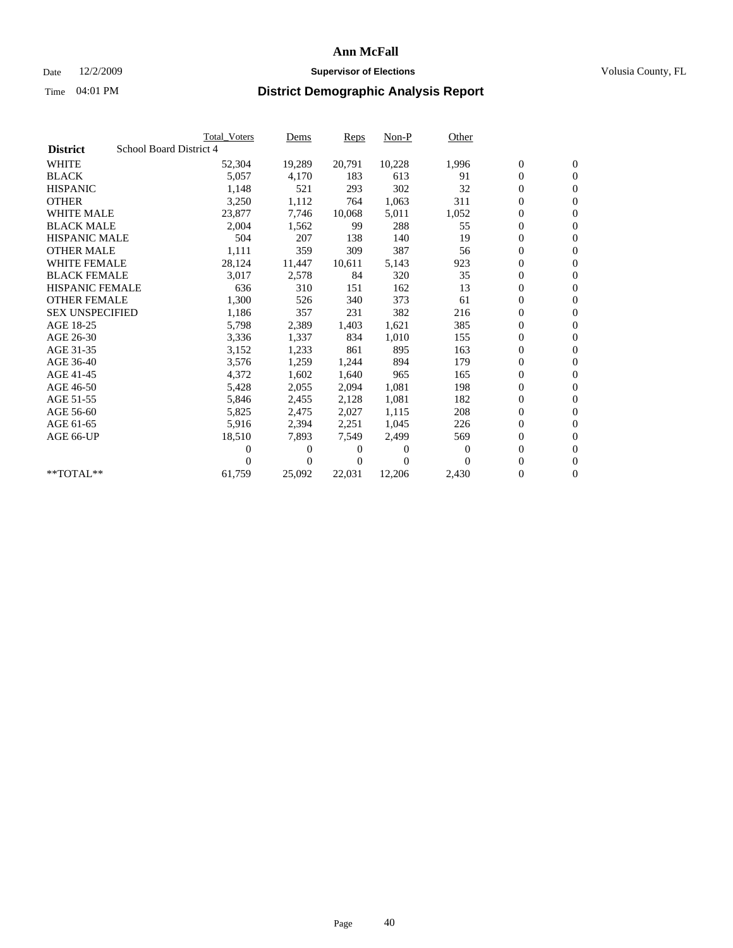## Date 12/2/2009 **Supervisor of Elections Supervisor of Elections** Volusia County, FL

|                        |                         | <b>Total Voters</b> | Dems         | <b>Reps</b> | $Non-P$  | Other    |                  |                  |  |
|------------------------|-------------------------|---------------------|--------------|-------------|----------|----------|------------------|------------------|--|
| <b>District</b>        | School Board District 4 |                     |              |             |          |          |                  |                  |  |
| <b>WHITE</b>           |                         | 52,304              | 19,289       | 20,791      | 10,228   | 1,996    | $\boldsymbol{0}$ | $\boldsymbol{0}$ |  |
| <b>BLACK</b>           |                         | 5,057               | 4,170        | 183         | 613      | 91       | $\overline{0}$   | $\mathbf{0}$     |  |
| <b>HISPANIC</b>        |                         | 1,148               | 521          | 293         | 302      | 32       | $\overline{0}$   | $\mathbf{0}$     |  |
| <b>OTHER</b>           |                         | 3,250               | 1,112        | 764         | 1,063    | 311      | 0                | $\mathbf{0}$     |  |
| <b>WHITE MALE</b>      |                         | 23,877              | 7,746        | 10,068      | 5,011    | 1,052    | 0                | $\mathbf{0}$     |  |
| <b>BLACK MALE</b>      |                         | 2,004               | 1,562        | 99          | 288      | 55       | $\boldsymbol{0}$ | $\mathbf{0}$     |  |
| <b>HISPANIC MALE</b>   |                         | 504                 | 207          | 138         | 140      | 19       | 0                | $\mathbf{0}$     |  |
| <b>OTHER MALE</b>      |                         | 1,111               | 359          | 309         | 387      | 56       | 0                | $\mathbf{0}$     |  |
| <b>WHITE FEMALE</b>    |                         | 28,124              | 11,447       | 10,611      | 5,143    | 923      | 0                | $\mathbf{0}$     |  |
| <b>BLACK FEMALE</b>    |                         | 3,017               | 2,578        | 84          | 320      | 35       | 0                | $\Omega$         |  |
| <b>HISPANIC FEMALE</b> |                         | 636                 | 310          | 151         | 162      | 13       | $\boldsymbol{0}$ | $\mathbf{0}$     |  |
| <b>OTHER FEMALE</b>    |                         | 1,300               | 526          | 340         | 373      | 61       | 0                | $\mathbf{0}$     |  |
| <b>SEX UNSPECIFIED</b> |                         | 1,186               | 357          | 231         | 382      | 216      | 0                | $\mathbf{0}$     |  |
| AGE 18-25              |                         | 5,798               | 2,389        | 1,403       | 1,621    | 385      | $\overline{0}$   | $\mathbf{0}$     |  |
| AGE 26-30              |                         | 3,336               | 1,337        | 834         | 1,010    | 155      | 0                | $\mathbf{0}$     |  |
| AGE 31-35              |                         | 3,152               | 1,233        | 861         | 895      | 163      | 0                | $\mathbf{0}$     |  |
| AGE 36-40              |                         | 3,576               | 1,259        | 1,244       | 894      | 179      | $\overline{0}$   | $\mathbf{0}$     |  |
| AGE 41-45              |                         | 4,372               | 1,602        | 1,640       | 965      | 165      | 0                | $\mathbf{0}$     |  |
| AGE 46-50              |                         | 5,428               | 2,055        | 2,094       | 1,081    | 198      | 0                | $\Omega$         |  |
| AGE 51-55              |                         | 5,846               | 2,455        | 2,128       | 1,081    | 182      | $\boldsymbol{0}$ | $\mathbf{0}$     |  |
| AGE 56-60              |                         | 5,825               | 2,475        | 2.027       | 1.115    | 208      | 0                | $\mathbf{0}$     |  |
| AGE 61-65              |                         | 5,916               | 2,394        | 2,251       | 1,045    | 226      | 0                | $\Omega$         |  |
| AGE 66-UP              |                         | 18,510              | 7,893        | 7,549       | 2,499    | 569      | $\overline{0}$   | $\mathbf{0}$     |  |
|                        |                         | 0                   | 0            | 0           | $\theta$ | $\Omega$ | 0                | $\mathbf{0}$     |  |
|                        |                         | 0                   | $\mathbf{0}$ | 0           | $\Omega$ | $\Omega$ | 0                | $\mathbf{0}$     |  |
| $*$ TOTAL $**$         |                         | 61,759              | 25,092       | 22,031      | 12,206   | 2,430    | 0                | $\boldsymbol{0}$ |  |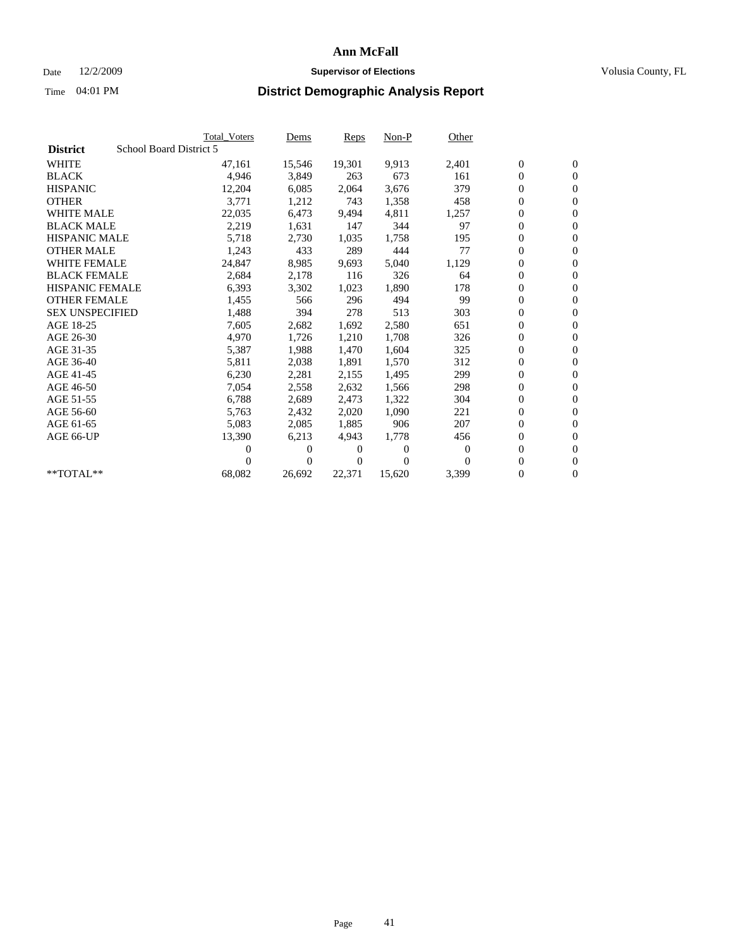## Date 12/2/2009 **Supervisor of Elections Supervisor of Elections** Volusia County, FL

|                        | <b>Total Voters</b>     | <u>Dems</u>    | <b>Reps</b> | $Non-P$      | Other        |                  |                  |  |
|------------------------|-------------------------|----------------|-------------|--------------|--------------|------------------|------------------|--|
| <b>District</b>        | School Board District 5 |                |             |              |              |                  |                  |  |
| <b>WHITE</b>           | 47,161                  | 15,546         | 19,301      | 9,913        | 2,401        | $\boldsymbol{0}$ | $\boldsymbol{0}$ |  |
| <b>BLACK</b>           | 4,946                   | 3,849          | 263         | 673          | 161          | $\boldsymbol{0}$ | $\mathbf{0}$     |  |
| <b>HISPANIC</b>        | 12,204                  | 6,085          | 2,064       | 3,676        | 379          | $\overline{0}$   | $\mathbf{0}$     |  |
| <b>OTHER</b>           | 3,771                   | 1,212          | 743         | 1,358        | 458          | 0                | $\mathbf{0}$     |  |
| <b>WHITE MALE</b>      | 22,035                  | 6,473          | 9,494       | 4,811        | 1,257        | $\boldsymbol{0}$ | $\mathbf{0}$     |  |
| <b>BLACK MALE</b>      | 2,219                   | 1,631          | 147         | 344          | 97           | $\overline{0}$   | $\mathbf{0}$     |  |
| <b>HISPANIC MALE</b>   | 5,718                   | 2,730          | 1,035       | 1,758        | 195          | 0                | $\mathbf{0}$     |  |
| <b>OTHER MALE</b>      | 1,243                   | 433            | 289         | 444          | 77           | $\overline{0}$   | $\mathbf{0}$     |  |
| <b>WHITE FEMALE</b>    | 24,847                  | 8,985          | 9,693       | 5,040        | 1,129        | $\boldsymbol{0}$ | $\mathbf{0}$     |  |
| <b>BLACK FEMALE</b>    | 2,684                   | 2,178          | 116         | 326          | 64           | $\boldsymbol{0}$ | $\mathbf{0}$     |  |
| <b>HISPANIC FEMALE</b> | 6,393                   | 3,302          | 1,023       | 1,890        | 178          | 0                | $\mathbf{0}$     |  |
| <b>OTHER FEMALE</b>    | 1,455                   | 566            | 296         | 494          | 99           | $\mathbf{0}$     | $\mathbf{0}$     |  |
| <b>SEX UNSPECIFIED</b> | 1,488                   | 394            | 278         | 513          | 303          | $\boldsymbol{0}$ | $\mathbf{0}$     |  |
| AGE 18-25              | 7,605                   | 2,682          | 1,692       | 2,580        | 651          | $\boldsymbol{0}$ | $\mathbf{0}$     |  |
| AGE 26-30              | 4,970                   | 1,726          | 1,210       | 1,708        | 326          | $\overline{0}$   | $\mathbf{0}$     |  |
| AGE 31-35              | 5,387                   | 1,988          | 1,470       | 1,604        | 325          | $\boldsymbol{0}$ | $\mathbf{0}$     |  |
| AGE 36-40              | 5,811                   | 2,038          | 1,891       | 1,570        | 312          | $\boldsymbol{0}$ | $\mathbf{0}$     |  |
| AGE 41-45              | 6,230                   | 2,281          | 2,155       | 1,495        | 299          | 0                | $\mathbf{0}$     |  |
| AGE 46-50              | 7,054                   | 2,558          | 2,632       | 1,566        | 298          | 0                | $\mathbf{0}$     |  |
| AGE 51-55              | 6,788                   | 2,689          | 2,473       | 1,322        | 304          | $\overline{0}$   | $\mathbf{0}$     |  |
| AGE 56-60              | 5,763                   | 2,432          | 2.020       | 1.090        | 221          | $\overline{0}$   | $\mathbf{0}$     |  |
| AGE 61-65              | 5,083                   | 2,085          | 1,885       | 906          | 207          | 0                | $\mathbf{0}$     |  |
| AGE 66-UP              | 13,390                  | 6,213          | 4,943       | 1,778        | 456          | $\boldsymbol{0}$ | $\mathbf{0}$     |  |
|                        | 0                       | 0              | 0           | $\mathbf{0}$ | $\mathbf{0}$ | $\mathbf{0}$     | $\mathbf{0}$     |  |
|                        | 0                       | $\overline{0}$ | 0           | $\Omega$     | $\Omega$     | 0                | $\mathbf{0}$     |  |
| **TOTAL**              | 68,082                  | 26,692         | 22,371      | 15,620       | 3,399        | 0                | $\boldsymbol{0}$ |  |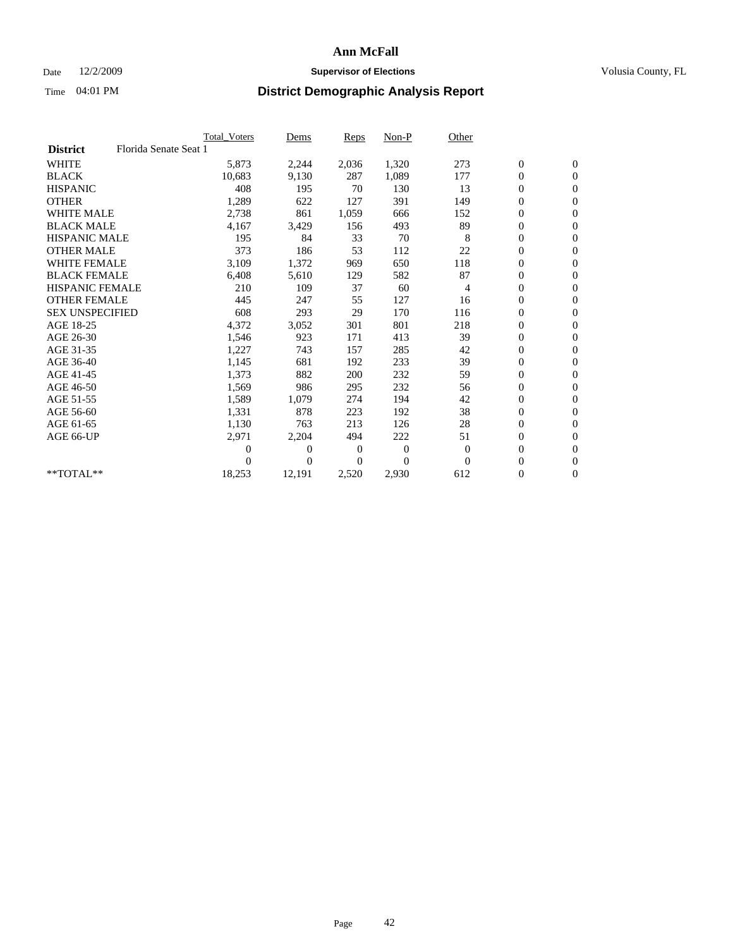## Date 12/2/2009 **Supervisor of Elections Supervisor of Elections** Volusia County, FL

|                        |                       | Total Voters | Dems           | <b>Reps</b>  | $Non-P$      | Other          |                  |                  |  |
|------------------------|-----------------------|--------------|----------------|--------------|--------------|----------------|------------------|------------------|--|
| <b>District</b>        | Florida Senate Seat 1 |              |                |              |              |                |                  |                  |  |
| <b>WHITE</b>           |                       | 5,873        | 2,244          | 2,036        | 1,320        | 273            | $\boldsymbol{0}$ | $\mathbf{0}$     |  |
| <b>BLACK</b>           |                       | 10,683       | 9,130          | 287          | 1,089        | 177            | $\boldsymbol{0}$ | $\mathbf{0}$     |  |
| <b>HISPANIC</b>        |                       | 408          | 195            | 70           | 130          | 13             | $\overline{0}$   | $\mathbf{0}$     |  |
| <b>OTHER</b>           |                       | 1,289        | 622            | 127          | 391          | 149            | $\overline{0}$   | $\mathbf{0}$     |  |
| <b>WHITE MALE</b>      |                       | 2,738        | 861            | 1,059        | 666          | 152            | $\boldsymbol{0}$ | $\mathbf{0}$     |  |
| <b>BLACK MALE</b>      |                       | 4,167        | 3,429          | 156          | 493          | 89             | $\boldsymbol{0}$ | $\mathbf{0}$     |  |
| <b>HISPANIC MALE</b>   |                       | 195          | 84             | 33           | 70           | 8              | $\boldsymbol{0}$ | $\mathbf{0}$     |  |
| <b>OTHER MALE</b>      |                       | 373          | 186            | 53           | 112          | 22             | 0                | $\mathbf{0}$     |  |
| <b>WHITE FEMALE</b>    |                       | 3,109        | 1,372          | 969          | 650          | 118            | $\mathbf{0}$     | $\mathbf{0}$     |  |
| <b>BLACK FEMALE</b>    |                       | 6,408        | 5,610          | 129          | 582          | 87             | $\boldsymbol{0}$ | $\mathbf{0}$     |  |
| <b>HISPANIC FEMALE</b> |                       | 210          | 109            | 37           | 60           | 4              | $\boldsymbol{0}$ | $\boldsymbol{0}$ |  |
| <b>OTHER FEMALE</b>    |                       | 445          | 247            | 55           | 127          | 16             | $\overline{0}$   | $\mathbf{0}$     |  |
| <b>SEX UNSPECIFIED</b> |                       | 608          | 293            | 29           | 170          | 116            | $\mathbf{0}$     | $\mathbf{0}$     |  |
| AGE 18-25              |                       | 4,372        | 3,052          | 301          | 801          | 218            | $\boldsymbol{0}$ | $\mathbf{0}$     |  |
| AGE 26-30              |                       | 1,546        | 923            | 171          | 413          | 39             | $\overline{0}$   | $\mathbf{0}$     |  |
| AGE 31-35              |                       | 1,227        | 743            | 157          | 285          | 42             | $\boldsymbol{0}$ | $\mathbf{0}$     |  |
| AGE 36-40              |                       | 1,145        | 681            | 192          | 233          | 39             | $\boldsymbol{0}$ | $\mathbf{0}$     |  |
| AGE 41-45              |                       | 1,373        | 882            | 200          | 232          | 59             | $\overline{0}$   | $\mathbf{0}$     |  |
| AGE 46-50              |                       | 1,569        | 986            | 295          | 232          | 56             | $\mathbf{0}$     | $\mathbf{0}$     |  |
| AGE 51-55              |                       | 1,589        | 1,079          | 274          | 194          | 42             | $\boldsymbol{0}$ | $\mathbf{0}$     |  |
| AGE 56-60              |                       | 1,331        | 878            | 223          | 192          | 38             | $\boldsymbol{0}$ | $\mathbf{0}$     |  |
| AGE 61-65              |                       | 1,130        | 763            | 213          | 126          | 28             | $\boldsymbol{0}$ | $\mathbf{0}$     |  |
| AGE 66-UP              |                       | 2,971        | 2,204          | 494          | 222          | 51             | $\boldsymbol{0}$ | $\mathbf{0}$     |  |
|                        |                       | $\theta$     | $\overline{0}$ | $\mathbf{0}$ | $\mathbf{0}$ | $\overline{0}$ | $\boldsymbol{0}$ | $\mathbf{0}$     |  |
|                        |                       | $\Omega$     | $\theta$       | 0            | $\theta$     | $\Omega$       | $\overline{0}$   | $\mathbf{0}$     |  |
| **TOTAL**              |                       | 18,253       | 12,191         | 2,520        | 2,930        | 612            | 0                | $\mathbf{0}$     |  |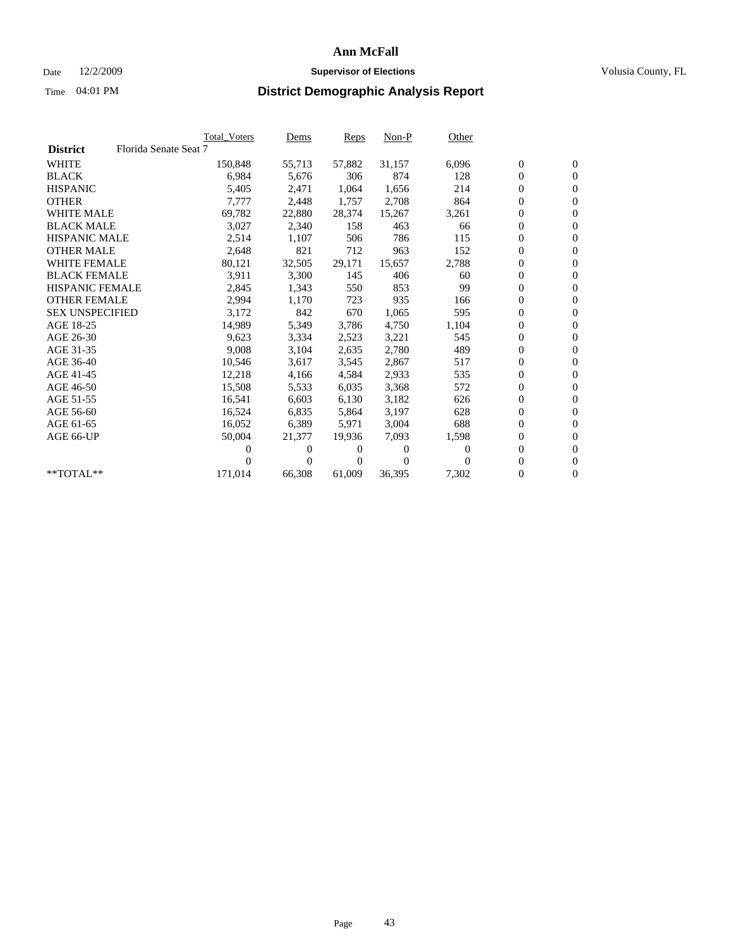### Date  $12/2/2009$  **Supervisor of Elections Supervisor of Elections** Volusia County, FL

|                        |                       | <b>Total Voters</b> | Dems   | Reps   | $Non-P$  | Other    |                  |                  |  |
|------------------------|-----------------------|---------------------|--------|--------|----------|----------|------------------|------------------|--|
| <b>District</b>        | Florida Senate Seat 7 |                     |        |        |          |          |                  |                  |  |
| <b>WHITE</b>           |                       | 150,848             | 55,713 | 57,882 | 31,157   | 6,096    | $\boldsymbol{0}$ | $\boldsymbol{0}$ |  |
| <b>BLACK</b>           |                       | 6,984               | 5,676  | 306    | 874      | 128      | 0                | $\mathbf{0}$     |  |
| <b>HISPANIC</b>        |                       | 5,405               | 2,471  | 1,064  | 1,656    | 214      | 0                | $\mathbf{0}$     |  |
| <b>OTHER</b>           |                       | 7,777               | 2,448  | 1,757  | 2,708    | 864      | 0                | $\mathbf{0}$     |  |
| <b>WHITE MALE</b>      |                       | 69,782              | 22,880 | 28,374 | 15,267   | 3,261    | 0                | $\mathbf{0}$     |  |
| <b>BLACK MALE</b>      |                       | 3,027               | 2,340  | 158    | 463      | 66       | 0                | $\mathbf{0}$     |  |
| <b>HISPANIC MALE</b>   |                       | 2,514               | 1,107  | 506    | 786      | 115      | 0                | $\mathbf{0}$     |  |
| <b>OTHER MALE</b>      |                       | 2,648               | 821    | 712    | 963      | 152      | 0                | $\mathbf{0}$     |  |
| <b>WHITE FEMALE</b>    |                       | 80,121              | 32,505 | 29,171 | 15,657   | 2,788    | $\boldsymbol{0}$ | $\mathbf{0}$     |  |
| <b>BLACK FEMALE</b>    |                       | 3,911               | 3,300  | 145    | 406      | 60       | 0                | $\mathbf{0}$     |  |
| <b>HISPANIC FEMALE</b> |                       | 2,845               | 1,343  | 550    | 853      | 99       | 0                | $\mathbf{0}$     |  |
| <b>OTHER FEMALE</b>    |                       | 2,994               | 1,170  | 723    | 935      | 166      | 0                | $\mathbf{0}$     |  |
| <b>SEX UNSPECIFIED</b> |                       | 3,172               | 842    | 670    | 1,065    | 595      | 0                | $\mathbf{0}$     |  |
| AGE 18-25              |                       | 14,989              | 5,349  | 3,786  | 4,750    | 1,104    | 0                | $\mathbf{0}$     |  |
| AGE 26-30              |                       | 9,623               | 3,334  | 2,523  | 3,221    | 545      | 0                | $\mathbf{0}$     |  |
| AGE 31-35              |                       | 9,008               | 3,104  | 2,635  | 2,780    | 489      | 0                | $\mathbf{0}$     |  |
| AGE 36-40              |                       | 10,546              | 3,617  | 3,545  | 2,867    | 517      | 0                | $\mathbf{0}$     |  |
| AGE 41-45              |                       | 12,218              | 4,166  | 4,584  | 2,933    | 535      | 0                | $\mathbf{0}$     |  |
| AGE 46-50              |                       | 15,508              | 5,533  | 6,035  | 3,368    | 572      | 0                | $\mathbf{0}$     |  |
| AGE 51-55              |                       | 16,541              | 6,603  | 6,130  | 3,182    | 626      | 0                | $\mathbf{0}$     |  |
| AGE 56-60              |                       | 16,524              | 6,835  | 5,864  | 3,197    | 628      | 0                | $\mathbf{0}$     |  |
| AGE 61-65              |                       | 16,052              | 6,389  | 5,971  | 3,004    | 688      | 0                | $\mathbf{0}$     |  |
| AGE 66-UP              |                       | 50,004              | 21,377 | 19,936 | 7,093    | 1,598    | 0                | $\mathbf{0}$     |  |
|                        |                       | 0                   | 0      | 0      | $\theta$ | $\Omega$ | 0                | $\mathbf{0}$     |  |
|                        |                       | 0                   | 0      | 0      | $\Omega$ | $\Omega$ | 0                | $\mathbf{0}$     |  |
| **TOTAL**              |                       | 171,014             | 66,308 | 61,009 | 36,395   | 7,302    | 0                | $\boldsymbol{0}$ |  |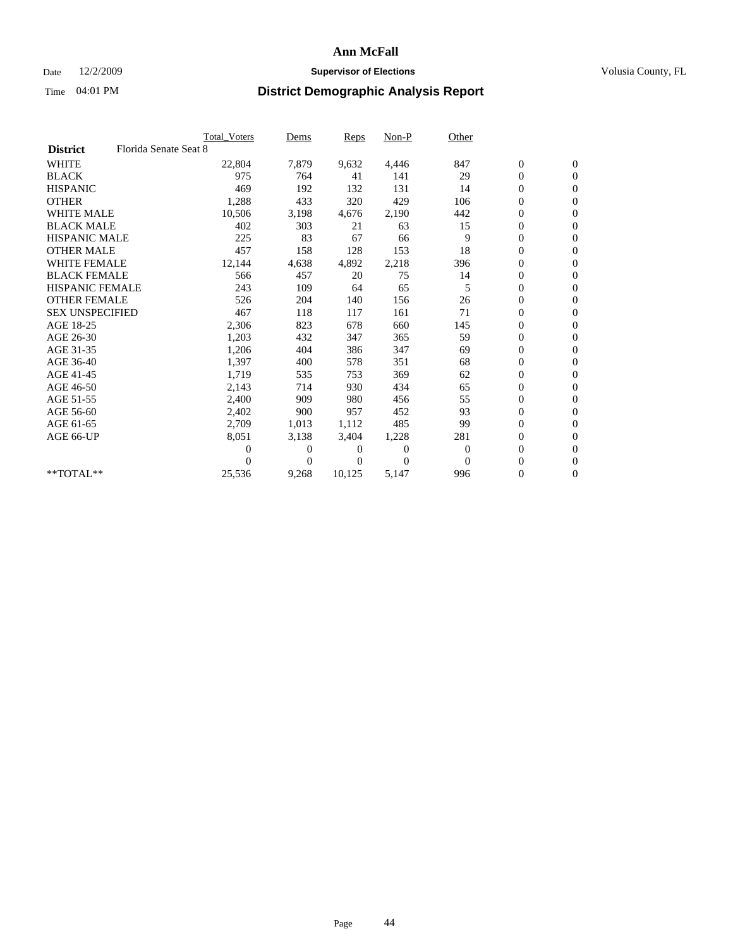### Date  $12/2/2009$  **Supervisor of Elections Supervisor of Elections** Volusia County, FL

|                        |                       | Total Voters | Dems     | <b>Reps</b> | Non-P        | Other        |                  |                  |  |
|------------------------|-----------------------|--------------|----------|-------------|--------------|--------------|------------------|------------------|--|
| <b>District</b>        | Florida Senate Seat 8 |              |          |             |              |              |                  |                  |  |
| <b>WHITE</b>           |                       | 22,804       | 7,879    | 9,632       | 4,446        | 847          | $\boldsymbol{0}$ | $\boldsymbol{0}$ |  |
| <b>BLACK</b>           |                       | 975          | 764      | 41          | 141          | 29           | $\boldsymbol{0}$ | $\mathbf{0}$     |  |
| <b>HISPANIC</b>        |                       | 469          | 192      | 132         | 131          | 14           | $\overline{0}$   | $\mathbf{0}$     |  |
| <b>OTHER</b>           |                       | 1,288        | 433      | 320         | 429          | 106          | $\boldsymbol{0}$ | $\mathbf{0}$     |  |
| <b>WHITE MALE</b>      |                       | 10,506       | 3,198    | 4,676       | 2,190        | 442          | $\boldsymbol{0}$ | $\mathbf{0}$     |  |
| <b>BLACK MALE</b>      |                       | 402          | 303      | 21          | 63           | 15           | $\boldsymbol{0}$ | $\mathbf{0}$     |  |
| <b>HISPANIC MALE</b>   |                       | 225          | 83       | 67          | 66           | 9            | $\boldsymbol{0}$ | $\mathbf{0}$     |  |
| <b>OTHER MALE</b>      |                       | 457          | 158      | 128         | 153          | 18           | 0                | $\mathbf{0}$     |  |
| <b>WHITE FEMALE</b>    |                       | 12,144       | 4,638    | 4,892       | 2,218        | 396          | $\overline{0}$   | $\mathbf{0}$     |  |
| <b>BLACK FEMALE</b>    |                       | 566          | 457      | 20          | 75           | 14           | $\boldsymbol{0}$ | $\mathbf{0}$     |  |
| <b>HISPANIC FEMALE</b> |                       | 243          | 109      | 64          | 65           | 5            | $\boldsymbol{0}$ | $\mathbf{0}$     |  |
| <b>OTHER FEMALE</b>    |                       | 526          | 204      | 140         | 156          | 26           | $\mathbf{0}$     | $\mathbf{0}$     |  |
| <b>SEX UNSPECIFIED</b> |                       | 467          | 118      | 117         | 161          | 71           | $\boldsymbol{0}$ | $\mathbf{0}$     |  |
| AGE 18-25              |                       | 2,306        | 823      | 678         | 660          | 145          | 0                | $\mathbf{0}$     |  |
| AGE 26-30              |                       | 1,203        | 432      | 347         | 365          | 59           | $\overline{0}$   | $\mathbf{0}$     |  |
| AGE 31-35              |                       | 1,206        | 404      | 386         | 347          | 69           | $\boldsymbol{0}$ | $\mathbf{0}$     |  |
| AGE 36-40              |                       | 1,397        | 400      | 578         | 351          | 68           | 0                | $\mathbf{0}$     |  |
| AGE 41-45              |                       | 1,719        | 535      | 753         | 369          | 62           | $\overline{0}$   | $\mathbf{0}$     |  |
| AGE 46-50              |                       | 2,143        | 714      | 930         | 434          | 65           | $\boldsymbol{0}$ | $\mathbf{0}$     |  |
| AGE 51-55              |                       | 2,400        | 909      | 980         | 456          | 55           | $\boldsymbol{0}$ | $\mathbf{0}$     |  |
| AGE 56-60              |                       | 2,402        | 900      | 957         | 452          | 93           | $\overline{0}$   | $\Omega$         |  |
| AGE 61-65              |                       | 2,709        | 1,013    | 1,112       | 485          | 99           | $\mathbf{0}$     | $\mathbf{0}$     |  |
| AGE 66-UP              |                       | 8,051        | 3,138    | 3,404       | 1,228        | 281          | $\boldsymbol{0}$ | $\boldsymbol{0}$ |  |
|                        |                       | 0            | 0        | 0           | $\mathbf{0}$ | $\mathbf{0}$ | $\overline{0}$   | $\mathbf{0}$     |  |
|                        |                       | 0            | $\Omega$ | 0           | $\Omega$     | $\Omega$     | $\boldsymbol{0}$ | $\mathbf{0}$     |  |
| $*$ TOTAL $**$         |                       | 25,536       | 9,268    | 10,125      | 5,147        | 996          | 0                | $\mathbf{0}$     |  |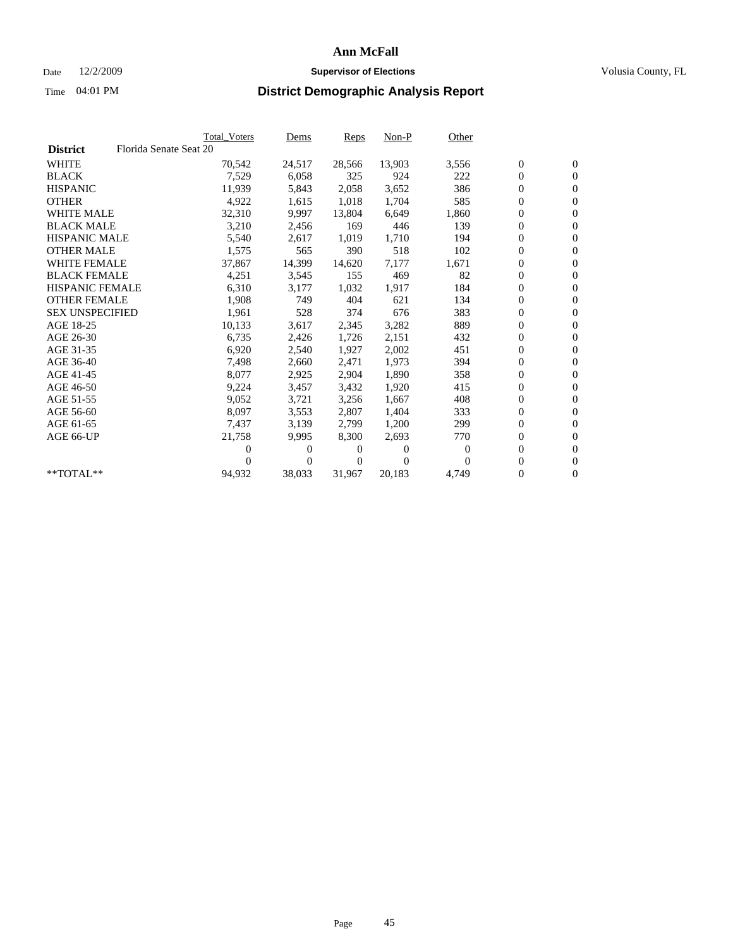## Date 12/2/2009 **Supervisor of Elections Supervisor of Elections** Volusia County, FL

|                        |                        | <b>Total Voters</b> | Dems   | Reps   | $Non-P$  | Other    |                  |                  |  |
|------------------------|------------------------|---------------------|--------|--------|----------|----------|------------------|------------------|--|
| <b>District</b>        | Florida Senate Seat 20 |                     |        |        |          |          |                  |                  |  |
| <b>WHITE</b>           |                        | 70,542              | 24,517 | 28,566 | 13,903   | 3,556    | $\boldsymbol{0}$ | $\boldsymbol{0}$ |  |
| <b>BLACK</b>           |                        | 7,529               | 6,058  | 325    | 924      | 222      | $\overline{0}$   | $\mathbf{0}$     |  |
| <b>HISPANIC</b>        |                        | 11,939              | 5,843  | 2,058  | 3,652    | 386      | 0                | $\mathbf{0}$     |  |
| <b>OTHER</b>           |                        | 4,922               | 1,615  | 1,018  | 1,704    | 585      | 0                | $\mathbf{0}$     |  |
| <b>WHITE MALE</b>      |                        | 32,310              | 9,997  | 13,804 | 6,649    | 1,860    | 0                | $\mathbf{0}$     |  |
| <b>BLACK MALE</b>      |                        | 3,210               | 2,456  | 169    | 446      | 139      | 0                | $\mathbf{0}$     |  |
| <b>HISPANIC MALE</b>   |                        | 5,540               | 2,617  | 1,019  | 1,710    | 194      | 0                | $\mathbf{0}$     |  |
| <b>OTHER MALE</b>      |                        | 1,575               | 565    | 390    | 518      | 102      | 0                | $\mathbf{0}$     |  |
| <b>WHITE FEMALE</b>    |                        | 37,867              | 14,399 | 14,620 | 7,177    | 1,671    | $\boldsymbol{0}$ | $\mathbf{0}$     |  |
| <b>BLACK FEMALE</b>    |                        | 4,251               | 3,545  | 155    | 469      | 82       | 0                | $\mathbf{0}$     |  |
| <b>HISPANIC FEMALE</b> |                        | 6,310               | 3,177  | 1,032  | 1,917    | 184      | 0                | $\mathbf{0}$     |  |
| <b>OTHER FEMALE</b>    |                        | 1,908               | 749    | 404    | 621      | 134      | 0                | $\mathbf{0}$     |  |
| <b>SEX UNSPECIFIED</b> |                        | 1,961               | 528    | 374    | 676      | 383      | 0                | $\mathbf{0}$     |  |
| AGE 18-25              |                        | 10,133              | 3,617  | 2,345  | 3,282    | 889      | 0                | $\mathbf{0}$     |  |
| AGE 26-30              |                        | 6,735               | 2,426  | 1,726  | 2,151    | 432      | 0                | $\mathbf{0}$     |  |
| AGE 31-35              |                        | 6,920               | 2,540  | 1,927  | 2,002    | 451      | 0                | $\mathbf{0}$     |  |
| AGE 36-40              |                        | 7,498               | 2,660  | 2,471  | 1,973    | 394      | 0                | $\mathbf{0}$     |  |
| AGE 41-45              |                        | 8,077               | 2,925  | 2,904  | 1,890    | 358      | 0                | $\mathbf{0}$     |  |
| AGE 46-50              |                        | 9,224               | 3,457  | 3,432  | 1,920    | 415      | 0                | $\mathbf{0}$     |  |
| AGE 51-55              |                        | 9,052               | 3,721  | 3,256  | 1.667    | 408      | 0                | $\mathbf{0}$     |  |
| AGE 56-60              |                        | 8,097               | 3,553  | 2.807  | 1.404    | 333      | 0                | $\mathbf{0}$     |  |
| AGE 61-65              |                        | 7,437               | 3,139  | 2,799  | 1,200    | 299      | 0                | $\mathbf{0}$     |  |
| AGE 66-UP              |                        | 21,758              | 9,995  | 8,300  | 2,693    | 770      | 0                | $\mathbf{0}$     |  |
|                        |                        | 0                   | 0      | 0      | $\theta$ | $\theta$ | 0                | $\mathbf{0}$     |  |
|                        |                        | 0                   | 0      | 0      | $\Omega$ | $\Omega$ | 0                | $\mathbf{0}$     |  |
| **TOTAL**              |                        | 94,932              | 38,033 | 31,967 | 20,183   | 4,749    | 0                | $\boldsymbol{0}$ |  |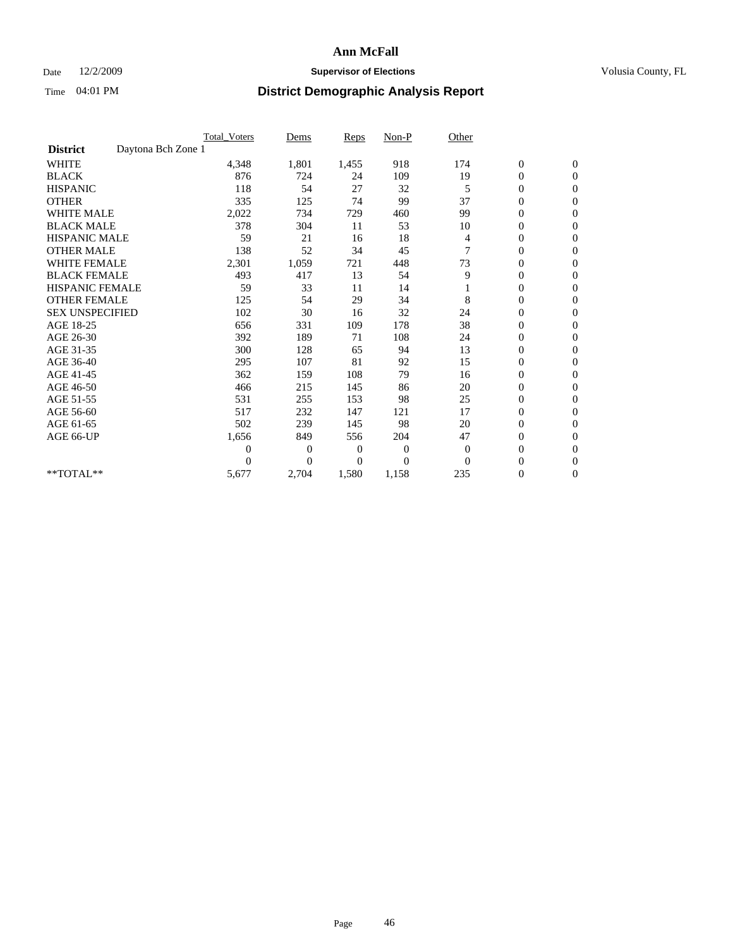## Date 12/2/2009 **Supervisor of Elections Supervisor of Elections** Volusia County, FL

|                                       | <b>Total_Voters</b> | Dems           | <b>Reps</b> | $Non-P$      | Other        |                  |                  |  |
|---------------------------------------|---------------------|----------------|-------------|--------------|--------------|------------------|------------------|--|
| Daytona Bch Zone 1<br><b>District</b> |                     |                |             |              |              |                  |                  |  |
| <b>WHITE</b>                          | 4,348               | 1,801          | 1,455       | 918          | 174          | $\boldsymbol{0}$ | $\boldsymbol{0}$ |  |
| <b>BLACK</b>                          | 876                 | 724            | 24          | 109          | 19           | $\boldsymbol{0}$ | $\mathbf{0}$     |  |
| <b>HISPANIC</b>                       | 118                 | 54             | 27          | 32           | 5            | $\overline{0}$   | $\mathbf{0}$     |  |
| <b>OTHER</b>                          | 335                 | 125            | 74          | 99           | 37           | $\boldsymbol{0}$ | $\Omega$         |  |
| <b>WHITE MALE</b>                     | 2,022               | 734            | 729         | 460          | 99           | $\overline{0}$   | $\mathbf{0}$     |  |
| <b>BLACK MALE</b>                     | 378                 | 304            | 11          | 53           | 10           | $\boldsymbol{0}$ | $\mathbf{0}$     |  |
| <b>HISPANIC MALE</b>                  | 59                  | 21             | 16          | 18           | 4            | $\boldsymbol{0}$ | $\mathbf{0}$     |  |
| <b>OTHER MALE</b>                     | 138                 | 52             | 34          | 45           | 7            | $\boldsymbol{0}$ | $\mathbf{0}$     |  |
| WHITE FEMALE                          | 2,301               | 1,059          | 721         | 448          | 73           | $\overline{0}$   | $\mathbf{0}$     |  |
| <b>BLACK FEMALE</b>                   | 493                 | 417            | 13          | 54           | 9            | $\boldsymbol{0}$ | $\mathbf{0}$     |  |
| <b>HISPANIC FEMALE</b>                | 59                  | 33             | 11          | 14           |              | $\boldsymbol{0}$ | $\mathbf{0}$     |  |
| <b>OTHER FEMALE</b>                   | 125                 | 54             | 29          | 34           | 8            | $\mathbf{0}$     | $\mathbf{0}$     |  |
| <b>SEX UNSPECIFIED</b>                | 102                 | 30             | 16          | 32           | 24           | $\boldsymbol{0}$ | $\mathbf{0}$     |  |
| AGE 18-25                             | 656                 | 331            | 109         | 178          | 38           | $\overline{0}$   | $\mathbf{0}$     |  |
| AGE 26-30                             | 392                 | 189            | 71          | 108          | 24           | $\overline{0}$   | $\mathbf{0}$     |  |
| AGE 31-35                             | 300                 | 128            | 65          | 94           | 13           | $\boldsymbol{0}$ | $\mathbf{0}$     |  |
| AGE 36-40                             | 295                 | 107            | 81          | 92           | 15           | $\boldsymbol{0}$ | $\mathbf{0}$     |  |
| AGE 41-45                             | 362                 | 159            | 108         | 79           | 16           | $\overline{0}$   | $\mathbf{0}$     |  |
| AGE 46-50                             | 466                 | 215            | 145         | 86           | 20           | $\boldsymbol{0}$ | $\mathbf{0}$     |  |
| AGE 51-55                             | 531                 | 255            | 153         | 98           | 25           | $\boldsymbol{0}$ | $\mathbf{0}$     |  |
| AGE 56-60                             | 517                 | 232            | 147         | 121          | 17           | $\overline{0}$   | $\Omega$         |  |
| AGE 61-65                             | 502                 | 239            | 145         | 98           | 20           | $\mathbf{0}$     | $\mathbf{0}$     |  |
| AGE 66-UP                             | 1,656               | 849            | 556         | 204          | 47           | $\boldsymbol{0}$ | $\mathbf{0}$     |  |
|                                       | $\overline{0}$      | $\overline{0}$ | 0           | $\mathbf{0}$ | $\mathbf{0}$ | $\overline{0}$   | $\mathbf{0}$     |  |
|                                       | $\theta$            | $\overline{0}$ | $\Omega$    | $\theta$     | $\Omega$     | $\boldsymbol{0}$ | $\mathbf{0}$     |  |
| **TOTAL**                             | 5,677               | 2,704          | 1,580       | 1,158        | 235          | 0                | $\mathbf{0}$     |  |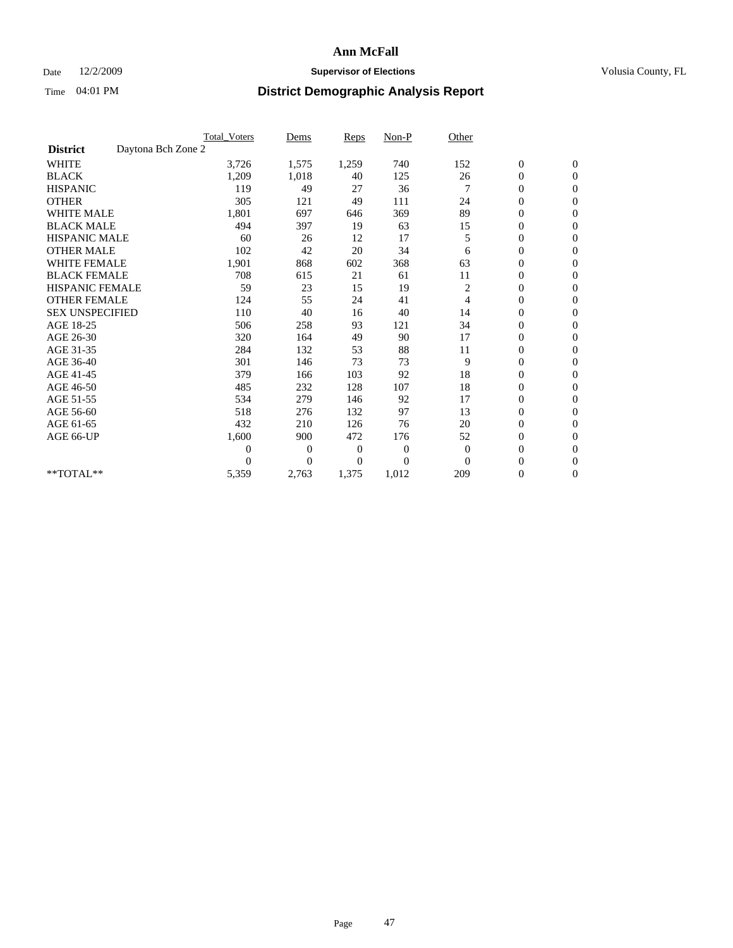## Date 12/2/2009 **Supervisor of Elections Supervisor of Elections** Volusia County, FL

|                        |                    | <b>Total Voters</b> | Dems           | <b>Reps</b>  | $Non-P$        | Other          |                  |                |  |
|------------------------|--------------------|---------------------|----------------|--------------|----------------|----------------|------------------|----------------|--|
| <b>District</b>        | Daytona Bch Zone 2 |                     |                |              |                |                |                  |                |  |
| <b>WHITE</b>           |                    | 3,726               | 1,575          | 1,259        | 740            | 152            | $\boldsymbol{0}$ | $\mathbf{0}$   |  |
| <b>BLACK</b>           |                    | 1,209               | 1,018          | 40           | 125            | 26             | $\boldsymbol{0}$ | $\mathbf{0}$   |  |
| <b>HISPANIC</b>        |                    | 119                 | 49             | 27           | 36             |                | $\overline{0}$   | $\mathbf{0}$   |  |
| <b>OTHER</b>           |                    | 305                 | 121            | 49           | 111            | 24             | $\overline{0}$   | $\mathbf{0}$   |  |
| <b>WHITE MALE</b>      |                    | 1,801               | 697            | 646          | 369            | 89             | $\boldsymbol{0}$ | $\mathbf{0}$   |  |
| <b>BLACK MALE</b>      |                    | 494                 | 397            | 19           | 63             | 15             | $\boldsymbol{0}$ | $\mathbf{0}$   |  |
| <b>HISPANIC MALE</b>   |                    | 60                  | 26             | 12           | 17             | 5              | $\boldsymbol{0}$ | $\mathbf{0}$   |  |
| <b>OTHER MALE</b>      |                    | 102                 | 42             | 20           | 34             | 6              | 0                | $\mathbf{0}$   |  |
| <b>WHITE FEMALE</b>    |                    | 1,901               | 868            | 602          | 368            | 63             | $\overline{0}$   | $\mathbf{0}$   |  |
| <b>BLACK FEMALE</b>    |                    | 708                 | 615            | 21           | 61             | 11             | $\boldsymbol{0}$ | $\mathbf{0}$   |  |
| <b>HISPANIC FEMALE</b> |                    | 59                  | 23             | 15           | 19             | 2              | $\boldsymbol{0}$ | $\mathbf{0}$   |  |
| <b>OTHER FEMALE</b>    |                    | 124                 | 55             | 24           | 41             | $\overline{4}$ | $\overline{0}$   | $\Omega$       |  |
| <b>SEX UNSPECIFIED</b> |                    | 110                 | 40             | 16           | 40             | 14             | $\overline{0}$   | $\mathbf{0}$   |  |
| AGE 18-25              |                    | 506                 | 258            | 93           | 121            | 34             | $\overline{0}$   | $\mathbf{0}$   |  |
| AGE 26-30              |                    | 320                 | 164            | 49           | 90             | 17             | $\overline{0}$   | $\mathbf{0}$   |  |
| AGE 31-35              |                    | 284                 | 132            | 53           | 88             | 11             | $\boldsymbol{0}$ | $\mathbf{0}$   |  |
| AGE 36-40              |                    | 301                 | 146            | 73           | 73             | 9              | $\boldsymbol{0}$ | $\mathbf{0}$   |  |
| AGE 41-45              |                    | 379                 | 166            | 103          | 92             | 18             | $\overline{0}$   | $\mathbf{0}$   |  |
| AGE 46-50              |                    | 485                 | 232            | 128          | 107            | 18             | $\mathbf{0}$     | $\mathbf{0}$   |  |
| AGE 51-55              |                    | 534                 | 279            | 146          | 92             | 17             | $\boldsymbol{0}$ | $\mathbf{0}$   |  |
| AGE 56-60              |                    | 518                 | 276            | 132          | 97             | 13             | $\boldsymbol{0}$ | $\Omega$       |  |
| AGE 61-65              |                    | 432                 | 210            | 126          | 76             | 20             | $\boldsymbol{0}$ | $\overline{0}$ |  |
| AGE 66-UP              |                    | 1,600               | 900            | 472          | 176            | 52             | $\overline{0}$   | $\mathbf{0}$   |  |
|                        |                    | $\theta$            | 0              | $\mathbf{0}$ | 0              | $\mathbf{0}$   | $\overline{0}$   | $\Omega$       |  |
|                        |                    | $\theta$            | $\overline{0}$ | 0            | $\overline{0}$ | $\Omega$       | $\overline{0}$   | $\overline{0}$ |  |
| **TOTAL**              |                    | 5,359               | 2,763          | 1,375        | 1,012          | 209            | 0                | $\mathbf{0}$   |  |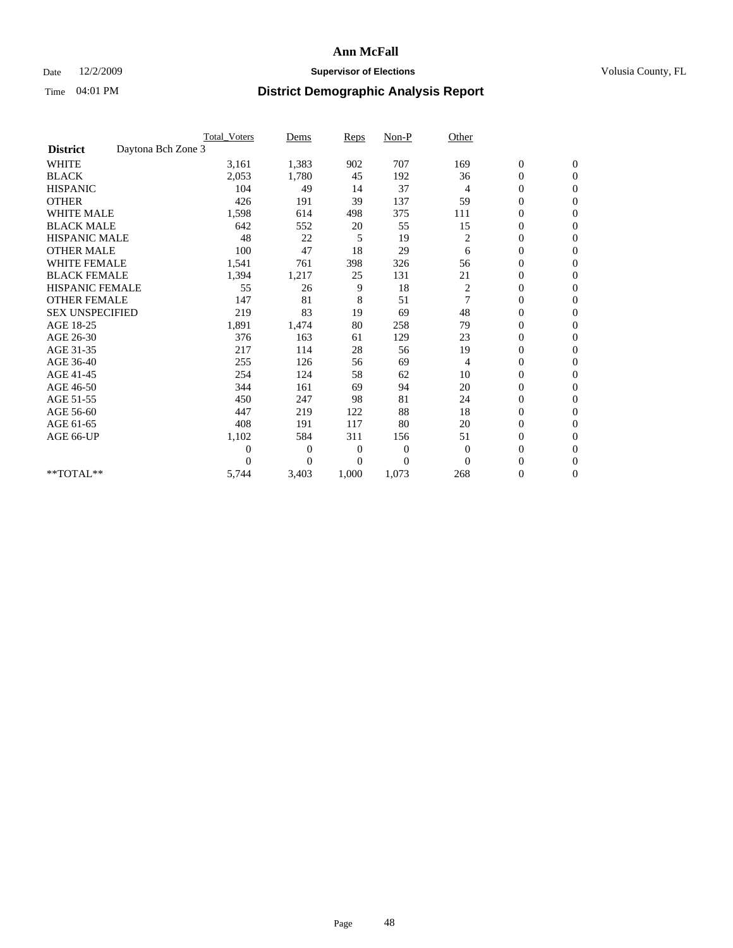## Date 12/2/2009 **Supervisor of Elections Supervisor of Elections** Volusia County, FL

|                        |                    | <b>Total Voters</b> | Dems           | <b>Reps</b>    | $Non-P$        | Other          |                  |                |  |
|------------------------|--------------------|---------------------|----------------|----------------|----------------|----------------|------------------|----------------|--|
| <b>District</b>        | Daytona Bch Zone 3 |                     |                |                |                |                |                  |                |  |
| <b>WHITE</b>           |                    | 3,161               | 1,383          | 902            | 707            | 169            | $\boldsymbol{0}$ | $\mathbf{0}$   |  |
| <b>BLACK</b>           |                    | 2,053               | 1,780          | 45             | 192            | 36             | $\boldsymbol{0}$ | $\mathbf{0}$   |  |
| <b>HISPANIC</b>        |                    | 104                 | 49             | 14             | 37             | $\overline{4}$ | $\mathbf{0}$     | $\mathbf{0}$   |  |
| <b>OTHER</b>           |                    | 426                 | 191            | 39             | 137            | 59             | $\overline{0}$   | $\mathbf{0}$   |  |
| <b>WHITE MALE</b>      |                    | 1,598               | 614            | 498            | 375            | 111            | $\boldsymbol{0}$ | $\mathbf{0}$   |  |
| <b>BLACK MALE</b>      |                    | 642                 | 552            | 20             | 55             | 15             | $\boldsymbol{0}$ | $\mathbf{0}$   |  |
| <b>HISPANIC MALE</b>   |                    | 48                  | 22             | 5              | 19             | 2              | $\boldsymbol{0}$ | $\mathbf{0}$   |  |
| <b>OTHER MALE</b>      |                    | 100                 | 47             | 18             | 29             | 6              | 0                | $\mathbf{0}$   |  |
| <b>WHITE FEMALE</b>    |                    | 1,541               | 761            | 398            | 326            | 56             | $\overline{0}$   | $\mathbf{0}$   |  |
| <b>BLACK FEMALE</b>    |                    | 1,394               | 1,217          | 25             | 131            | 21             | $\boldsymbol{0}$ | $\mathbf{0}$   |  |
| <b>HISPANIC FEMALE</b> |                    | 55                  | 26             | 9              | 18             | 2              | $\boldsymbol{0}$ | $\mathbf{0}$   |  |
| <b>OTHER FEMALE</b>    |                    | 147                 | 81             | 8              | 51             | 7              | $\overline{0}$   | $\Omega$       |  |
| <b>SEX UNSPECIFIED</b> |                    | 219                 | 83             | 19             | 69             | 48             | $\overline{0}$   | $\mathbf{0}$   |  |
| AGE 18-25              |                    | 1,891               | 1,474          | 80             | 258            | 79             | $\overline{0}$   | $\mathbf{0}$   |  |
| AGE 26-30              |                    | 376                 | 163            | 61             | 129            | 23             | $\overline{0}$   | $\mathbf{0}$   |  |
| AGE 31-35              |                    | 217                 | 114            | 28             | 56             | 19             | $\boldsymbol{0}$ | $\mathbf{0}$   |  |
| AGE 36-40              |                    | 255                 | 126            | 56             | 69             | 4              | $\boldsymbol{0}$ | $\mathbf{0}$   |  |
| AGE 41-45              |                    | 254                 | 124            | 58             | 62             | 10             | $\overline{0}$   | $\mathbf{0}$   |  |
| AGE 46-50              |                    | 344                 | 161            | 69             | 94             | 20             | $\mathbf{0}$     | $\mathbf{0}$   |  |
| AGE 51-55              |                    | 450                 | 247            | 98             | 81             | 24             | $\boldsymbol{0}$ | $\mathbf{0}$   |  |
| AGE 56-60              |                    | 447                 | 219            | 122            | 88             | 18             | $\boldsymbol{0}$ | $\Omega$       |  |
| AGE 61-65              |                    | 408                 | 191            | 117            | 80             | 20             | $\boldsymbol{0}$ | $\overline{0}$ |  |
| AGE 66-UP              |                    | 1,102               | 584            | 311            | 156            | 51             | $\overline{0}$   | $\mathbf{0}$   |  |
|                        |                    | $\theta$            | $\overline{0}$ | $\mathbf{0}$   | 0              | $\overline{0}$ | $\overline{0}$   | $\Omega$       |  |
|                        |                    | $\Omega$            | $\overline{0}$ | $\overline{0}$ | $\overline{0}$ | $\Omega$       | $\overline{0}$   | $\overline{0}$ |  |
| **TOTAL**              |                    | 5,744               | 3,403          | 1,000          | 1,073          | 268            | 0                | $\mathbf{0}$   |  |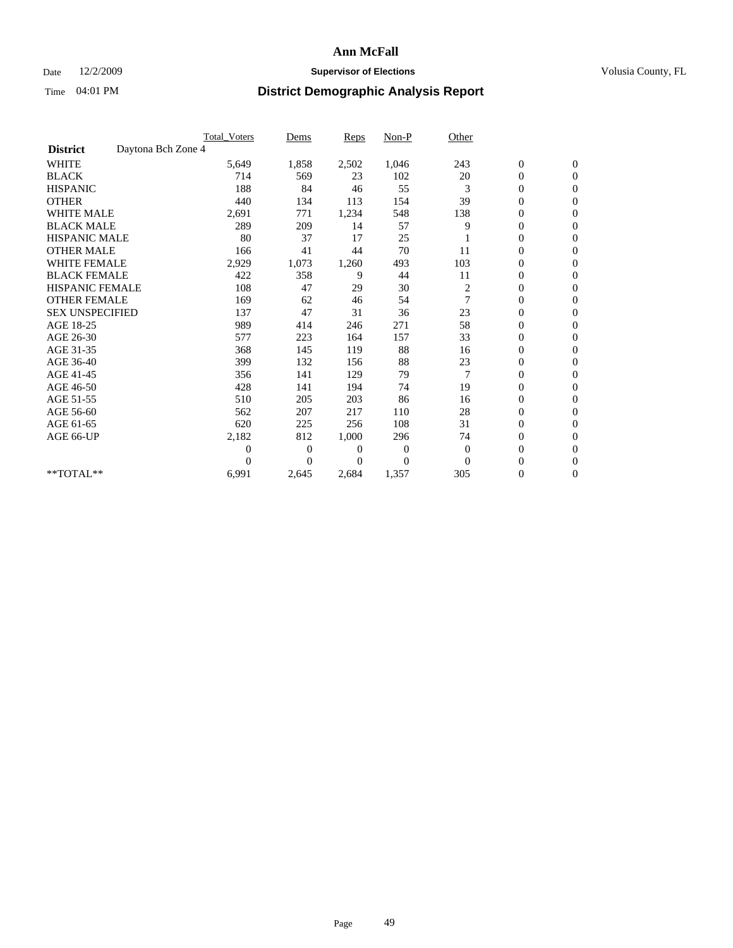## Date 12/2/2009 **Supervisor of Elections Supervisor of Elections** Volusia County, FL

|                        |                    | Total Voters   | Dems           | <b>Reps</b> | Non-P        | Other    |                  |                  |  |
|------------------------|--------------------|----------------|----------------|-------------|--------------|----------|------------------|------------------|--|
| <b>District</b>        | Daytona Bch Zone 4 |                |                |             |              |          |                  |                  |  |
| <b>WHITE</b>           |                    | 5,649          | 1,858          | 2,502       | 1,046        | 243      | $\boldsymbol{0}$ | $\boldsymbol{0}$ |  |
| <b>BLACK</b>           |                    | 714            | 569            | 23          | 102          | 20       | $\boldsymbol{0}$ | $\mathbf{0}$     |  |
| <b>HISPANIC</b>        |                    | 188            | 84             | 46          | 55           | 3        | $\overline{0}$   | $\mathbf{0}$     |  |
| <b>OTHER</b>           |                    | 440            | 134            | 113         | 154          | 39       | $\boldsymbol{0}$ | $\Omega$         |  |
| <b>WHITE MALE</b>      |                    | 2,691          | 771            | 1,234       | 548          | 138      | $\overline{0}$   | $\mathbf{0}$     |  |
| <b>BLACK MALE</b>      |                    | 289            | 209            | 14          | 57           | 9        | $\overline{0}$   | $\mathbf{0}$     |  |
| <b>HISPANIC MALE</b>   |                    | 80             | 37             | 17          | 25           |          | $\overline{0}$   | $\mathbf{0}$     |  |
| <b>OTHER MALE</b>      |                    | 166            | 41             | 44          | 70           | 11       | 0                | $\mathbf{0}$     |  |
| WHITE FEMALE           |                    | 2,929          | 1,073          | 1,260       | 493          | 103      | $\overline{0}$   | $\mathbf{0}$     |  |
| <b>BLACK FEMALE</b>    |                    | 422            | 358            | 9           | 44           | 11       | $\boldsymbol{0}$ | $\mathbf{0}$     |  |
| <b>HISPANIC FEMALE</b> |                    | 108            | 47             | 29          | 30           | 2        | 0                | $\mathbf{0}$     |  |
| <b>OTHER FEMALE</b>    |                    | 169            | 62             | 46          | 54           | 7        | $\mathbf{0}$     | $\mathbf{0}$     |  |
| <b>SEX UNSPECIFIED</b> |                    | 137            | 47             | 31          | 36           | 23       | $\boldsymbol{0}$ | $\mathbf{0}$     |  |
| AGE 18-25              |                    | 989            | 414            | 246         | 271          | 58       | $\overline{0}$   | $\mathbf{0}$     |  |
| AGE 26-30              |                    | 577            | 223            | 164         | 157          | 33       | $\overline{0}$   | $\mathbf{0}$     |  |
| AGE 31-35              |                    | 368            | 145            | 119         | 88           | 16       | $\boldsymbol{0}$ | $\mathbf{0}$     |  |
| AGE 36-40              |                    | 399            | 132            | 156         | 88           | 23       | 0                | $\mathbf{0}$     |  |
| AGE 41-45              |                    | 356            | 141            | 129         | 79           | 7        | $\overline{0}$   | $\mathbf{0}$     |  |
| AGE 46-50              |                    | 428            | 141            | 194         | 74           | 19       | $\boldsymbol{0}$ | $\mathbf{0}$     |  |
| AGE 51-55              |                    | 510            | 205            | 203         | 86           | 16       | $\boldsymbol{0}$ | $\mathbf{0}$     |  |
| AGE 56-60              |                    | 562            | 207            | 217         | 110          | 28       | $\overline{0}$   | $\Omega$         |  |
| AGE 61-65              |                    | 620            | 225            | 256         | 108          | 31       | $\overline{0}$   | $\mathbf{0}$     |  |
| AGE 66-UP              |                    | 2,182          | 812            | 1,000       | 296          | 74       | $\boldsymbol{0}$ | $\mathbf{0}$     |  |
|                        |                    | $\overline{0}$ | $\overline{0}$ | 0           | $\mathbf{0}$ | $\theta$ | $\overline{0}$   | $\mathbf{0}$     |  |
|                        |                    | $\theta$       | $\theta$       | $\Omega$    | $\Omega$     | $\Omega$ | $\boldsymbol{0}$ | $\mathbf{0}$     |  |
| **TOTAL**              |                    | 6,991          | 2,645          | 2,684       | 1,357        | 305      | 0                | $\mathbf{0}$     |  |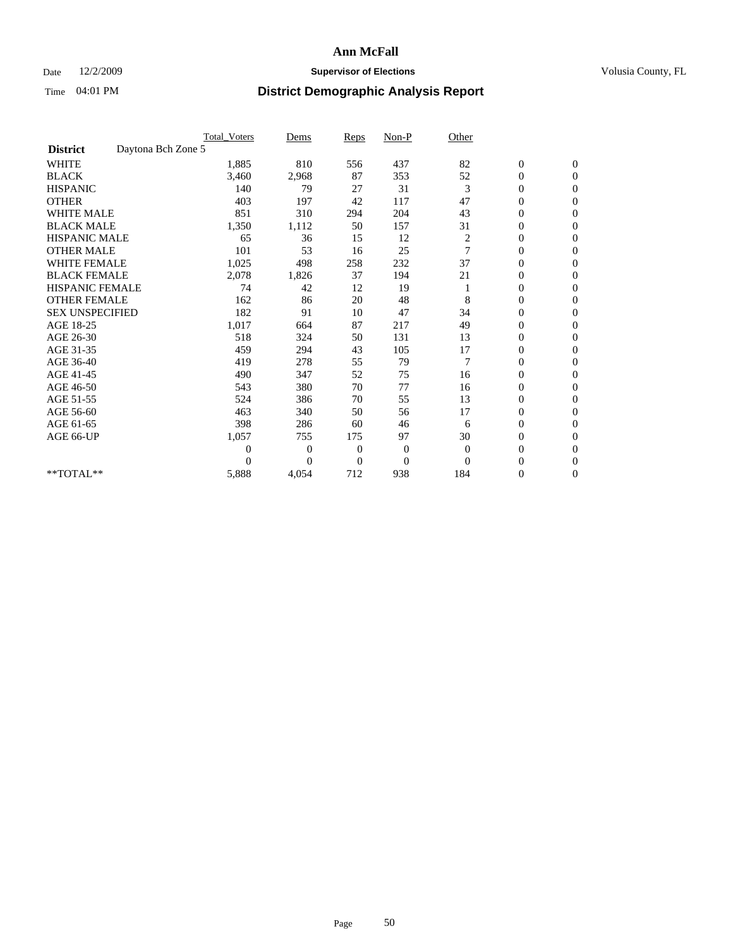## Date 12/2/2009 **Supervisor of Elections Supervisor of Elections** Volusia County, FL

|                        |                    | <b>Total Voters</b> | Dems           | <b>Reps</b>  | $Non-P$          | Other          |                  |                |  |
|------------------------|--------------------|---------------------|----------------|--------------|------------------|----------------|------------------|----------------|--|
| <b>District</b>        | Daytona Bch Zone 5 |                     |                |              |                  |                |                  |                |  |
| <b>WHITE</b>           |                    | 1,885               | 810            | 556          | 437              | 82             | $\boldsymbol{0}$ | $\mathbf{0}$   |  |
| <b>BLACK</b>           |                    | 3,460               | 2,968          | 87           | 353              | 52             | $\boldsymbol{0}$ | $\mathbf{0}$   |  |
| <b>HISPANIC</b>        |                    | 140                 | 79             | 27           | 31               | 3              | $\overline{0}$   | $\mathbf{0}$   |  |
| <b>OTHER</b>           |                    | 403                 | 197            | 42           | 117              | 47             | $\overline{0}$   | $\mathbf{0}$   |  |
| <b>WHITE MALE</b>      |                    | 851                 | 310            | 294          | 204              | 43             | $\boldsymbol{0}$ | $\mathbf{0}$   |  |
| <b>BLACK MALE</b>      |                    | 1,350               | 1,112          | 50           | 157              | 31             | $\boldsymbol{0}$ | $\mathbf{0}$   |  |
| <b>HISPANIC MALE</b>   |                    | 65                  | 36             | 15           | 12               | $\overline{c}$ | $\boldsymbol{0}$ | $\mathbf{0}$   |  |
| <b>OTHER MALE</b>      |                    | 101                 | 53             | 16           | 25               | 7              | 0                | $\mathbf{0}$   |  |
| <b>WHITE FEMALE</b>    |                    | 1,025               | 498            | 258          | 232              | 37             | $\overline{0}$   | $\mathbf{0}$   |  |
| <b>BLACK FEMALE</b>    |                    | 2,078               | 1,826          | 37           | 194              | 21             | $\boldsymbol{0}$ | $\mathbf{0}$   |  |
| <b>HISPANIC FEMALE</b> |                    | 74                  | 42             | 12           | 19               |                | $\boldsymbol{0}$ | $\mathbf{0}$   |  |
| <b>OTHER FEMALE</b>    |                    | 162                 | 86             | 20           | 48               | 8              | $\overline{0}$   | $\Omega$       |  |
| <b>SEX UNSPECIFIED</b> |                    | 182                 | 91             | 10           | 47               | 34             | $\overline{0}$   | $\mathbf{0}$   |  |
| AGE 18-25              |                    | 1,017               | 664            | 87           | 217              | 49             | 0                | $\mathbf{0}$   |  |
| AGE 26-30              |                    | 518                 | 324            | 50           | 131              | 13             | $\overline{0}$   | $\mathbf{0}$   |  |
| AGE 31-35              |                    | 459                 | 294            | 43           | 105              | 17             | $\boldsymbol{0}$ | $\mathbf{0}$   |  |
| AGE 36-40              |                    | 419                 | 278            | 55           | 79               | $\overline{7}$ | $\boldsymbol{0}$ | $\mathbf{0}$   |  |
| AGE 41-45              |                    | 490                 | 347            | 52           | 75               | 16             | $\overline{0}$   | $\mathbf{0}$   |  |
| AGE 46-50              |                    | 543                 | 380            | 70           | 77               | 16             | $\mathbf{0}$     | $\mathbf{0}$   |  |
| AGE 51-55              |                    | 524                 | 386            | 70           | 55               | 13             | $\boldsymbol{0}$ | $\mathbf{0}$   |  |
| AGE 56-60              |                    | 463                 | 340            | 50           | 56               | 17             | $\boldsymbol{0}$ | $\Omega$       |  |
| AGE 61-65              |                    | 398                 | 286            | 60           | 46               | 6              | $\boldsymbol{0}$ | $\overline{0}$ |  |
| AGE 66-UP              |                    | 1,057               | 755            | 175          | 97               | 30             | $\overline{0}$   | $\mathbf{0}$   |  |
|                        |                    | $\theta$            | 0              | $\mathbf{0}$ | $\boldsymbol{0}$ | $\overline{0}$ | $\overline{0}$   | $\Omega$       |  |
|                        |                    | $\theta$            | $\overline{0}$ | $\mathbf{0}$ | $\overline{0}$   | $\Omega$       | $\overline{0}$   | $\overline{0}$ |  |
| **TOTAL**              |                    | 5,888               | 4,054          | 712          | 938              | 184            | 0                | $\mathbf{0}$   |  |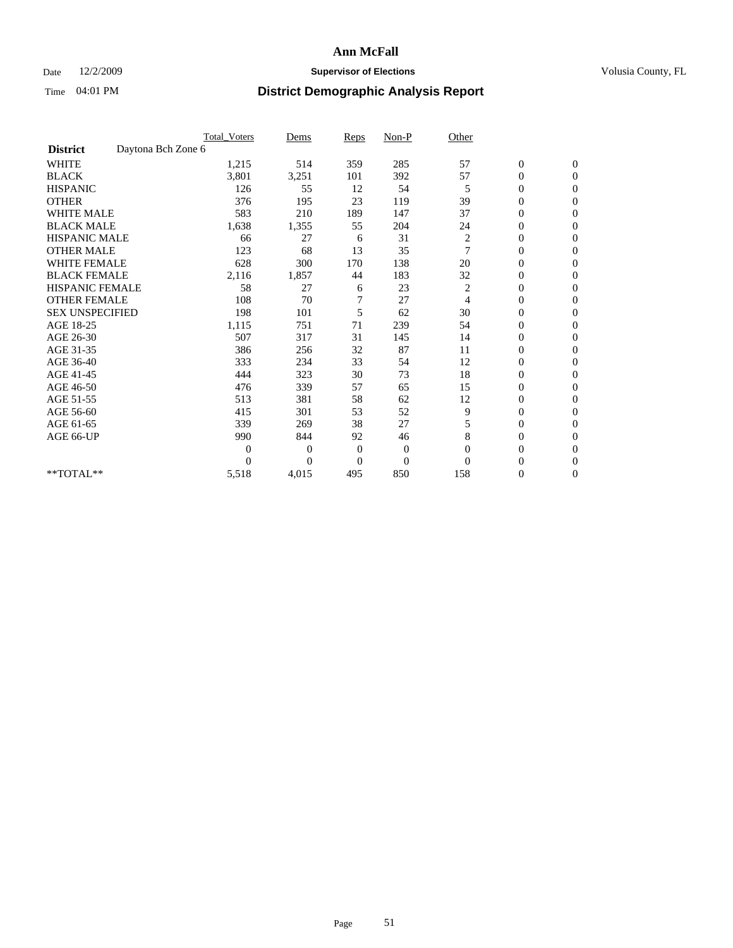## Date 12/2/2009 **Supervisor of Elections Supervisor of Elections** Volusia County, FL

|                        |                    | <b>Total_Voters</b> | Dems     | Reps         | $Non-P$          | Other          |                  |                |  |
|------------------------|--------------------|---------------------|----------|--------------|------------------|----------------|------------------|----------------|--|
| <b>District</b>        | Daytona Bch Zone 6 |                     |          |              |                  |                |                  |                |  |
| <b>WHITE</b>           |                    | 1,215               | 514      | 359          | 285              | 57             | $\boldsymbol{0}$ | $\mathbf{0}$   |  |
| <b>BLACK</b>           |                    | 3,801               | 3,251    | 101          | 392              | 57             | 0                | $\mathbf{0}$   |  |
| <b>HISPANIC</b>        |                    | 126                 | 55       | 12           | 54               | 5              | $\mathbf{0}$     | $\mathbf{0}$   |  |
| <b>OTHER</b>           |                    | 376                 | 195      | 23           | 119              | 39             | 0                | $\mathbf{0}$   |  |
| <b>WHITE MALE</b>      |                    | 583                 | 210      | 189          | 147              | 37             | 0                | $\mathbf{0}$   |  |
| <b>BLACK MALE</b>      |                    | 1,638               | 1,355    | 55           | 204              | 24             | 0                | $\Omega$       |  |
| <b>HISPANIC MALE</b>   |                    | 66                  | 27       | 6            | 31               | $\overline{c}$ | 0                | $\Omega$       |  |
| <b>OTHER MALE</b>      |                    | 123                 | 68       | 13           | 35               | 7              | 0                | $\overline{0}$ |  |
| <b>WHITE FEMALE</b>    |                    | 628                 | 300      | 170          | 138              | 20             | 0                | $\Omega$       |  |
| <b>BLACK FEMALE</b>    |                    | 2,116               | 1,857    | 44           | 183              | 32             | 0                | $\mathbf{0}$   |  |
| <b>HISPANIC FEMALE</b> |                    | 58                  | 27       | 6            | 23               | 2              | 0                | $\mathbf{0}$   |  |
| <b>OTHER FEMALE</b>    |                    | 108                 | 70       | 7            | 27               | $\overline{4}$ | 0                | $\Omega$       |  |
| <b>SEX UNSPECIFIED</b> |                    | 198                 | 101      | 5            | 62               | 30             | 0                | $\mathbf{0}$   |  |
| AGE 18-25              |                    | 1,115               | 751      | 71           | 239              | 54             | 0                | $\mathbf{0}$   |  |
| AGE 26-30              |                    | 507                 | 317      | 31           | 145              | 14             | 0                | $\mathbf{0}$   |  |
| AGE 31-35              |                    | 386                 | 256      | 32           | 87               | 11             | 0                | $\overline{0}$ |  |
| AGE 36-40              |                    | 333                 | 234      | 33           | 54               | 12             | 0                | $\mathbf{0}$   |  |
| AGE 41-45              |                    | 444                 | 323      | 30           | 73               | 18             | $\overline{0}$   | $\mathbf{0}$   |  |
| AGE 46-50              |                    | 476                 | 339      | 57           | 65               | 15             | 0                | $\mathbf{0}$   |  |
| AGE 51-55              |                    | 513                 | 381      | 58           | 62               | 12             | 0                | $\mathbf{0}$   |  |
| AGE 56-60              |                    | 415                 | 301      | 53           | 52               | 9              | 0                | $\Omega$       |  |
| AGE 61-65              |                    | 339                 | 269      | 38           | 27               | 5              | 0                | $\mathbf{0}$   |  |
| AGE 66-UP              |                    | 990                 | 844      | 92           | 46               | 8              | 0                | $\mathbf{0}$   |  |
|                        |                    | $\Omega$            | $\Omega$ | $\mathbf{0}$ | $\boldsymbol{0}$ | $\Omega$       | 0                | $\Omega$       |  |
|                        |                    | 0                   | $\theta$ | $\theta$     | $\theta$         | $\Omega$       | $\overline{0}$   | $\overline{0}$ |  |
| **TOTAL**              |                    | 5,518               | 4,015    | 495          | 850              | 158            | 0                | $\overline{0}$ |  |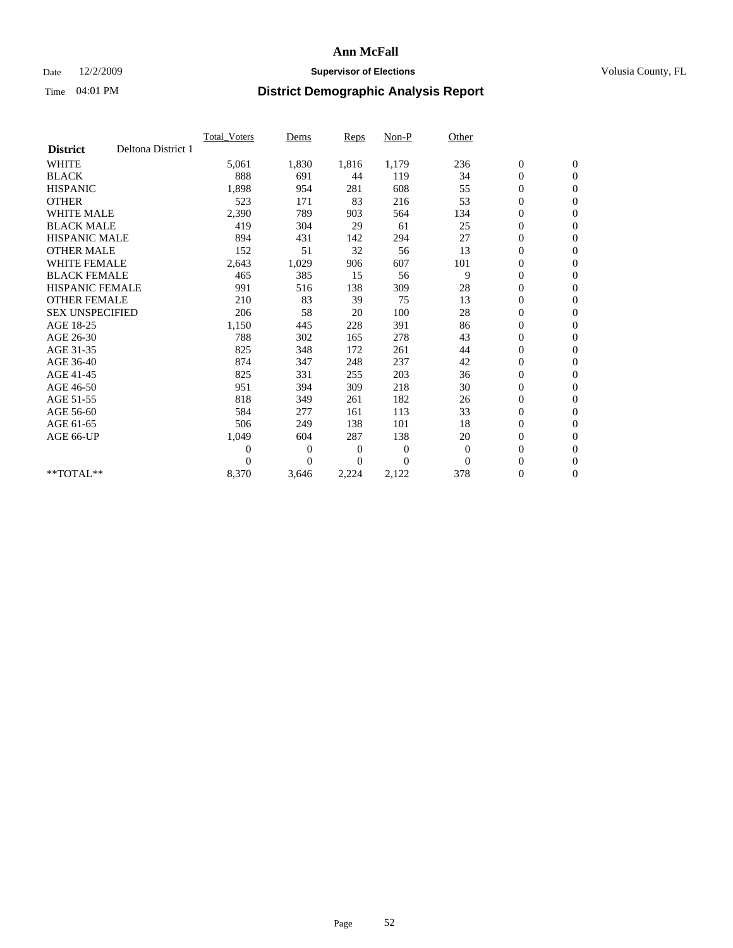## Date 12/2/2009 **Supervisor of Elections Supervisor of Elections** Volusia County, FL

|                        |                    | Total Voters   | Dems           | <b>Reps</b> | Non-P        | Other        |                  |                  |  |
|------------------------|--------------------|----------------|----------------|-------------|--------------|--------------|------------------|------------------|--|
| <b>District</b>        | Deltona District 1 |                |                |             |              |              |                  |                  |  |
| <b>WHITE</b>           |                    | 5,061          | 1,830          | 1,816       | 1,179        | 236          | $\boldsymbol{0}$ | $\boldsymbol{0}$ |  |
| <b>BLACK</b>           |                    | 888            | 691            | 44          | 119          | 34           | $\boldsymbol{0}$ | $\mathbf{0}$     |  |
| <b>HISPANIC</b>        |                    | 1,898          | 954            | 281         | 608          | 55           | $\overline{0}$   | $\mathbf{0}$     |  |
| <b>OTHER</b>           |                    | 523            | 171            | 83          | 216          | 53           | $\boldsymbol{0}$ | $\mathbf{0}$     |  |
| <b>WHITE MALE</b>      |                    | 2,390          | 789            | 903         | 564          | 134          | $\boldsymbol{0}$ | $\mathbf{0}$     |  |
| <b>BLACK MALE</b>      |                    | 419            | 304            | 29          | 61           | 25           | $\boldsymbol{0}$ | $\mathbf{0}$     |  |
| <b>HISPANIC MALE</b>   |                    | 894            | 431            | 142         | 294          | 27           | $\boldsymbol{0}$ | $\mathbf{0}$     |  |
| <b>OTHER MALE</b>      |                    | 152            | 51             | 32          | 56           | 13           | $\boldsymbol{0}$ | $\mathbf{0}$     |  |
| <b>WHITE FEMALE</b>    |                    | 2,643          | 1,029          | 906         | 607          | 101          | $\overline{0}$   | $\mathbf{0}$     |  |
| <b>BLACK FEMALE</b>    |                    | 465            | 385            | 15          | 56           | 9            | $\boldsymbol{0}$ | $\mathbf{0}$     |  |
| <b>HISPANIC FEMALE</b> |                    | 991            | 516            | 138         | 309          | 28           | $\boldsymbol{0}$ | $\mathbf{0}$     |  |
| <b>OTHER FEMALE</b>    |                    | 210            | 83             | 39          | 75           | 13           | $\mathbf{0}$     | $\mathbf{0}$     |  |
| <b>SEX UNSPECIFIED</b> |                    | 206            | 58             | 20          | 100          | 28           | $\boldsymbol{0}$ | $\mathbf{0}$     |  |
| AGE 18-25              |                    | 1,150          | 445            | 228         | 391          | 86           | $\boldsymbol{0}$ | $\mathbf{0}$     |  |
| AGE 26-30              |                    | 788            | 302            | 165         | 278          | 43           | $\overline{0}$   | $\mathbf{0}$     |  |
| AGE 31-35              |                    | 825            | 348            | 172         | 261          | 44           | $\boldsymbol{0}$ | $\boldsymbol{0}$ |  |
| AGE 36-40              |                    | 874            | 347            | 248         | 237          | 42           | $\boldsymbol{0}$ | $\mathbf{0}$     |  |
| AGE 41-45              |                    | 825            | 331            | 255         | 203          | 36           | $\overline{0}$   | $\mathbf{0}$     |  |
| AGE 46-50              |                    | 951            | 394            | 309         | 218          | 30           | $\boldsymbol{0}$ | $\mathbf{0}$     |  |
| AGE 51-55              |                    | 818            | 349            | 261         | 182          | 26           | $\boldsymbol{0}$ | $\mathbf{0}$     |  |
| AGE 56-60              |                    | 584            | 277            | 161         | 113          | 33           | $\boldsymbol{0}$ | $\mathbf{0}$     |  |
| AGE 61-65              |                    | 506            | 249            | 138         | 101          | 18           | $\boldsymbol{0}$ | $\mathbf{0}$     |  |
| AGE 66-UP              |                    | 1,049          | 604            | 287         | 138          | 20           | $\boldsymbol{0}$ | $\boldsymbol{0}$ |  |
|                        |                    | $\overline{0}$ | $\overline{0}$ | 0           | $\mathbf{0}$ | $\mathbf{0}$ | $\overline{0}$   | $\mathbf{0}$     |  |
|                        |                    | $\Omega$       | $\theta$       | $\Omega$    | $\theta$     | $\mathbf{0}$ | $\boldsymbol{0}$ | $\boldsymbol{0}$ |  |
| $*$ TOTAL $**$         |                    | 8,370          | 3,646          | 2,224       | 2,122        | 378          | 0                | $\mathbf{0}$     |  |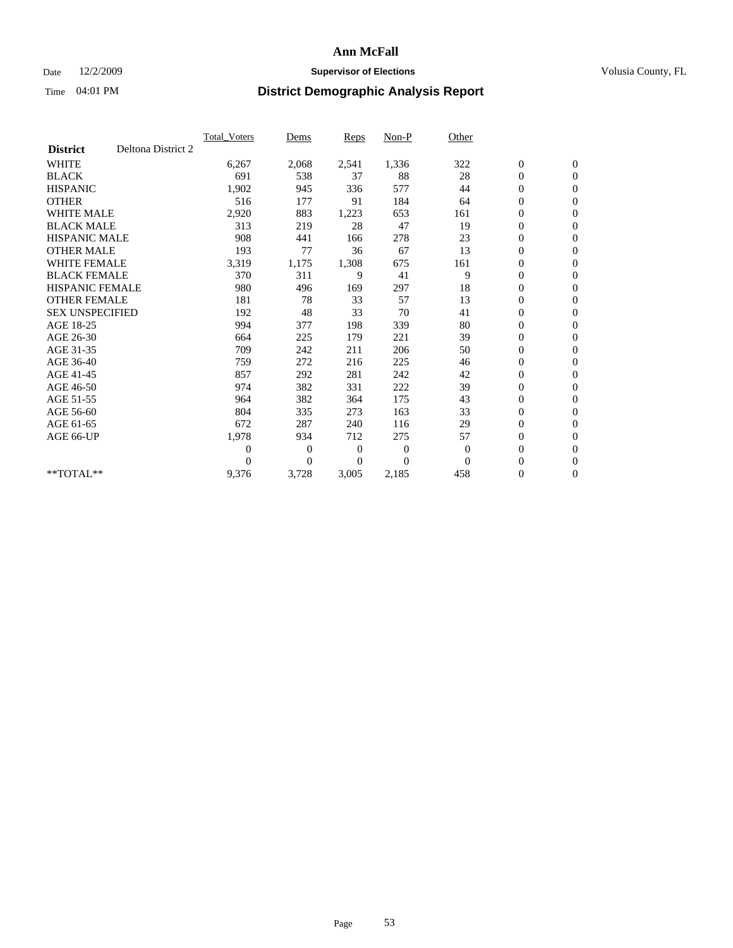### Date  $12/2/2009$  **Supervisor of Elections Supervisor of Elections** Volusia County, FL

|                        |                    | <b>Total Voters</b> | Dems           | <b>Reps</b> | Non-P          | Other        |                  |                  |  |
|------------------------|--------------------|---------------------|----------------|-------------|----------------|--------------|------------------|------------------|--|
| <b>District</b>        | Deltona District 2 |                     |                |             |                |              |                  |                  |  |
| <b>WHITE</b>           |                    | 6,267               | 2,068          | 2,541       | 1,336          | 322          | $\boldsymbol{0}$ | $\boldsymbol{0}$ |  |
| <b>BLACK</b>           |                    | 691                 | 538            | 37          | 88             | 28           | $\boldsymbol{0}$ | $\mathbf{0}$     |  |
| <b>HISPANIC</b>        |                    | 1,902               | 945            | 336         | 577            | 44           | $\overline{0}$   | $\mathbf{0}$     |  |
| <b>OTHER</b>           |                    | 516                 | 177            | 91          | 184            | 64           | $\boldsymbol{0}$ | $\mathbf{0}$     |  |
| <b>WHITE MALE</b>      |                    | 2,920               | 883            | 1,223       | 653            | 161          | $\boldsymbol{0}$ | $\mathbf{0}$     |  |
| <b>BLACK MALE</b>      |                    | 313                 | 219            | 28          | 47             | 19           | $\boldsymbol{0}$ | $\mathbf{0}$     |  |
| <b>HISPANIC MALE</b>   |                    | 908                 | 441            | 166         | 278            | 23           | $\boldsymbol{0}$ | $\mathbf{0}$     |  |
| <b>OTHER MALE</b>      |                    | 193                 | 77             | 36          | 67             | 13           | 0                | $\mathbf{0}$     |  |
| <b>WHITE FEMALE</b>    |                    | 3,319               | 1,175          | 1,308       | 675            | 161          | $\overline{0}$   | $\mathbf{0}$     |  |
| <b>BLACK FEMALE</b>    |                    | 370                 | 311            | 9           | 41             | 9            | $\boldsymbol{0}$ | $\mathbf{0}$     |  |
| <b>HISPANIC FEMALE</b> |                    | 980                 | 496            | 169         | 297            | 18           | 0                | $\mathbf{0}$     |  |
| <b>OTHER FEMALE</b>    |                    | 181                 | 78             | 33          | 57             | 13           | $\mathbf{0}$     | $\mathbf{0}$     |  |
| <b>SEX UNSPECIFIED</b> |                    | 192                 | 48             | 33          | 70             | 41           | $\boldsymbol{0}$ | $\mathbf{0}$     |  |
| AGE 18-25              |                    | 994                 | 377            | 198         | 339            | 80           | $\overline{0}$   | $\mathbf{0}$     |  |
| AGE 26-30              |                    | 664                 | 225            | 179         | 221            | 39           | $\overline{0}$   | $\mathbf{0}$     |  |
| AGE 31-35              |                    | 709                 | 242            | 211         | 206            | 50           | $\boldsymbol{0}$ | $\mathbf{0}$     |  |
| AGE 36-40              |                    | 759                 | 272            | 216         | 225            | 46           | 0                | $\mathbf{0}$     |  |
| AGE 41-45              |                    | 857                 | 292            | 281         | 242            | 42           | $\overline{0}$   | $\mathbf{0}$     |  |
| AGE 46-50              |                    | 974                 | 382            | 331         | 222            | 39           | $\boldsymbol{0}$ | $\mathbf{0}$     |  |
| AGE 51-55              |                    | 964                 | 382            | 364         | 175            | 43           | $\boldsymbol{0}$ | $\mathbf{0}$     |  |
| AGE 56-60              |                    | 804                 | 335            | 273         | 163            | 33           | $\overline{0}$   | $\Omega$         |  |
| AGE 61-65              |                    | 672                 | 287            | 240         | 116            | 29           | $\overline{0}$   | $\mathbf{0}$     |  |
| AGE 66-UP              |                    | 1,978               | 934            | 712         | 275            | 57           | $\boldsymbol{0}$ | $\mathbf{0}$     |  |
|                        |                    | $\overline{0}$      | $\overline{0}$ | 0           | $\overline{0}$ | $\mathbf{0}$ | $\overline{0}$   | $\mathbf{0}$     |  |
|                        |                    | $\theta$            | $\overline{0}$ | $\Omega$    | $\theta$       | $\Omega$     | $\boldsymbol{0}$ | $\mathbf{0}$     |  |
| **TOTAL**              |                    | 9,376               | 3,728          | 3,005       | 2,185          | 458          | 0                | $\mathbf{0}$     |  |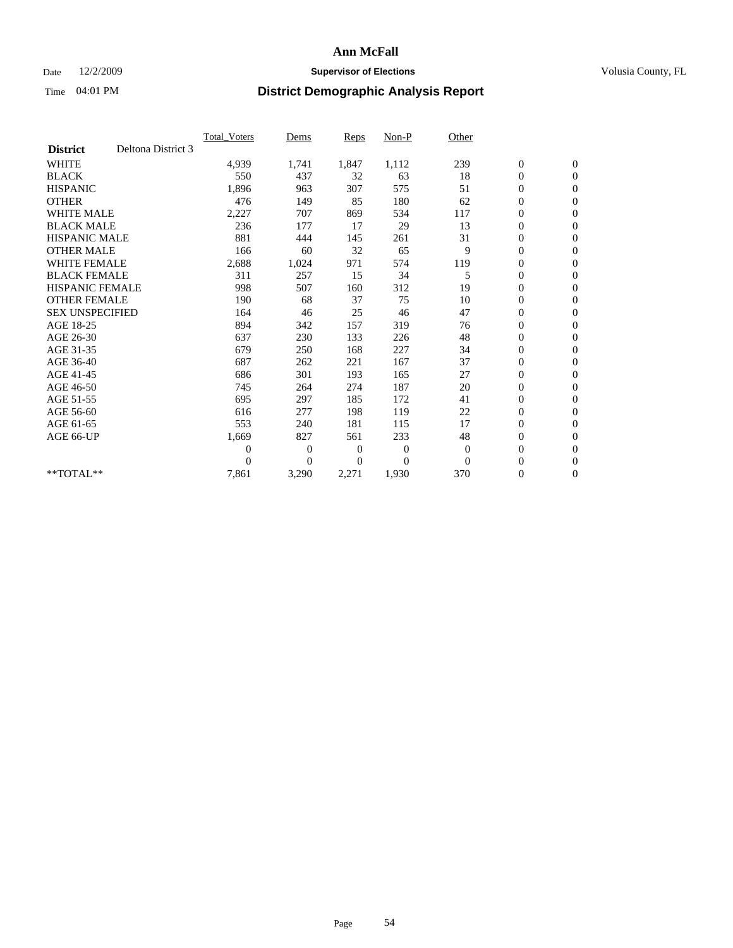## Date 12/2/2009 **Supervisor of Elections Supervisor of Elections** Volusia County, FL

|                        |                    | Total Voters   | Dems           | <b>Reps</b> | Non-P        | Other    |                  |                  |  |
|------------------------|--------------------|----------------|----------------|-------------|--------------|----------|------------------|------------------|--|
| <b>District</b>        | Deltona District 3 |                |                |             |              |          |                  |                  |  |
| <b>WHITE</b>           |                    | 4,939          | 1,741          | 1,847       | 1,112        | 239      | $\boldsymbol{0}$ | $\boldsymbol{0}$ |  |
| <b>BLACK</b>           |                    | 550            | 437            | 32          | 63           | 18       | $\boldsymbol{0}$ | $\mathbf{0}$     |  |
| <b>HISPANIC</b>        |                    | 1,896          | 963            | 307         | 575          | 51       | $\overline{0}$   | $\mathbf{0}$     |  |
| <b>OTHER</b>           |                    | 476            | 149            | 85          | 180          | 62       | $\boldsymbol{0}$ | $\mathbf{0}$     |  |
| <b>WHITE MALE</b>      |                    | 2,227          | 707            | 869         | 534          | 117      | $\boldsymbol{0}$ | $\mathbf{0}$     |  |
| <b>BLACK MALE</b>      |                    | 236            | 177            | 17          | 29           | 13       | $\boldsymbol{0}$ | $\mathbf{0}$     |  |
| <b>HISPANIC MALE</b>   |                    | 881            | 444            | 145         | 261          | 31       | $\boldsymbol{0}$ | $\mathbf{0}$     |  |
| <b>OTHER MALE</b>      |                    | 166            | 60             | 32          | 65           | 9        | $\boldsymbol{0}$ | $\mathbf{0}$     |  |
| <b>WHITE FEMALE</b>    |                    | 2,688          | 1,024          | 971         | 574          | 119      | $\overline{0}$   | $\mathbf{0}$     |  |
| <b>BLACK FEMALE</b>    |                    | 311            | 257            | 15          | 34           | 5        | $\boldsymbol{0}$ | $\mathbf{0}$     |  |
| <b>HISPANIC FEMALE</b> |                    | 998            | 507            | 160         | 312          | 19       | $\boldsymbol{0}$ | $\mathbf{0}$     |  |
| <b>OTHER FEMALE</b>    |                    | 190            | 68             | 37          | 75           | 10       | $\mathbf{0}$     | $\mathbf{0}$     |  |
| <b>SEX UNSPECIFIED</b> |                    | 164            | 46             | 25          | 46           | 47       | $\boldsymbol{0}$ | $\mathbf{0}$     |  |
| AGE 18-25              |                    | 894            | 342            | 157         | 319          | 76       | $\boldsymbol{0}$ | $\mathbf{0}$     |  |
| AGE 26-30              |                    | 637            | 230            | 133         | 226          | 48       | $\overline{0}$   | $\mathbf{0}$     |  |
| AGE 31-35              |                    | 679            | 250            | 168         | 227          | 34       | $\boldsymbol{0}$ | $\mathbf{0}$     |  |
| AGE 36-40              |                    | 687            | 262            | 221         | 167          | 37       | $\boldsymbol{0}$ | $\mathbf{0}$     |  |
| AGE 41-45              |                    | 686            | 301            | 193         | 165          | 27       | $\overline{0}$   | $\mathbf{0}$     |  |
| AGE 46-50              |                    | 745            | 264            | 274         | 187          | 20       | $\boldsymbol{0}$ | $\mathbf{0}$     |  |
| AGE 51-55              |                    | 695            | 297            | 185         | 172          | 41       | $\boldsymbol{0}$ | $\mathbf{0}$     |  |
| AGE 56-60              |                    | 616            | 277            | 198         | 119          | 22       | $\boldsymbol{0}$ | $\mathbf{0}$     |  |
| AGE 61-65              |                    | 553            | 240            | 181         | 115          | 17       | $\boldsymbol{0}$ | $\mathbf{0}$     |  |
| AGE 66-UP              |                    | 1,669          | 827            | 561         | 233          | 48       | $\boldsymbol{0}$ | $\mathbf{0}$     |  |
|                        |                    | $\overline{0}$ | $\overline{0}$ | 0           | $\mathbf{0}$ | $\theta$ | $\overline{0}$   | $\mathbf{0}$     |  |
|                        |                    | $\theta$       | $\theta$       | $\Omega$    | $\theta$     | $\Omega$ | $\boldsymbol{0}$ | $\mathbf{0}$     |  |
| **TOTAL**              |                    | 7,861          | 3,290          | 2,271       | 1,930        | 370      | 0                | $\mathbf{0}$     |  |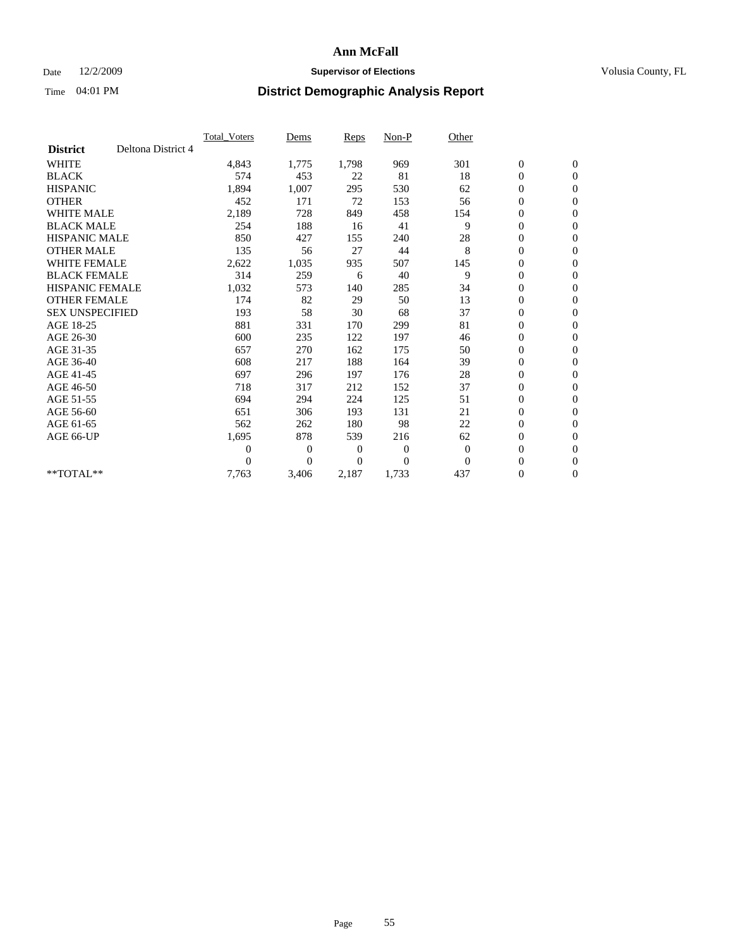## Date 12/2/2009 **Supervisor of Elections Supervisor of Elections** Volusia County, FL

|                        |                    | Total Voters   | Dems           | <b>Reps</b> | Non-P          | Other        |                  |                  |  |
|------------------------|--------------------|----------------|----------------|-------------|----------------|--------------|------------------|------------------|--|
| <b>District</b>        | Deltona District 4 |                |                |             |                |              |                  |                  |  |
| <b>WHITE</b>           |                    | 4,843          | 1,775          | 1,798       | 969            | 301          | $\boldsymbol{0}$ | $\boldsymbol{0}$ |  |
| <b>BLACK</b>           |                    | 574            | 453            | 22          | 81             | 18           | $\boldsymbol{0}$ | $\mathbf{0}$     |  |
| <b>HISPANIC</b>        |                    | 1,894          | 1,007          | 295         | 530            | 62           | $\overline{0}$   | $\mathbf{0}$     |  |
| <b>OTHER</b>           |                    | 452            | 171            | 72          | 153            | 56           | $\boldsymbol{0}$ | $\mathbf{0}$     |  |
| <b>WHITE MALE</b>      |                    | 2,189          | 728            | 849         | 458            | 154          | $\boldsymbol{0}$ | $\mathbf{0}$     |  |
| <b>BLACK MALE</b>      |                    | 254            | 188            | 16          | 41             | 9            | $\boldsymbol{0}$ | $\mathbf{0}$     |  |
| <b>HISPANIC MALE</b>   |                    | 850            | 427            | 155         | 240            | 28           | $\boldsymbol{0}$ | $\mathbf{0}$     |  |
| <b>OTHER MALE</b>      |                    | 135            | 56             | 27          | 44             | 8            | $\boldsymbol{0}$ | $\mathbf{0}$     |  |
| <b>WHITE FEMALE</b>    |                    | 2,622          | 1,035          | 935         | 507            | 145          | $\overline{0}$   | $\mathbf{0}$     |  |
| <b>BLACK FEMALE</b>    |                    | 314            | 259            | 6           | 40             | 9            | $\boldsymbol{0}$ | $\mathbf{0}$     |  |
| <b>HISPANIC FEMALE</b> |                    | 1,032          | 573            | 140         | 285            | 34           | $\boldsymbol{0}$ | $\mathbf{0}$     |  |
| <b>OTHER FEMALE</b>    |                    | 174            | 82             | 29          | 50             | 13           | $\mathbf{0}$     | $\mathbf{0}$     |  |
| <b>SEX UNSPECIFIED</b> |                    | 193            | 58             | 30          | 68             | 37           | $\boldsymbol{0}$ | $\mathbf{0}$     |  |
| AGE 18-25              |                    | 881            | 331            | 170         | 299            | 81           | $\boldsymbol{0}$ | $\mathbf{0}$     |  |
| AGE 26-30              |                    | 600            | 235            | 122         | 197            | 46           | $\overline{0}$   | $\mathbf{0}$     |  |
| AGE 31-35              |                    | 657            | 270            | 162         | 175            | 50           | $\boldsymbol{0}$ | $\mathbf{0}$     |  |
| AGE 36-40              |                    | 608            | 217            | 188         | 164            | 39           | 0                | $\mathbf{0}$     |  |
| AGE 41-45              |                    | 697            | 296            | 197         | 176            | 28           | $\overline{0}$   | $\mathbf{0}$     |  |
| AGE 46-50              |                    | 718            | 317            | 212         | 152            | 37           | $\boldsymbol{0}$ | $\mathbf{0}$     |  |
| AGE 51-55              |                    | 694            | 294            | 224         | 125            | 51           | $\boldsymbol{0}$ | $\mathbf{0}$     |  |
| AGE 56-60              |                    | 651            | 306            | 193         | 131            | 21           | $\boldsymbol{0}$ | $\Omega$         |  |
| AGE 61-65              |                    | 562            | 262            | 180         | 98             | 22           | $\mathbf{0}$     | $\mathbf{0}$     |  |
| AGE 66-UP              |                    | 1,695          | 878            | 539         | 216            | 62           | $\boldsymbol{0}$ | $\mathbf{0}$     |  |
|                        |                    | $\overline{0}$ | $\overline{0}$ | 0           | $\overline{0}$ | $\mathbf{0}$ | $\overline{0}$   | $\mathbf{0}$     |  |
|                        |                    | $\theta$       | $\theta$       | $\Omega$    | $\theta$       | $\mathbf{0}$ | $\boldsymbol{0}$ | $\mathbf{0}$     |  |
| **TOTAL**              |                    | 7,763          | 3,406          | 2,187       | 1,733          | 437          | 0                | $\mathbf{0}$     |  |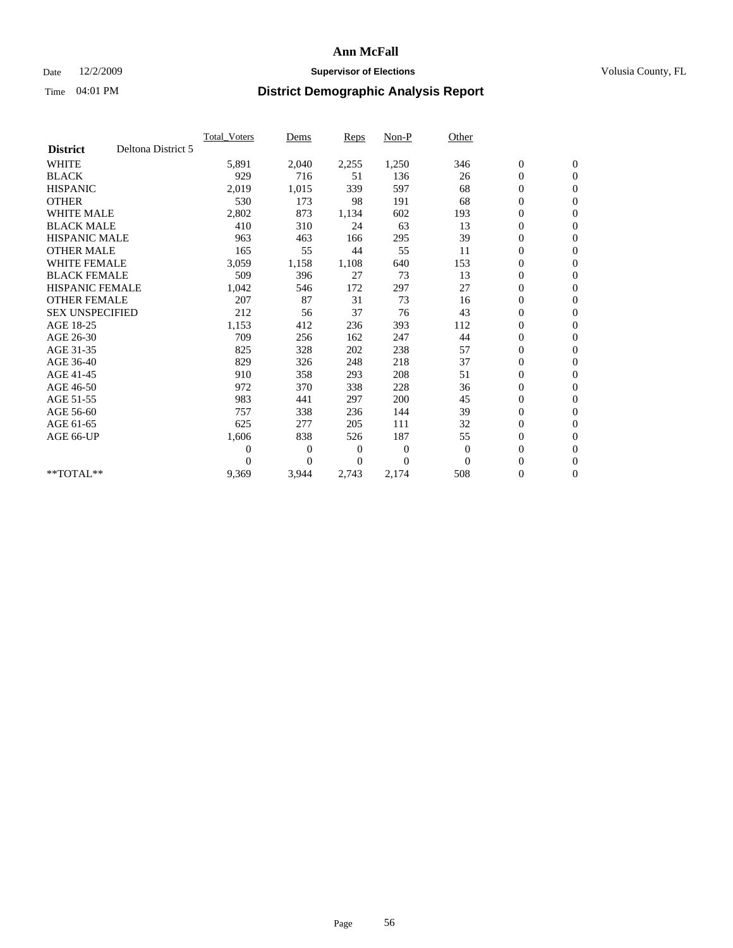## Date 12/2/2009 **Supervisor of Elections Supervisor of Elections** Volusia County, FL

|                                       | Total Voters   | Dems           | <b>Reps</b> | Non-P        | Other        |                  |                  |  |
|---------------------------------------|----------------|----------------|-------------|--------------|--------------|------------------|------------------|--|
| Deltona District 5<br><b>District</b> |                |                |             |              |              |                  |                  |  |
| <b>WHITE</b>                          | 5,891          | 2,040          | 2,255       | 1,250        | 346          | $\boldsymbol{0}$ | $\boldsymbol{0}$ |  |
| <b>BLACK</b>                          | 929            | 716            | 51          | 136          | 26           | $\boldsymbol{0}$ | $\mathbf{0}$     |  |
| <b>HISPANIC</b>                       | 2,019          | 1,015          | 339         | 597          | 68           | $\overline{0}$   | $\mathbf{0}$     |  |
| <b>OTHER</b>                          | 530            | 173            | 98          | 191          | 68           | $\boldsymbol{0}$ | $\mathbf{0}$     |  |
| <b>WHITE MALE</b>                     | 2,802          | 873            | 1,134       | 602          | 193          | $\boldsymbol{0}$ | $\mathbf{0}$     |  |
| <b>BLACK MALE</b>                     | 410            | 310            | 24          | 63           | 13           | $\boldsymbol{0}$ | $\mathbf{0}$     |  |
| <b>HISPANIC MALE</b>                  | 963            | 463            | 166         | 295          | 39           | $\boldsymbol{0}$ | $\mathbf{0}$     |  |
| <b>OTHER MALE</b>                     | 165            | 55             | 44          | 55           | 11           | $\boldsymbol{0}$ | $\mathbf{0}$     |  |
| <b>WHITE FEMALE</b>                   | 3,059          | 1,158          | 1,108       | 640          | 153          | $\overline{0}$   | $\mathbf{0}$     |  |
| <b>BLACK FEMALE</b>                   | 509            | 396            | 27          | 73           | 13           | $\boldsymbol{0}$ | $\mathbf{0}$     |  |
| <b>HISPANIC FEMALE</b>                | 1,042          | 546            | 172         | 297          | 27           | $\boldsymbol{0}$ | $\mathbf{0}$     |  |
| <b>OTHER FEMALE</b>                   | 207            | 87             | 31          | 73           | 16           | $\mathbf{0}$     | $\mathbf{0}$     |  |
| <b>SEX UNSPECIFIED</b>                | 212            | 56             | 37          | 76           | 43           | $\boldsymbol{0}$ | $\mathbf{0}$     |  |
| AGE 18-25                             | 1,153          | 412            | 236         | 393          | 112          | $\overline{0}$   | $\mathbf{0}$     |  |
| AGE 26-30                             | 709            | 256            | 162         | 247          | 44           | $\overline{0}$   | $\mathbf{0}$     |  |
| AGE 31-35                             | 825            | 328            | 202         | 238          | 57           | $\boldsymbol{0}$ | $\mathbf{0}$     |  |
| AGE 36-40                             | 829            | 326            | 248         | 218          | 37           | $\boldsymbol{0}$ | $\mathbf{0}$     |  |
| AGE 41-45                             | 910            | 358            | 293         | 208          | 51           | $\overline{0}$   | $\mathbf{0}$     |  |
| AGE 46-50                             | 972            | 370            | 338         | 228          | 36           | $\boldsymbol{0}$ | $\mathbf{0}$     |  |
| AGE 51-55                             | 983            | 441            | 297         | 200          | 45           | $\boldsymbol{0}$ | $\mathbf{0}$     |  |
| AGE 56-60                             | 757            | 338            | 236         | 144          | 39           | $\boldsymbol{0}$ | $\mathbf{0}$     |  |
| AGE 61-65                             | 625            | 277            | 205         | 111          | 32           | $\boldsymbol{0}$ | $\mathbf{0}$     |  |
| AGE 66-UP                             | 1,606          | 838            | 526         | 187          | 55           | $\boldsymbol{0}$ | $\mathbf{0}$     |  |
|                                       | $\overline{0}$ | $\overline{0}$ | 0           | $\mathbf{0}$ | $\mathbf{0}$ | $\overline{0}$   | $\mathbf{0}$     |  |
|                                       | $\theta$       | $\overline{0}$ | $\Omega$    | $\theta$     | $\Omega$     | $\boldsymbol{0}$ | $\mathbf{0}$     |  |
| $*$ TOTAL $**$                        | 9,369          | 3,944          | 2,743       | 2,174        | 508          | 0                | $\mathbf{0}$     |  |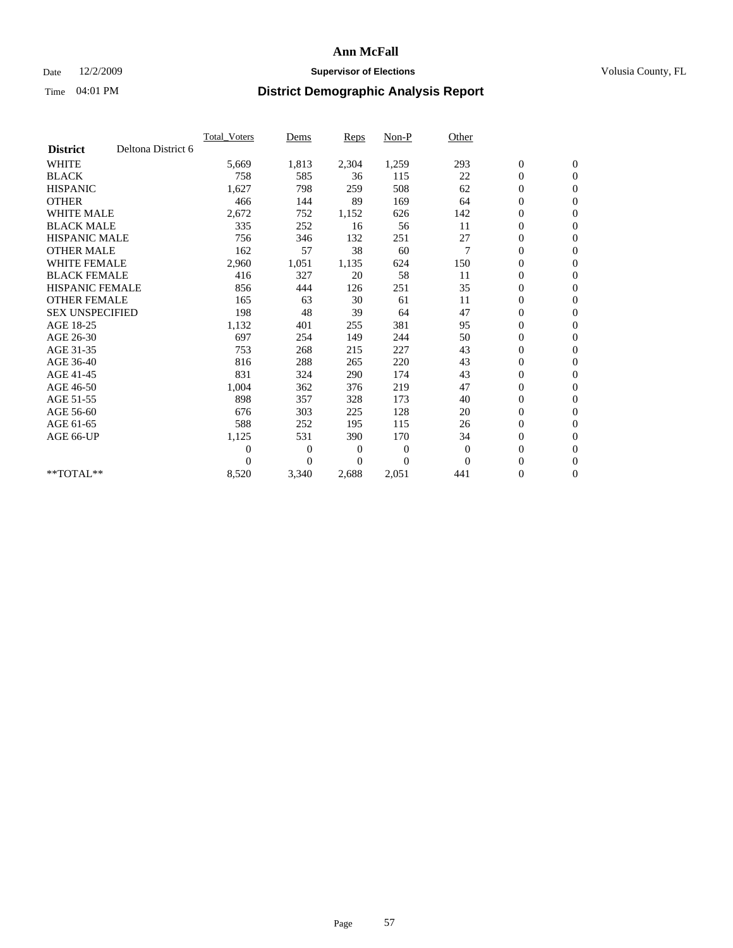## Date 12/2/2009 **Supervisor of Elections Supervisor of Elections** Volusia County, FL

|                        |                    | Total Voters   | Dems           | <b>Reps</b> | Non-P        | Other    |                  |                  |  |
|------------------------|--------------------|----------------|----------------|-------------|--------------|----------|------------------|------------------|--|
| <b>District</b>        | Deltona District 6 |                |                |             |              |          |                  |                  |  |
| <b>WHITE</b>           |                    | 5,669          | 1,813          | 2,304       | 1,259        | 293      | $\boldsymbol{0}$ | $\boldsymbol{0}$ |  |
| <b>BLACK</b>           |                    | 758            | 585            | 36          | 115          | 22       | $\boldsymbol{0}$ | $\mathbf{0}$     |  |
| <b>HISPANIC</b>        |                    | 1,627          | 798            | 259         | 508          | 62       | $\overline{0}$   | $\mathbf{0}$     |  |
| <b>OTHER</b>           |                    | 466            | 144            | 89          | 169          | 64       | $\boldsymbol{0}$ | $\mathbf{0}$     |  |
| <b>WHITE MALE</b>      |                    | 2,672          | 752            | 1,152       | 626          | 142      | $\boldsymbol{0}$ | $\mathbf{0}$     |  |
| <b>BLACK MALE</b>      |                    | 335            | 252            | 16          | 56           | 11       | $\boldsymbol{0}$ | $\mathbf{0}$     |  |
| <b>HISPANIC MALE</b>   |                    | 756            | 346            | 132         | 251          | 27       | $\boldsymbol{0}$ | $\mathbf{0}$     |  |
| <b>OTHER MALE</b>      |                    | 162            | 57             | 38          | 60           | 7        | $\boldsymbol{0}$ | $\mathbf{0}$     |  |
| <b>WHITE FEMALE</b>    |                    | 2,960          | 1,051          | 1,135       | 624          | 150      | $\overline{0}$   | $\mathbf{0}$     |  |
| <b>BLACK FEMALE</b>    |                    | 416            | 327            | 20          | 58           | 11       | $\boldsymbol{0}$ | $\mathbf{0}$     |  |
| <b>HISPANIC FEMALE</b> |                    | 856            | 444            | 126         | 251          | 35       | $\boldsymbol{0}$ | $\mathbf{0}$     |  |
| <b>OTHER FEMALE</b>    |                    | 165            | 63             | 30          | 61           | 11       | $\mathbf{0}$     | $\mathbf{0}$     |  |
| <b>SEX UNSPECIFIED</b> |                    | 198            | 48             | 39          | 64           | 47       | $\boldsymbol{0}$ | $\mathbf{0}$     |  |
| AGE 18-25              |                    | 1,132          | 401            | 255         | 381          | 95       | $\boldsymbol{0}$ | $\mathbf{0}$     |  |
| AGE 26-30              |                    | 697            | 254            | 149         | 244          | 50       | $\boldsymbol{0}$ | $\mathbf{0}$     |  |
| AGE 31-35              |                    | 753            | 268            | 215         | 227          | 43       | $\boldsymbol{0}$ | $\boldsymbol{0}$ |  |
| AGE 36-40              |                    | 816            | 288            | 265         | 220          | 43       | $\boldsymbol{0}$ | $\mathbf{0}$     |  |
| AGE 41-45              |                    | 831            | 324            | 290         | 174          | 43       | $\overline{0}$   | $\mathbf{0}$     |  |
| AGE 46-50              |                    | 1,004          | 362            | 376         | 219          | 47       | $\boldsymbol{0}$ | $\mathbf{0}$     |  |
| AGE 51-55              |                    | 898            | 357            | 328         | 173          | 40       | $\boldsymbol{0}$ | $\mathbf{0}$     |  |
| AGE 56-60              |                    | 676            | 303            | 225         | 128          | 20       | $\boldsymbol{0}$ | $\mathbf{0}$     |  |
| AGE 61-65              |                    | 588            | 252            | 195         | 115          | 26       | $\mathbf{0}$     | $\mathbf{0}$     |  |
| AGE 66-UP              |                    | 1,125          | 531            | 390         | 170          | 34       | $\boldsymbol{0}$ | $\mathbf{0}$     |  |
|                        |                    | $\overline{0}$ | $\overline{0}$ | 0           | $\mathbf{0}$ | $\theta$ | $\overline{0}$   | $\mathbf{0}$     |  |
|                        |                    | $\Omega$       | $\overline{0}$ | $\Omega$    | $\theta$     | $\Omega$ | $\boldsymbol{0}$ | $\mathbf{0}$     |  |
| $*$ TOTAL $**$         |                    | 8,520          | 3,340          | 2,688       | 2,051        | 441      | 0                | $\mathbf{0}$     |  |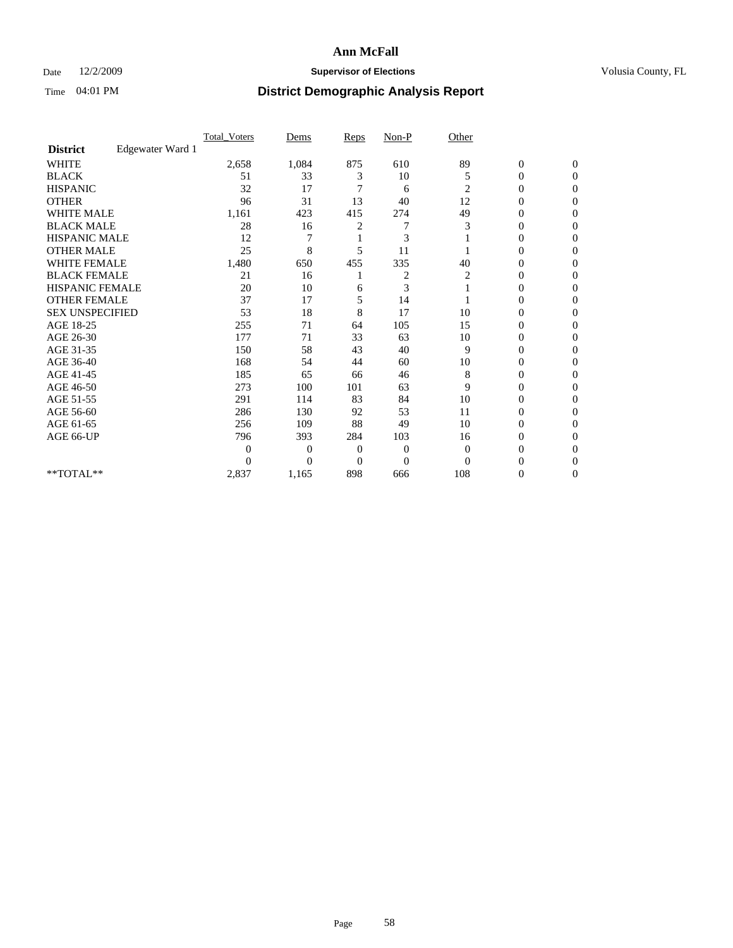## Date 12/2/2009 **Supervisor of Elections Supervisor of Elections** Volusia County, FL

|                        |                  | Total Voters   | Dems           | Reps     | $Non-P$        | Other        |                  |                  |  |
|------------------------|------------------|----------------|----------------|----------|----------------|--------------|------------------|------------------|--|
| <b>District</b>        | Edgewater Ward 1 |                |                |          |                |              |                  |                  |  |
| <b>WHITE</b>           |                  | 2,658          | 1,084          | 875      | 610            | 89           | $\boldsymbol{0}$ | $\boldsymbol{0}$ |  |
| <b>BLACK</b>           |                  | 51             | 33             | 3        | 10             | 5            | $\overline{0}$   | $\Omega$         |  |
| <b>HISPANIC</b>        |                  | 32             | 17             | 7        | 6              | 2            | 0                | $\Omega$         |  |
| <b>OTHER</b>           |                  | 96             | 31             | 13       | 40             | 12           | 0                | $\Omega$         |  |
| <b>WHITE MALE</b>      |                  | 1,161          | 423            | 415      | 274            | 49           | $\overline{0}$   | $\mathbf{0}$     |  |
| <b>BLACK MALE</b>      |                  | 28             | 16             | 2        |                | 3            | 0                | $\Omega$         |  |
| <b>HISPANIC MALE</b>   |                  | 12             |                |          | 3              |              | 0                | $\Omega$         |  |
| <b>OTHER MALE</b>      |                  | 25             | 8              | 5        | 11             |              | 0                | 0                |  |
| WHITE FEMALE           |                  | 1,480          | 650            | 455      | 335            | 40           | 0                | $\Omega$         |  |
| <b>BLACK FEMALE</b>    |                  | 21             | 16             |          | $\overline{c}$ | 2            | 0                | $\Omega$         |  |
| HISPANIC FEMALE        |                  | 20             | 10             | 6        | 3              |              | 0                | $\overline{0}$   |  |
| <b>OTHER FEMALE</b>    |                  | 37             | 17             | 5        | 14             |              | 0                | $\Omega$         |  |
| <b>SEX UNSPECIFIED</b> |                  | 53             | 18             | 8        | 17             | 10           | 0                | $\overline{0}$   |  |
| AGE 18-25              |                  | 255            | 71             | 64       | 105            | 15           | 0                | $\Omega$         |  |
| AGE 26-30              |                  | 177            | 71             | 33       | 63             | 10           | 0                | $\Omega$         |  |
| AGE 31-35              |                  | 150            | 58             | 43       | 40             | 9            | $\boldsymbol{0}$ | $\Omega$         |  |
| AGE 36-40              |                  | 168            | 54             | 44       | 60             | 10           | 0                | 0                |  |
| AGE 41-45              |                  | 185            | 65             | 66       | 46             | 8            | 0                | $\Omega$         |  |
| AGE 46-50              |                  | 273            | 100            | 101      | 63             | 9            | 0                | $\Omega$         |  |
| AGE 51-55              |                  | 291            | 114            | 83       | 84             | 10           | 0                | $\mathbf{0}$     |  |
| AGE 56-60              |                  | 286            | 130            | 92       | 53             | 11           | 0                | 0                |  |
| AGE 61-65              |                  | 256            | 109            | 88       | 49             | 10           | 0                | $\Omega$         |  |
| AGE 66-UP              |                  | 796            | 393            | 284      | 103            | 16           | 0                | 0                |  |
|                        |                  | $\overline{0}$ | $\overline{0}$ | 0        | $\mathbf{0}$   | $\mathbf{0}$ | 0                | $\Omega$         |  |
|                        |                  | $\theta$       | $\theta$       | $\Omega$ | $\theta$       | $\Omega$     | 0                | $\Omega$         |  |
| **TOTAL**              |                  | 2,837          | 1,165          | 898      | 666            | 108          | 0                | $\mathbf{0}$     |  |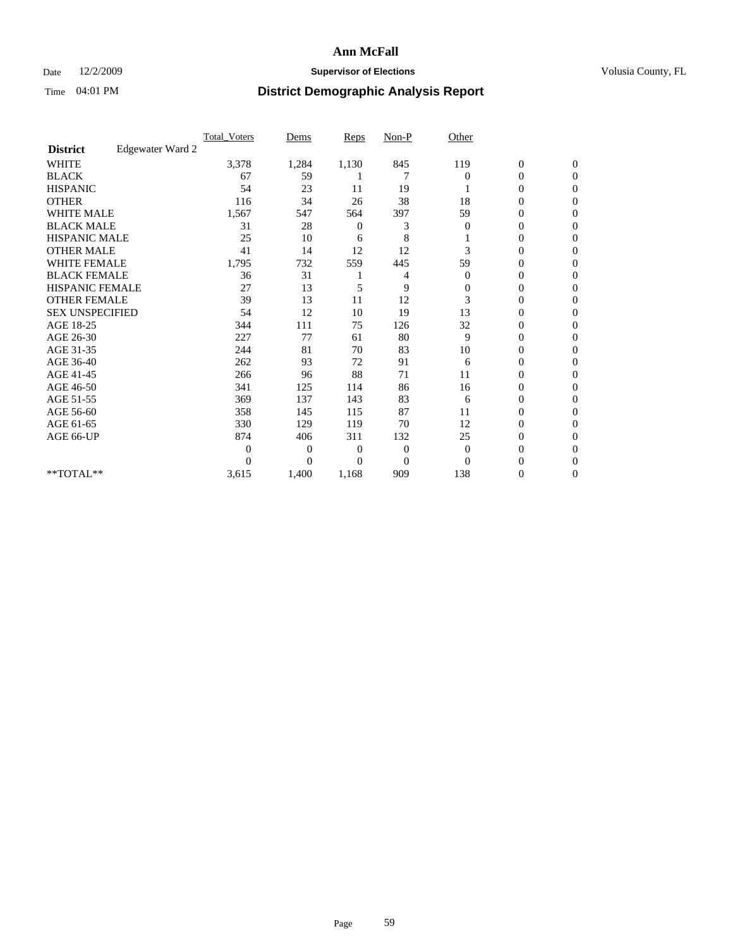### Date  $12/2/2009$  **Supervisor of Elections Supervisor of Elections** Volusia County, FL

|                        |                  | <b>Total_Voters</b> | Dems           | <b>Reps</b>  | $Non-P$        | Other        |                  |                |  |
|------------------------|------------------|---------------------|----------------|--------------|----------------|--------------|------------------|----------------|--|
| <b>District</b>        | Edgewater Ward 2 |                     |                |              |                |              |                  |                |  |
| <b>WHITE</b>           |                  | 3,378               | 1,284          | 1,130        | 845            | 119          | $\boldsymbol{0}$ | $\mathbf{0}$   |  |
| <b>BLACK</b>           |                  | 67                  | 59             |              |                | $\Omega$     | $\boldsymbol{0}$ | $\mathbf{0}$   |  |
| <b>HISPANIC</b>        |                  | 54                  | 23             | 11           | 19             |              | 0                | $\Omega$       |  |
| <b>OTHER</b>           |                  | 116                 | 34             | 26           | 38             | 18           | 0                | $\Omega$       |  |
| <b>WHITE MALE</b>      |                  | 1,567               | 547            | 564          | 397            | 59           | 0                | $\Omega$       |  |
| <b>BLACK MALE</b>      |                  | 31                  | 28             | 0            | 3              | $\Omega$     | $\mathbf{0}$     | $\Omega$       |  |
| HISPANIC MALE          |                  | 25                  | 10             | 6            | 8              |              | 0                | $\Omega$       |  |
| <b>OTHER MALE</b>      |                  | 41                  | 14             | 12           | 12             | 3            | 0                | $\Omega$       |  |
| <b>WHITE FEMALE</b>    |                  | 1,795               | 732            | 559          | 445            | 59           | 0                | $\Omega$       |  |
| <b>BLACK FEMALE</b>    |                  | 36                  | 31             |              | 4              | $\mathbf{0}$ | $\overline{0}$   | $\mathbf{0}$   |  |
| <b>HISPANIC FEMALE</b> |                  | 27                  | 13             | 5            | 9              | 0            | 0                | $\Omega$       |  |
| <b>OTHER FEMALE</b>    |                  | 39                  | 13             | 11           | 12             | 3            | 0                | 0              |  |
| <b>SEX UNSPECIFIED</b> |                  | 54                  | 12             | 10           | 19             | 13           | 0                | $\Omega$       |  |
| AGE 18-25              |                  | 344                 | 111            | 75           | 126            | 32           | 0                | $\mathbf{0}$   |  |
| AGE 26-30              |                  | 227                 | 77             | 61           | 80             | 9            | 0                | $\Omega$       |  |
| AGE 31-35              |                  | 244                 | 81             | 70           | 83             | 10           | $\overline{0}$   | $\Omega$       |  |
| AGE 36-40              |                  | 262                 | 93             | 72           | 91             | 6            | 0                | $\mathbf{0}$   |  |
| AGE 41-45              |                  | 266                 | 96             | 88           | 71             | 11           | $\mathbf{0}$     | $\Omega$       |  |
| AGE 46-50              |                  | 341                 | 125            | 114          | 86             | 16           | $\overline{0}$   | $\mathbf{0}$   |  |
| AGE 51-55              |                  | 369                 | 137            | 143          | 83             | 6            | $\overline{0}$   | 0              |  |
| AGE 56-60              |                  | 358                 | 145            | 115          | 87             | 11           | $\mathbf{0}$     | $\Omega$       |  |
| AGE 61-65              |                  | 330                 | 129            | 119          | 70             | 12           | $\overline{0}$   | $\Omega$       |  |
| AGE 66-UP              |                  | 874                 | 406            | 311          | 132            | 25           | 0                | 0              |  |
|                        |                  | $\theta$            | $\overline{0}$ | $\mathbf{0}$ | $\mathbf{0}$   | $\mathbf{0}$ | 0                | $\Omega$       |  |
|                        |                  | $\Omega$            | $\overline{0}$ | $\Omega$     | $\overline{0}$ | $\Omega$     | $\theta$         | $\Omega$       |  |
| **TOTAL**              |                  | 3,615               | 1,400          | 1,168        | 909            | 138          | 0                | $\overline{0}$ |  |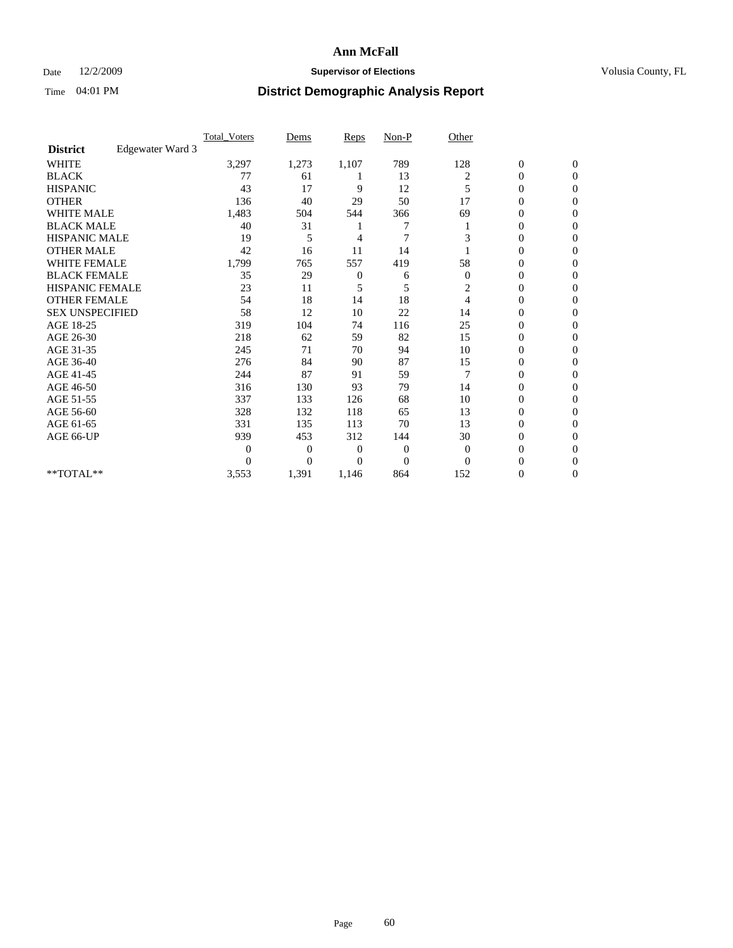## Date 12/2/2009 **Supervisor of Elections Supervisor of Elections** Volusia County, FL

|                        |                  | <b>Total Voters</b> | Dems           | <b>Reps</b>  | $Non-P$        | Other          |                  |                |  |
|------------------------|------------------|---------------------|----------------|--------------|----------------|----------------|------------------|----------------|--|
| <b>District</b>        | Edgewater Ward 3 |                     |                |              |                |                |                  |                |  |
| <b>WHITE</b>           |                  | 3,297               | 1,273          | 1,107        | 789            | 128            | $\boldsymbol{0}$ | $\mathbf{0}$   |  |
| <b>BLACK</b>           |                  | 77                  | 61             |              | 13             | 2              | $\boldsymbol{0}$ | $\mathbf{0}$   |  |
| <b>HISPANIC</b>        |                  | 43                  | 17             | 9            | 12             | 5              | $\mathbf{0}$     | $\Omega$       |  |
| <b>OTHER</b>           |                  | 136                 | 40             | 29           | 50             | 17             | 0                | $\Omega$       |  |
| <b>WHITE MALE</b>      |                  | 1,483               | 504            | 544          | 366            | 69             | 0                | $\Omega$       |  |
| <b>BLACK MALE</b>      |                  | 40                  | 31             |              |                |                | $\mathbf{0}$     | $\Omega$       |  |
| HISPANIC MALE          |                  | 19                  | 5              | 4            | $\overline{7}$ | 3              | $\boldsymbol{0}$ | $\Omega$       |  |
| <b>OTHER MALE</b>      |                  | 42                  | 16             | 11           | 14             |                | 0                | $\Omega$       |  |
| <b>WHITE FEMALE</b>    |                  | 1,799               | 765            | 557          | 419            | 58             | 0                | $\Omega$       |  |
| <b>BLACK FEMALE</b>    |                  | 35                  | 29             | $\mathbf{0}$ | 6              | $\mathbf{0}$   | $\overline{0}$   | $\mathbf{0}$   |  |
| <b>HISPANIC FEMALE</b> |                  | 23                  | 11             | 5            | 5              | 2              | 0                | $\mathbf{0}$   |  |
| <b>OTHER FEMALE</b>    |                  | 54                  | 18             | 14           | 18             | $\overline{4}$ | 0                | $\Omega$       |  |
| <b>SEX UNSPECIFIED</b> |                  | 58                  | 12             | 10           | 22             | 14             | $\mathbf{0}$     | $\mathbf{0}$   |  |
| AGE 18-25              |                  | 319                 | 104            | 74           | 116            | 25             | 0                | $\mathbf{0}$   |  |
| AGE 26-30              |                  | 218                 | 62             | 59           | 82             | 15             | $\overline{0}$   | $\Omega$       |  |
| AGE 31-35              |                  | 245                 | 71             | 70           | 94             | 10             | $\boldsymbol{0}$ | $\Omega$       |  |
| AGE 36-40              |                  | 276                 | 84             | 90           | 87             | 15             | 0                | $\mathbf{0}$   |  |
| AGE 41-45              |                  | 244                 | 87             | 91           | 59             | 7              | $\overline{0}$   | $\Omega$       |  |
| AGE 46-50              |                  | 316                 | 130            | 93           | 79             | 14             | $\overline{0}$   | $\mathbf{0}$   |  |
| AGE 51-55              |                  | 337                 | 133            | 126          | 68             | 10             | $\overline{0}$   | 0              |  |
| AGE 56-60              |                  | 328                 | 132            | 118          | 65             | 13             | $\overline{0}$   | $\Omega$       |  |
| AGE 61-65              |                  | 331                 | 135            | 113          | 70             | 13             | $\overline{0}$   | $\Omega$       |  |
| AGE 66-UP              |                  | 939                 | 453            | 312          | 144            | 30             | 0                | $\Omega$       |  |
|                        |                  | $\boldsymbol{0}$    | $\overline{0}$ | $\mathbf{0}$ | $\mathbf{0}$   | $\overline{0}$ | 0                | $\Omega$       |  |
|                        |                  | $\theta$            | $\overline{0}$ | 0            | $\overline{0}$ | $\Omega$       | $\theta$         | $\Omega$       |  |
| **TOTAL**              |                  | 3,553               | 1,391          | 1,146        | 864            | 152            | 0                | $\overline{0}$ |  |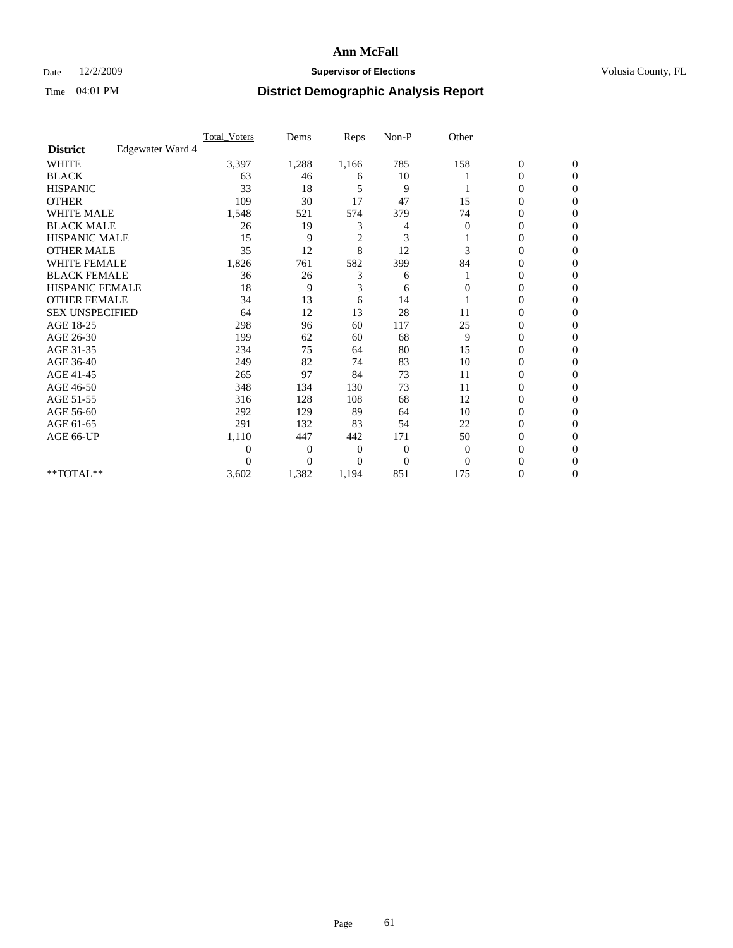## Date 12/2/2009 **Supervisor of Elections Supervisor of Elections** Volusia County, FL

|                        |                  | Total Voters | Dems           | <b>Reps</b>    | $Non-P$        | Other    |                  |              |  |
|------------------------|------------------|--------------|----------------|----------------|----------------|----------|------------------|--------------|--|
| <b>District</b>        | Edgewater Ward 4 |              |                |                |                |          |                  |              |  |
| <b>WHITE</b>           |                  | 3,397        | 1,288          | 1,166          | 785            | 158      | $\boldsymbol{0}$ | $\mathbf{0}$ |  |
| <b>BLACK</b>           |                  | 63           | 46             | 6              | 10             |          | $\boldsymbol{0}$ | $\mathbf{0}$ |  |
| <b>HISPANIC</b>        |                  | 33           | 18             | 5              | 9              |          | $\mathbf{0}$     | $\Omega$     |  |
| <b>OTHER</b>           |                  | 109          | 30             | 17             | 47             | 15       | 0                | $\Omega$     |  |
| <b>WHITE MALE</b>      |                  | 1,548        | 521            | 574            | 379            | 74       | 0                | $\Omega$     |  |
| <b>BLACK MALE</b>      |                  | 26           | 19             | 3              | 4              | $\Omega$ | $\mathbf{0}$     | $\Omega$     |  |
| HISPANIC MALE          |                  | 15           | 9              | $\overline{c}$ | 3              |          | $\boldsymbol{0}$ | $\Omega$     |  |
| <b>OTHER MALE</b>      |                  | 35           | 12             | 8              | 12             | 3        | 0                | 0            |  |
| <b>WHITE FEMALE</b>    |                  | 1,826        | 761            | 582            | 399            | 84       | 0                | $\Omega$     |  |
| <b>BLACK FEMALE</b>    |                  | 36           | 26             | 3              | 6              |          | $\overline{0}$   | $\mathbf{0}$ |  |
| <b>HISPANIC FEMALE</b> |                  | 18           | 9              | 3              | 6              | 0        | 0                | $\Omega$     |  |
| <b>OTHER FEMALE</b>    |                  | 34           | 13             | 6              | 14             |          | 0                | 0            |  |
| <b>SEX UNSPECIFIED</b> |                  | 64           | 12             | 13             | 28             | 11       | 0                | $\Omega$     |  |
| AGE 18-25              |                  | 298          | 96             | 60             | 117            | 25       | 0                | $\mathbf{0}$ |  |
| AGE 26-30              |                  | 199          | 62             | 60             | 68             | 9        | 0                | $\Omega$     |  |
| AGE 31-35              |                  | 234          | 75             | 64             | 80             | 15       | 0                | $\Omega$     |  |
| AGE 36-40              |                  | 249          | 82             | 74             | 83             | 10       | 0                | $\Omega$     |  |
| AGE 41-45              |                  | 265          | 97             | 84             | 73             | 11       | $\mathbf{0}$     | $\Omega$     |  |
| AGE 46-50              |                  | 348          | 134            | 130            | 73             | 11       | $\overline{0}$   | $\Omega$     |  |
| AGE 51-55              |                  | 316          | 128            | 108            | 68             | 12       | 0                | 0            |  |
| AGE 56-60              |                  | 292          | 129            | 89             | 64             | 10       | $\overline{0}$   | $\Omega$     |  |
| AGE 61-65              |                  | 291          | 132            | 83             | 54             | 22       | $\overline{0}$   | $\Omega$     |  |
| AGE 66-UP              |                  | 1,110        | 447            | 442            | 171            | 50       | 0                | 0            |  |
|                        |                  | 0            | $\overline{0}$ | $\mathbf{0}$   | $\mathbf{0}$   | $\Omega$ | 0                | $\Omega$     |  |
|                        |                  | $\Omega$     | $\overline{0}$ | 0              | $\overline{0}$ | $\Omega$ | 0                | $\Omega$     |  |
| **TOTAL**              |                  | 3,602        | 1,382          | 1,194          | 851            | 175      | 0                | 0            |  |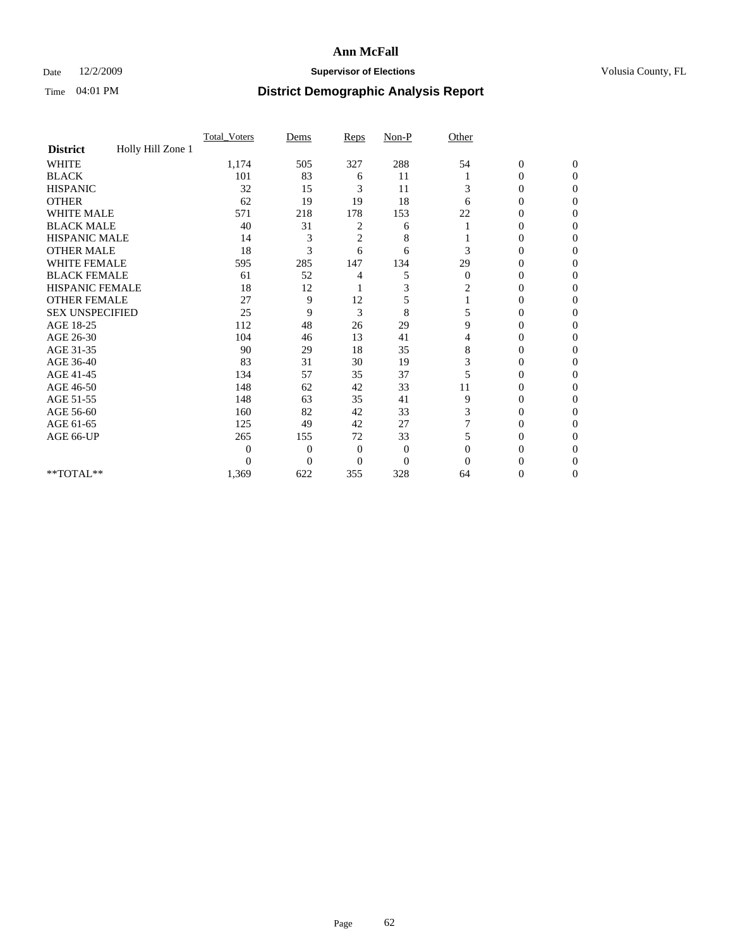## Date 12/2/2009 **Supervisor of Elections Supervisor of Elections** Volusia County, FL

|                        |                   | Total Voters | Dems           | Reps           | $Non-P$        | Other        |                  |              |  |
|------------------------|-------------------|--------------|----------------|----------------|----------------|--------------|------------------|--------------|--|
| <b>District</b>        | Holly Hill Zone 1 |              |                |                |                |              |                  |              |  |
| <b>WHITE</b>           |                   | 1,174        | 505            | 327            | 288            | 54           | $\boldsymbol{0}$ | $\mathbf{0}$ |  |
| <b>BLACK</b>           |                   | 101          | 83             | 6              | 11             |              | $\boldsymbol{0}$ | $\Omega$     |  |
| <b>HISPANIC</b>        |                   | 32           | 15             | 3              | 11             | 3            | 0                | $\Omega$     |  |
| <b>OTHER</b>           |                   | 62           | 19             | 19             | 18             | 6            | 0                | $\Omega$     |  |
| <b>WHITE MALE</b>      |                   | 571          | 218            | 178            | 153            | 22           | 0                | 0            |  |
| <b>BLACK MALE</b>      |                   | 40           | 31             | 2              | 6              |              | $\mathbf{0}$     | $\Omega$     |  |
| HISPANIC MALE          |                   | 14           | 3              | $\overline{c}$ | 8              |              | 0                | $\Omega$     |  |
| <b>OTHER MALE</b>      |                   | 18           | 3              | 6              | 6              | 3            | 0                | 0            |  |
| <b>WHITE FEMALE</b>    |                   | 595          | 285            | 147            | 134            | 29           | 0                | $\Omega$     |  |
| <b>BLACK FEMALE</b>    |                   | 61           | 52             | 4              | 5              | $\mathbf{0}$ | $\overline{0}$   | 0            |  |
| <b>HISPANIC FEMALE</b> |                   | 18           | 12             |                | 3              | 2            | 0                | 0            |  |
| <b>OTHER FEMALE</b>    |                   | 27           | 9              | 12             | 5              |              | 0                | 0            |  |
| <b>SEX UNSPECIFIED</b> |                   | 25           | 9              | 3              | 8              | 5            | 0                | $\Omega$     |  |
| AGE 18-25              |                   | 112          | 48             | 26             | 29             | 9            | 0                | $\Omega$     |  |
| AGE 26-30              |                   | 104          | 46             | 13             | 41             | 4            | 0                | 0            |  |
| AGE 31-35              |                   | 90           | 29             | 18             | 35             | 8            | 0                | $\Omega$     |  |
| AGE 36-40              |                   | 83           | 31             | 30             | 19             | 3            | 0                | 0            |  |
| AGE 41-45              |                   | 134          | 57             | 35             | 37             |              | 0                | $\Omega$     |  |
| AGE 46-50              |                   | 148          | 62             | 42             | 33             | 11           | 0                | $\Omega$     |  |
| AGE 51-55              |                   | 148          | 63             | 35             | 41             | 9            | 0                | 0            |  |
| AGE 56-60              |                   | 160          | 82             | 42             | 33             | 3            | 0                | $\Omega$     |  |
| AGE 61-65              |                   | 125          | 49             | 42             | 27             | 7            | $\overline{0}$   | 0            |  |
| AGE 66-UP              |                   | 265          | 155            | 72             | 33             | 5            | 0                | 0            |  |
|                        |                   | $\theta$     | $\overline{0}$ | $\mathbf{0}$   | $\mathbf{0}$   | $\Omega$     | 0                | 0            |  |
|                        |                   | $\theta$     | $\overline{0}$ | $\overline{0}$ | $\overline{0}$ | $\Omega$     |                  | 0            |  |
| **TOTAL**              |                   | 1,369        | 622            | 355            | 328            | 64           | 0                | 0            |  |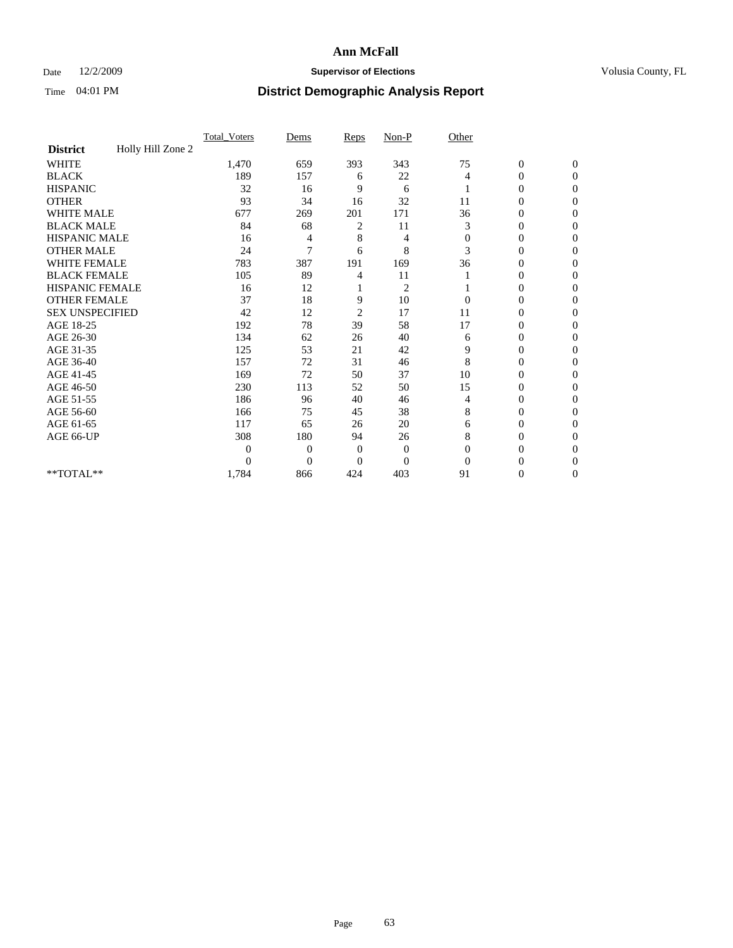## Date 12/2/2009 **Supervisor of Elections Supervisor of Elections** Volusia County, FL

|                        |                   | Total Voters | Dems           | Reps           | $Non-P$        | Other        |                  |                |  |
|------------------------|-------------------|--------------|----------------|----------------|----------------|--------------|------------------|----------------|--|
| <b>District</b>        | Holly Hill Zone 2 |              |                |                |                |              |                  |                |  |
| <b>WHITE</b>           |                   | 1,470        | 659            | 393            | 343            | 75           | $\boldsymbol{0}$ | $\mathbf{0}$   |  |
| <b>BLACK</b>           |                   | 189          | 157            | 6              | 22             | 4            | $\boldsymbol{0}$ | $\mathbf{0}$   |  |
| <b>HISPANIC</b>        |                   | 32           | 16             | 9              | 6              |              | $\overline{0}$   | $\Omega$       |  |
| <b>OTHER</b>           |                   | 93           | 34             | 16             | 32             | 11           | 0                | $\Omega$       |  |
| <b>WHITE MALE</b>      |                   | 677          | 269            | 201            | 171            | 36           | 0                | $\Omega$       |  |
| <b>BLACK MALE</b>      |                   | 84           | 68             | 2              | 11             | 3            | $\overline{0}$   | $\Omega$       |  |
| HISPANIC MALE          |                   | 16           | 4              | 8              | 4              | $\mathbf{0}$ | $\boldsymbol{0}$ | $\Omega$       |  |
| <b>OTHER MALE</b>      |                   | 24           | 7              | 6              | 8              | 3            | 0                | $\Omega$       |  |
| <b>WHITE FEMALE</b>    |                   | 783          | 387            | 191            | 169            | 36           | 0                | $\Omega$       |  |
| <b>BLACK FEMALE</b>    |                   | 105          | 89             | 4              | 11             |              | $\overline{0}$   | $\overline{0}$ |  |
| <b>HISPANIC FEMALE</b> |                   | 16           | 12             |                | $\overline{c}$ |              | 0                | $\Omega$       |  |
| <b>OTHER FEMALE</b>    |                   | 37           | 18             | 9              | 10             | $\Omega$     | 0                | 0              |  |
| <b>SEX UNSPECIFIED</b> |                   | 42           | 12             | $\overline{c}$ | 17             | 11           | 0                | $\Omega$       |  |
| AGE 18-25              |                   | 192          | 78             | 39             | 58             | 17           | 0                | $\mathbf{0}$   |  |
| AGE 26-30              |                   | 134          | 62             | 26             | 40             | 6            | 0                | $\Omega$       |  |
| AGE 31-35              |                   | 125          | 53             | 21             | 42             | 9            | 0                | $\Omega$       |  |
| AGE 36-40              |                   | 157          | 72             | 31             | 46             | 8            | 0                | $\mathbf{0}$   |  |
| AGE 41-45              |                   | 169          | 72             | 50             | 37             | 10           | 0                | $\Omega$       |  |
| AGE 46-50              |                   | 230          | 113            | 52             | 50             | 15           | $\overline{0}$   | $\overline{0}$ |  |
| AGE 51-55              |                   | 186          | 96             | 40             | 46             | 4            | 0                | 0              |  |
| AGE 56-60              |                   | 166          | 75             | 45             | 38             | 8            | 0                | $\Omega$       |  |
| AGE 61-65              |                   | 117          | 65             | 26             | 20             | 6            | 0                | $\Omega$       |  |
| AGE 66-UP              |                   | 308          | 180            | 94             | 26             | 8            | 0                | 0              |  |
|                        |                   | $\theta$     | 0              | $\mathbf{0}$   | $\mathbf{0}$   | $\Omega$     | 0                | $\Omega$       |  |
|                        |                   | $\theta$     | $\overline{0}$ | $\overline{0}$ | $\overline{0}$ | $\Omega$     | $\theta$         | $\Omega$       |  |
| **TOTAL**              |                   | 1,784        | 866            | 424            | 403            | 91           | 0                | $\mathbf{0}$   |  |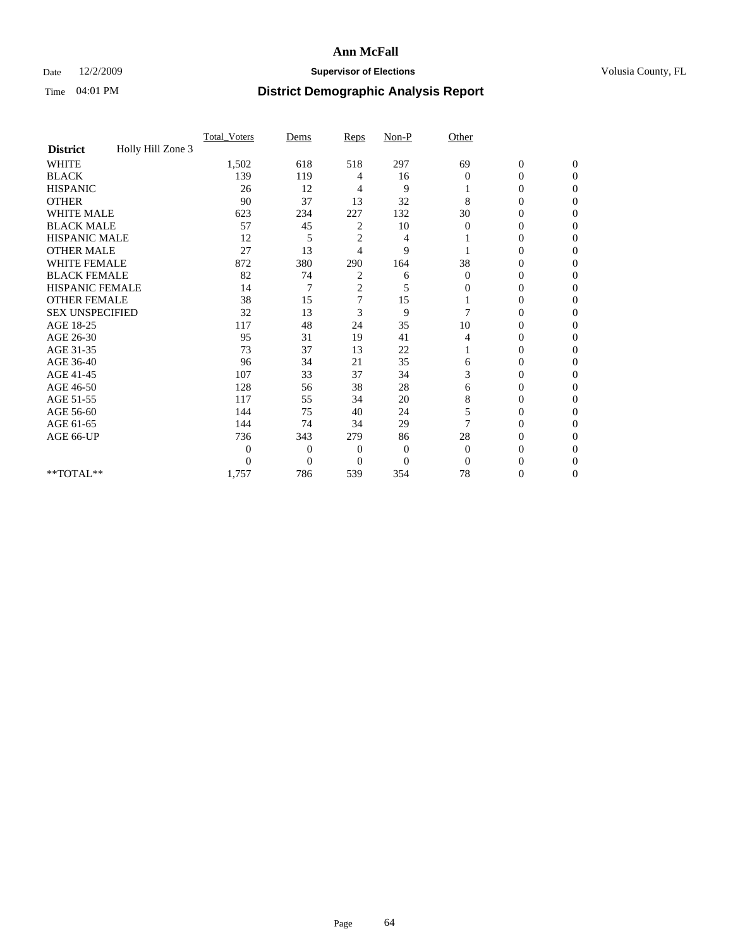## Date 12/2/2009 **Supervisor of Elections Supervisor of Elections** Volusia County, FL

|                        |                   | Total Voters | Dems           | Reps           | $Non-P$        | Other        |                  |              |  |
|------------------------|-------------------|--------------|----------------|----------------|----------------|--------------|------------------|--------------|--|
| <b>District</b>        | Holly Hill Zone 3 |              |                |                |                |              |                  |              |  |
| <b>WHITE</b>           |                   | 1,502        | 618            | 518            | 297            | 69           | $\boldsymbol{0}$ | $\mathbf{0}$ |  |
| <b>BLACK</b>           |                   | 139          | 119            | 4              | 16             | $\Omega$     | $\mathbf{0}$     | $\Omega$     |  |
| <b>HISPANIC</b>        |                   | 26           | 12             | 4              | 9              |              | 0                | $\Omega$     |  |
| <b>OTHER</b>           |                   | 90           | 37             | 13             | 32             | 8            | 0                | $\Omega$     |  |
| <b>WHITE MALE</b>      |                   | 623          | 234            | 227            | 132            | 30           | 0                | 0            |  |
| <b>BLACK MALE</b>      |                   | 57           | 45             | 2              | 10             | $\Omega$     | 0                | $\Omega$     |  |
| HISPANIC MALE          |                   | 12           | 5              | $\overline{c}$ | 4              |              | 0                | $\Omega$     |  |
| <b>OTHER MALE</b>      |                   | 27           | 13             | 4              | 9              |              | 0                | 0            |  |
| <b>WHITE FEMALE</b>    |                   | 872          | 380            | 290            | 164            | 38           | 0                | $\Omega$     |  |
| <b>BLACK FEMALE</b>    |                   | 82           | 74             | 2              | 6              | $\mathbf{0}$ | 0                | $\Omega$     |  |
| <b>HISPANIC FEMALE</b> |                   | 14           | 7              | $\overline{c}$ | 5              | 0            | 0                | 0            |  |
| <b>OTHER FEMALE</b>    |                   | 38           | 15             | $\overline{7}$ | 15             |              | 0                | 0            |  |
| <b>SEX UNSPECIFIED</b> |                   | 32           | 13             | 3              | 9              |              | 0                | $\Omega$     |  |
| AGE 18-25              |                   | 117          | 48             | 24             | 35             | 10           | 0                | $\Omega$     |  |
| AGE 26-30              |                   | 95           | 31             | 19             | 41             | 4            | 0                | 0            |  |
| AGE 31-35              |                   | 73           | 37             | 13             | 22             |              | 0                | $\Omega$     |  |
| AGE 36-40              |                   | 96           | 34             | 21             | 35             | 6            | 0                | 0            |  |
| AGE 41-45              |                   | 107          | 33             | 37             | 34             | 3            | 0                | $\Omega$     |  |
| AGE 46-50              |                   | 128          | 56             | 38             | 28             | 6            | 0                | $\Omega$     |  |
| AGE 51-55              |                   | 117          | 55             | 34             | 20             | 8            | 0                | 0            |  |
| AGE 56-60              |                   | 144          | 75             | 40             | 24             | 5            | 0                | $\Omega$     |  |
| AGE 61-65              |                   | 144          | 74             | 34             | 29             | 7            | $\overline{0}$   | 0            |  |
| AGE 66-UP              |                   | 736          | 343            | 279            | 86             | 28           | 0                | 0            |  |
|                        |                   | $\theta$     | $\overline{0}$ | $\mathbf{0}$   | $\mathbf{0}$   | $\Omega$     | 0                | $\Omega$     |  |
|                        |                   | $\theta$     | $\overline{0}$ | $\overline{0}$ | $\overline{0}$ | $\Omega$     | 0                | 0            |  |
| **TOTAL**              |                   | 1,757        | 786            | 539            | 354            | 78           | 0                | 0            |  |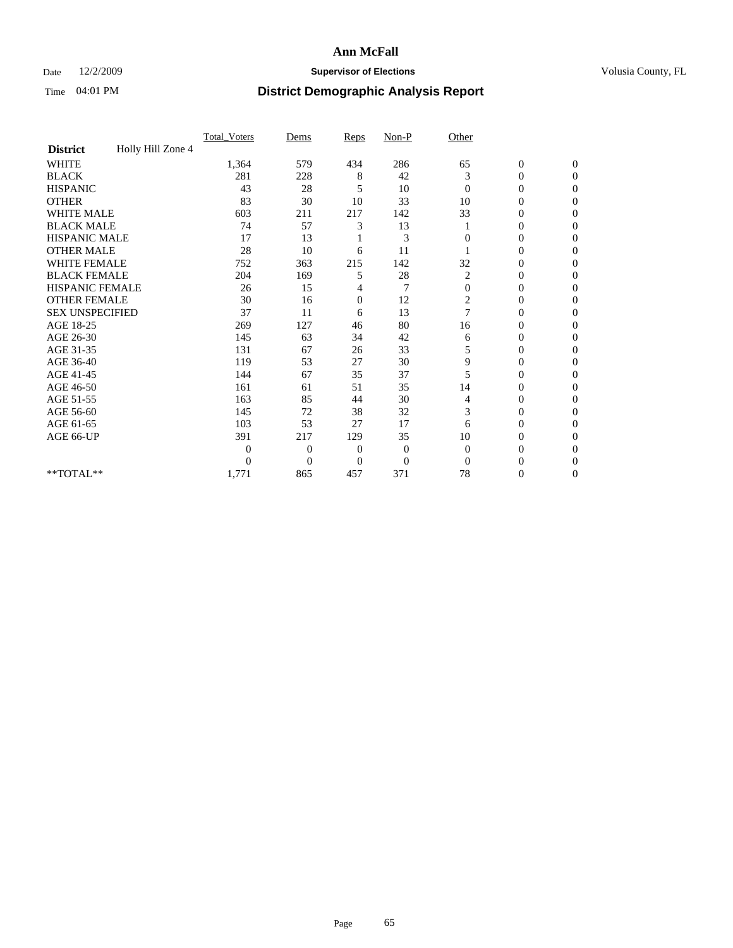## Date 12/2/2009 **Supervisor of Elections Supervisor of Elections** Volusia County, FL

|                        |                   | Total Voters | Dems           | Reps           | $Non-P$        | Other          |                  |                |  |
|------------------------|-------------------|--------------|----------------|----------------|----------------|----------------|------------------|----------------|--|
| <b>District</b>        | Holly Hill Zone 4 |              |                |                |                |                |                  |                |  |
| <b>WHITE</b>           |                   | 1,364        | 579            | 434            | 286            | 65             | $\boldsymbol{0}$ | $\mathbf{0}$   |  |
| <b>BLACK</b>           |                   | 281          | 228            | 8              | 42             | 3              | $\boldsymbol{0}$ | $\mathbf{0}$   |  |
| <b>HISPANIC</b>        |                   | 43           | 28             | 5              | 10             | $\Omega$       | $\mathbf{0}$     | $\Omega$       |  |
| <b>OTHER</b>           |                   | 83           | 30             | 10             | 33             | 10             | 0                | $\Omega$       |  |
| <b>WHITE MALE</b>      |                   | 603          | 211            | 217            | 142            | 33             | 0                | $\Omega$       |  |
| <b>BLACK MALE</b>      |                   | 74           | 57             | 3              | 13             |                | $\mathbf{0}$     | $\Omega$       |  |
| HISPANIC MALE          |                   | 17           | 13             |                | 3              | $\Omega$       | $\overline{0}$   | $\Omega$       |  |
| <b>OTHER MALE</b>      |                   | 28           | 10             | 6              | 11             |                | 0                | 0              |  |
| <b>WHITE FEMALE</b>    |                   | 752          | 363            | 215            | 142            | 32             | 0                | $\Omega$       |  |
| <b>BLACK FEMALE</b>    |                   | 204          | 169            | 5              | 28             | $\overline{c}$ | $\overline{0}$   | $\mathbf{0}$   |  |
| <b>HISPANIC FEMALE</b> |                   | 26           | 15             | 4              | 7              | $\mathbf{0}$   | 0                | $\Omega$       |  |
| <b>OTHER FEMALE</b>    |                   | 30           | 16             | $\mathbf{0}$   | 12             | 2              | 0                | 0              |  |
| <b>SEX UNSPECIFIED</b> |                   | 37           | 11             | 6              | 13             | $\overline{7}$ | 0                | $\Omega$       |  |
| AGE 18-25              |                   | 269          | 127            | 46             | 80             | 16             | 0                | $\mathbf{0}$   |  |
| AGE 26-30              |                   | 145          | 63             | 34             | 42             | 6              | 0                | $\Omega$       |  |
| AGE 31-35              |                   | 131          | 67             | 26             | 33             | 5              | 0                | $\Omega$       |  |
| AGE 36-40              |                   | 119          | 53             | 27             | 30             | 9              | 0                | $\Omega$       |  |
| AGE 41-45              |                   | 144          | 67             | 35             | 37             | 5              | 0                | $\Omega$       |  |
| AGE 46-50              |                   | 161          | 61             | 51             | 35             | 14             | 0                | $\Omega$       |  |
| AGE 51-55              |                   | 163          | 85             | 44             | 30             | 4              | 0                | 0              |  |
| AGE 56-60              |                   | 145          | 72             | 38             | 32             | 3              | $\theta$         | $\Omega$       |  |
| AGE 61-65              |                   | 103          | 53             | 27             | 17             | 6              | 0                | $\Omega$       |  |
| AGE 66-UP              |                   | 391          | 217            | 129            | 35             | 10             | 0                | 0              |  |
|                        |                   | $\theta$     | $\overline{0}$ | $\overline{0}$ | $\mathbf{0}$   | $\Omega$       | 0                | $\Omega$       |  |
|                        |                   | $\theta$     | $\overline{0}$ | $\overline{0}$ | $\overline{0}$ | $\Omega$       | 0                | $\Omega$       |  |
| **TOTAL**              |                   | 1,771        | 865            | 457            | 371            | 78             | 0                | $\overline{0}$ |  |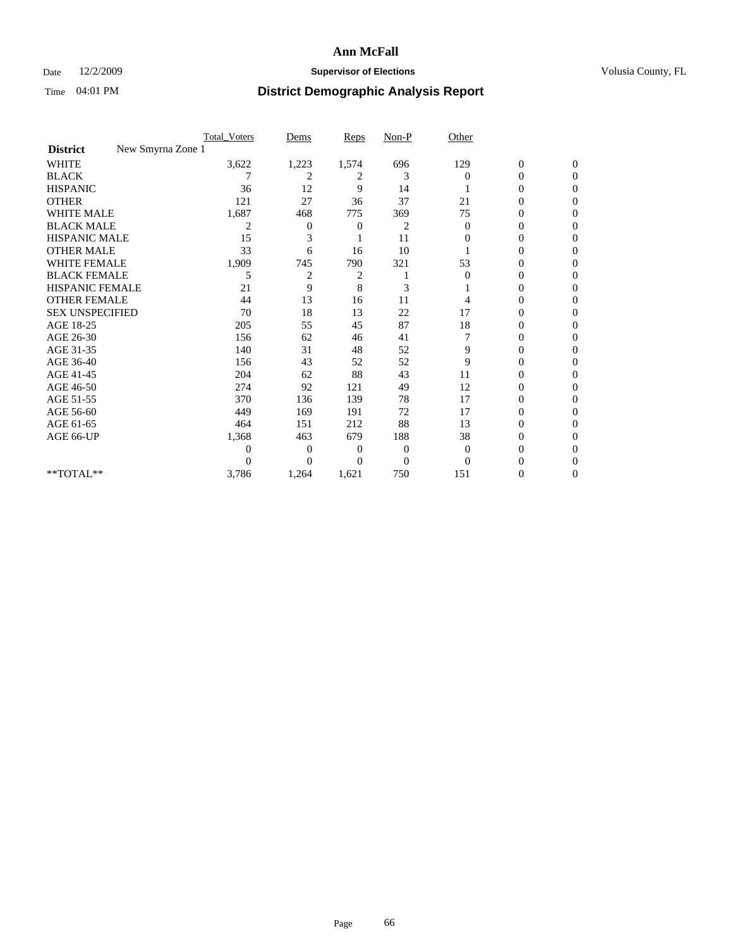## Date 12/2/2009 **Supervisor of Elections Supervisor of Elections** Volusia County, FL

|                                      | <b>Total_Voters</b> | Dems           | <b>Reps</b>  | $Non-P$        | Other          |                  |              |  |
|--------------------------------------|---------------------|----------------|--------------|----------------|----------------|------------------|--------------|--|
| New Smyrna Zone 1<br><b>District</b> |                     |                |              |                |                |                  |              |  |
| <b>WHITE</b>                         | 3,622               | 1,223          | 1,574        | 696            | 129            | $\boldsymbol{0}$ | $\mathbf{0}$ |  |
| <b>BLACK</b>                         |                     | $\overline{c}$ | 2            | 3              | $\Omega$       | $\overline{0}$   | $\Omega$     |  |
| <b>HISPANIC</b>                      | 36                  | 12             | 9            | 14             |                | 0                | $\Omega$     |  |
| <b>OTHER</b>                         | 121                 | 27             | 36           | 37             | 21             | 0                | $\Omega$     |  |
| <b>WHITE MALE</b>                    | 1,687               | 468            | 775          | 369            | 75             | 0                | 0            |  |
| <b>BLACK MALE</b>                    | 2                   | 0              | 0            | $\overline{c}$ | $\Omega$       | $\overline{0}$   | $\Omega$     |  |
| HISPANIC MALE                        | 15                  | 3              |              | 11             | $\Omega$       | 0                | $\Omega$     |  |
| <b>OTHER MALE</b>                    | 33                  | 6              | 16           | 10             |                | 0                | 0            |  |
| <b>WHITE FEMALE</b>                  | 1,909               | 745            | 790          | 321            | 53             | 0                | $\Omega$     |  |
| <b>BLACK FEMALE</b>                  | 5                   | $\overline{2}$ | 2            |                | $\overline{0}$ | $\overline{0}$   | $\Omega$     |  |
| <b>HISPANIC FEMALE</b>               | 21                  | 9              | 8            | 3              |                | 0                | 0            |  |
| <b>OTHER FEMALE</b>                  | 44                  | 13             | 16           | 11             | 4              | 0                | 0            |  |
| <b>SEX UNSPECIFIED</b>               | 70                  | 18             | 13           | 22             | 17             | 0                | $\Omega$     |  |
| AGE 18-25                            | 205                 | 55             | 45           | 87             | 18             | 0                | $\mathbf{0}$ |  |
| AGE 26-30                            | 156                 | 62             | 46           | 41             |                | 0                | $\Omega$     |  |
| AGE 31-35                            | 140                 | 31             | 48           | 52             | 9              | 0                | $\Omega$     |  |
| AGE 36-40                            | 156                 | 43             | 52           | 52             | 9              | 0                | 0            |  |
| AGE 41-45                            | 204                 | 62             | 88           | 43             | 11             | 0                | $\Omega$     |  |
| AGE 46-50                            | 274                 | 92             | 121          | 49             | 12             | $\overline{0}$   | $\Omega$     |  |
| AGE 51-55                            | 370                 | 136            | 139          | 78             | 17             | 0                | 0            |  |
| AGE 56-60                            | 449                 | 169            | 191          | 72             | 17             | 0                | $\Omega$     |  |
| AGE 61-65                            | 464                 | 151            | 212          | 88             | 13             | $\overline{0}$   | $\Omega$     |  |
| AGE 66-UP                            | 1,368               | 463            | 679          | 188            | 38             | 0                | 0            |  |
|                                      | 0                   | $\overline{0}$ | $\mathbf{0}$ | $\mathbf{0}$   | $\Omega$       | 0                | $\Omega$     |  |
|                                      | $\Omega$            | $\overline{0}$ | $\Omega$     | $\overline{0}$ | $\Omega$       |                  | 0            |  |
| **TOTAL**                            | 3,786               | 1,264          | 1,621        | 750            | 151            | 0                | 0            |  |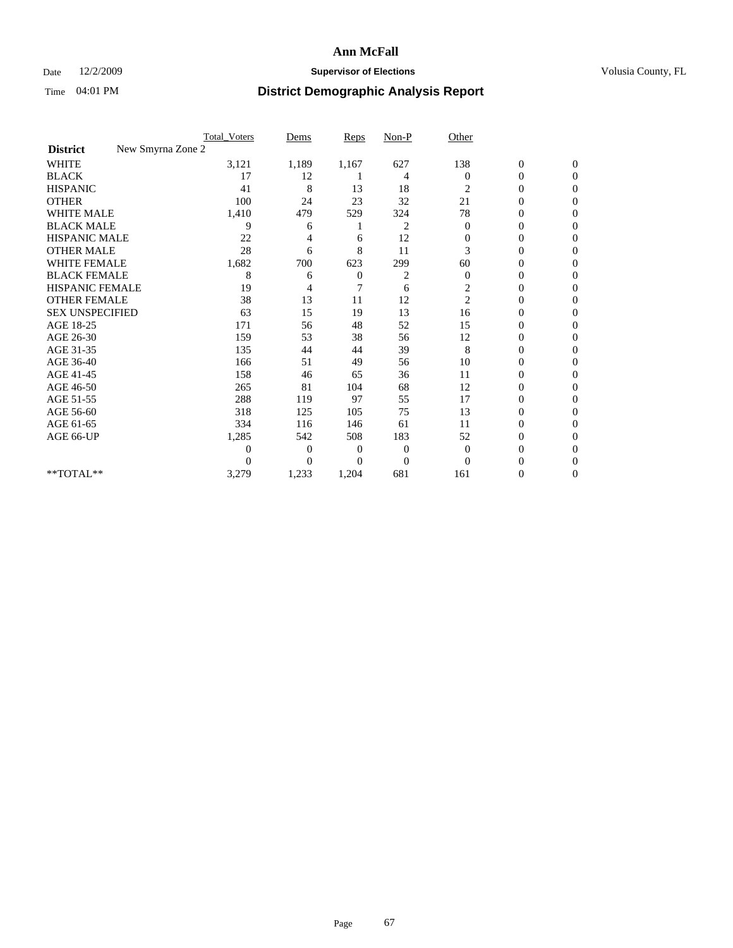## Date 12/2/2009 **Supervisor of Elections Supervisor of Elections** Volusia County, FL

|                        | <b>Total_Voters</b> | Dems           | <b>Reps</b>    | $Non-P$        | Other          |                  |                |  |
|------------------------|---------------------|----------------|----------------|----------------|----------------|------------------|----------------|--|
| <b>District</b>        | New Smyrna Zone 2   |                |                |                |                |                  |                |  |
| <b>WHITE</b>           | 3,121               | 1,189          | 1,167          | 627            | 138            | $\boldsymbol{0}$ | $\mathbf{0}$   |  |
| <b>BLACK</b>           | 17                  | 12             |                | 4              | $\Omega$       | $\boldsymbol{0}$ | $\mathbf{0}$   |  |
| <b>HISPANIC</b>        | 41                  | 8              | 13             | 18             | 2              | 0                | $\Omega$       |  |
| <b>OTHER</b>           | 100                 | 24             | 23             | 32             | 21             | 0                | $\Omega$       |  |
| <b>WHITE MALE</b>      | 1,410               | 479            | 529            | 324            | 78             | 0                | 0              |  |
| <b>BLACK MALE</b>      | 9                   | 6              |                | 2              | $\theta$       | $\overline{0}$   | $\Omega$       |  |
| HISPANIC MALE          | 22                  |                | 6              | 12             | $\mathbf{0}$   | 0                | $\Omega$       |  |
| <b>OTHER MALE</b>      | 28                  | 6              | 8              | 11             | 3              | 0                | 0              |  |
| <b>WHITE FEMALE</b>    | 1,682               | 700            | 623            | 299            | 60             | 0                | $\Omega$       |  |
| <b>BLACK FEMALE</b>    | 8                   | 6              | $\overline{0}$ | 2              | $\mathbf{0}$   | $\overline{0}$   | $\overline{0}$ |  |
| <b>HISPANIC FEMALE</b> | 19                  | 4              | 7              | 6              | 2              | 0                | $\Omega$       |  |
| <b>OTHER FEMALE</b>    | 38                  | 13             | 11             | 12             | $\overline{c}$ | 0                | 0              |  |
| <b>SEX UNSPECIFIED</b> | 63                  | 15             | 19             | 13             | 16             | 0                | $\Omega$       |  |
| AGE 18-25              | 171                 | 56             | 48             | 52             | 15             | 0                | $\mathbf{0}$   |  |
| AGE 26-30              | 159                 | 53             | 38             | 56             | 12             | 0                | $\Omega$       |  |
| AGE 31-35              | 135                 | 44             | 44             | 39             | 8              | $\overline{0}$   | $\Omega$       |  |
| AGE 36-40              | 166                 | 51             | 49             | 56             | 10             | 0                | 0              |  |
| AGE 41-45              | 158                 | 46             | 65             | 36             | 11             | $\overline{0}$   | $\Omega$       |  |
| AGE 46-50              | 265                 | 81             | 104            | 68             | 12             | $\overline{0}$   | $\Omega$       |  |
| AGE 51-55              | 288                 | 119            | 97             | 55             | 17             | 0                | 0              |  |
| AGE 56-60              | 318                 | 125            | 105            | 75             | 13             | 0                | $\Omega$       |  |
| AGE 61-65              | 334                 | 116            | 146            | 61             | 11             | 0                | $\Omega$       |  |
| AGE 66-UP              | 1,285               | 542            | 508            | 183            | 52             | 0                | 0              |  |
|                        | $\theta$            | $\overline{0}$ | 0              | 0              | $\mathbf{0}$   | 0                | $\Omega$       |  |
|                        | $\theta$            | $\overline{0}$ | $\overline{0}$ | $\overline{0}$ | $\Omega$       | 0                | $\Omega$       |  |
| **TOTAL**              | 3,279               | 1,233          | 1,204          | 681            | 161            | 0                | 0              |  |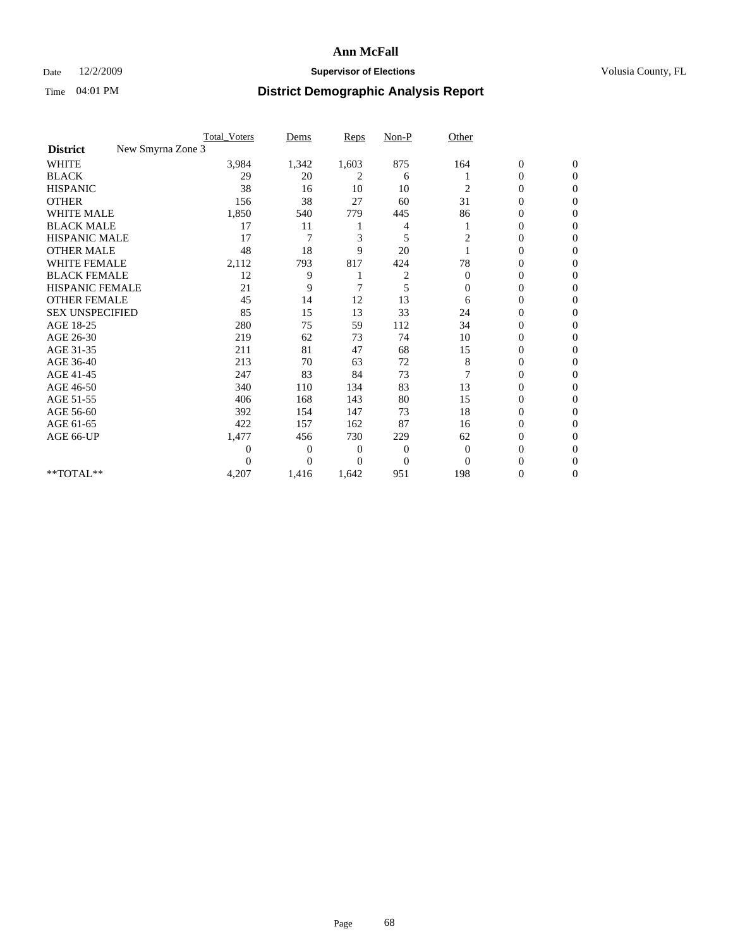## Date 12/2/2009 **Supervisor of Elections Supervisor of Elections** Volusia County, FL

|                                      | <b>Total_Voters</b> | Dems           | <b>Reps</b>    | $Non-P$        | Other        |                  |                |  |
|--------------------------------------|---------------------|----------------|----------------|----------------|--------------|------------------|----------------|--|
| New Smyrna Zone 3<br><b>District</b> |                     |                |                |                |              |                  |                |  |
| <b>WHITE</b>                         | 3,984               | 1,342          | 1,603          | 875            | 164          | $\boldsymbol{0}$ | $\mathbf{0}$   |  |
| <b>BLACK</b>                         | 29                  | 20             | 2              | 6              |              | $\boldsymbol{0}$ | $\mathbf{0}$   |  |
| <b>HISPANIC</b>                      | 38                  | 16             | 10             | 10             | 2            | $\mathbf{0}$     | $\Omega$       |  |
| <b>OTHER</b>                         | 156                 | 38             | 27             | 60             | 31           | 0                | $\Omega$       |  |
| <b>WHITE MALE</b>                    | 1,850               | 540            | 779            | 445            | 86           | 0                | $\Omega$       |  |
| <b>BLACK MALE</b>                    | 17                  | 11             |                | 4              |              | $\mathbf{0}$     | $\Omega$       |  |
| HISPANIC MALE                        | 17                  | 7              | 3              | 5              | 2            | $\boldsymbol{0}$ | $\Omega$       |  |
| <b>OTHER MALE</b>                    | 48                  | 18             | 9              | 20             |              | 0                | 0              |  |
| <b>WHITE FEMALE</b>                  | 2,112               | 793            | 817            | 424            | 78           | 0                | $\Omega$       |  |
| <b>BLACK FEMALE</b>                  | 12                  | 9              |                | $\overline{c}$ | $\mathbf{0}$ | $\overline{0}$   | $\overline{0}$ |  |
| <b>HISPANIC FEMALE</b>               | 21                  | 9              | 7              | 5              | $\mathbf{0}$ | 0                | $\Omega$       |  |
| <b>OTHER FEMALE</b>                  | 45                  | 14             | 12             | 13             | 6            | 0                | 0              |  |
| <b>SEX UNSPECIFIED</b>               | 85                  | 15             | 13             | 33             | 24           | 0                | $\Omega$       |  |
| AGE 18-25                            | 280                 | 75             | 59             | 112            | 34           | 0                | $\mathbf{0}$   |  |
| AGE 26-30                            | 219                 | 62             | 73             | 74             | 10           | $\overline{0}$   | $\Omega$       |  |
| AGE 31-35                            | 211                 | 81             | 47             | 68             | 15           | 0                | $\Omega$       |  |
| AGE 36-40                            | 213                 | 70             | 63             | 72             | 8            | 0                | $\Omega$       |  |
| AGE 41-45                            | 247                 | 83             | 84             | 73             |              | $\overline{0}$   | $\Omega$       |  |
| AGE 46-50                            | 340                 | 110            | 134            | 83             | 13           | $\overline{0}$   | $\Omega$       |  |
| AGE 51-55                            | 406                 | 168            | 143            | 80             | 15           | 0                | 0              |  |
| AGE 56-60                            | 392                 | 154            | 147            | 73             | 18           | $\overline{0}$   | $\Omega$       |  |
| AGE 61-65                            | 422                 | 157            | 162            | 87             | 16           | $\overline{0}$   | $\Omega$       |  |
| AGE 66-UP                            | 1,477               | 456            | 730            | 229            | 62           | 0                | 0              |  |
|                                      | 0                   | $\overline{0}$ | $\overline{0}$ | $\overline{0}$ | $\Omega$     | 0                | $\Omega$       |  |
|                                      | $\theta$            | $\overline{0}$ | 0              | $\overline{0}$ | $\Omega$     | $\theta$         | $\Omega$       |  |
| **TOTAL**                            | 4,207               | 1,416          | 1,642          | 951            | 198          | 0                | $\overline{0}$ |  |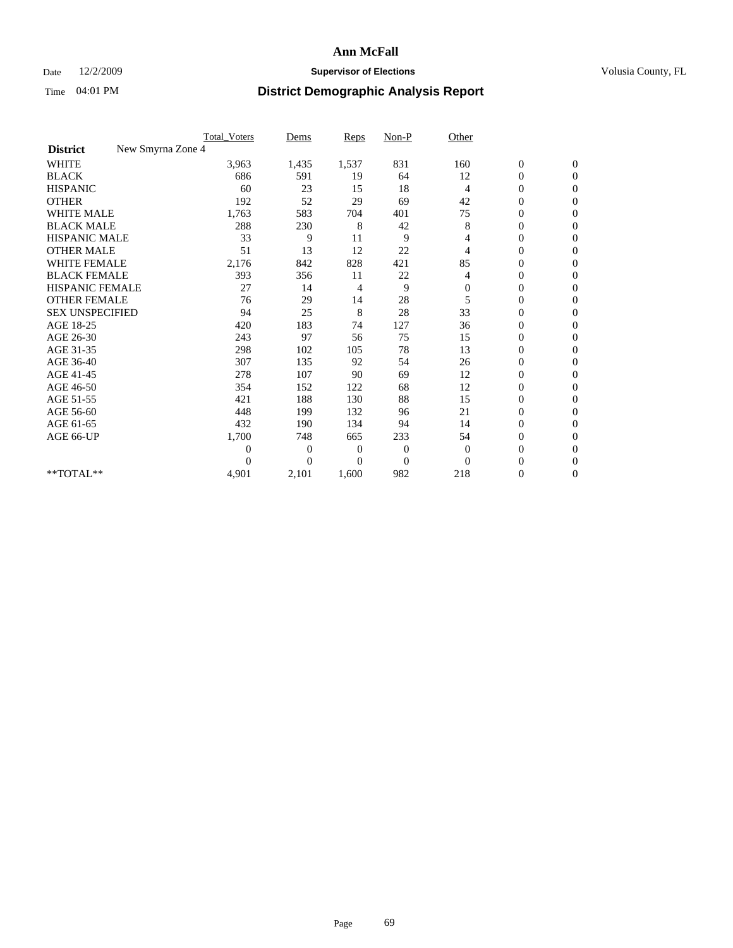### Date  $12/2/2009$  **Supervisor of Elections Supervisor of Elections** Volusia County, FL

|                                      | <b>Total_Voters</b> | Dems           | <b>Reps</b> | $Non-P$      | Other          |                  |                  |  |
|--------------------------------------|---------------------|----------------|-------------|--------------|----------------|------------------|------------------|--|
| New Smyrna Zone 4<br><b>District</b> |                     |                |             |              |                |                  |                  |  |
| <b>WHITE</b>                         | 3,963               | 1,435          | 1,537       | 831          | 160            | $\boldsymbol{0}$ | $\boldsymbol{0}$ |  |
| <b>BLACK</b>                         | 686                 | 591            | 19          | 64           | 12             | $\boldsymbol{0}$ | $\mathbf{0}$     |  |
| <b>HISPANIC</b>                      | 60                  | 23             | 15          | 18           | $\overline{4}$ | $\overline{0}$   | $\mathbf{0}$     |  |
| <b>OTHER</b>                         | 192                 | 52             | 29          | 69           | 42             | $\boldsymbol{0}$ | $\Omega$         |  |
| <b>WHITE MALE</b>                    | 1,763               | 583            | 704         | 401          | 75             | $\overline{0}$   | $\mathbf{0}$     |  |
| <b>BLACK MALE</b>                    | 288                 | 230            | 8           | 42           | 8              | $\overline{0}$   | $\mathbf{0}$     |  |
| <b>HISPANIC MALE</b>                 | 33                  | 9              | 11          | 9            | 4              | $\overline{0}$   | $\overline{0}$   |  |
| <b>OTHER MALE</b>                    | 51                  | 13             | 12          | 22           | 4              | $\boldsymbol{0}$ | $\mathbf{0}$     |  |
| WHITE FEMALE                         | 2,176               | 842            | 828         | 421          | 85             | $\overline{0}$   | $\mathbf{0}$     |  |
| <b>BLACK FEMALE</b>                  | 393                 | 356            | 11          | 22           | 4              | $\boldsymbol{0}$ | $\Omega$         |  |
| <b>HISPANIC FEMALE</b>               | 27                  | 14             | 4           | 9            | $\mathbf{0}$   | $\overline{0}$   | $\mathbf{0}$     |  |
| <b>OTHER FEMALE</b>                  | 76                  | 29             | 14          | 28           | 5              | $\mathbf{0}$     | $\Omega$         |  |
| <b>SEX UNSPECIFIED</b>               | 94                  | 25             | 8           | 28           | 33             | $\overline{0}$   | $\mathbf{0}$     |  |
| AGE 18-25                            | 420                 | 183            | 74          | 127          | 36             | $\mathbf{0}$     | $\mathbf{0}$     |  |
| AGE 26-30                            | 243                 | 97             | 56          | 75           | 15             | $\overline{0}$   | $\mathbf{0}$     |  |
| AGE 31-35                            | 298                 | 102            | 105         | 78           | 13             | $\boldsymbol{0}$ | $\mathbf{0}$     |  |
| AGE 36-40                            | 307                 | 135            | 92          | 54           | 26             | 0                | $\mathbf{0}$     |  |
| AGE 41-45                            | 278                 | 107            | 90          | 69           | 12             | $\overline{0}$   | $\Omega$         |  |
| AGE 46-50                            | 354                 | 152            | 122         | 68           | 12             | $\boldsymbol{0}$ | $\Omega$         |  |
| AGE 51-55                            | 421                 | 188            | 130         | 88           | 15             | $\boldsymbol{0}$ | $\mathbf{0}$     |  |
| AGE 56-60                            | 448                 | 199            | 132         | 96           | 21             | $\overline{0}$   | $\Omega$         |  |
| AGE 61-65                            | 432                 | 190            | 134         | 94           | 14             | $\overline{0}$   | $\mathbf{0}$     |  |
| AGE 66-UP                            | 1,700               | 748            | 665         | 233          | 54             | $\boldsymbol{0}$ | $\mathbf{0}$     |  |
|                                      | $\overline{0}$      | $\overline{0}$ | 0           | $\mathbf{0}$ | $\theta$       | $\overline{0}$   | $\mathbf{0}$     |  |
|                                      | $\theta$            | $\theta$       | $\Omega$    | $\Omega$     | $\Omega$       | $\overline{0}$   | $\mathbf{0}$     |  |
| **TOTAL**                            | 4,901               | 2,101          | 1,600       | 982          | 218            | 0                | $\mathbf{0}$     |  |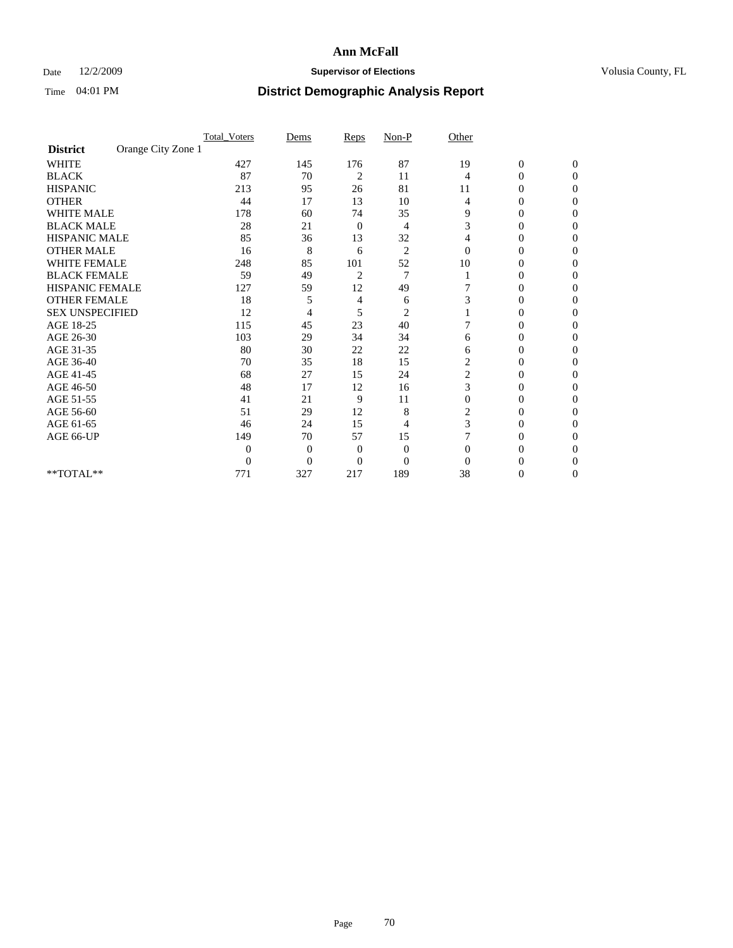## Date 12/2/2009 **Supervisor of Elections Supervisor of Elections** Volusia County, FL

|                        |                    | <b>Total_Voters</b> | Dems           | Reps           | $Non-P$        | Other          |                  |              |  |
|------------------------|--------------------|---------------------|----------------|----------------|----------------|----------------|------------------|--------------|--|
| <b>District</b>        | Orange City Zone 1 |                     |                |                |                |                |                  |              |  |
| <b>WHITE</b>           |                    | 427                 | 145            | 176            | 87             | 19             | $\boldsymbol{0}$ | $\mathbf{0}$ |  |
| <b>BLACK</b>           |                    | 87                  | 70             | 2              | 11             | 4              | $\mathbf{0}$     | $\Omega$     |  |
| <b>HISPANIC</b>        |                    | 213                 | 95             | 26             | 81             | 11             | 0                | $\Omega$     |  |
| <b>OTHER</b>           |                    | 44                  | 17             | 13             | 10             | 4              | 0                | $\Omega$     |  |
| <b>WHITE MALE</b>      |                    | 178                 | 60             | 74             | 35             | 9              | 0                | 0            |  |
| <b>BLACK MALE</b>      |                    | 28                  | 21             | 0              | 4              | 3              | 0                | $\Omega$     |  |
| HISPANIC MALE          |                    | 85                  | 36             | 13             | 32             | 4              | 0                | $\Omega$     |  |
| <b>OTHER MALE</b>      |                    | 16                  | 8              | 6              | $\overline{2}$ | $\Omega$       | 0                | 0            |  |
| <b>WHITE FEMALE</b>    |                    | 248                 | 85             | 101            | 52             | 10             | 0                | $\Omega$     |  |
| <b>BLACK FEMALE</b>    |                    | 59                  | 49             | $\overline{c}$ | $\overline{7}$ |                | 0                | 0            |  |
| <b>HISPANIC FEMALE</b> |                    | 127                 | 59             | 12             | 49             |                | 0                | 0            |  |
| <b>OTHER FEMALE</b>    |                    | 18                  | 5              | 4              | 6              | 3              | 0                | 0            |  |
| <b>SEX UNSPECIFIED</b> |                    | 12                  | 4              | 5              | $\overline{2}$ |                | 0                | $\Omega$     |  |
| AGE 18-25              |                    | 115                 | 45             | 23             | 40             |                | 0                | $\Omega$     |  |
| AGE 26-30              |                    | 103                 | 29             | 34             | 34             | 6              | 0                | 0            |  |
| AGE 31-35              |                    | 80                  | 30             | 22             | 22             | 6              | 0                | $\Omega$     |  |
| AGE 36-40              |                    | 70                  | 35             | 18             | 15             | $\overline{c}$ | 0                | 0            |  |
| AGE 41-45              |                    | 68                  | 27             | 15             | 24             | 2              | 0                | $\Omega$     |  |
| AGE 46-50              |                    | 48                  | 17             | 12             | 16             | 3              | 0                | $\Omega$     |  |
| AGE 51-55              |                    | 41                  | 21             | 9              | 11             | $\theta$       | 0                | 0            |  |
| AGE 56-60              |                    | 51                  | 29             | 12             | 8              | 2              | 0                | 0            |  |
| AGE 61-65              |                    | 46                  | 24             | 15             | 4              | 3              | $\overline{0}$   | 0            |  |
| AGE 66-UP              |                    | 149                 | 70             | 57             | 15             |                | 0                | 0            |  |
|                        |                    | $\theta$            | $\overline{0}$ | $\mathbf{0}$   | $\mathbf{0}$   | $\Omega$       | 0                | 0            |  |
|                        |                    | $\boldsymbol{0}$    | $\overline{0}$ | $\overline{0}$ | $\overline{0}$ | $\Omega$       |                  | 0            |  |
| **TOTAL**              |                    | 771                 | 327            | 217            | 189            | 38             | 0                | 0            |  |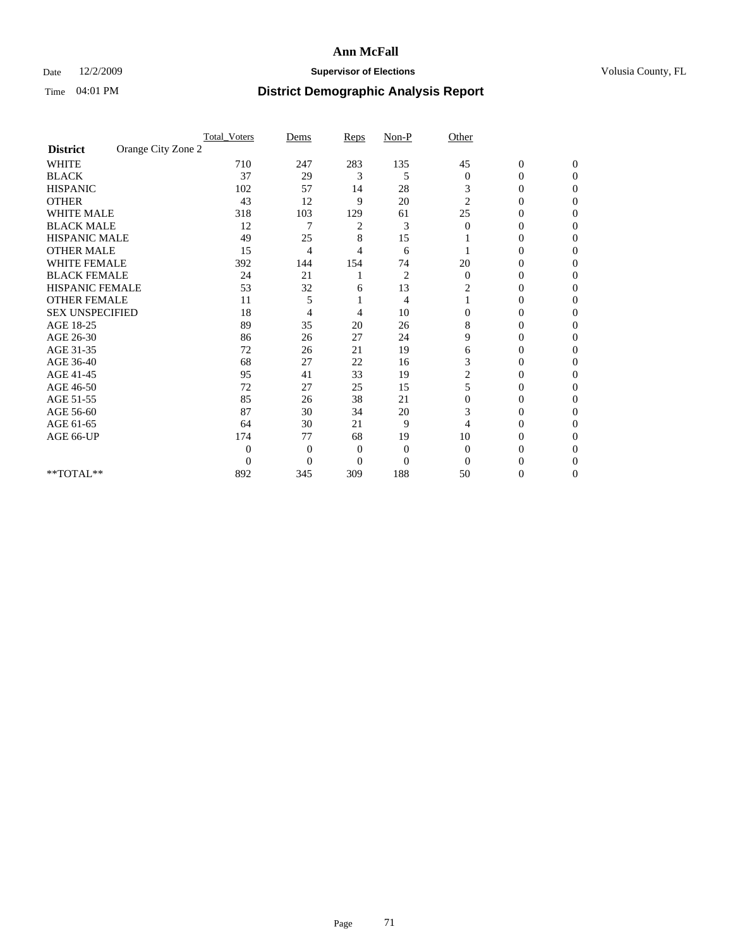## Date 12/2/2009 **Supervisor of Elections Supervisor of Elections** Volusia County, FL

|                        |                    | <b>Total_Voters</b> | Dems           | Reps         | $Non-P$        | Other          |                  |              |  |
|------------------------|--------------------|---------------------|----------------|--------------|----------------|----------------|------------------|--------------|--|
| <b>District</b>        | Orange City Zone 2 |                     |                |              |                |                |                  |              |  |
| <b>WHITE</b>           |                    | 710                 | 247            | 283          | 135            | 45             | $\boldsymbol{0}$ | $\mathbf{0}$ |  |
| <b>BLACK</b>           |                    | 37                  | 29             | 3            | 5              | $\mathbf{0}$   | $\overline{0}$   | $\Omega$     |  |
| <b>HISPANIC</b>        |                    | 102                 | 57             | 14           | 28             | 3              | 0                | $\Omega$     |  |
| <b>OTHER</b>           |                    | 43                  | 12             | 9            | 20             | $\overline{c}$ | 0                | 0            |  |
| <b>WHITE MALE</b>      |                    | 318                 | 103            | 129          | 61             | 25             | 0                | 0            |  |
| <b>BLACK MALE</b>      |                    | 12                  | 7              | 2            | 3              | $\Omega$       | 0                | $\Omega$     |  |
| HISPANIC MALE          |                    | 49                  | 25             | 8            | 15             |                | 0                | $\Omega$     |  |
| <b>OTHER MALE</b>      |                    | 15                  | 4              | 4            | 6              |                | 0                | 0            |  |
| <b>WHITE FEMALE</b>    |                    | 392                 | 144            | 154          | 74             | 20             | 0                | $\Omega$     |  |
| <b>BLACK FEMALE</b>    |                    | 24                  | 21             |              | $\overline{c}$ | $\mathbf{0}$   | 0                | 0            |  |
| <b>HISPANIC FEMALE</b> |                    | 53                  | 32             | 6            | 13             | 2              | 0                | 0            |  |
| <b>OTHER FEMALE</b>    |                    | 11                  | 5              |              | 4              |                | 0                | 0            |  |
| <b>SEX UNSPECIFIED</b> |                    | 18                  | 4              | 4            | 10             | $\mathbf{0}$   | 0                | 0            |  |
| AGE 18-25              |                    | 89                  | 35             | 20           | 26             | 8              | 0                | $\Omega$     |  |
| AGE 26-30              |                    | 86                  | 26             | 27           | 24             | 9              | 0                | 0            |  |
| AGE 31-35              |                    | 72                  | 26             | 21           | 19             | 6              | 0                | 0            |  |
| AGE 36-40              |                    | 68                  | 27             | 22           | 16             | 3              | 0                | 0            |  |
| AGE 41-45              |                    | 95                  | 41             | 33           | 19             | 2              | 0                | $\Omega$     |  |
| AGE 46-50              |                    | 72                  | 27             | 25           | 15             | 5              | 0                | $\Omega$     |  |
| AGE 51-55              |                    | 85                  | 26             | 38           | 21             | $\Omega$       | 0                | 0            |  |
| AGE 56-60              |                    | 87                  | 30             | 34           | 20             | 3              | 0                | 0            |  |
| AGE 61-65              |                    | 64                  | 30             | 21           | 9              | 4              | $\overline{0}$   | 0            |  |
| AGE 66-UP              |                    | 174                 | 77             | 68           | 19             | 10             | 0                | 0            |  |
|                        |                    | $\theta$            | $\overline{0}$ | $\mathbf{0}$ | $\mathbf{0}$   | $\Omega$       | 0                | 0            |  |
|                        |                    | $\overline{0}$      | $\overline{0}$ | $\mathbf{0}$ | $\overline{0}$ | $\Omega$       |                  | 0            |  |
| **TOTAL**              |                    | 892                 | 345            | 309          | 188            | 50             | 0                | 0            |  |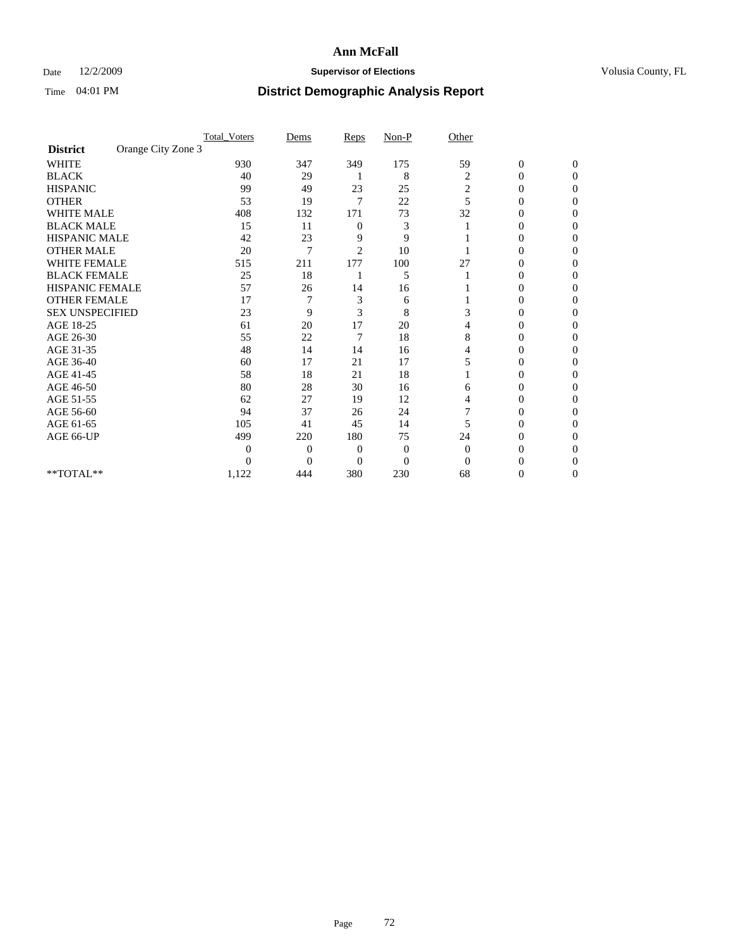## Date 12/2/2009 **Supervisor of Elections Supervisor of Elections** Volusia County, FL

|                        |                    | <b>Total_Voters</b> | Dems           | Reps           | $Non-P$        | Other    |                  |              |  |
|------------------------|--------------------|---------------------|----------------|----------------|----------------|----------|------------------|--------------|--|
| <b>District</b>        | Orange City Zone 3 |                     |                |                |                |          |                  |              |  |
| <b>WHITE</b>           |                    | 930                 | 347            | 349            | 175            | 59       | $\boldsymbol{0}$ | $\mathbf{0}$ |  |
| <b>BLACK</b>           |                    | 40                  | 29             |                | 8              | 2        | $\overline{0}$   | $\Omega$     |  |
| <b>HISPANIC</b>        |                    | 99                  | 49             | 23             | 25             | 2        | 0                | $\Omega$     |  |
| <b>OTHER</b>           |                    | 53                  | 19             | $\overline{7}$ | 22             | 5        | 0                | 0            |  |
| <b>WHITE MALE</b>      |                    | 408                 | 132            | 171            | 73             | 32       | 0                | 0            |  |
| <b>BLACK MALE</b>      |                    | 15                  | 11             | $\mathbf{0}$   | 3              |          | 0                | 0            |  |
| HISPANIC MALE          |                    | 42                  | 23             | 9              | 9              |          | 0                | 0            |  |
| <b>OTHER MALE</b>      |                    | 20                  | 7              | $\overline{2}$ | 10             |          | 0                | 0            |  |
| <b>WHITE FEMALE</b>    |                    | 515                 | 211            | 177            | 100            | 27       | 0                | $\Omega$     |  |
| <b>BLACK FEMALE</b>    |                    | 25                  | 18             |                | 5              |          | 0                | 0            |  |
| <b>HISPANIC FEMALE</b> |                    | 57                  | 26             | 14             | 16             |          | 0                | 0            |  |
| <b>OTHER FEMALE</b>    |                    | 17                  |                | 3              | 6              |          | 0                | 0            |  |
| <b>SEX UNSPECIFIED</b> |                    | 23                  | 9              | 3              | 8              | 3        | 0                | 0            |  |
| AGE 18-25              |                    | 61                  | 20             | 17             | 20             | 4        | 0                | $\Omega$     |  |
| AGE 26-30              |                    | 55                  | 22             | 7              | 18             | 8        | 0                | 0            |  |
| AGE 31-35              |                    | 48                  | 14             | 14             | 16             | 4        | 0                | 0            |  |
| AGE 36-40              |                    | 60                  | 17             | 21             | 17             | 5        | 0                | 0            |  |
| AGE 41-45              |                    | 58                  | 18             | 21             | 18             |          | 0                | $\Omega$     |  |
| AGE 46-50              |                    | 80                  | 28             | 30             | 16             | 6        | 0                | $\Omega$     |  |
| AGE 51-55              |                    | 62                  | 27             | 19             | 12             | 4        | 0                | 0            |  |
| AGE 56-60              |                    | 94                  | 37             | 26             | 24             |          | 0                | 0            |  |
| AGE 61-65              |                    | 105                 | 41             | 45             | 14             | 5        | $\overline{0}$   | 0            |  |
| AGE 66-UP              |                    | 499                 | 220            | 180            | 75             | 24       | 0                | 0            |  |
|                        |                    | 0                   | $\overline{0}$ | $\overline{0}$ | $\mathbf{0}$   | $\Omega$ | 0                | 0            |  |
|                        |                    | 0                   | $\overline{0}$ | $\overline{0}$ | $\overline{0}$ | $\Omega$ |                  | 0            |  |
| **TOTAL**              |                    | 1,122               | 444            | 380            | 230            | 68       | 0                | 0            |  |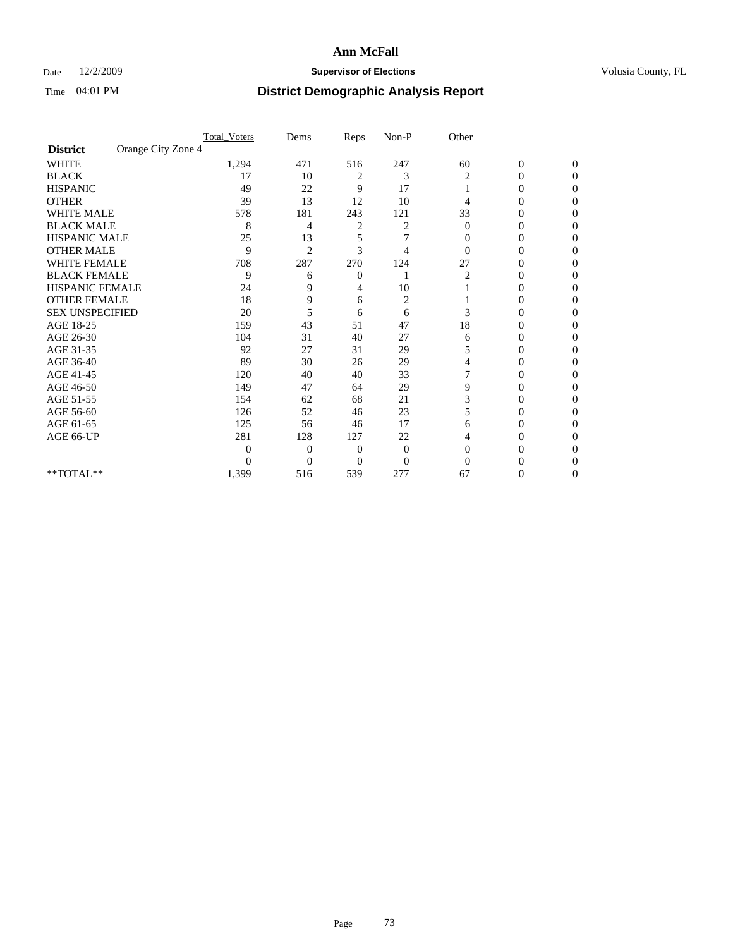### Date 12/2/2009 **Supervisor of Elections Supervisor of Elections** Volusia County, FL

|                        |                    | <b>Total_Voters</b> | Dems           | Reps         | $Non-P$      | Other    |                  |                  |  |
|------------------------|--------------------|---------------------|----------------|--------------|--------------|----------|------------------|------------------|--|
| <b>District</b>        | Orange City Zone 4 |                     |                |              |              |          |                  |                  |  |
| <b>WHITE</b>           |                    | 1,294               | 471            | 516          | 247          | 60       | $\boldsymbol{0}$ | $\boldsymbol{0}$ |  |
| <b>BLACK</b>           |                    | 17                  | 10             | 2            | 3            | 2        | $\overline{0}$   | $\Omega$         |  |
| <b>HISPANIC</b>        |                    | 49                  | 22             | 9            | 17           |          | 0                | $\Omega$         |  |
| <b>OTHER</b>           |                    | 39                  | 13             | 12           | 10           | 4        | 0                | $\Omega$         |  |
| <b>WHITE MALE</b>      |                    | 578                 | 181            | 243          | 121          | 33       | 0                | 0                |  |
| <b>BLACK MALE</b>      |                    | 8                   | 4              | 2            | 2            | $\bf{0}$ | 0                | 0                |  |
| <b>HISPANIC MALE</b>   |                    | 25                  | 13             | 5            | 7            | 0        | 0                | 0                |  |
| <b>OTHER MALE</b>      |                    | 9                   | $\overline{2}$ | 3            | 4            | $\Omega$ | 0                | 0                |  |
| <b>WHITE FEMALE</b>    |                    | 708                 | 287            | 270          | 124          | 27       | 0                | $\Omega$         |  |
| <b>BLACK FEMALE</b>    |                    | 9                   | 6              | $\mathbf{0}$ |              | 2        | 0                | $\Omega$         |  |
| HISPANIC FEMALE        |                    | 24                  | 9              | 4            | 10           |          | 0                | 0                |  |
| <b>OTHER FEMALE</b>    |                    | 18                  | 9              | 6            | 2            |          | 0                | $\Omega$         |  |
| <b>SEX UNSPECIFIED</b> |                    | 20                  | 5              | 6            | 6            | 3        | $\overline{0}$   | 0                |  |
| AGE 18-25              |                    | 159                 | 43             | 51           | 47           | 18       | 0                | 0                |  |
| AGE 26-30              |                    | 104                 | 31             | 40           | 27           | 6        | 0                | 0                |  |
| AGE 31-35              |                    | 92                  | 27             | 31           | 29           | 5        | 0                | $\Omega$         |  |
| AGE 36-40              |                    | 89                  | 30             | 26           | 29           | 4        | 0                | 0                |  |
| AGE 41-45              |                    | 120                 | 40             | 40           | 33           |          | 0                | 0                |  |
| AGE 46-50              |                    | 149                 | 47             | 64           | 29           | 9        | $\overline{0}$   | $\Omega$         |  |
| AGE 51-55              |                    | 154                 | 62             | 68           | 21           | 3        | 0                | $\Omega$         |  |
| AGE 56-60              |                    | 126                 | 52             | 46           | 23           | 5        | 0                | 0                |  |
| AGE 61-65              |                    | 125                 | 56             | 46           | 17           | 6        | $\overline{0}$   | 0                |  |
| AGE 66-UP              |                    | 281                 | 128            | 127          | 22           | 4        | 0                | 0                |  |
|                        |                    | $\overline{0}$      | $\overline{0}$ | 0            | $\mathbf{0}$ | $\Omega$ | 0                | 0                |  |
|                        |                    | $\Omega$            | $\overline{0}$ | $\Omega$     | $\Omega$     | $\Omega$ | 0                | 0                |  |
| **TOTAL**              |                    | 1,399               | 516            | 539          | 277          | 67       | 0                | $\overline{0}$   |  |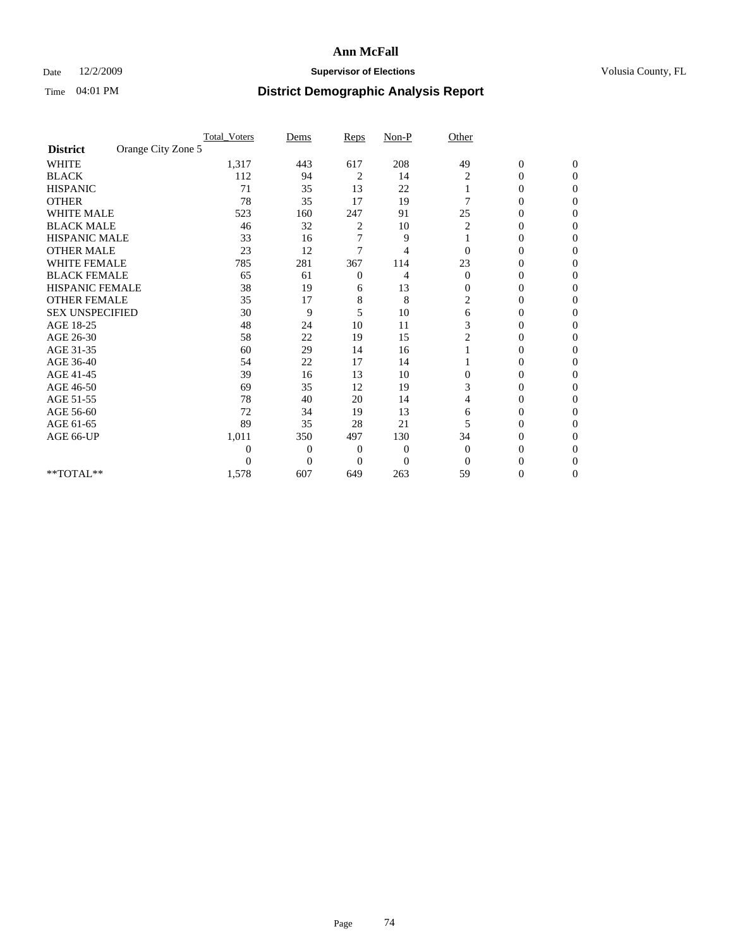#### Date  $12/2/2009$  **Supervisor of Elections Supervisor of Elections** Volusia County, FL

|                        |                    | <b>Total_Voters</b> | Dems           | Reps           | $Non-P$        | Other        |                  |              |
|------------------------|--------------------|---------------------|----------------|----------------|----------------|--------------|------------------|--------------|
| <b>District</b>        | Orange City Zone 5 |                     |                |                |                |              |                  |              |
| <b>WHITE</b>           |                    | 1,317               | 443            | 617            | 208            | 49           | $\boldsymbol{0}$ | $\mathbf{0}$ |
| <b>BLACK</b>           |                    | 112                 | 94             | 2              | 14             | 2            | $\mathbf{0}$     | $\Omega$     |
| <b>HISPANIC</b>        |                    | 71                  | 35             | 13             | 22             |              | 0                | $\Omega$     |
| <b>OTHER</b>           |                    | 78                  | 35             | 17             | 19             | 7            | 0                | $\Omega$     |
| <b>WHITE MALE</b>      |                    | 523                 | 160            | 247            | 91             | 25           | 0                | 0            |
| <b>BLACK MALE</b>      |                    | 46                  | 32             | 2              | 10             | 2            | $\mathbf{0}$     | $\Omega$     |
| HISPANIC MALE          |                    | 33                  | 16             | 7              | 9              |              | 0                | $\Omega$     |
| <b>OTHER MALE</b>      |                    | 23                  | 12             | 7              | 4              | 0            | 0                | 0            |
| <b>WHITE FEMALE</b>    |                    | 785                 | 281            | 367            | 114            | 23           | 0                | $\Omega$     |
| <b>BLACK FEMALE</b>    |                    | 65                  | 61             | $\overline{0}$ | 4              | $\mathbf{0}$ | $\overline{0}$   | $\Omega$     |
| <b>HISPANIC FEMALE</b> |                    | 38                  | 19             | 6              | 13             | $\mathbf{0}$ | 0                | 0            |
| <b>OTHER FEMALE</b>    |                    | 35                  | 17             | 8              | 8              | 2            | 0                | 0            |
| <b>SEX UNSPECIFIED</b> |                    | 30                  | 9              | 5              | 10             | 6            | 0                | $\Omega$     |
| AGE 18-25              |                    | 48                  | 24             | 10             | 11             | 3            | 0                | $\mathbf{0}$ |
| AGE 26-30              |                    | 58                  | 22             | 19             | 15             | 2            | 0                | 0            |
| AGE 31-35              |                    | 60                  | 29             | 14             | 16             |              | 0                | $\Omega$     |
| AGE 36-40              |                    | 54                  | 22             | 17             | 14             |              | 0                | 0            |
| AGE 41-45              |                    | 39                  | 16             | 13             | 10             | $\Omega$     | 0                | $\Omega$     |
| AGE 46-50              |                    | 69                  | 35             | 12             | 19             | 3            | 0                | $\Omega$     |
| AGE 51-55              |                    | 78                  | 40             | 20             | 14             | 4            | 0                | 0            |
| AGE 56-60              |                    | 72                  | 34             | 19             | 13             | 6            | 0                | $\Omega$     |
| AGE 61-65              |                    | 89                  | 35             | 28             | 21             | 5            | $\overline{0}$   | $\Omega$     |
| AGE 66-UP              |                    | 1,011               | 350            | 497            | 130            | 34           | 0                | 0            |
|                        |                    | 0                   | $\overline{0}$ | $\mathbf{0}$   | 0              | $\Omega$     | 0                | $\Omega$     |
|                        |                    | $\theta$            | $\overline{0}$ | $\overline{0}$ | $\overline{0}$ | $\Omega$     | 0                | 0            |
| **TOTAL**              |                    | 1,578               | 607            | 649            | 263            | 59           | 0                | 0            |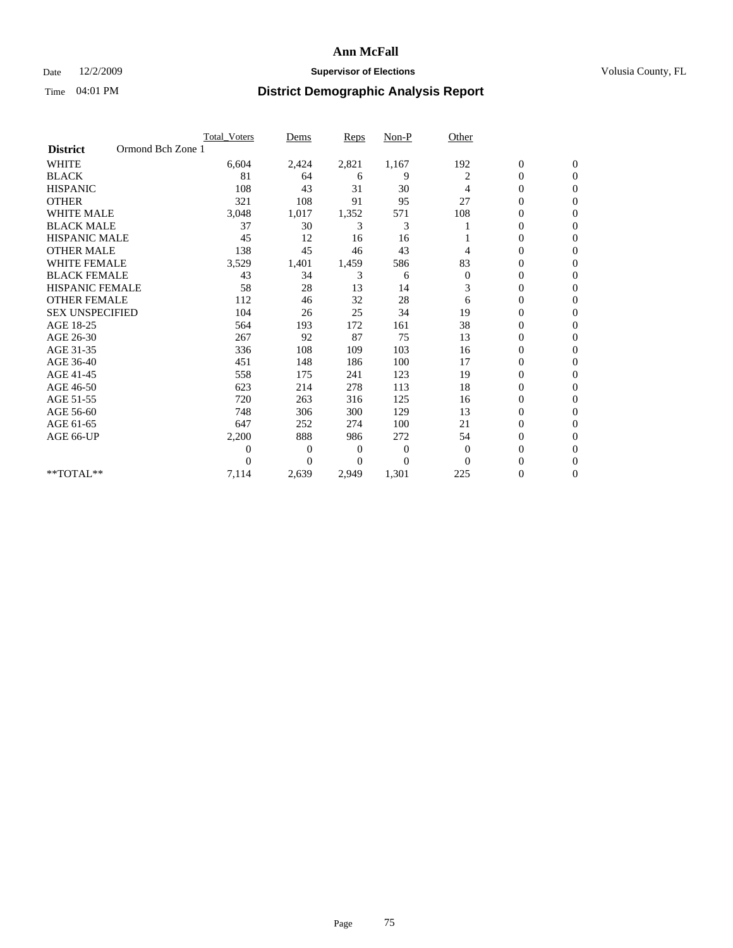#### Date  $12/2/2009$  **Supervisor of Elections Supervisor of Elections** Volusia County, FL

|                        | <b>Total Voters</b> | Dems           | <b>Reps</b> | Non-P        | Other            |                  |                  |  |
|------------------------|---------------------|----------------|-------------|--------------|------------------|------------------|------------------|--|
| <b>District</b>        | Ormond Bch Zone 1   |                |             |              |                  |                  |                  |  |
| <b>WHITE</b>           | 6,604               | 2,424          | 2,821       | 1,167        | 192              | $\boldsymbol{0}$ | $\boldsymbol{0}$ |  |
| <b>BLACK</b>           | 81                  | 64             | 6           | 9            | 2                | $\boldsymbol{0}$ | $\mathbf{0}$     |  |
| <b>HISPANIC</b>        | 108                 | 43             | 31          | 30           | 4                | $\mathbf{0}$     | $\mathbf{0}$     |  |
| <b>OTHER</b>           | 321                 | 108            | 91          | 95           | 27               | 0                | $\Omega$         |  |
| <b>WHITE MALE</b>      | 3,048               | 1,017          | 1,352       | 571          | 108              | 0                | $\mathbf{0}$     |  |
| <b>BLACK MALE</b>      | 37                  | 30             | 3           | 3            |                  | $\mathbf{0}$     | $\mathbf{0}$     |  |
| <b>HISPANIC MALE</b>   | 45                  | 12             | 16          | 16           |                  | 0                | $\Omega$         |  |
| <b>OTHER MALE</b>      | 138                 | 45             | 46          | 43           | 4                | 0                | $\Omega$         |  |
| <b>WHITE FEMALE</b>    | 3,529               | 1,401          | 1,459       | 586          | 83               | 0                | $\mathbf{0}$     |  |
| <b>BLACK FEMALE</b>    | 43                  | 34             | 3           | 6            | $\boldsymbol{0}$ | $\boldsymbol{0}$ | $\Omega$         |  |
| <b>HISPANIC FEMALE</b> | 58                  | 28             | 13          | 14           | 3                | 0                | $\mathbf{0}$     |  |
| <b>OTHER FEMALE</b>    | 112                 | 46             | 32          | 28           | 6                | 0                | $\Omega$         |  |
| <b>SEX UNSPECIFIED</b> | 104                 | 26             | 25          | 34           | 19               | $\overline{0}$   | $\mathbf{0}$     |  |
| AGE 18-25              | 564                 | 193            | 172         | 161          | 38               | 0                | $\mathbf{0}$     |  |
| AGE 26-30              | 267                 | 92             | 87          | 75           | 13               | 0                | $\mathbf{0}$     |  |
| AGE 31-35              | 336                 | 108            | 109         | 103          | 16               | $\boldsymbol{0}$ | $\mathbf{0}$     |  |
| AGE 36-40              | 451                 | 148            | 186         | 100          | 17               | 0                | $\bf{0}$         |  |
| AGE 41-45              | 558                 | 175            | 241         | 123          | 19               | 0                | $\Omega$         |  |
| AGE 46-50              | 623                 | 214            | 278         | 113          | 18               | 0                | $\Omega$         |  |
| AGE 51-55              | 720                 | 263            | 316         | 125          | 16               | 0                | $\mathbf{0}$     |  |
| AGE 56-60              | 748                 | 306            | 300         | 129          | 13               | $\overline{0}$   | $\Omega$         |  |
| AGE 61-65              | 647                 | 252            | 274         | 100          | 21               | 0                | $\mathbf{0}$     |  |
| AGE 66-UP              | 2,200               | 888            | 986         | 272          | 54               | 0                | $\mathbf{0}$     |  |
|                        | 0                   | $\overline{0}$ | 0           | $\mathbf{0}$ | $\theta$         | 0                | $\mathbf{0}$     |  |
|                        | 0                   | $\Omega$       | $\Omega$    | $\Omega$     | $\Omega$         | $\overline{0}$   | $\Omega$         |  |
| **TOTAL**              | 7,114               | 2,639          | 2,949       | 1,301        | 225              | 0                | $\mathbf{0}$     |  |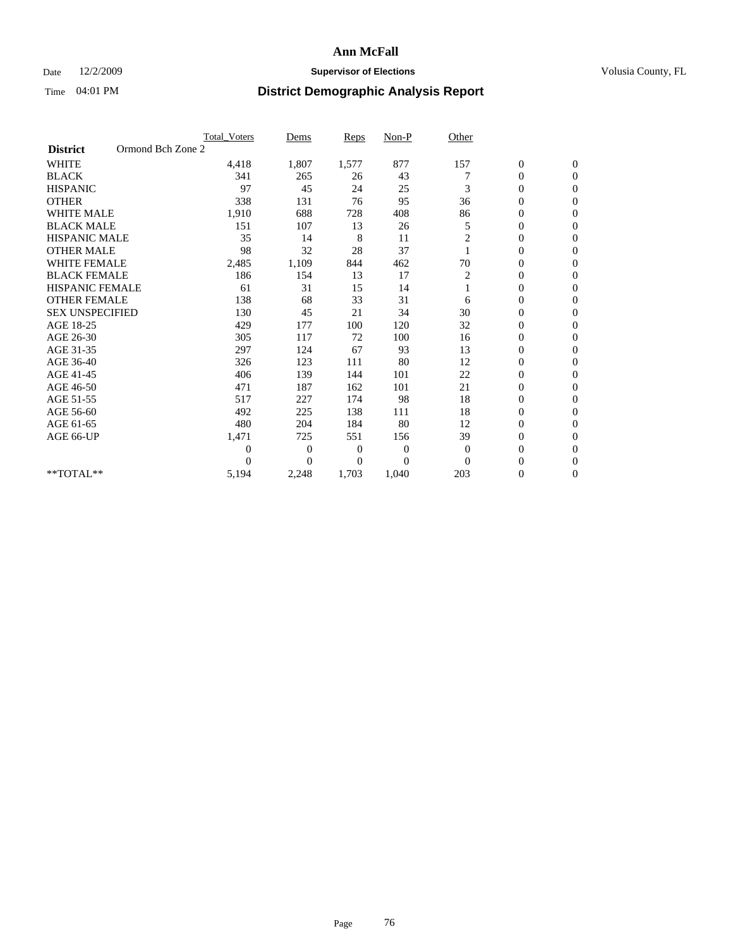### Date 12/2/2009 **Supervisor of Elections Supervisor of Elections** Volusia County, FL

|                        |                   | <b>Total Voters</b> | Dems           | <b>Reps</b>    | Non-P          | Other          |                  |                |  |
|------------------------|-------------------|---------------------|----------------|----------------|----------------|----------------|------------------|----------------|--|
| <b>District</b>        | Ormond Bch Zone 2 |                     |                |                |                |                |                  |                |  |
| <b>WHITE</b>           |                   | 4,418               | 1,807          | 1,577          | 877            | 157            | $\boldsymbol{0}$ | $\mathbf{0}$   |  |
| <b>BLACK</b>           |                   | 341                 | 265            | 26             | 43             |                | $\boldsymbol{0}$ | $\mathbf{0}$   |  |
| <b>HISPANIC</b>        |                   | 97                  | 45             | 24             | 25             | 3              | $\overline{0}$   | $\mathbf{0}$   |  |
| <b>OTHER</b>           |                   | 338                 | 131            | 76             | 95             | 36             | 0                | $\mathbf{0}$   |  |
| <b>WHITE MALE</b>      |                   | 1,910               | 688            | 728            | 408            | 86             | 0                | $\mathbf{0}$   |  |
| <b>BLACK MALE</b>      |                   | 151                 | 107            | 13             | 26             | 5              | $\boldsymbol{0}$ | $\mathbf{0}$   |  |
| <b>HISPANIC MALE</b>   |                   | 35                  | 14             | 8              | 11             | 2              | $\boldsymbol{0}$ | $\Omega$       |  |
| <b>OTHER MALE</b>      |                   | 98                  | 32             | 28             | 37             |                | 0                | $\mathbf{0}$   |  |
| <b>WHITE FEMALE</b>    |                   | 2,485               | 1,109          | 844            | 462            | 70             | $\overline{0}$   | $\mathbf{0}$   |  |
| <b>BLACK FEMALE</b>    |                   | 186                 | 154            | 13             | 17             | 2              | $\boldsymbol{0}$ | $\mathbf{0}$   |  |
| HISPANIC FEMALE        |                   | 61                  | 31             | 15             | 14             |                | $\boldsymbol{0}$ | $\mathbf{0}$   |  |
| <b>OTHER FEMALE</b>    |                   | 138                 | 68             | 33             | 31             | 6              | $\overline{0}$   | $\Omega$       |  |
| <b>SEX UNSPECIFIED</b> |                   | 130                 | 45             | 21             | 34             | 30             | $\overline{0}$   | $\mathbf{0}$   |  |
| AGE 18-25              |                   | 429                 | 177            | 100            | 120            | 32             | 0                | $\mathbf{0}$   |  |
| AGE 26-30              |                   | 305                 | 117            | 72             | 100            | 16             | $\overline{0}$   | $\mathbf{0}$   |  |
| AGE 31-35              |                   | 297                 | 124            | 67             | 93             | 13             | $\boldsymbol{0}$ | $\mathbf{0}$   |  |
| AGE 36-40              |                   | 326                 | 123            | 111            | 80             | 12             | 0                | $\mathbf{0}$   |  |
| AGE 41-45              |                   | 406                 | 139            | 144            | 101            | 22             | $\overline{0}$   | $\mathbf{0}$   |  |
| AGE 46-50              |                   | 471                 | 187            | 162            | 101            | 21             | $\overline{0}$   | $\mathbf{0}$   |  |
| AGE 51-55              |                   | 517                 | 227            | 174            | 98             | 18             | $\boldsymbol{0}$ | $\mathbf{0}$   |  |
| AGE 56-60              |                   | 492                 | 225            | 138            | 111            | 18             | $\overline{0}$   | $\Omega$       |  |
| AGE 61-65              |                   | 480                 | 204            | 184            | 80             | 12             | $\boldsymbol{0}$ | $\overline{0}$ |  |
| AGE 66-UP              |                   | 1,471               | 725            | 551            | 156            | 39             | $\overline{0}$   | $\mathbf{0}$   |  |
|                        |                   | $\theta$            | 0              | $\overline{0}$ | 0              | $\overline{0}$ | $\overline{0}$   | $\Omega$       |  |
|                        |                   | $\theta$            | $\overline{0}$ | $\overline{0}$ | $\overline{0}$ | $\Omega$       | $\overline{0}$   | $\overline{0}$ |  |
| **TOTAL**              |                   | 5,194               | 2,248          | 1,703          | 1,040          | 203            | 0                | $\mathbf{0}$   |  |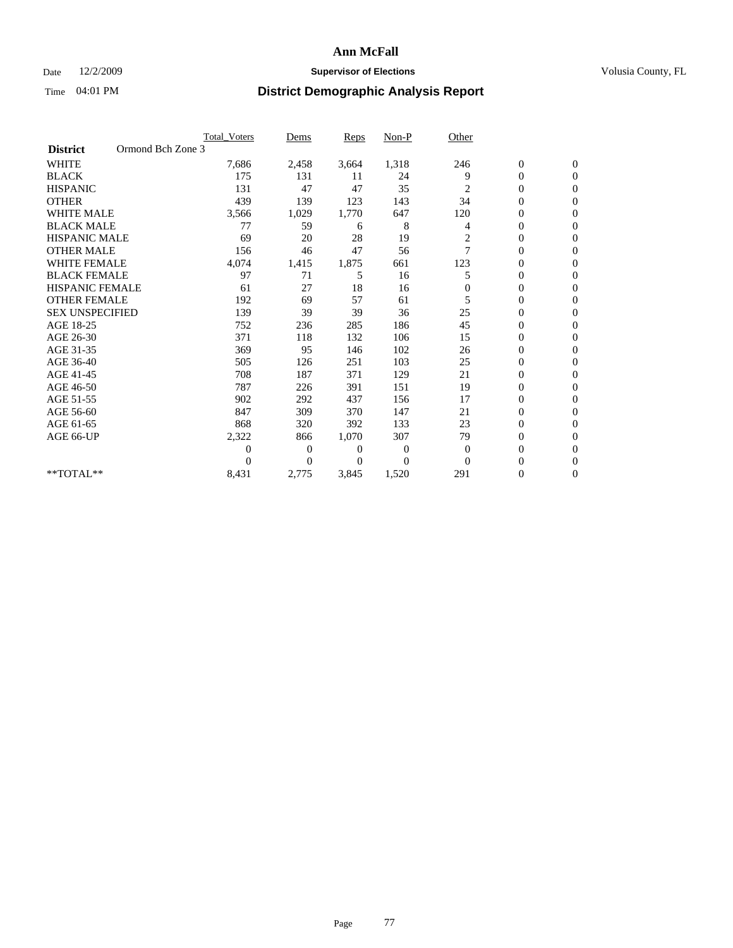#### Date  $12/2/2009$  **Supervisor of Elections Supervisor of Elections** Volusia County, FL

|                                      | <b>Total Voters</b> | Dems           | <b>Reps</b>  | Non-P        | Other          |                  |                  |  |
|--------------------------------------|---------------------|----------------|--------------|--------------|----------------|------------------|------------------|--|
| Ormond Bch Zone 3<br><b>District</b> |                     |                |              |              |                |                  |                  |  |
| <b>WHITE</b>                         | 7,686               | 2,458          | 3,664        | 1,318        | 246            | $\boldsymbol{0}$ | $\boldsymbol{0}$ |  |
| <b>BLACK</b>                         | 175                 | 131            | 11           | 24           | 9              | $\overline{0}$   | $\mathbf{0}$     |  |
| <b>HISPANIC</b>                      | 131                 | 47             | 47           | 35           | 2              | $\overline{0}$   | $\Omega$         |  |
| <b>OTHER</b>                         | 439                 | 139            | 123          | 143          | 34             | 0                | $\overline{0}$   |  |
| <b>WHITE MALE</b>                    | 3,566               | 1,029          | 1,770        | 647          | 120            | $\boldsymbol{0}$ | $\mathbf{0}$     |  |
| <b>BLACK MALE</b>                    | 77                  | 59             | 6            | 8            | 4              | $\overline{0}$   | $\mathbf{0}$     |  |
| <b>HISPANIC MALE</b>                 | 69                  | 20             | 28           | 19           | $\overline{c}$ | 0                | $\Omega$         |  |
| <b>OTHER MALE</b>                    | 156                 | 46             | 47           | 56           | 7              | $\overline{0}$   | $\mathbf{0}$     |  |
| <b>WHITE FEMALE</b>                  | 4,074               | 1,415          | 1,875        | 661          | 123            | $\mathbf{0}$     | $\mathbf{0}$     |  |
| <b>BLACK FEMALE</b>                  | 97                  | 71             | 5            | 16           | 5              | $\overline{0}$   | $\overline{0}$   |  |
| <b>HISPANIC FEMALE</b>               | 61                  | 27             | 18           | 16           | 0              | 0                | $\overline{0}$   |  |
| <b>OTHER FEMALE</b>                  | 192                 | 69             | 57           | 61           | 5              | $\mathbf{0}$     | $\mathbf{0}$     |  |
| <b>SEX UNSPECIFIED</b>               | 139                 | 39             | 39           | 36           | 25             | $\boldsymbol{0}$ | $\Omega$         |  |
| AGE 18-25                            | 752                 | 236            | 285          | 186          | 45             | $\overline{0}$   | $\mathbf{0}$     |  |
| AGE 26-30                            | 371                 | 118            | 132          | 106          | 15             | $\overline{0}$   | $\Omega$         |  |
| AGE 31-35                            | 369                 | 95             | 146          | 102          | 26             | $\boldsymbol{0}$ | $\mathbf{0}$     |  |
| AGE 36-40                            | 505                 | 126            | 251          | 103          | 25             | $\boldsymbol{0}$ | $\mathbf{0}$     |  |
| AGE 41-45                            | 708                 | 187            | 371          | 129          | 21             | $\boldsymbol{0}$ | $\Omega$         |  |
| AGE 46-50                            | 787                 | 226            | 391          | 151          | 19             | 0                | $\Omega$         |  |
| AGE 51-55                            | 902                 | 292            | 437          | 156          | 17             | $\overline{0}$   | $\mathbf{0}$     |  |
| AGE 56-60                            | 847                 | 309            | 370          | 147          | 21             | $\overline{0}$   | $\mathbf{0}$     |  |
| AGE 61-65                            | 868                 | 320            | 392          | 133          | 23             | 0                | $\Omega$         |  |
| AGE 66-UP                            | 2,322               | 866            | 1,070        | 307          | 79             | 0                | $\mathbf{0}$     |  |
|                                      | $\overline{0}$      | $\overline{0}$ | 0            | $\mathbf{0}$ | $\mathbf{0}$   | $\mathbf{0}$     | $\mathbf{0}$     |  |
|                                      | $\theta$            | $\overline{0}$ | $\mathbf{0}$ | $\mathbf{0}$ | $\theta$       | 0                | $\mathbf{0}$     |  |
| **TOTAL**                            | 8,431               | 2,775          | 3,845        | 1,520        | 291            | 0                | $\boldsymbol{0}$ |  |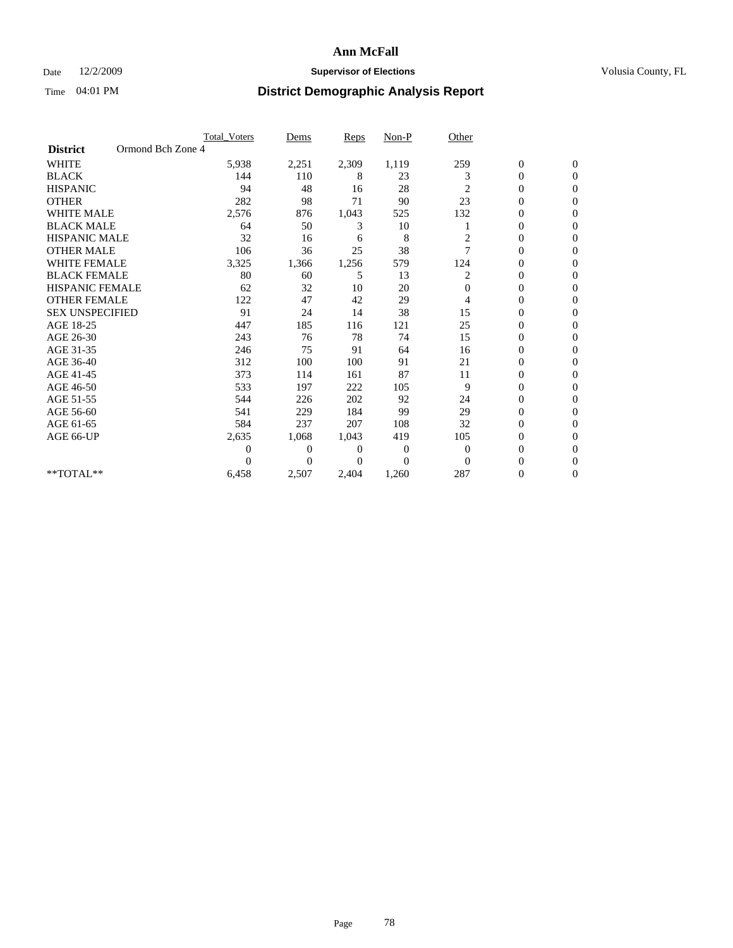#### Date  $12/2/2009$  **Supervisor of Elections Supervisor of Elections** Volusia County, FL

|                        | <b>Total Voters</b> |       | Dems           | <b>Reps</b>  | Non-P          | Other          |                  |                |
|------------------------|---------------------|-------|----------------|--------------|----------------|----------------|------------------|----------------|
| <b>District</b>        | Ormond Bch Zone 4   |       |                |              |                |                |                  |                |
| <b>WHITE</b>           |                     | 5,938 | 2,251          | 2,309        | 1,119          | 259            | $\boldsymbol{0}$ | $\mathbf{0}$   |
| <b>BLACK</b>           |                     | 144   | 110            | 8            | 23             | 3              | $\boldsymbol{0}$ | $\mathbf{0}$   |
| <b>HISPANIC</b>        |                     | 94    | 48             | 16           | 28             | 2              | $\mathbf{0}$     | $\mathbf{0}$   |
| <b>OTHER</b>           |                     | 282   | 98             | 71           | 90             | 23             | 0                | $\Omega$       |
| <b>WHITE MALE</b>      |                     | 2,576 | 876            | 1,043        | 525            | 132            | 0                | $\Omega$       |
| <b>BLACK MALE</b>      |                     | 64    | 50             | 3            | 10             |                | 0                | $\Omega$       |
| <b>HISPANIC MALE</b>   |                     | 32    | 16             | 6            | 8              | 2              | $\boldsymbol{0}$ | $\Omega$       |
| <b>OTHER MALE</b>      |                     | 106   | 36             | 25           | 38             | 7              | 0                | $\overline{0}$ |
| <b>WHITE FEMALE</b>    |                     | 3,325 | 1,366          | 1,256        | 579            | 124            | 0                | $\Omega$       |
| <b>BLACK FEMALE</b>    |                     | 80    | 60             | 5            | 13             | 2              | $\overline{0}$   | $\overline{0}$ |
| <b>HISPANIC FEMALE</b> |                     | 62    | 32             | 10           | 20             | $\Omega$       | $\boldsymbol{0}$ | $\overline{0}$ |
| <b>OTHER FEMALE</b>    |                     | 122   | 47             | 42           | 29             | 4              | 0                | $\Omega$       |
| <b>SEX UNSPECIFIED</b> |                     | 91    | 24             | 14           | 38             | 15             | $\overline{0}$   | $\overline{0}$ |
| AGE 18-25              |                     | 447   | 185            | 116          | 121            | 25             | 0                | $\mathbf{0}$   |
| AGE 26-30              |                     | 243   | 76             | 78           | 74             | 15             | $\overline{0}$   | $\mathbf{0}$   |
| AGE 31-35              |                     | 246   | 75             | 91           | 64             | 16             | $\boldsymbol{0}$ | $\overline{0}$ |
| AGE 36-40              |                     | 312   | 100            | 100          | 91             | 21             | 0                | $\mathbf{0}$   |
| AGE 41-45              |                     | 373   | 114            | 161          | 87             | 11             | $\overline{0}$   | $\Omega$       |
| AGE 46-50              |                     | 533   | 197            | 222          | 105            | 9              | $\overline{0}$   | $\overline{0}$ |
| AGE 51-55              |                     | 544   | 226            | 202          | 92             | 24             | 0                | 0              |
| AGE 56-60              |                     | 541   | 229            | 184          | 99             | 29             | $\overline{0}$   | $\Omega$       |
| AGE 61-65              |                     | 584   | 237            | 207          | 108            | 32             | $\overline{0}$   | $\Omega$       |
| AGE 66-UP              |                     | 2,635 | 1,068          | 1,043        | 419            | 105            | 0                | $\mathbf{0}$   |
|                        |                     | 0     | $\overline{0}$ | $\mathbf{0}$ | 0              | $\overline{0}$ | 0                | $\Omega$       |
|                        |                     | 0     | $\theta$       | 0            | $\overline{0}$ | $\Omega$       | $\overline{0}$   | $\overline{0}$ |
| **TOTAL**              |                     | 6,458 | 2,507          | 2,404        | 1,260          | 287            | 0                | $\mathbf{0}$   |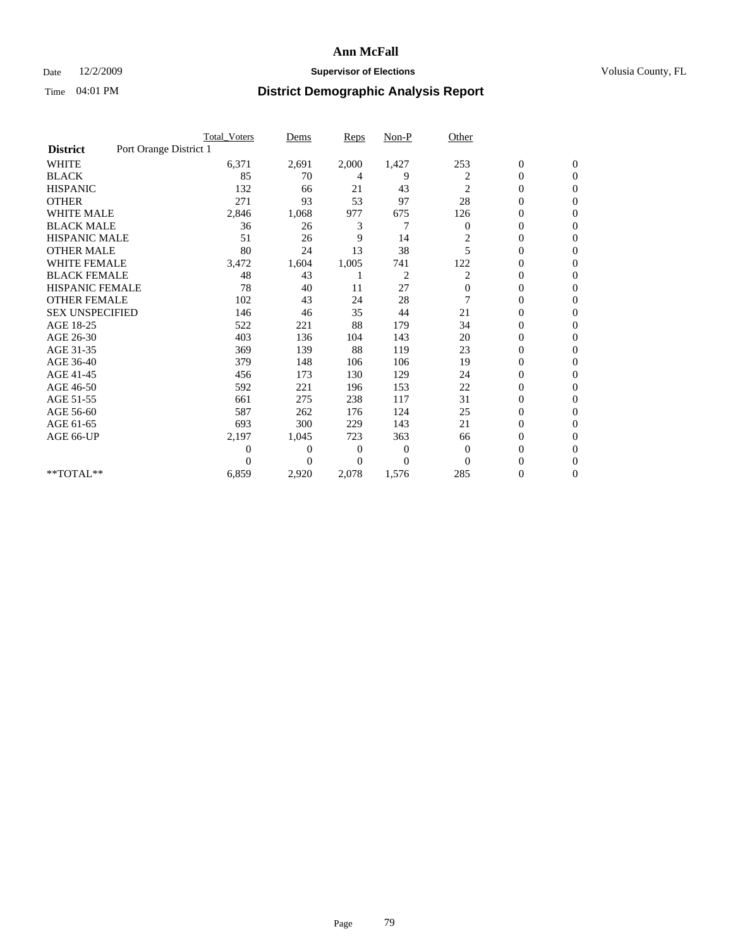#### Date  $12/2/2009$  **Supervisor of Elections Supervisor of Elections** Volusia County, FL

|                        |                        | Total Voters | Dems           | <b>Reps</b>    | $Non-P$        | Other        |                  |                |
|------------------------|------------------------|--------------|----------------|----------------|----------------|--------------|------------------|----------------|
| <b>District</b>        | Port Orange District 1 |              |                |                |                |              |                  |                |
| <b>WHITE</b>           |                        | 6,371        | 2,691          | 2,000          | 1,427          | 253          | $\boldsymbol{0}$ | $\mathbf{0}$   |
| <b>BLACK</b>           |                        | 85           | 70             | 4              | 9              | 2            | $\boldsymbol{0}$ | $\mathbf{0}$   |
| <b>HISPANIC</b>        |                        | 132          | 66             | 21             | 43             | 2            | $\mathbf{0}$     | $\mathbf{0}$   |
| <b>OTHER</b>           |                        | 271          | 93             | 53             | 97             | 28           | $\overline{0}$   | $\Omega$       |
| <b>WHITE MALE</b>      |                        | 2,846        | 1,068          | 977            | 675            | 126          | 0                | $\mathbf{0}$   |
| <b>BLACK MALE</b>      |                        | 36           | 26             | 3              | 7              | $\mathbf{0}$ | $\boldsymbol{0}$ | $\Omega$       |
| <b>HISPANIC MALE</b>   |                        | 51           | 26             | 9              | 14             | 2            | $\boldsymbol{0}$ | $\Omega$       |
| <b>OTHER MALE</b>      |                        | 80           | 24             | 13             | 38             | 5            | 0                | $\mathbf{0}$   |
| <b>WHITE FEMALE</b>    |                        | 3,472        | 1,604          | 1,005          | 741            | 122          | $\overline{0}$   | $\Omega$       |
| <b>BLACK FEMALE</b>    |                        | 48           | 43             |                | $\overline{c}$ | 2            | $\boldsymbol{0}$ | $\mathbf{0}$   |
| <b>HISPANIC FEMALE</b> |                        | 78           | 40             | 11             | 27             | $\mathbf{0}$ | $\boldsymbol{0}$ | $\mathbf{0}$   |
| <b>OTHER FEMALE</b>    |                        | 102          | 43             | 24             | 28             |              | $\overline{0}$   | $\Omega$       |
| <b>SEX UNSPECIFIED</b> |                        | 146          | 46             | 35             | 44             | 21           | $\overline{0}$   | $\mathbf{0}$   |
| AGE 18-25              |                        | 522          | 221            | 88             | 179            | 34           | 0                | $\mathbf{0}$   |
| AGE 26-30              |                        | 403          | 136            | 104            | 143            | 20           | $\overline{0}$   | $\mathbf{0}$   |
| AGE 31-35              |                        | 369          | 139            | 88             | 119            | 23           | $\boldsymbol{0}$ | $\mathbf{0}$   |
| AGE 36-40              |                        | 379          | 148            | 106            | 106            | 19           | $\boldsymbol{0}$ | $\mathbf{0}$   |
| AGE 41-45              |                        | 456          | 173            | 130            | 129            | 24           | $\overline{0}$   | $\Omega$       |
| AGE 46-50              |                        | 592          | 221            | 196            | 153            | 22           | $\mathbf{0}$     | $\overline{0}$ |
| AGE 51-55              |                        | 661          | 275            | 238            | 117            | 31           | $\boldsymbol{0}$ | $\mathbf{0}$   |
| AGE 56-60              |                        | 587          | 262            | 176            | 124            | 25           | $\overline{0}$   | $\Omega$       |
| AGE 61-65              |                        | 693          | 300            | 229            | 143            | 21           | $\overline{0}$   | $\Omega$       |
| AGE 66-UP              |                        | 2,197        | 1,045          | 723            | 363            | 66           | $\overline{0}$   | $\mathbf{0}$   |
|                        |                        | 0            | $\overline{0}$ | $\overline{0}$ | $\mathbf{0}$   | $\mathbf{0}$ | $\overline{0}$   | $\Omega$       |
|                        |                        | $\Omega$     | $\theta$       | $\overline{0}$ | $\theta$       | $\Omega$     | $\overline{0}$   | $\overline{0}$ |
| **TOTAL**              |                        | 6,859        | 2,920          | 2,078          | 1,576          | 285          | 0                | $\overline{0}$ |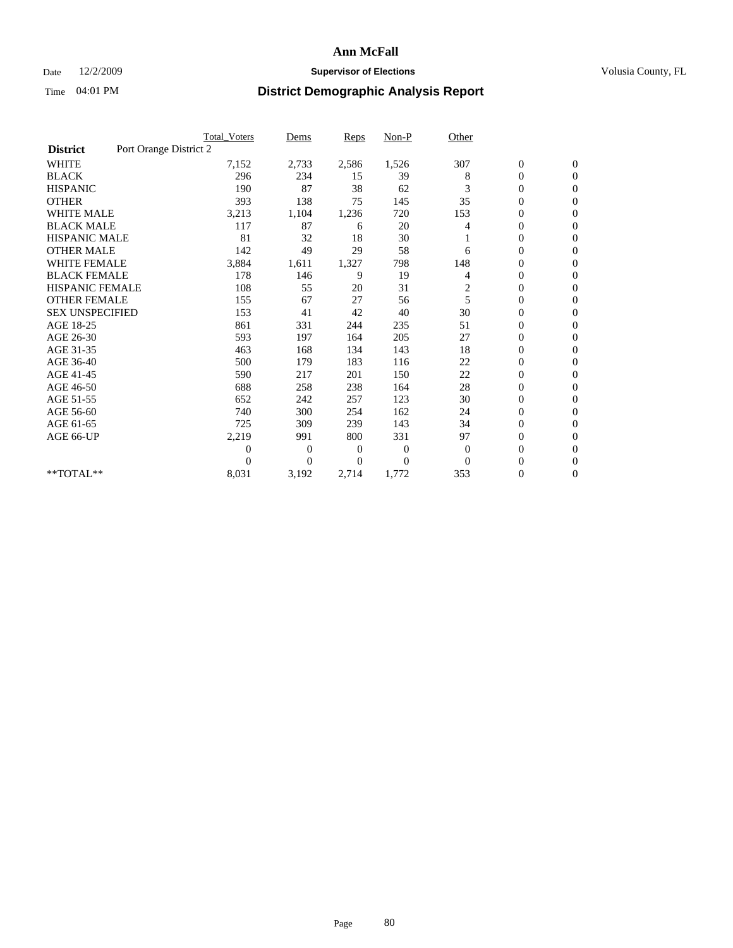### Date 12/2/2009 **Supervisor of Elections Supervisor of Elections** Volusia County, FL

|                        |                        | <b>Total Voters</b> | Dems           | <b>Reps</b> | $Non-P$      | Other                   |                  |                  |  |
|------------------------|------------------------|---------------------|----------------|-------------|--------------|-------------------------|------------------|------------------|--|
| <b>District</b>        | Port Orange District 2 |                     |                |             |              |                         |                  |                  |  |
| <b>WHITE</b>           |                        | 7,152               | 2,733          | 2,586       | 1,526        | 307                     | $\boldsymbol{0}$ | $\boldsymbol{0}$ |  |
| <b>BLACK</b>           |                        | 296                 | 234            | 15          | 39           | 8                       | $\boldsymbol{0}$ | $\mathbf{0}$     |  |
| <b>HISPANIC</b>        |                        | 190                 | 87             | 38          | 62           | 3                       | $\overline{0}$   | $\mathbf{0}$     |  |
| <b>OTHER</b>           |                        | 393                 | 138            | 75          | 145          | 35                      | $\boldsymbol{0}$ | $\Omega$         |  |
| <b>WHITE MALE</b>      |                        | 3,213               | 1,104          | 1,236       | 720          | 153                     | $\overline{0}$   | $\mathbf{0}$     |  |
| <b>BLACK MALE</b>      |                        | 117                 | 87             | 6           | 20           | 4                       | $\overline{0}$   | $\mathbf{0}$     |  |
| <b>HISPANIC MALE</b>   |                        | 81                  | 32             | 18          | 30           |                         | $\overline{0}$   | $\overline{0}$   |  |
| <b>OTHER MALE</b>      |                        | 142                 | 49             | 29          | 58           | 6                       | 0                | $\mathbf{0}$     |  |
| WHITE FEMALE           |                        | 3,884               | 1,611          | 1,327       | 798          | 148                     | $\overline{0}$   | $\mathbf{0}$     |  |
| <b>BLACK FEMALE</b>    |                        | 178                 | 146            | 9           | 19           | 4                       | $\boldsymbol{0}$ | $\mathbf{0}$     |  |
| <b>HISPANIC FEMALE</b> |                        | 108                 | 55             | 20          | 31           | $\overline{\mathbf{c}}$ | 0                | $\mathbf{0}$     |  |
| <b>OTHER FEMALE</b>    |                        | 155                 | 67             | 27          | 56           | 5                       | $\mathbf{0}$     | $\mathbf{0}$     |  |
| <b>SEX UNSPECIFIED</b> |                        | 153                 | 41             | 42          | 40           | 30                      | $\overline{0}$   | $\mathbf{0}$     |  |
| AGE 18-25              |                        | 861                 | 331            | 244         | 235          | 51                      | $\overline{0}$   | $\mathbf{0}$     |  |
| AGE 26-30              |                        | 593                 | 197            | 164         | 205          | 27                      | $\overline{0}$   | $\mathbf{0}$     |  |
| AGE 31-35              |                        | 463                 | 168            | 134         | 143          | 18                      | $\boldsymbol{0}$ | $\mathbf{0}$     |  |
| AGE 36-40              |                        | 500                 | 179            | 183         | 116          | 22                      | 0                | $\mathbf{0}$     |  |
| AGE 41-45              |                        | 590                 | 217            | 201         | 150          | 22                      | $\overline{0}$   | $\mathbf{0}$     |  |
| AGE 46-50              |                        | 688                 | 258            | 238         | 164          | 28                      | $\boldsymbol{0}$ | $\mathbf{0}$     |  |
| AGE 51-55              |                        | 652                 | 242            | 257         | 123          | 30                      | $\boldsymbol{0}$ | $\mathbf{0}$     |  |
| AGE 56-60              |                        | 740                 | 300            | 254         | 162          | 24                      | $\overline{0}$   | $\Omega$         |  |
| AGE 61-65              |                        | 725                 | 309            | 239         | 143          | 34                      | $\overline{0}$   | $\mathbf{0}$     |  |
| AGE 66-UP              |                        | 2,219               | 991            | 800         | 331          | 97                      | $\boldsymbol{0}$ | $\mathbf{0}$     |  |
|                        |                        | 0                   | $\overline{0}$ | 0           | $\mathbf{0}$ | $\mathbf{0}$            | $\overline{0}$   | $\mathbf{0}$     |  |
|                        |                        | $\theta$            | $\overline{0}$ | $\Omega$    | $\Omega$     | $\Omega$                | $\boldsymbol{0}$ | $\mathbf{0}$     |  |
| **TOTAL**              |                        | 8,031               | 3,192          | 2,714       | 1,772        | 353                     | 0                | $\mathbf{0}$     |  |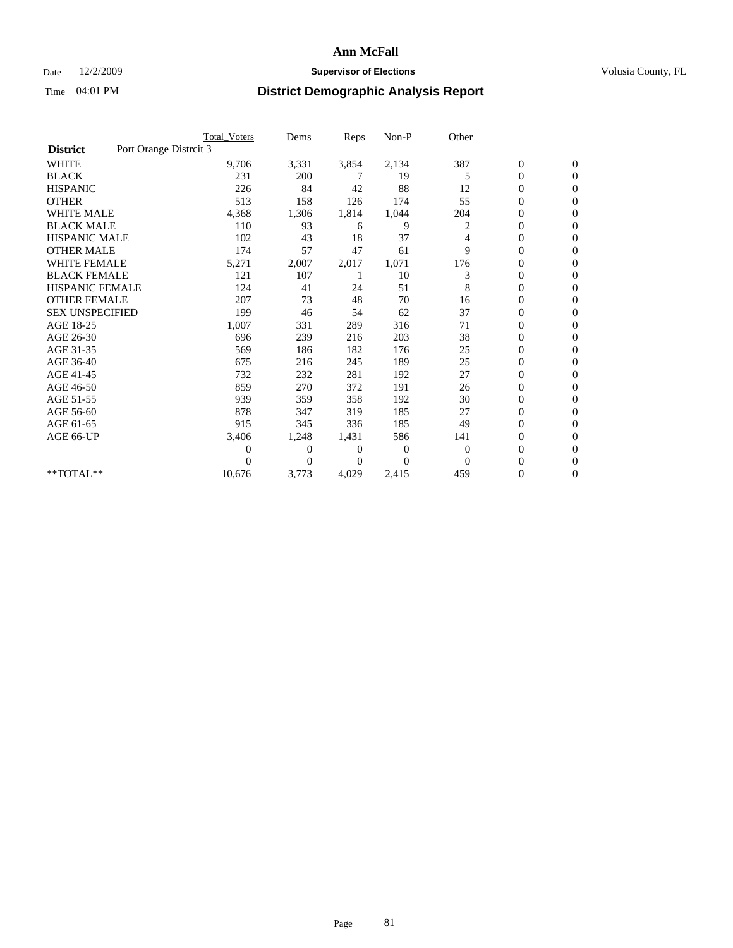### Date 12/2/2009 **Supervisor of Elections Supervisor of Elections** Volusia County, FL

|                        | <b>Total Voters</b>    | Dems           | <b>Reps</b>  | $Non-P$      | Other        |                  |                  |  |
|------------------------|------------------------|----------------|--------------|--------------|--------------|------------------|------------------|--|
| <b>District</b>        | Port Orange Distrcit 3 |                |              |              |              |                  |                  |  |
| <b>WHITE</b>           | 9,706                  | 3,331          | 3,854        | 2,134        | 387          | $\boldsymbol{0}$ | $\boldsymbol{0}$ |  |
| <b>BLACK</b>           | 231                    | 200            | 7            | 19           | 5            | $\overline{0}$   | $\mathbf{0}$     |  |
| <b>HISPANIC</b>        | 226                    | 84             | 42           | 88           | 12           | $\overline{0}$   | $\mathbf{0}$     |  |
| <b>OTHER</b>           | 513                    | 158            | 126          | 174          | 55           | $\overline{0}$   | $\overline{0}$   |  |
| <b>WHITE MALE</b>      | 4,368                  | 1,306          | 1,814        | 1,044        | 204          | $\boldsymbol{0}$ | $\mathbf{0}$     |  |
| <b>BLACK MALE</b>      | 110                    | 93             | 6            | 9            | 2            | $\overline{0}$   | $\Omega$         |  |
| <b>HISPANIC MALE</b>   | 102                    | 43             | 18           | 37           | 4            | 0                | $\overline{0}$   |  |
| <b>OTHER MALE</b>      | 174                    | 57             | 47           | 61           | 9            | $\overline{0}$   | $\mathbf{0}$     |  |
| WHITE FEMALE           | 5,271                  | 2,007          | 2,017        | 1,071        | 176          | $\overline{0}$   | $\mathbf{0}$     |  |
| <b>BLACK FEMALE</b>    | 121                    | 107            |              | 10           | 3            | $\boldsymbol{0}$ | $\Omega$         |  |
| <b>HISPANIC FEMALE</b> | 124                    | 41             | 24           | 51           | 8            | $\boldsymbol{0}$ | $\mathbf{0}$     |  |
| <b>OTHER FEMALE</b>    | 207                    | 73             | 48           | 70           | 16           | $\overline{0}$   | $\mathbf{0}$     |  |
| <b>SEX UNSPECIFIED</b> | 199                    | 46             | 54           | 62           | 37           | $\boldsymbol{0}$ | $\Omega$         |  |
| AGE 18-25              | 1,007                  | 331            | 289          | 316          | 71           | $\overline{0}$   | $\mathbf{0}$     |  |
| AGE 26-30              | 696                    | 239            | 216          | 203          | 38           | $\overline{0}$   | $\mathbf{0}$     |  |
| AGE 31-35              | 569                    | 186            | 182          | 176          | 25           | $\boldsymbol{0}$ | $\mathbf{0}$     |  |
| AGE 36-40              | 675                    | 216            | 245          | 189          | 25           | $\boldsymbol{0}$ | $\mathbf{0}$     |  |
| AGE 41-45              | 732                    | 232            | 281          | 192          | 27           | $\boldsymbol{0}$ | $\mathbf{0}$     |  |
| AGE 46-50              | 859                    | 270            | 372          | 191          | 26           | 0                | 0                |  |
| AGE 51-55              | 939                    | 359            | 358          | 192          | 30           | $\boldsymbol{0}$ | $\mathbf{0}$     |  |
| AGE 56-60              | 878                    | 347            | 319          | 185          | 27           | $\mathbf{0}$     | $\mathbf{0}$     |  |
| AGE 61-65              | 915                    | 345            | 336          | 185          | 49           | 0                | $\Omega$         |  |
| AGE 66-UP              | 3,406                  | 1,248          | 1,431        | 586          | 141          | $\overline{0}$   | $\mathbf{0}$     |  |
|                        | 0                      | $\overline{0}$ | 0            | $\mathbf{0}$ | $\mathbf{0}$ | $\boldsymbol{0}$ | $\mathbf{0}$     |  |
|                        | 0                      | $\overline{0}$ | $\mathbf{0}$ | $\Omega$     | $\Omega$     | 0                | $\mathbf{0}$     |  |
| **TOTAL**              | 10,676                 | 3,773          | 4,029        | 2,415        | 459          | $\mathbf{0}$     | $\boldsymbol{0}$ |  |